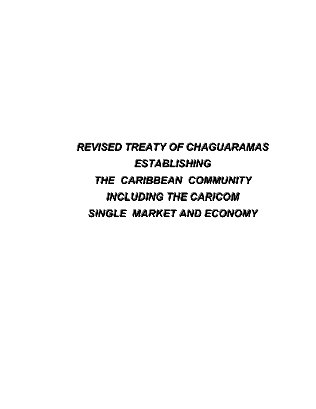# *REVISED TREATY OF CHAGUARAMAS REVISED TREATY OF CHAGUARAMAS ESTABLISHING ESTABLISHING THE CARIBBEAN COMMUNITY THE CARIBBEAN COMMUNITY INCLUDING THE CARICOM INCLUDING THE CARICOM SINGLE MARKET AND ECONOMY SINGLE MARKET AND ECONOMY*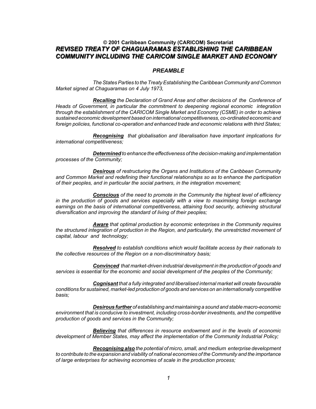### **© 2001 Caribbean Community (CARICOM) Secretariat** *REVISED TREATY OF CHAGUARAMAS ESTABLISHING THE CARIBBEAN REVISED TREATY OF CHAGUARAMAS ESTABLISHING THE CARIBBEAN COMMUNITY INCLUDING THE CARICO COMMUNITY INCLUDING THE CARICOM SINGLE MARKET AND ECONOMY M SINGLE MARKET AND ECONOMY*

### *PREAMBLE*

*The States Parties to the Treaty Establishing the Caribbean Community and Common Market signed at Chaguaramas on 4 July 1973,*

*Recalling the Declaration of Grand Anse and other decisions of the Conference of Heads of Government, in particular the commitment to deepening regional economic integration through the establishment of the CARICOM Single Market and Economy (CSME) in order to achieve sustained economic development based on international competitiveness, co-ordinated economic and foreign policies, functional co-operation and enhanced trade and economic relations with third States;*

*Recognising that globalisation and liberalisation have important implications for international competitiveness;*

*Determined to enhance the effectiveness of the decision-making and implementation processes of the Community;*

*Desirous of restructuring the Organs and Institutions of the Caribbean Community and Common Market and redefining their functional relationships so as to enhance the participation of their peoples, and in particular the social partners, in the integration movement;*

*Conscious of the need to promote in the Community the highest level of efficiency in the production of goods and services especially with a view to maximising foreign exchange earnings on the basis of international competitiveness, attaining food security, achieving structural diversification and improving the standard of living of their peoples;*

*Aware that optimal production by economic enterprises in the Community requires the structured integration of production in the Region, and particularly, the unrestricted movement of capital, labour and technology;*

*Resolved to establish conditions which would facilitate access by their nationals to the collective resources of the Region on a non-discriminatory basis;*

*Convinced that market-driven industrial development in the production of goods and services is essential for the economic and social development of the peoples of the Community;*

*Cognisant that a fully integrated and liberalised internal market will create favourable conditions for sustained, market-led production of goods and services on an internationally competitive basis;*

*Desirous further of establishing and maintaining a sound and stable macro-economic environment that is conducive to investment, including cross-border investments, and the competitive production of goods and services in the Community;*

*Believing that differences in resource endowment and in the levels of economic development of Member States, may affect the implementation of the Community Industrial Policy;*

*Recognising also the potential of micro, small, and medium enterprise development to contribute to the expansion and viability of national economies of the Community and the importance of large enterprises for achieving economies of scale in the production process;*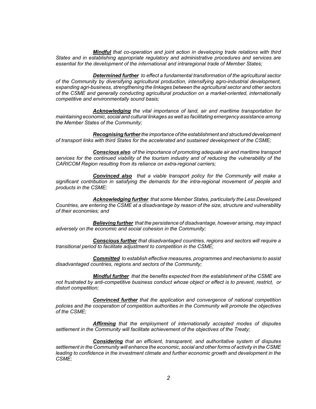*Mindful that co-operation and joint action in developing trade relations with third States and in establishing appropriate regulatory and administrative procedures and services are essential for the development of the international and intraregional trade of Member States;*

*Determined further to effect a fundamental transformation of the agricultural sector of the Community by diversifying agricultural production, intensifying agro-industrial development, expanding agri-business, strengthening the linkages between the agricultural sector and other sectors of the CSME and generally conducting agricultural production on a market-oriented, internationally competitive and environmentally sound basis;*

*Acknowledging the vital importance of land, air and maritime transportation for maintaining economic, social and cultural linkages as well as facilitating emergency assistance among the Member States of the Community;*

*Recognising further the importance of the establishment and structured development of transport links with third States for the accelerated and sustained development of the CSME;*

*Conscious also of the importance of promoting adequate air and maritime transport services for the continued viability of the tourism industry and of reducing the vulnerability of the CARICOM Region resulting from its reliance on extra-regional carriers;*

*Convinced also that a viable transport policy for the Community will make a significant contribution in satisfying the demands for the intra-regional movement of people and products in the CSME;*

*Acknowledging further that some Member States, particularly the Less Developed Countries, are entering the CSME at a disadvantage by reason of the size, structure and vulnerability of their economies; and*

*Believing further that the persistence of disadvantage, however arising, may impact adversely on the economic and social cohesion in the Community;*

*Conscious further that disadvantaged countries, regions and sectors will require a transitional period to facilitate adjustment to competition in the CSME;*

*Committed to establish effective measures, programmes and mechanisms to assist disadvantaged countries, regions and sectors of the Community;*

*Mindful further that the benefits expected from the establishment of the CSME are not frustrated by anti-competitive business conduct whose object or effect is to prevent, restrict, or distort competition;*

*Convinced further that the application and convergence of national competition policies and the cooperation of competition authorities in the Community will promote the objectives of the CSME;*

*Affirming that the employment of internationally accepted modes of disputes settlement in the Community will facilitate achievement of the objectives of the Treaty;*

*Considering that an efficient, transparent, and authoritative system of disputes settlement in the Community will enhance the economic, social and other forms of activity in the CSME leading to confidence in the investment climate and further economic growth and development in the CSME;*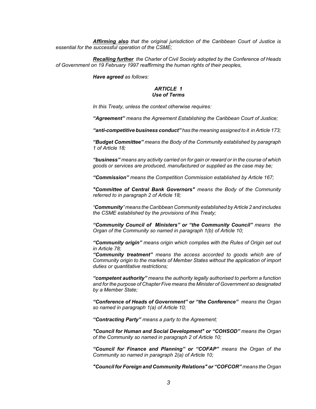*Affirming also that the original jurisdiction of the Caribbean Court of Justice is essential for the successful operation of the CSME;*

*Recalling further the Charter of Civil Society adopted by the Conference of Heads of Government on 19 February 1997 reaffirming the human rights of their peoples,*

*Have agreed as follows:*

### *ARTICLE 1 Use of Terms*

*In this Treaty, unless the context otherwise requires:*

*"Agreement" means the Agreement Establishing the Caribbean Court of Justice;*

*"anti-competitive business conduct" has the meaning assigned to it in Article 173;*

*"Budget Committee" means the Body of the Community established by paragraph 1 of Article 18;*

*"business" means any activity carried on for gain or reward or in the course of which goods or services are produced, manufactured or supplied as the case may be;*

*"Commission" means the Competition Commission established by Article 167;* 

*"Committee of Central Bank Governors" means the Body of the Community referred to in paragraph 2 of Article 18;*

*"Community" means the Caribbean Community established by Article 2 and includes the CSME established by the provisions of this Treaty;*

*"Community Council of Ministers" or "the Community Council" means the Organ of the Community so named in paragraph 1(b) of Article 10;*

*"Community origin" means origin which complies with the Rules of Origin set out in Article 78;*

*"Community treatment" means the access accorded to goods which are of Community origin to the markets of Member States without the application of import duties or quantitative restrictions;*

*"competent authority" means the authority legally authorised to perform a function and for the purpose of Chapter Five means the Minister of Government so designated by a Member State;*

*"Conference of Heads of Government" or "the Conference" means the Organ so named in paragraph 1(a) of Article 10;*

*"Contracting Party" means a party to the Agreement;*

*"Council for Human and Social Development" or "COHSOD" means the Organ of the Community so named in paragraph 2 of Article 10;*

*"Council for Finance and Planning" or "COFAP" means the Organ of the Community so named in paragraph 2(a) of Article 10;*

*"Council for Foreign and Community Relations" or "COFCOR" means the Organ*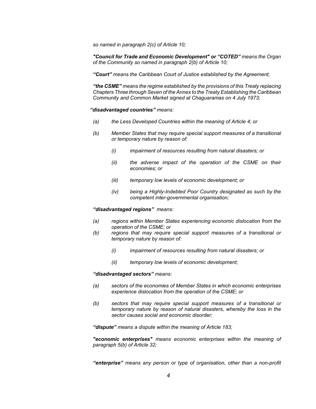*so named in paragraph 2(c) of Article 10;*

*"Council for Trade and Economic Development" or "COTED" means the Organ of the Community so named in paragraph 2(b) of Article 10;*

*"Court" means the Caribbean Court of Justice established by the Agreement;*

*"the CSME" means the regime established by the provisions of this Treaty replacing Chapters Three through Seven of the Annex to the Treaty Establishing the Caribbean Community and Common Market signed at Chaguaramas on 4 July 1973;*

### *"disadvantaged countries" means:*

- *(a) the Less Developed Countries within the meaning of Article 4; or*
- *(b) Member States that may require special support measures of a transitional or temporary nature by reason of:*
	- *(i) impairment of resources resulting from natural disasters; or*
	- *(ii) the adverse impact of the operation of the CSME on their economies; or*
	- *(iii) temporary low levels of economic development; or*
	- *(iv) being a Highly-Indebted Poor Country designated as such by the competent inter-governmental organisation;*

#### *"disadvantaged regions" means:*

- *(a) regions within Member States experiencing economic dislocation from the operation of the CSME; or*
- *(b) regions that may require special support measures of a transitional or temporary nature by reason of:*
	- *(i) impairment of resources resulting from natural disasters; or*
	- *(ii) temporary low levels of economic development;*

### *"disadvantaged sectors" means:*

- *(a) sectors of the economies of Member States in which economic enterprises experience dislocation from the operation of the CSME; or*
- *(b) sectors that may require special support measures of a transitional or temporary nature by reason of natural disasters, whereby the loss in the sector causes social and economic disorder;*

*"dispute" means a dispute within the meaning of Article 183;*

*"economic enterprises" means economic enterprises within the meaning of paragraph 5(b) of Article 32;*

*"enterprise" means any person or type of organisation, other than a non-profit*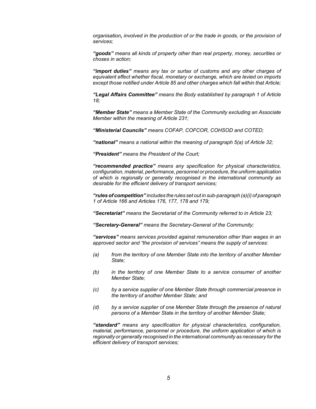*organisation, involved in the production of or the trade in goods, or the provision of services;*

*"goods" means all kinds of property other than real property, money, securities or choses in action;*

*"import duties" means any tax or surtax of customs and any other charges of equivalent effect whether fiscal, monetary or exchange, which are levied on imports except those notified under Article 85 and other charges which fall within that Article;*

*"Legal Affairs Committee" means the Body established by paragraph 1 of Article 18;*

*"Member State" means a Member State of the Community excluding an Associate Member within the meaning of Article 231;*

*"Ministerial Councils" means COFAP, COFCOR, COHSOD and COTED;*

*"national" means a national within the meaning of paragraph 5(a) of Article 32;*

*"President" means the President of the Court;*

*"recommended practice" means any specification for physical characteristics, configuration, material, performance, personnel or procedure, the uniform application of which is regionally or generally recognised in the international community as desirable for the efficient delivery of transport services;*

*"rules of competition" includes the rules set out in sub-paragraph (a)(i) of paragraph 1 of Article 166 and Articles 176, 177, 178 and 179;*

*"Secretariat" means the Secretariat of the Community referred to in Article 23;*

*"Secretary-General" means the Secretary-General of the Community;*

*"services" means services provided against remuneration other than wages in an approved sector and "the provision of services" means the supply of services:*

- *(a) from the territory of one Member State into the territory of another Member State;*
- *(b) in the territory of one Member State to a service consumer of another Member State;*
- *(c) by a service supplier of one Member State through commercial presence in the territory of another Member State; and*
- *(d) by a service supplier of one Member State through the presence of natural persons of a Member State in the territory of another Member State;*

*"standard" means any specification for physical characteristics, configuration, material, performance, personnel or procedure, the uniform application of which is regionally or generally recognised in the international community as necessary for the efficient delivery of transport services;*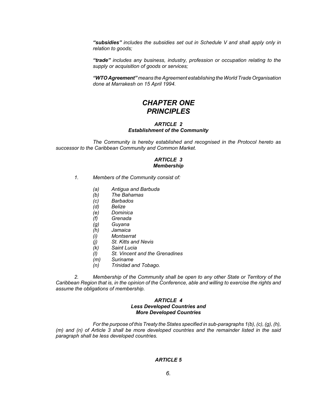*"subsidies" includes the subsidies set out in Schedule V and shall apply only in relation to goods;*

*"trade" includes any business, industry, profession or occupation relating to the supply or acquisition of goods or services;*

*"WTO Agreement" means the Agreement establishing the World Trade Organisation done at Marrakesh on 15 April 1994.*

# *CHAPTER ONE PRINCIPLES*

### *ARTICLE 2 Establishment of the Community*

*The Community is hereby established and recognised in the Protocol hereto as successor to the Caribbean Community and Common Market.*

### *ARTICLE 3 Membership*

- *1. Members of the Community consist of:*
	- *(a) Antigua and Barbuda*
	- *(b) The Bahamas*
	- *(c) Barbados*
	- *(d) Belize*
	- *(e) Dominica*
	- *(f) Grenada*
	- *(g) Guyana*
	- *(h) Jamaica*
	- *(i) Montserrat*
	- *(j) St. Kitts and Nevis*
	- *(k) Saint Lucia*
	- *(l) St. Vincent and the Grenadines*
	- *(m) Suriname*
	- *(n) Trinidad and Tobago.*

*2. Membership of the Community shall be open to any other State or Territory of the Caribbean Region that is, in the opinion of the Conference, able and willing to exercise the rights and assume the obligations of membership.*

### *ARTICLE 4 Less Developed Countries and More Developed Countries*

*For the purpose of this Treaty the States specified in sub-paragraphs 1(b), (c), (g), (h), (m) and (n) of Article 3 shall be more developed countries and the remainder listed in the said paragraph shall be less developed countries.*

### *ARTICLE 5*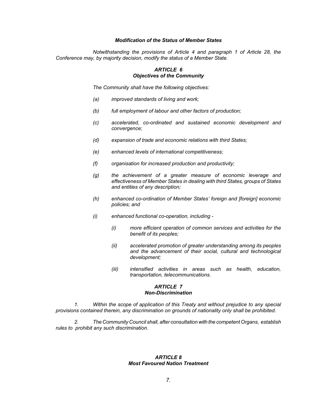### *Modification of the Status of Member States*

*Notwithstanding the provisions of Article 4 and paragraph 1 of Article 28, the Conference may, by majority decision, modify the status of a Member State.* 

### *ARTICLE 6 Objectives of the Community*

*The Community shall have the following objectives:*

- *(a) improved standards of living and work;*
- *(b) full employment of labour and other factors of production;*
- *(c) accelerated, co-ordinated and sustained economic development and convergence;*
- *(d) expansion of trade and economic relations with third States;*
- *(e) enhanced levels of international competitiveness;*
- *(f) organisation for increased production and productivity;*
- *(g) the achievement of a greater measure of economic leverage and effectiveness of Member States in dealing with third States, groups of States and entities of any description;*
- *(h) enhanced co-ordination of Member States' foreign and [foreign] economic policies; and*
- *(i) enhanced functional co-operation, including -*
	- *(i) more efficient operation of common services and activities for the benefit of its peoples;*
	- *(ii) accelerated promotion of greater understanding among its peoples and the advancement of their social, cultural and technological development;*
	- *(iii) intensified activities in areas such as health, education, transportation, telecommunications.*

### *ARTICLE 7 Non-Discrimination*

*1. Within the scope of application of this Treaty and without prejudice to any special provisions contained therein, any discrimination on grounds of nationality only shall be prohibited.* 

*2. The Community Council shall, after consultation with the competent Organs, establish rules to prohibit any such discrimination.*

### *ARTICLE 8 Most Favoured Nation Treatment*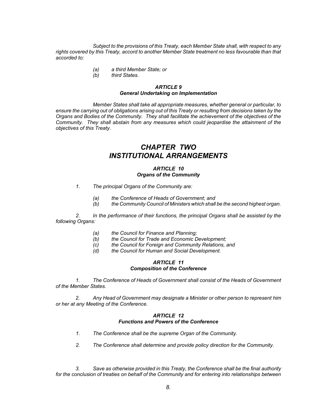*Subject to the provisions of this Treaty, each Member State shall, with respect to any rights covered by this Treaty, accord to another Member State treatment no less favourable than that accorded to:*

- *(a) a third Member State; or*
- *(b) third States.*

### *ARTICLE 9 General Undertaking on Implementation*

*Member States shall take all appropriate measures, whether general or particular, to ensure the carrying out of obligations arising out of this Treaty or resulting from decisions taken by the Organs and Bodies of the Community. They shall facilitate the achievement of the objectives of the Community. They shall abstain from any measures which could jeopardise the attainment of the objectives of this Treaty.*

# *CHAPTER TWO INSTITUTIONAL ARRANGEMENTS*

### *ARTICLE 10 Organs of the Community*

- *1. The principal Organs of the Community are:*
	- *(a) the Conference of Heads of Government; and*
	- *(b) the Community Council of Ministers which shall be the second highest organ.*

 *2. In the performance of their functions, the principal Organs shall be assisted by the following Organs:*

- *(a) the Council for Finance and Planning;*
- *(b) the Council for Trade and Economic Development;*
- *(c) the Council for Foreign and Community Relations, and*
- *(d) the Council for Human and Social Development.*

### *ARTICLE 11 Composition of the Conference*

 *1. The Conference of Heads of Government shall consist of the Heads of Government of the Member States.*

 *2. Any Head of Government may designate a Minister or other person to represent him or her at any Meeting of the Conference.*

### *ARTICLE 12 Functions and Powers of the Conference*

- *1. The Conference shall be the supreme Organ of the Community.*
- *2. The Conference shall determine and provide policy direction for the Community.*

 *3. Save as otherwise provided in this Treaty, the Conference shall be the final authority for the conclusion of treaties on behalf of the Community and for entering into relationships between*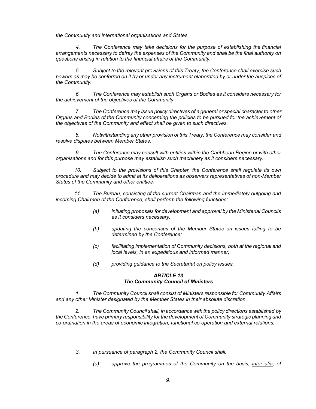*the Community and international organisations and States.* 

 *4. The Conference may take decisions for the purpose of establishing the financial arrangements necessary to defray the expenses of the Community and shall be the final authority on questions arising in relation to the financial affairs of the Community.*

 *5. Subject to the relevant provisions of this Treaty, the Conference shall exercise such powers as may be conferred on it by or under any instrument elaborated by or under the auspices of the Community.*

 *6. The Conference may establish such Organs or Bodies as it considers necessary for the achievement of the objectives of the Community.*

 *7. The Conference may issue policy directives of a general or special character to other Organs and Bodies of the Community concerning the policies to be pursued for the achievement of the objectives of the Community and effect shall be given to such directives.*

 *8. Notwithstanding any other provision of this Treaty, the Conference may consider and resolve disputes between Member States.*

 *9. The Conference may consult with entities within the Caribbean Region or with other organisations and for this purpose may establish such machinery as it considers necessary.*

*10. Subject to the provisions of this Chapter, the Conference shall regulate its own procedure and may decide to admit at its deliberations as observers representatives of non-Member States of the Community and other entities.*

*11. The Bureau, consisting of the current Chairman and the immediately outgoing and incoming Chairmen of the Conference, shall perform the following functions:*

- *(a) initiating proposals for development and approval by the Ministerial Councils as it considers necessary;*
- *(b) updating the consensus of the Member States on issues falling to be determined by the Conference;*
- *(c) facilitating implementation of Community decisions, both at the regional and local levels, in an expeditious and informed manner;*
- *(d) providing guidance to the Secretariat on policy issues.*

### *ARTICLE 13 The Community Council of Ministers*

 *1. The Community Council shall consist of Ministers responsible for Community Affairs and any other Minister designated by the Member States in their absolute discretion.* 

 *2. The Community Council shall, in accordance with the policy directions established by the Conference, have primary responsibility for the development of Community strategic planning and co-ordination in the areas of economic integration, functional co-operation and external relations.*

- *3. In pursuance of paragraph 2, the Community Council shall:*
	- *(a) approve the programmes of the Community on the basis, inter alia, of*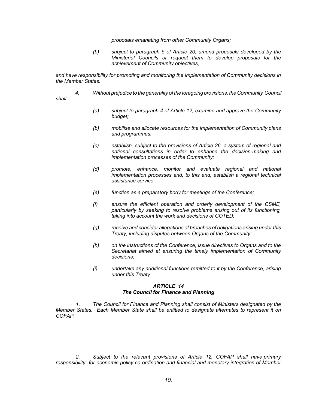*proposals emanating from other Community Organs;*

*(b) subject to paragraph 5 of Article 20, amend proposals developed by the Ministerial Councils or request them to develop proposals for the achievement of Community objectives,*

*and have responsibility for promoting and monitoring the implementation of Community decisions in the Member States.*

- *4. Without prejudice to the generality of the foregoing provisions, the Community Council shall:*
	- *(a) subject to paragraph 4 of Article 12, examine and approve the Community budget;*
	- *(b) mobilise and allocate resources for the implementation of Community plans and programmes;*
	- *(c) establish, subject to the provisions of Article 26, a system of regional and national consultations in order to enhance the decision-making and implementation processes of the Community;*
	- *(d) promote, enhance, monitor and evaluate regional and national implementation processes and, to this end, establish a regional technical assistance service;*
	- *(e) function as a preparatory body for meetings of the Conference;*
	- *(f) ensure the efficient operation and orderly development of the CSME, particularly by seeking to resolve problems arising out of its functioning, taking into account the work and decisions of COTED;*
	- *(g) receive and consider allegations of breaches of obligations arising under this Treaty, including disputes between Organs of the Community;*
	- *(h) on the instructions of the Conference, issue directives to Organs and to the Secretariat aimed at ensuring the timely implementation of Community decisions;*
	- *(i) undertake any additional functions remitted to it by the Conference, arising under this Treaty.*

### *ARTICLE 14 The Council for Finance and Planning*

 *1. The Council for Finance and Planning shall consist of Ministers designated by the Member States. Each Member State shall be entitled to designate alternates to represent it on COFAP.*

 *2. Subject to the relevant provisions of Article 12, COFAP shall have primary responsibility for economic policy co-ordination and financial and monetary integration of Member*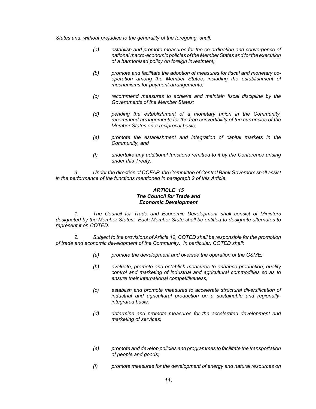*States and, without prejudice to the generality of the foregoing, shall:*

- *(a) establish and promote measures for the co-ordination and convergence of national macro-economic policies of the Member States and for the execution of a harmonised policy on foreign investment;*
- *(b) promote and facilitate the adoption of measures for fiscal and monetary cooperation among the Member States, including the establishment of mechanisms for payment arrangements;*
- *(c) recommend measures to achieve and maintain fiscal discipline by the Governments of the Member States;*
- *(d) pending the establishment of a monetary union in the Community, recommend arrangements for the free convertibility of the currencies of the Member States on a reciprocal basis;*
- *(e) promote the establishment and integration of capital markets in the Community, and*
- *(f) undertake any additional functions remitted to it by the Conference arising under this Treaty.*

*3. Under the direction of COFAP, the Committee of Central Bank Governors shall assist in the performance of the functions mentioned in paragraph 2 of this Article.*

### *ARTICLE 15 The Council for Trade and Economic Development*

*1. The Council for Trade and Economic Development shall consist of Ministers designated by the Member States. Each Member State shall be entitled to designate alternates to represent it on COTED.*

*2. Subject to the provisions of Article 12, COTED shall be responsible for the promotion of trade and economic development of the Community. In particular, COTED shall:*

- *(a) promote the development and oversee the operation of the CSME;*
- *(b) evaluate, promote and establish measures to enhance production, quality control and marketing of industrial and agricultural commodities so as to ensure their international competitiveness;*
- *(c) establish and promote measures to accelerate structural diversification of industrial and agricultural production on a sustainable and regionallyintegrated basis;*
- *(d) determine and promote measures for the accelerated development and marketing of services;*
- *(e) promote and develop policies and programmes to facilitate the transportation of people and goods;*
- *(f) promote measures for the development of energy and natural resources on*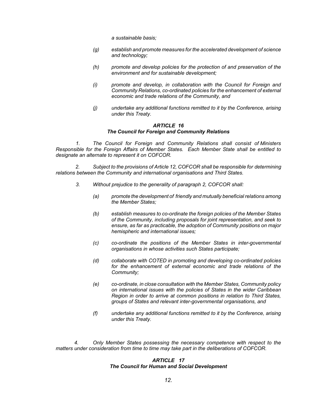*a sustainable basis;*

- *(g) establish and promote measures for the accelerated development of science and technology;*
- *(h) promote and develop policies for the protection of and preservation of the environment and for sustainable development;*
- *(i) promote and develop, in collaboration with the Council for Foreign and Community Relations, co-ordinated policies for the enhancement of external economic and trade relations of the Community, and*
- *(j) undertake any additional functions remitted to it by the Conference, arising under this Treaty.*

### *ARTICLE 16 The Council for Foreign and Community Relations*

 *1. The Council for Foreign and Community Relations shall consist of Ministers Responsible for the Foreign Affairs of Member States. Each Member State shall be entitled to designate an alternate to represent it on COFCOR.*

 *2. Subject to the provisions of Article 12, COFCOR shall be responsible for determining relations between the Community and international organisations and Third States.*

- *3. Without prejudice to the generality of paragraph 2, COFCOR shall:*
	- *(a) promote the development of friendly and mutually beneficial relations among the Member States;*
	- *(b) establish measures to co-ordinate the foreign policies of the Member States of the Community, including proposals for joint representation, and seek to ensure, as far as practicable, the adoption of Community positions on major hemispheric and international issues;*
	- *(c) co-ordinate the positions of the Member States in inter-governmental organisations in whose activities such States participate;*
	- *(d) collaborate with COTED in promoting and developing co-ordinated policies for the enhancement of external economic and trade relations of the Community;*
	- *(e) co-ordinate, in close consultation with the Member States, Community policy on international issues with the policies of States in the wider Caribbean Region in order to arrive at common positions in relation to Third States, groups of States and relevant inter-governmental organisations, and*
	- *(f) undertake any additional functions remitted to it by the Conference, arising under this Treaty.*

*4. Only Member States possessing the necessary competence with respect to the matters under consideration from time to time may take part in the deliberations of COFCOR.*

### *ARTICLE 17 The Council for Human and Social Development*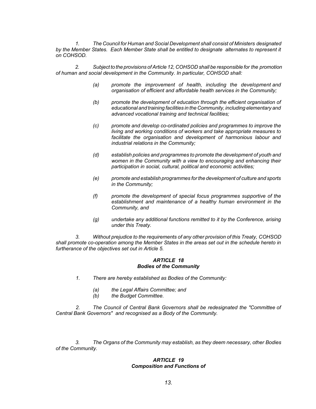*1. The Council for Human and Social Development shall consist of Ministers designated by the Member States. Each Member State shall be entitled to designate alternates to represent it on COHSOD.*

 *2. Subject to the provisions of Article 12, COHSOD shall be responsible for the promotion of human and social development in the Community. In particular, COHSOD shall:*

- *(a) promote the improvement of health, including the development and organisation of efficient and affordable health services in the Community;*
- *(b) promote the development of education through the efficient organisation of educational and training facilities in the Community, including elementary and advanced vocational training and technical facilities;*
- *(c) promote and develop co-ordinated policies and programmes to improve the living and working conditions of workers and take appropriate measures to facilitate the organisation and development of harmonious labour and industrial relations in the Community;*
- *(d) establish policies and programmes to promote the development of youth and women in the Community with a view to encouraging and enhancing their participation in social, cultural, political and economic activities;*
- *(e) promote and establish programmes for the development of culture and sports in the Community;*
- *(f) promote the development of special focus programmes supportive of the establishment and maintenance of a healthy human environment in the Community, and*
- *(g) undertake any additional functions remitted to it by the Conference, arising under this Treaty.*

 *3. Without prejudice to the requirements of any other provision of this Treaty, COHSOD shall promote co-operation among the Member States in the areas set out in the schedule hereto in furtherance of the objectives set out in Article 5.*

### *ARTICLE 18 Bodies of the Community*

- *1. There are hereby established as Bodies of the Community:*
	- *(a) the Legal Affairs Committee; and*
	- *(b) the Budget Committee.*

 *2. The Council of Central Bank Governors shall be redesignated the "Committee of Central Bank Governors" and recognised as a Body of the Community.*

 *3. The Organs of the Community may establish, as they deem necessary, other Bodies of the Community.*

### *ARTICLE 19 Composition and Functions of*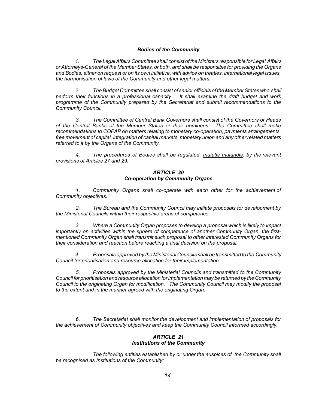### *Bodies of the Community*

 *1. The Legal Affairs Committee shall consist of the Ministers responsible for Legal Affairs or Attorneys-General of the Member States, or both, and shall be responsible for providing the Organs and Bodies, either on request or on its own initiative, with advice on treaties, international legal issues, the harmonisation of laws of the Community and other legal matters.*

 *2. The Budget Committee shall consist of senior officials of the Member States who shall perform their functions in a professional capacity . It shall examine the draft budget and work programme of the Community prepared by the Secretariat and submit recommendations to the Community Council.*

 *3. The Committee of Central Bank Governors shall consist of the Governors or Heads of the Central Banks of the Member States or their nominees. The Committee shall make recommendations to COFAP on matters relating to monetary co-operation, payments arrangements, free movement of capital, integration of capital markets, monetary union and any other related matters referred to it by the Organs of the Community.*

 *4. The procedures of Bodies shall be regulated, mutatis mutandis, by the relevant provisions of Articles 27 and 29.*

### *ARTICLE 20 Co-operation by Community Organs*

 *1. Community Organs shall co-operate with each other for the achievement of Community objectives.*

 *2. The Bureau and the Community Council may initiate proposals for development by the Ministerial Councils within their respective areas of competence.*

 *3. Where a Community Organ proposes to develop a proposal which is likely to impact importantly on activities within the sphere of competence of another Community Organ, the firstmentioned Community Organ shall transmit such proposal to other interested Community Organs for their consideration and reaction before reaching a final decision on the proposal.*

 *4. Proposals approved by the Ministerial Councils shall be transmitted to the Community Council for prioritisation and resource allocation for their implementation.*

 *5. Proposals approved by the Ministerial Councils and transmitted to the Community Council for prioritisation and resource allocation for implementation may be returned by the Community Council to the originating Organ for modification. The Community Council may modify the proposal to the extent and in the manner agreed with the originating Organ.*

 *6. The Secretariat shall monitor the development and implementation of proposals for the achievement of Community objectives and keep the Community Council informed accordingly.*

### *ARTICLE 21 Institutions of the Community*

*The following entities established by or under the auspices of the Community shall be recognised as Institutions of the Community:*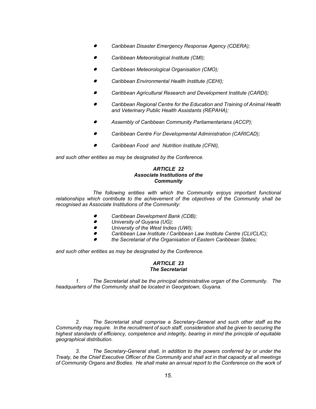- $\bullet$ *Caribbean Disaster Emergency Response Agency (CDERA);*
- $\bullet$ *Caribbean Meteorological Institute (CMI);*
- $\bullet$ *Caribbean Meteorological Organisation (CMO);*
- $\bullet$ *Caribbean Environmental Health Institute (CEHI);*
- $\bullet$ *Caribbean Agricultural Research and Development Institute (CARDI);*
- $\bullet$  *Caribbean Regional Centre for the Education and Training of Animal Health and Veterinary Public Health Assistants (REPAHA);*
- $\bullet$ *Assembly of Caribbean Community Parliamentarians (ACCP);*
- $\bullet$ *Caribbean Centre For Developmental Administration (CARICAD);*
- $\bullet$ *Caribbean Food and Nutrition Institute (CFNI),*

*and such other entities as may be designated by the Conference.* 

### *ARTICLE 22 Associate Institutions of the Community*

*The following entities with which the Community enjoys important functional relationships which contribute to the achievement of the objectives of the Community shall be recognised as Associate Institutions of the Community:*

- $\bullet$ *Caribbean Development Bank (CDB);*
- !*University of Guyana (UG);*
- $\bullet$ *University of the West Indies (UWI);*
- $\bullet$ *Caribbean Law Institute / Caribbean Law Institute Centre (CLI/CLIC);*
- $\bullet$ *the Secretariat of the Organisation of Eastern Caribbean States;*

*and such other entities as may be designated by the Conference.*

### *ARTICLE 23 The Secretariat*

 *1. The Secretariat shall be the principal administrative organ of the Community. The headquarters of the Community shall be located in Georgetown, Guyana.*

 *2. The Secretariat shall comprise a Secretary-General and such other staff as the Community may require. In the recruitment of such staff, consideration shall be given to securing the highest standards of efficiency, competence and integrity, bearing in mind the principle of equitable geographical distribution.*

 *3. The Secretary-General shall, in addition to the powers conferred by or under the Treaty, be the Chief Executive Officer of the Community and shall act in that capacity at all meetings of Community Organs and Bodies. He shall make an annual report to the Conference on the work of*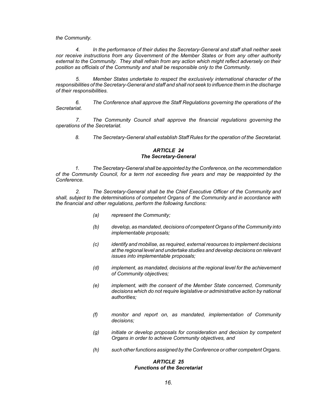*the Community.*

 *4. In the performance of their duties the Secretary-General and staff shall neither seek nor receive instructions from any Government of the Member States or from any other authority external to the Community. They shall refrain from any action which might reflect adversely on their position as officials of the Community and shall be responsible only to the Community.*

 *5. Member States undertake to respect the exclusively international character of the responsibilities of the Secretary-General and staff and shall not seek to influence them in the discharge of their responsibilities.*

 *6. The Conference shall approve the Staff Regulations governing the operations of the Secretariat.*

 *7. The Community Council shall approve the financial regulations governing the operations of the Secretariat.*

 *8. The Secretary-General shall establish Staff Rules for the operation of the Secretariat.*

### *ARTICLE 24 The Secretary-General*

 *1. The Secretary-General shall be appointed by the Conference, on the recommendation of the Community Council, for a term not exceeding five years and may be reappointed by the Conference.*

 *2. The Secretary-General shall be the Chief Executive Officer of the Community and shall, subject to the determinations of competent Organs of the Community and in accordance with the financial and other regulations, perform the following functions:*

- *(a) represent the Community;*
- *(b) develop, as mandated, decisions of competent Organs of the Community into implementable proposals;*
- *(c) identify and mobilise, as required, external resources to implement decisions at the regional level and undertake studies and develop decisions on relevant issues into implementable proposals;*
- *(d) implement, as mandated, decisions at the regional level for the achievement of Community objectives;*
- *(e) implement, with the consent of the Member State concerned, Community decisions which do not require legislative or administrative action by national authorities;*
- *(f) monitor and report on, as mandated, implementation of Community decisions;*
- *(g) initiate or develop proposals for consideration and decision by competent Organs in order to achieve Community objectives, and*
- *(h) such other functions assigned by the Conference or other competent Organs.*

### *ARTICLE 25 Functions of the Secretariat*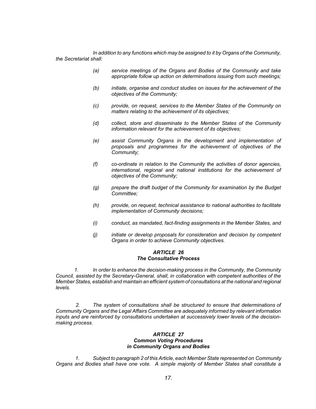*In addition to any functions which may be assigned to it by Organs of the Community, the Secretariat shall:*

- *(a) service meetings of the Organs and Bodies of the Community and take appropriate follow up action on determinations issuing from such meetings;*
- *(b) initiate, organise and conduct studies on issues for the achievement of the objectives of the Community;*
- *(c) provide, on request, services to the Member States of the Community on matters relating to the achievement of its objectives;*
- *(d) collect, store and disseminate to the Member States of the Community information relevant for the achievement of its objectives;*
- *(e) assist Community Organs in the development and implementation of proposals and programmes for the achievement of objectives of the Community;*
- *(f) co-ordinate in relation to the Community the activities of donor agencies, international, regional and national institutions for the achievement of objectives of the Community;*
- *(g) prepare the draft budget of the Community for examination by the Budget Committee;*
- *(h) provide, on request, technical assistance to national authorities to facilitate implementation of Community decisions;*
- *(i) conduct, as mandated, fact-finding assignments in the Member States, and*
- *(j) initiate or develop proposals for consideration and decision by competent Organs in order to achieve Community objectives.*

### *ARTICLE 26 The Consultative Process*

*1. In order to enhance the decision-making process in the Community, the Community Council, assisted by the Secretary-General, shall, in collaboration with competent authorities of the Member States, establish and maintain an efficient system of consultations at the national and regional levels.*

 *2. The system of consultations shall be structured to ensure that determinations of Community Organs and the Legal Affairs Committee are adequately informed by relevant information inputs and are reinforced by consultations undertaken at successively lower levels of the decisionmaking process.*

### *ARTICLE 27 Common Voting Procedures in Community Organs and Bodies*

 *1. Subject to paragraph 2 of this Article, each Member State represented on Community Organs and Bodies shall have one vote. A simple majority of Member States shall constitute a*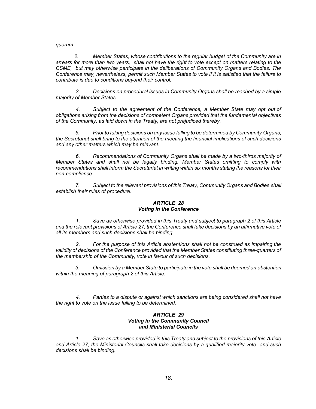*quorum.*

*2. Member States, whose contributions to the regular budget of the Community are in arrears for more than two years, shall not have the right to vote except on matters relating to the CSME, but may otherwise participate in the deliberations of Community Organs and Bodies. The Conference may, nevertheless, permit such Member States to vote if it is satisfied that the failure to contribute is due to conditions beyond their control.* 

 *3. Decisions on procedural issues in Community Organs shall be reached by a simple majority of Member States.*

*4. Subject to the agreement of the Conference, a Member State may opt out of obligations arising from the decisions of competent Organs provided that the fundamental objectives of the Community, as laid down in the Treaty, are not prejudiced thereby.* 

 *5. Prior to taking decisions on any issue falling to be determined by Community Organs, the Secretariat shall bring to the attention of the meeting the financial implications of such decisions and any other matters which may be relevant.*

 *6. Recommendations of Community Organs shall be made by a two-thirds majority of Member States and shall not be legally binding. Member States omitting to comply with recommendations shall inform the Secretariat in writing within six months stating the reasons for their non-compliance.*

 *7. Subject to the relevant provisions of this Treaty, Community Organs and Bodies shall establish their rules of procedure.*

### *ARTICLE 28 Voting in the Conference*

 *1. Save as otherwise provided in this Treaty and subject to paragraph 2 of this Article and the relevant provisions of Article 27, the Conference shall take decisions by an affirmative vote of all its members and such decisions shall be binding.*

 *2. For the purpose of this Article abstentions shall not be construed as impairing the validity of decisions of the Conference provided that the Member States constituting three-quarters of the membership of the Community, vote in favour of such decisions.*

 *3. Omission by a Member State to participate in the vote shall be deemed an abstention within the meaning of paragraph 2 of this Article.* 

 *4. Parties to a dispute or against which sanctions are being considered shall not have the right to vote on the issue falling to be determined.*

### *ARTICLE 29 Voting in the Community Council and Ministerial Councils*

 *1. Save as otherwise provided in this Treaty and subject to the provisions of this Article and Article 27, the Ministerial Councils shall take decisions by a qualified majority vote and such decisions shall be binding.*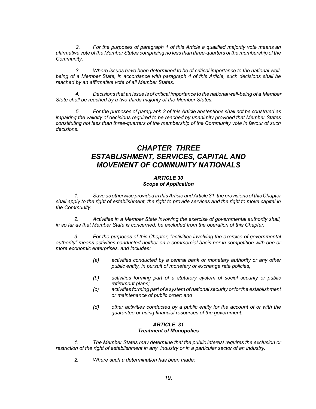*2. For the purposes of paragraph 1 of this Article a qualified majority vote means an affirmative vote of the Member States comprising no less than three-quarters of the membership of the Community.*

 *3. Where issues have been determined to be of critical importance to the national wellbeing of a Member State, in accordance with paragraph 4 of this Article, such decisions shall be reached by an affirmative vote of all Member States.*

 *4. Decisions that an issue is of critical importance to the national well-being of a Member State shall be reached by a two-thirds majority of the Member States.*

 *5. For the purposes of paragraph 3 of this Article abstentions shall not be construed as impairing the validity of decisions required to be reached by unanimity provided that Member States constituting not less than three-quarters of the membership of the Community vote in favour of such decisions.*

# *CHAPTER THREE ESTABLISHMENT, SERVICES, CAPITAL AND MOVEMENT OF COMMUNITY NATIONALS*

### *ARTICLE 30 Scope of Application*

*1. Save as otherwise provided in this Article and Article 31, the provisions of this Chapter shall apply to the right of establishment, the right to provide services and the right to move capital in the Community.*

*2. Activities in a Member State involving the exercise of governmental authority shall, in so far as that Member State is concerned, be excluded from the operation of this Chapter.*

*3. For the purposes of this Chapter, "activities involving the exercise of governmental authority" means activities conducted neither on a commercial basis nor in competition with one or more economic enterprises, and includes:*

- *(a) activities conducted by a central bank or monetary authority or any other public entity, in pursuit of monetary or exchange rate policies;*
- *(b) activities forming part of a statutory system of social security or public retirement plans;*
- *(c) activities forming part of a system of national security or for the establishment or maintenance of public order; and*
- *(d) other activities conducted by a public entity for the account of or with the guarantee or using financial resources of the government.*

### *ARTICLE 31 Treatment of Monopolies*

*1. The Member States may determine that the public interest requires the exclusion or restriction of the right of establishment in any industry or in a particular sector of an industry.*

*2. Where such a determination has been made:*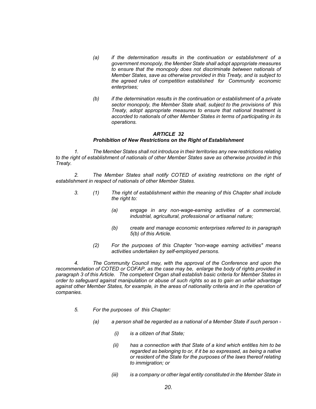- *(a) if the determination results in the continuation or establishment of a government monopoly, the Member State shall adopt appropriate measures to ensure that the monopoly does not discriminate between nationals of Member States, save as otherwise provided in this Treaty, and is subject to the agreed rules of competition established for Community economic enterprises;*
- *(b) if the determination results in the continuation or establishment of a private sector monopoly, the Member State shall, subject to the provisions of this Treaty, adopt appropriate measures to ensure that national treatment is accorded to nationals of other Member States in terms of participating in its operations.*

### *ARTICLE 32 Prohibition of New Restrictions on the Right of Establishment*

*1. The Member States shall not introduce in their territories any new restrictions relating to the right of establishment of nationals of other Member States save as otherwise provided in this Treaty.*

*2. The Member States shall notify COTED of existing restrictions on the right of establishment in respect of nationals of other Member States.*

- *3. (1) The right of establishment within the meaning of this Chapter shall include the right to:*
	- *(a) engage in any non-wage-earning activities of a commercial, industrial, agricultural, professional or artisanal nature;*
	- *(b) create and manage economic enterprises referred to in paragraph 5(b) of this Article.*
	- *(2) For the purposes of this Chapter "non-wage earning activities" means activities undertaken by self-employed persons.*

*4. The Community Council may, with the approval of the Conference and upon the recommendation of COTED or COFAP, as the case may be, enlarge the body of rights provided in paragraph 3 of this Article. The competent Organ shall establish basic criteria for Member States in order to safeguard against manipulation or abuse of such rights so as to gain an unfair advantage against other Member States, for example, in the areas of nationality criteria and in the operation of companies.*

- *5. For the purposes of this Chapter:*
	- *(a) a person shall be regarded as a national of a Member State if such person -*
		- *(i) is a citizen of that State;*
		- *(ii) has a connection with that State of a kind which entitles him to be regarded as belonging to or, if it be so expressed, as being a native or resident of the State for the purposes of the laws thereof relating to immigration; or*
		- *(iii) is a company or other legal entity constituted in the Member State in*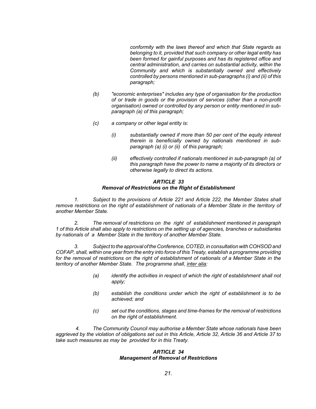*conformity with the laws thereof and which that State regards as belonging to it, provided that such company or other legal entity has been formed for gainful purposes and has its registered office and central administration, and carries on substantial activity, within the Community and which is substantially owned and effectively controlled by persons mentioned in sub-paragraphs (i) and (ii) of this paragraph;*

- *(b) "economic enterprises" includes any type of organisation for the production of or trade in goods or the provision of services (other than a non-profit organisation) owned or controlled by any person or entity mentioned in subparagraph (a) of this paragraph;*
- *(c) a company or other legal entity is:*
	- *(i) substantially owned if more than 50 per cent of the equity interest therein is beneficially owned by nationals mentioned in subparagraph (a) (i) or (ii) of this paragraph;*
	- *(ii) effectively controlled if nationals mentioned in sub-paragraph (a) of this paragraph have the power to name a majority of its directors or otherwise legally to direct its actions.*

### *ARTICLE 33 Removal of Restrictions on the Right of Establishment*

*1. Subject to the provisions of Article 221 and Article 222, the Member States shall remove restrictions on the right of establishment of nationals of a Member State in the territory of another Member State.*

 *2. The removal of restrictions on the right of establishment mentioned in paragraph 1 of this Article shall also apply to restrictions on the setting up of agencies, branches or subsidiaries by nationals of a Member State in the territory of another Member State.*

*3. Subject to the approval of the Conference, COTED, in consultation with COHSOD and COFAP, shall, within one year from the entry into force of this Treaty, establish a programme providing for the removal of restrictions on the right of establishment of nationals of a Member State in the territory of another Member State. The programme shall, inter alia:*

- *(a) identify the activities in respect of which the right of establishment shall not apply;*
- *(b) establish the conditions under which the right of establishment is to be achieved; and*
- *(c) set out the conditions, stages and time-frames for the removal of restrictions on the right of establishment.*

 *4. The Community Council may authorise a Member State whose nationals have been aggrieved by the violation of obligations set out in this Article, Article 32, Article 36 and Article 37 to take such measures as may be provided for in this Treaty.*

### *ARTICLE 34 Management of Removal of Restrictions*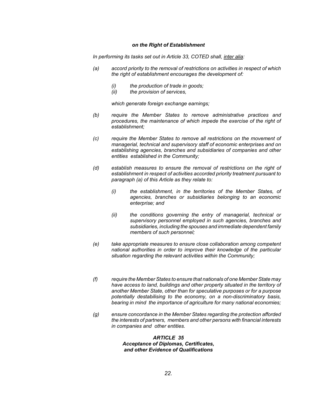### *on the Right of Establishment*

*In performing its tasks set out in Article 33, COTED shall, inter alia:*

- *(a) accord priority to the removal of restrictions on activities in respect of which the right of establishment encourages the development of:*
	- *(i) the production of trade in goods;*
	- *(ii) the provision of services,*

*which generate foreign exchange earnings;*

- *(b) require the Member States to remove administrative practices and procedures, the maintenance of which impede the exercise of the right of establishment;*
- *(c) require the Member States to remove all restrictions on the movement of managerial, technical and supervisory staff of economic enterprises and on establishing agencies, branches and subsidiaries of companies and other entities established in the Community;*
- *(d) establish measures to ensure the removal of restrictions on the right of establishment in respect of activities accorded priority treatment pursuant to paragraph (a) of this Article as they relate to:*
	- *(i) the establishment, in the territories of the Member States, of agencies, branches or subsidiaries belonging to an economic enterprise; and*
	- *(ii) the conditions governing the entry of managerial, technical or supervisory personnel employed in such agencies, branches and subsidiaries, including the spouses and immediate dependent family members of such personnel;*
- *(e) take appropriate measures to ensure close collaboration among competent national authorities in order to improve their knowledge of the particular situation regarding the relevant activities within the Community;*
- *(f) require the Member States to ensure that nationals of one Member State may have access to land, buildings and other property situated in the territory of another Member State, other than for speculative purposes or for a purpose potentially destabilising to the economy, on a non-discriminatory basis, bearing in mind the importance of agriculture for many national economies;*
- *(g) ensure concordance in the Member States regarding the protection afforded the interests of partners, members and other persons with financial interests in companies and other entities.*

### *ARTICLE 35 Acceptance of Diplomas, Certificates, and other Evidence of Qualifications*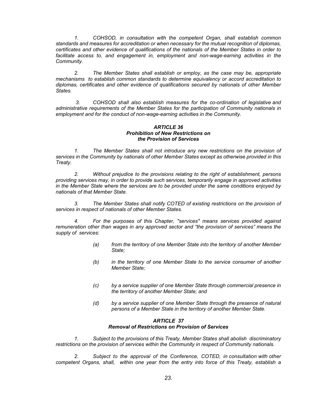*1. COHSOD, in consultation with the competent Organ, shall establish common standards and measures for accreditation or when necessary for the mutual recognition of diplomas, certificates and other evidence of qualifications of the nationals of the Member States in order to facilitate access to, and engagement in, employment and non-wage-earning activities in the Community.*

*2. The Member States shall establish or employ, as the case may be, appropriate mechanisms to establish common standards to determine equivalency or accord accreditation to diplomas, certificates and other evidence of qualifications secured by nationals of other Member States.*

 *3. COHSOD shall also establish measures for the co-ordination of legislative and administrative requirements of the Member States for the participation of Community nationals in employment and for the conduct of non-wage-earning activities in the Community.*

### *ARTICLE 36 Prohibition of New Restrictions on the Provision of Services*

*1. The Member States shall not introduce any new restrictions on the provision of services in the Community by nationals of other Member States except as otherwise provided in this Treaty.*

*2. Without prejudice to the provisions relating to the right of establishment, persons providing services may, in order to provide such services, temporarily engage in approved activities in the Member State where the services are to be provided under the same conditions enjoyed by nationals of that Member State.*

*3. The Member States shall notify COTED of existing restrictions on the provision of services in respect of nationals of other Member States.*

*4. For the purposes of this Chapter, "services" means services provided against remuneration other than wages in any approved sector and "the provision of services" means the supply of services:*

- *(a) from the territory of one Member State into the territory of another Member State;*
- *(b) in the territory of one Member State to the service consumer of another Member State;*
- *(c) by a service supplier of one Member State through commercial presence in the territory of another Member State; and*
- *(d) by a service supplier of one Member State through the presence of natural persons of a Member State in the territory of another Member State.*

### *ARTICLE 37 Removal of Restrictions on Provision of Services*

*1. Subject to the provisions of this Treaty, Member States shall abolish discriminatory restrictions on the provision of services within the Community in respect of Community nationals.*

 *2. Subject to the approval of the Conference, COTED, in consultation with other competent Organs, shall, within one year from the entry into force of this Treaty, establish a*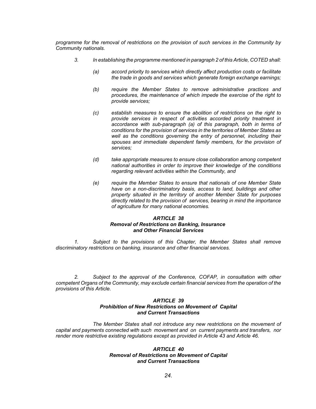*programme for the removal of restrictions on the provision of such services in the Community by Community nationals.* 

- *3. In establishing the programme mentioned in paragraph 2 of this Article, COTED shall:*
	- *(a) accord priority to services which directly affect production costs or facilitate the trade in goods and services which generate foreign exchange earnings;*
	- *(b) require the Member States to remove administrative practices and procedures, the maintenance of which impede the exercise of the right to provide services;*
	- *(c) establish measures to ensure the abolition of restrictions on the right to provide services in respect of activities accorded priority treatment in accordance with sub-paragraph (a) of this paragraph, both in terms of conditions for the provision of services in the territories of Member States as well as the conditions governing the entry of personnel, including their spouses and immediate dependent family members, for the provision of services;*
	- *(d) take appropriate measures to ensure close collaboration among competent national authorities in order to improve their knowledge of the conditions regarding relevant activities within the Community, and*
	- *(e) require the Member States to ensure that nationals of one Member State have on a non-discriminatory basis, access to land, buildings and other property situated in the territory of another Member State for purposes directly related to the provision of services, bearing in mind the importance of agriculture for many national economies.*

### *ARTICLE 38 Removal of Restrictions on Banking, Insurance and Other Financial Services*

*1. Subject to the provisions of this Chapter, the Member States shall remove discriminatory restrictions on banking, insurance and other financial services.* 

*2. Subject to the approval of the Conference, COFAP, in consultation with other competent Organs of the Community, may exclude certain financial services from the operation of the provisions of this Article.*

### *ARTICLE 39 Prohibition of New Restrictions on Movement of Capital and Current Transactions*

*The Member States shall not introduce any new restrictions on the movement of capital and payments connected with such movement and on current payments and transfers, nor render more restrictive existing regulations except as provided in Article 43 and Article 46.*

### *ARTICLE 40 Removal of Restrictions on Movement of Capital and Current Transactions*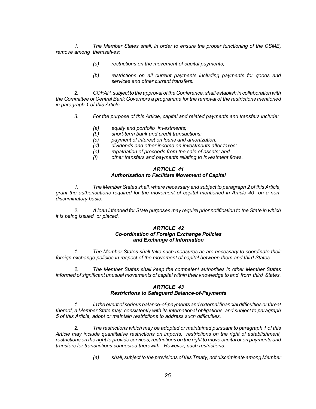*1. The Member States shall, in order to ensure the proper functioning of the CSME, remove among themselves:*

- *(a) restrictions on the movement of capital payments;*
- *(b) restrictions on all current payments including payments for goods and services and other current transfers.*

*2. COFAP, subject to the approval of the Conference, shall establish in collaboration with the Committee of Central Bank Governors a programme for the removal of the restrictions mentioned in paragraph 1 of this Article.*

- *3. For the purpose of this Article, capital and related payments and transfers include:*
	- *(a) equity and portfolio investments;*
	- *(b) short-term bank and credit transactions;*
	- *(c) payment of interest on loans and amortization;*
	- *(d) dividends and other income on investments after taxes;*
	- *(e) repatriation of proceeds from the sale of assets; and*
	- *(f) other transfers and payments relating to investment flows.*

### *ARTICLE 41 Authorisation to Facilitate Movement of Capital*

*1. The Member States shall, where necessary and subject to paragraph 2 of this Article, grant the authorisations required for the movement of capital mentioned in Article 40 on a nondiscriminatory basis.*

*2. A loan intended for State purposes may require prior notification to the State in which it is being issued or placed.*

### *ARTICLE 42 Co-ordination of Foreign Exchange Policies and Exchange of Information*

*1. The Member States shall take such measures as are necessary to coordinate their foreign exchange policies in respect of the movement of capital between them and third States.*

*2. The Member States shall keep the competent authorities in other Member States informed of significant unusual movements of capital within their knowledge to and from third States.*

### *ARTICLE 43 Restrictions to Safeguard Balance-of-Payments*

*1. In the event of serious balance-of-payments and external financial difficulties or threat thereof, a Member State may, consistently with its international obligations and subject to paragraph 5 of this Article, adopt or maintain restrictions to address such difficulties.*

*2. The restrictions which may be adopted or maintained pursuant to paragraph 1 of this Article may include quantitative restrictions on imports, restrictions on the right of establishment, restrictions on the right to provide services, restrictions on the right to move capital or on payments and transfers for transactions connected therewith. However, such restrictions:* 

*(a) shall, subject to the provisions of this Treaty, not discriminate among Member*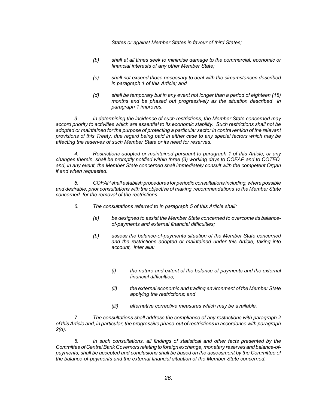*States or against Member States in favour of third States;*

- *(b) shall at all times seek to minimise damage to the commercial, economic or financial interests of any other Member State;*
- *(c) shall not exceed those necessary to deal with the circumstances described in paragraph 1 of this Article; and*
- *(d) shall be temporary but in any event not longer than a period of eighteen (18) months and be phased out progressively as the situation described in paragraph 1 improves.*

*3. In determining the incidence of such restrictions, the Member State concerned may accord priority to activities which are essential to its economic stability. Such restrictions shall not be adopted or maintained for the purpose of protecting a particular sector in contravention of the relevant provisions of this Treaty, due regard being paid in either case to any special factors which may be affecting the reserves of such Member State or its need for reserves.*

*4. Restrictions adopted or maintained pursuant to paragraph 1 of this Article, or any changes therein, shall be promptly notified within three (3) working days to COFAP and to COTED, and, in any event, the Member State concerned shall immediately consult with the competent Organ if and when requested.*

*5. COFAP shall establish procedures for periodic consultations including, where possible and desirable, prior consultations with the objective of making recommendations to the Member State concerned for the removal of the restrictions.* 

- *6. The consultations referred to in paragraph 5 of this Article shall:*
	- *(a) be designed to assist the Member State concerned to overcome its balanceof-payments and external financial difficulties;*
	- *(b) assess the balance-of-payments situation of the Member State concerned and the restrictions adopted or maintained under this Article, taking into account, inter alia:*
		- *(i) the nature and extent of the balance-of-payments and the external financial difficulties;*
		- *(ii) the external economic and trading environment of the Member State applying the restrictions; and*
		- *(iii) alternative corrective measures which may be available.*

*7. The consultations shall address the compliance of any restrictions with paragraph 2 of this Article and, in particular, the progressive phase-out of restrictions in accordance with paragraph 2(d).*

*8. In such consultations, all findings of statistical and other facts presented by the Committee of Central Bank Governors relating to foreign exchange, monetary reserves and balance-ofpayments, shall be accepted and conclusions shall be based on the assessment by the Committee of the balance-of-payments and the external financial situation of the Member State concerned.*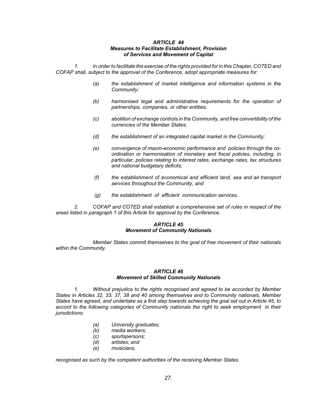### *ARTICLE 44 Measures to Facilitate Establishment, Provision of Services and Movement of Capital*

*1. In order to facilitate the exercise of the rights provided for in this Chapter, COTED and COFAP shall, subject to the approval of the Conference, adopt appropriate measures for:*

- *(a) the establishment of market intelligence and information systems in the Community;*
- *(b) harmonised legal and administrative requirements for the operation of partnerships, companies, or other entities;*
- *(c) abolition of exchange controls in the Community, and free convertibility of the currencies of the Member States;*
- *(d) the establishment of an integrated capital market in the Community;*
- *(e) convergence of macro-economic performance and policies through the coordination or harmonisation of monetary and fiscal policies, including, in particular, policies relating to interest rates, exchange rates, tax structures and national budgetary deficits;*
- *(f) the establishment of economical and efficient land, sea and air transport services throughout the Community, and*
- *(g) the establishment of efficient communication services.*

*2. COFAP and COTED shall establish a comprehensive set of rules in respect of the areas listed in paragraph 1 of this Article for approval by the Conference.*

### *ARTICLE 45 Movement of Community Nationals*

*Member States commit themselves to the goal of free movement of their nationals within the Community.*

### *ARTICLE 46*

### *Movement of Skilled Community Nationals*

*1. Without prejudice to the rights recognised and agreed to be accorded by Member States in Articles 32, 33, 37, 38 and 40 among themselves and to Community nationals, Member States have agreed, and undertake as a first step towards achieving the goal set out in Article 45, to accord to the following categories of Community nationals the right to seek employment in their jurisdictions:*

- *(a) University graduates;*
- *(b) media workers;*
- *(c) sportspersons;*
- *(d) artistes; and*
- *(e) musicians,*

*recognised as such by the competent authorities of the receiving Member States.*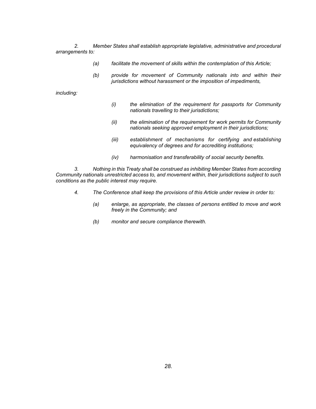*2. Member States shall establish appropriate legislative, administrative and procedural arrangements to:*

- *(a) facilitate the movement of skills within the contemplation of this Article;*
- *(b) provide for movement of Community nationals into and within their jurisdictions without harassment or the imposition of impediments,*

*including:*

- *(i) the elimination of the requirement for passports for Community nationals travelling to their jurisdictions;*
- *(ii) the elimination of the requirement for work permits for Community nationals seeking approved employment in their jurisdictions;*
- *(iii) establishment of mechanisms for certifying and establishing equivalency of degrees and for accrediting institutions;*
- *(iv) harmonisation and transferability of social security benefits.*

*3. Nothing in this Treaty shall be construed as inhibiting Member States from according Community nationals unrestricted access to, and movement within, their jurisdictions subject to such conditions as the public interest may require.*

- *4. The Conference shall keep the provisions of this Article under review in order to:*
	- *(a) enlarge, as appropriate, the classes of persons entitled to move and work freely in the Community; and*
	- *(b) monitor and secure compliance therewith.*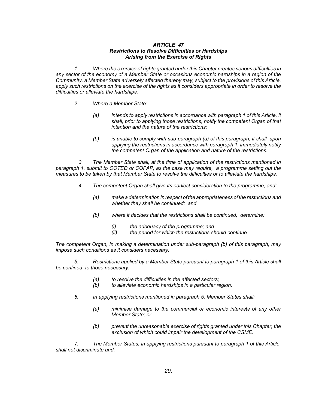### *ARTICLE 47 Restrictions to Resolve Difficulties or Hardships Arising from the Exercise of Rights*

*1. Where the exercise of rights granted under this Chapter creates serious difficulties in any sector of the economy of a Member State or occasions economic hardships in a region of the Community, a Member State adversely affected thereby may, subject to the provisions of this Article, apply such restrictions on the exercise of the rights as it considers appropriate in order to resolve the difficulties or alleviate the hardships.*

- *2. Where a Member State:*
	- *(a) intends to apply restrictions in accordance with paragraph 1 of this Article, it shall, prior to applying those restrictions, notify the competent Organ of that intention and the nature of the restrictions;*
	- *(b) is unable to comply with sub-paragraph (a) of this paragraph, it shall, upon applying the restrictions in accordance with paragraph 1, immediately notify the competent Organ of the application and nature of the restrictions.*

 *3. The Member State shall, at the time of application of the restrictions mentioned in paragraph 1, submit to COTED or COFAP, as the case may require, a programme setting out the measures to be taken by that Member State to resolve the difficulties or to alleviate the hardships.*

- *4. The competent Organ shall give its earliest consideration to the programme, and:*
	- *(a) make a determination in respect of the appropriateness of the restrictions and whether they shall be continued; and*
	- *(b) where it decides that the restrictions shall be continued, determine:*
		- *(i) the adequacy of the programme; and*
		- *(ii) the period for which the restrictions should continue.*

*The competent Organ, in making a determination under sub-paragraph (b) of this paragraph, may impose such conditions as it considers necessary.*

*5. Restrictions applied by a Member State pursuant to paragraph 1 of this Article shall be confined to those necessary:*

- *(a) to resolve the difficulties in the affected sectors;*
- *(b) to alleviate economic hardships in a particular region.*
- *6. In applying restrictions mentioned in paragraph 5, Member States shall:*
	- *(a) minimise damage to the commercial or economic interests of any other Member State; or*
	- *(b) prevent the unreasonable exercise of rights granted under this Chapter, the exclusion of which could impair the development of the CSME.*

*7. The Member States, in applying restrictions pursuant to paragraph 1 of this Article, shall not discriminate and:*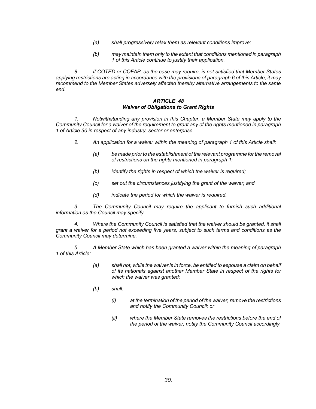- *(a) shall progressively relax them as relevant conditions improve;*
- *(b) may maintain them only to the extent that conditions mentioned in paragraph 1 of this Article continue to justify their application.*

*8. If COTED or COFAP, as the case may require, is not satisfied that Member States applying restrictions are acting in accordance with the provisions of paragraph 6 of this Article, it may recommend to the Member States adversely affected thereby alternative arrangements to the same end.*

### *ARTICLE 48 Waiver of Obligations to Grant Rights*

*1. Notwithstanding any provision in this Chapter, a Member State may apply to the Community Council for a waiver of the requirement to grant any of the rights mentioned in paragraph 1 of Article 30 in respect of any industry, sector or enterprise.*

- *2. An application for a waiver within the meaning of paragraph 1 of this Article shall:*
	- *(a) be made prior to the establishment of the relevant programme for the removal of restrictions on the rights mentioned in paragraph 1;*
	- *(b) identify the rights in respect of which the waiver is required;*
	- *(c) set out the circumstances justifying the grant of the waiver; and*
	- *(d) indicate the period for which the waiver is required.*

*3. The Community Council may require the applicant to furnish such additional information as the Council may specify.*

*4. Where the Community Council is satisfied that the waiver should be granted, it shall grant a waiver for a period not exceeding five years, subject to such terms and conditions as the Community Council may determine.*

*5. A Member State which has been granted a waiver within the meaning of paragraph 1 of this Article:*

- *(a) shall not, while the waiver is in force, be entitled to espouse a claim on behalf of its nationals against another Member State in respect of the rights for which the waiver was granted;*
- *(b) shall:*
	- *(i) at the termination of the period of the waiver, remove the restrictions and notify the Community Council; or*
	- *(ii) where the Member State removes the restrictions before the end of the period of the waiver, notify the Community Council accordingly.*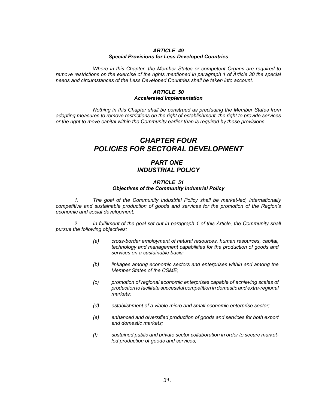### *ARTICLE 49 Special Provisions for Less Developed Countries*

*Where in this Chapter, the Member States or competent Organs are required to remove restrictions on the exercise of the rights mentioned in paragraph 1 of Article 30 the special needs and circumstances of the Less Developed Countries shall be taken into account.*

### *ARTICLE 50 Accelerated Implementation*

*Nothing in this Chapter shall be construed as precluding the Member States from adopting measures to remove restrictions on the right of establishment, the right to provide services or the right to move capital within the Community earlier than is required by these provisions.*

# *CHAPTER FOUR POLICIES FOR SECTORAL DEVELOPMENT*

## *PART ONE INDUSTRIAL POLICY*

### *ARTICLE 51 Objectives of the Community Industrial Policy*

*1. The goal of the Community Industrial Policy shall be market-led, internationally competitive and sustainable production of goods and services for the promotion of the Region's economic and social development.*

*2. In fulfilment of the goal set out in paragraph 1 of this Article, the Community shall pursue the following objectives:*

- *(a) cross-border employment of natural resources, human resources, capital, technology and management capabilities for the production of goods and services on a sustainable basis;*
- *(b) linkages among economic sectors and enterprises within and among the Member States of the CSME;*
- *(c) promotion of regional economic enterprises capable of achieving scales of production to facilitate successful competition in domestic and extra-regional markets;*
- *(d) establishment of a viable micro and small economic enterprise sector;*
- *(e) enhanced and diversified production of goods and services for both export and domestic markets;*
- *(f) sustained public and private sector collaboration in order to secure marketled production of goods and services;*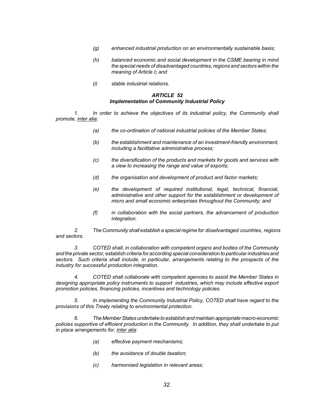- *(g) enhanced industrial production on an environmentally sustainable basis;*
- *(h) balanced economic and social development in the CSME bearing in mind the special needs of disadvantaged countries, regions and sectors within the meaning of Article I; and*
- *(i) stable industrial relations.*

### *ARTICLE 52 Implementation of Community Industrial Policy*

*1. In order to achieve the objectives of its industrial policy, the Community shall promote, inter alia:*

- *(a) the co-ordination of national industrial policies of the Member States;*
- *(b) the establishment and maintenance of an investment-friendly environment, including a facilitative administrative process;*
- *(c) the diversification of the products and markets for goods and services with a view to increasing the range and value of exports;*
- *(d) the organisation and development of product and factor markets;*
- *(e) the development of required institutional, legal, technical, financial, administrative and other support for the establishment or development of micro and small economic enterprises throughout the Community; and*
- *(f) in collaboration with the social partners, the advancement of production integration.*

 *2. The Community shall establish a special regime for disadvantaged countries, regions and sectors.* 

*3. COTED shall, in collaboration with competent organs and bodies of the Community and the private sector, establish criteria for according special consideration to particular industries and sectors. Such criteria shall include, in particular, arrangements relating to the prospects of the industry for successful production integration.*

*4. COTED shall collaborate with competent agencies to assist the Member States in designing appropriate policy instruments to support industries, which may include effective export promotion policies, financing policies, incentives and technology policies.*

*5. In implementing the Community Industrial Policy, COTED shall have regard to the provisions of this Treaty relating to environmental protection.*

*6. The Member States undertake to establish and maintain appropriate macro-economic policies supportive of efficient production in the Community. In addition, they shall undertake to put in place arrangements for, inter alia:*

- *(a) effective payment mechanisms;*
- *(b) the avoidance of double taxation;*
- *(c) harmonised legislation in relevant areas;*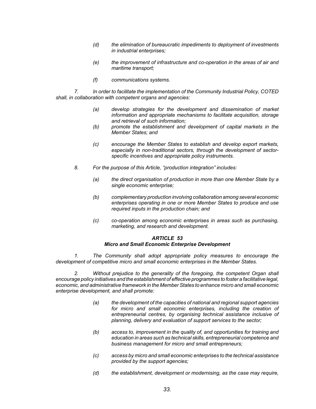- *(d) the elimination of bureaucratic impediments to deployment of investments in industrial enterprises;*
- *(e) the improvement of infrastructure and co-operation in the areas of air and maritime transport;*
- *(f) communications systems.*

*7. In order to facilitate the implementation of the Community Industrial Policy, COTED shall, in collaboration with competent organs and agencies:*

- *(a) develop strategies for the development and dissemination of market information and appropriate mechanisms to facilitate acquisition, storage and retrieval of such information;*
- *(b) promote the establishment and development of capital markets in the Member States; and*
- *(c) encourage the Member States to establish and develop export markets, especially in non-traditional sectors, through the development of sectorspecific incentives and appropriate policy instruments.*
- *8. For the purpose of this Article, "production integration" includes:*
	- *(a) the direct organisation of production in more than one Member State by a single economic enterprise;*
	- *(b) complementary production involving collaboration among several economic enterprises operating in one or more Member States to produce and use required inputs in the production chain; and*
	- *(c) co-operation among economic enterprises in areas such as purchasing, marketing, and research and development.*

### *ARTICLE 53 Micro and Small Economic Enterprise Development*

*1. The Community shall adopt appropriate policy measures to encourage the development of competitive micro and small economic enterprises in the Member States.*

*2. Without prejudice to the generality of the foregoing, the competent Organ shall encourage policy initiatives and the establishment of effective programmes to foster a facilitative legal, economic, and administrative framework in the Member States to enhance micro and small economic enterprise development, and shall promote:*

- *(a) the development of the capacities of national and regional support agencies for micro and small economic enterprises, including the creation of entrepreneurial centres, by organising technical assistance inclusive of planning, delivery and evaluation of support services to the sector;*
- *(b) access to, improvement in the quality of, and opportunities for training and education in areas such as technical skills, entrepreneurial competence and business management for micro and small entrepreneurs;*
- *(c) access by micro and small economic enterprises to the technical assistance provided by the support agencies;*
- *(d) the establishment, development or modernising, as the case may require,*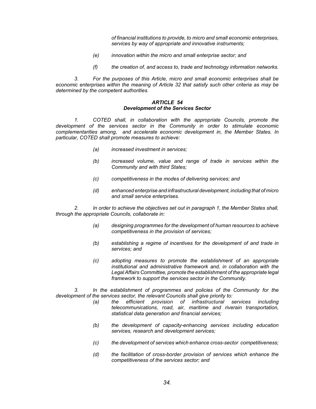*of financial institutions to provide, to micro and small economic enterprises, services by way of appropriate and innovative instruments;*

- *(e) innovation within the micro and small enterprise sector; and*
- *(f) the creation of, and access to, trade and technology information networks.*

*3. For the purposes of this Article, micro and small economic enterprises shall be economic enterprises within the meaning of Article 32 that satisfy such other criteria as may be determined by the competent authorities.* 

### *ARTICLE 54 Development of the Services Sector*

*1. COTED shall, in collaboration with the appropriate Councils, promote the development of the services sector in the Community in order to stimulate economic complementarities among, and accelerate economic development in, the Member States. In particular, COTED shall promote measures to achieve:*

- *(a) increased investment in services;*
- *(b) increased volume, value and range of trade in services within the Community and with third States;*
- *(c) competitiveness in the modes of delivering services; and*
- *(d) enhanced enterprise and infrastructural development, including that of micro and small service enterprises.*

*2. In order to achieve the objectives set out in paragraph 1, the Member States shall, through the appropriate Councils, collaborate in:*

- *(a) designing programmes for the development of human resources to achieve competitiveness in the provision of services;*
- *(b) establishing a regime of incentives for the development of and trade in services; and*
- *(c) adopting measures to promote the establishment of an appropriate institutional and administrative framework and, in collaboration with the Legal Affairs Committee, promote the establishment of the appropriate legal framework to support the services sector in the Community.*

*3. In the establishment of programmes and policies of the Community for the development of the services sector, the relevant Councils shall give priority to:*

- *(a) the efficient provision of infrastructural services including telecommunications, road, air, maritime and riverain transportation, statistical data generation and financial services;*
- *(b) the development of capacity-enhancing services including education services, research and development services;*
- *(c) the development of services which enhance cross-sector competitiveness;*
- *(d) the facilitation of cross-border provision of services which enhance the competitiveness of the services sector; and*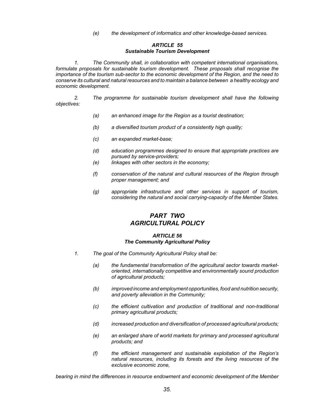*(e) the development of informatics and other knowledge-based services.*

### *ARTICLE 55 Sustainable Tourism Development*

*1. The Community shall, in collaboration with competent international organisations, formulate proposals for sustainable tourism development. These proposals shall recognise the importance of the tourism sub-sector to the economic development of the Region, and the need to conserve its cultural and natural resources and to maintain a balance between a healthy ecology and economic development.*

*2. The programme for sustainable tourism development shall have the following objectives:*

- *(a) an enhanced image for the Region as a tourist destination;*
- *(b) a diversified tourism product of a consistently high quality;*
- *(c) an expanded market-base;*
- *(d) education programmes designed to ensure that appropriate practices are pursued by service-providers;*
- *(e) linkages with other sectors in the economy;*
- *(f) conservation of the natural and cultural resources of the Region through proper management; and*
- *(g) appropriate infrastructure and other services in support of tourism, considering the natural and social carrying-capacity of the Member States.*

### *PART TWO AGRICULTURAL POLICY*

### *ARTICLE 56 The Community Agricultural Policy*

- *1. The goal of the Community Agricultural Policy shall be:*
	- *(a) the fundamental transformation of the agricultural sector towards marketoriented, internationally competitive and environmentally sound production of agricultural products;*
	- *(b) improved income and employment opportunities, food and nutrition security, and poverty alleviation in the Community;*
	- *(c) the efficient cultivation and production of traditional and non-traditional primary agricultural products;*
	- *(d) increased production and diversification of processed agricultural products;*
	- *(e) an enlarged share of world markets for primary and processed agricultural products; and*
	- *(f) the efficient management and sustainable exploitation of the Region's natural resources, including its forests and the living resources of the exclusive economic zone,*

*bearing in mind the differences in resource endowment and economic development of the Member*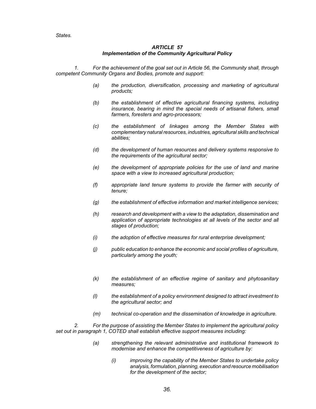*States.*

## *ARTICLE 57 Implementation of the Community Agricultural Policy*

*1. For the achievement of the goal set out in Article 56, the Community shall, through competent Community Organs and Bodies, promote and support:*

- *(a) the production, diversification, processing and marketing of agricultural products;*
- *(b) the establishment of effective agricultural financing systems, including insurance, bearing in mind the special needs of artisanal fishers, small farmers, foresters and agro-processors;*
- *(c) the establishment of linkages among the Member States with complementary natural resources, industries, agricultural skills and technical abilities;*
- *(d) the development of human resources and delivery systems responsive to the requirements of the agricultural sector;*
- *(e) the development of appropriate policies for the use of land and marine space with a view to increased agricultural production;*
- *(f) appropriate land tenure systems to provide the farmer with security of tenure;*
- *(g) the establishment of effective information and market intelligence services;*
- *(h) research and development with a view to the adaptation, dissemination and application of appropriate technologies at all levels of the sector and all stages of production;*
- *(i) the adoption of effective measures for rural enterprise development;*
- *(j) public education to enhance the economic and social profiles of agriculture, particularly among the youth;*
- *(k) the establishment of an effective regime of sanitary and phytosanitary measures;*
- *(l) the establishment of a policy environment designed to attract investment to the agricultural sector; and*
- *(m) technical co-operation and the dissemination of knowledge in agriculture.*

*2. For the purpose of assisting the Member States to implement the agricultural policy set out in paragraph 1, COTED shall establish effective support measures including:*

- *(a) strengthening the relevant administrative and institutional framework to modernise and enhance the competitiveness of agriculture by:*
	- *(i) improving the capability of the Member States to undertake policy analysis, formulation, planning, execution and resource mobilisation for the development of the sector;*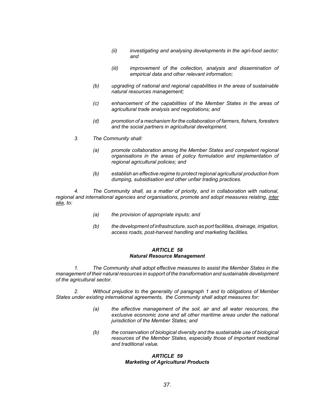- *(ii) investigating and analysing developments in the agri-food sector; and*
- *(iii) improvement of the collection, analysis and dissemination of empirical data and other relevant information;*
- *(b) upgrading of national and regional capabilities in the areas of sustainable natural resources management;*
- *(c) enhancement of the capabilities of the Member States in the areas of agricultural trade analysis and negotiations; and*
- *(d) promotion of a mechanism for the collaboration of farmers, fishers, foresters and the social partners in agricultural development.*
- *3. The Community shall:*
	- *(a) promote collaboration among the Member States and competent regional organisations in the areas of policy formulation and implementation of regional agricultural policies; and*
	- *(b) establish an effective regime to protect regional agricultural production from dumping, subsidisation and other unfair trading practices.*

*4. The Community shall, as a matter of priority, and in collaboration with national, regional and international agencies and organisations, promote and adopt measures relating, inter alia, to:*

- *(a) the provision of appropriate inputs; and*
- *(b) the development of infrastructure, such as port facilities, drainage, irrigation, access roads, post-harvest handling and marketing facilities.*

## *ARTICLE 58 Natural Resource Management*

*1. The Community shall adopt effective measures to assist the Member States in the management of their natural resources in support of the transformation and sustainable development of the agricultural sector.*

*2. Without prejudice to the generality of paragraph 1 and to obligations of Member States under existing international agreements, the Community shall adopt measures for:*

- *(a) the effective management of the soil, air and all water resources, the exclusive economic zone and all other maritime areas under the national jurisdiction of the Member States; and*
- *(b) the conservation of biological diversity and the sustainable use of biological resources of the Member States, especially those of important medicinal and traditional value.*

#### *ARTICLE 59 Marketing of Agricultural Products*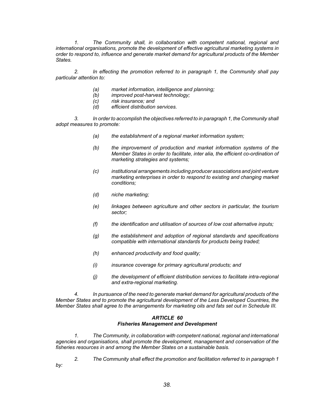*1. The Community shall, in collaboration with competent national, regional and international organisations, promote the development of effective agricultural marketing systems in order to respond to, influence and generate market demand for agricultural products of the Member States.* 

*2. In effecting the promotion referred to in paragraph 1, the Community shall pay particular attention to:*

- *(a) market information, intelligence and planning;*
- *(b) improved post-harvest technology;*
- *(c) risk insurance; and*
- *(d) efficient distribution services.*

*3. In order to accomplish the objectives referred to in paragraph 1, the Community shall adopt measures to promote:*

- *(a) the establishment of a regional market information system;*
- *(b) the improvement of production and market information systems of the Member States in order to facilitate, inter alia, the efficient co-ordination of marketing strategies and systems;*
- *(c) institutional arrangements including producer associations and joint venture marketing enterprises in order to respond to existing and changing market conditions;*
- *(d) niche marketing;*
- *(e) linkages between agriculture and other sectors in particular, the tourism sector;*
- *(f) the identification and utilisation of sources of low cost alternative inputs;*
- *(g) the establishment and adoption of regional standards and specifications compatible with international standards for products being traded;*
- *(h) enhanced productivity and food quality;*
- *(i) insurance coverage for primary agricultural products; and*
- *(j) the development of efficient distribution services to facilitate intra-regional and extra-regional marketing.*

*4. In pursuance of the need to generate market demand for agricultural products of the Member States and to promote the agricultural development of the Less Developed Countries, the Member States shall agree to the arrangements for marketing oils and fats set out in Schedule III.*

## *ARTICLE 60 Fisheries Management and Development*

*1. The Community, in collaboration with competent national, regional and international agencies and organisations, shall promote the development, management and conservation of the fisheries resources in and among the Member States on a sustainable basis.*

*2. The Community shall effect the promotion and facilitation referred to in paragraph 1 by:*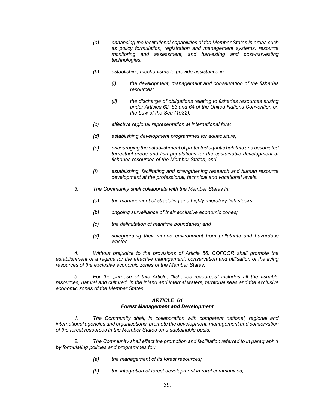- *(a) enhancing the institutional capabilities of the Member States in areas such as policy formulation, registration and management systems, resource monitoring and assessment, and harvesting and post-harvesting technologies;*
- *(b) establishing mechanisms to provide assistance in:*
	- *(i) the development, management and conservation of the fisheries resources;*
	- *(ii) the discharge of obligations relating to fisheries resources arising under Articles 62, 63 and 64 of the United Nations Convention on the Law of the Sea (1982).*
- *(c) effective regional representation at international fora;*
- *(d) establishing development programmes for aquaculture;*
- *(e) encouraging the establishment of protected aquatic habitats and associated terrestrial areas and fish populations for the sustainable development of fisheries resources of the Member States; and*
- *(f) establishing, facilitating and strengthening research and human resource development at the professional, technical and vocational levels.*
- *3. The Community shall collaborate with the Member States in:*
	- *(a) the management of straddling and highly migratory fish stocks;*
	- *(b) ongoing surveillance of their exclusive economic zones;*
	- *(c) the delimitation of maritime boundaries; and*
	- *(d) safeguarding their marine environment from pollutants and hazardous wastes.*

*4. Without prejudice to the provisions of Article 56, COFCOR shall promote the establishment of a regime for the effective management, conservation and utilisation of the living resources of the exclusive economic zones of the Member States.*

*5. For the purpose of this Article, "fisheries resources" includes all the fishable resources, natural and cultured, in the inland and internal waters, territorial seas and the exclusive economic zones of the Member States.*

## *ARTICLE 61*

#### *Forest Management and Development*

*1. The Community shall, in collaboration with competent national, regional and international agencies and organisations, promote the development, management and conservation of the forest resources in the Member States on a sustainable basis.*

*2. The Community shall effect the promotion and facilitation referred to in paragraph 1 by formulating policies and programmes for:*

- *(a) the management of its forest resources;*
- *(b) the integration of forest development in rural communities;*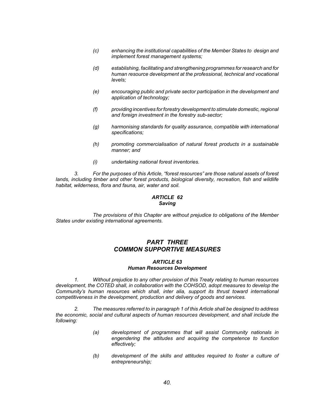- *(c) enhancing the institutional capabilities of the Member States to design and implement forest management systems;*
- *(d) establishing, facilitating and strengthening programmes for research and for human resource development at the professional, technical and vocational levels;*
- *(e) encouraging public and private sector participation in the development and application of technology;*
- *(f) providing incentives for forestry development to stimulate domestic, regional and foreign investment in the forestry sub-sector;*
- *(g) harmonising standards for quality assurance, compatible with international specifications;*
- *(h) promoting commercialisation of natural forest products in a sustainable manner; and*
- *(i) undertaking national forest inventories.*

*3. For the purposes of this Article, "forest resources" are those natural assets of forest* lands, including timber and other forest products, biological diversity, recreation, fish and wildlife *habitat, wilderness, flora and fauna, air, water and soil.*

#### *ARTICLE 62 Saving*

*The provisions of this Chapter are without prejudice to obligations of the Member States under existing international agreements.*

## *PART THREE COMMON SUPPORTIVE MEASURES*

### *ARTICLE 63 Human Resources Development*

*1. Without prejudice to any other provision of this Treaty relating to human resources development, the COTED shall, in collaboration with the COHSOD, adopt measures to develop the Community's human resources which shall, inter alia, support its thrust toward international competitiveness in the development, production and delivery of goods and services.*

*2. The measures referred to in paragraph 1 of this Article shall be designed to address the economic, social and cultural aspects of human resources development, and shall include the following:*

- *(a) development of programmes that will assist Community nationals in engendering the attitudes and acquiring the competence to function effectively;*
- *(b) development of the skills and attitudes required to foster a culture of entrepreneurship;*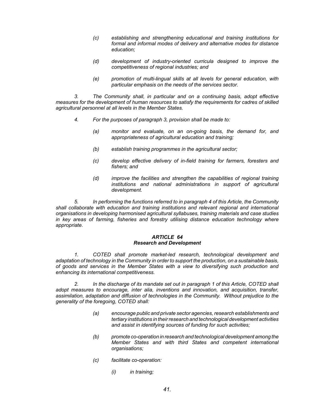- *(c) establishing and strengthening educational and training institutions for formal and informal modes of delivery and alternative modes for distance education;*
- *(d) development of industry-oriented curricula designed to improve the competitiveness of regional industries; and*
- *(e) promotion of multi-lingual skills at all levels for general education, with particular emphasis on the needs of the services sector.*

*3. The Community shall, in particular and on a continuing basis, adopt effective measures for the development of human resources to satisfy the requirements for cadres of skilled agricultural personnel at all levels in the Member States.*

- *4. For the purposes of paragraph 3, provision shall be made to:*
	- *(a) monitor and evaluate, on an on-going basis, the demand for, and appropriateness of agricultural education and training;*
	- *(b) establish training programmes in the agricultural sector;*
	- *(c) develop effective delivery of in-field training for farmers, foresters and fishers; and*
	- *(d) improve the facilities and strengthen the capabilities of regional training institutions and national administrations in support of agricultural development.*

*5. In performing the functions referred to in paragraph 4 of this Article, the Community shall collaborate with education and training institutions and relevant regional and international organisations in developing harmonised agricultural syllabuses, training materials and case studies in key areas of farming, fisheries and forestry utilising distance education technology where appropriate.* 

#### *ARTICLE 64 Research and Development*

*1. COTED shall promote market-led research, technological development and adaptation of technology in the Community in order to support the production, on a sustainable basis, of goods and services in the Member States with a view to diversifying such production and enhancing its international competitiveness.*

*2. In the discharge of its mandate set out in paragraph 1 of this Article, COTED shall adopt measures to encourage, inter alia, inventions and innovation, and acquisition, transfer, assimilation, adaptation and diffusion of technologies in the Community. Without prejudice to the generality of the foregoing, COTED shall:*

- *(a) encourage public and private sector agencies, research establishments and tertiary institutions in their research and technological development activities and assist in identifying sources of funding for such activities;*
- *(b) promote co-operation in research and technological development among the Member States and with third States and competent international organisations;*
- *(c) facilitate co-operation:*
	- *(i) in training;*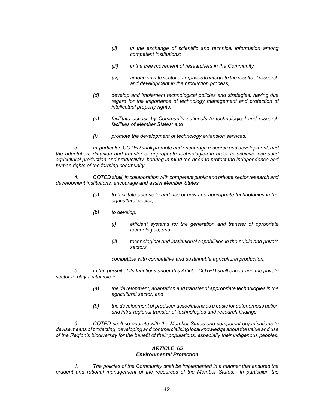- *(ii) in the exchange of scientific and technical information among competent institutions;*
- *(iii) in the free movement of researchers in the Community;*
- *(iv) among private sector enterprises to integrate the results of research and development in the production process;*
- *(d) develop and implement technological policies and strategies, having due regard for the importance of technology management and protection of intellectual property rights;*
- *(e) facilitate access by Community nationals to technological and research facilities of Member States; and*
- *(f) promote the development of technology extension services.*

*3. In particular, COTED shall promote and encourage research and development, and the adaptation, diffusion and transfer of appropriate technologies in order to achieve increased agricultural production and productivity, bearing in mind the need to protect the independence and human rights of the farming community.*

*4. COTED shall, in collaboration with competent public and private sector research and development institutions, encourage and assist Member States:*

- *(a) to facilitate access to and use of new and appropriate technologies in the agricultural sector;*
- *(b) to develop:*
	- *(i) efficient systems for the generation and transfer of ppropriate technologies; and*
	- *(ii) technological and institutional capabilities in the public and private sectors,*

*compatible with competitive and sustainable agricultural production.*

*5. In the pursuit of its functions under this Article, COTED shall encourage the private sector to play a vital role in:*

- *(a) the development, adaptation and transfer of appropriate technologies in the agricultural sector; and*
- *(b) the development of producer associations as a basis for autonomous action and intra-regional transfer of technologies and research findings.*

*6. COTED shall co-operate with the Member States and competent organisations to devise means of protecting, developing and commercialising local knowledge about the value and use of the Region's biodiversity for the benefit of their populations, especially their indigenous peoples.*

#### *ARTICLE 65 Environmental Protection*

*1. The policies of the Community shall be implemented in a manner that ensures the prudent and rational management of the resources of the Member States. In particular, the*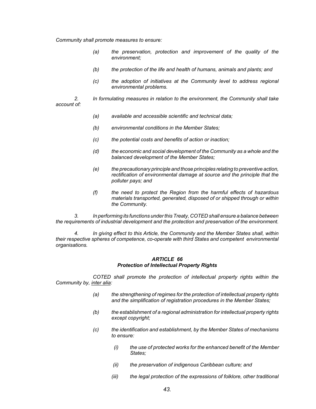*Community shall promote measures to ensure:*

- *(a) the preservation, protection and improvement of the quality of the environment;*
- *(b) the protection of the life and health of humans, animals and plants; and*
- *(c) the adoption of initiatives at the Community level to address regional environmental problems.*

*2. In formulating measures in relation to the environment, the Community shall take account of:*

- *(a) available and accessible scientific and technical data;*
- *(b) environmental conditions in the Member States;*
- *(c) the potential costs and benefits of action or inaction;*
- *(d) the economic and social development of the Community as a whole and the balanced development of the Member States;*
- *(e) the precautionary principle and those principles relating to preventive action, rectification of environmental damage at source and the principle that the polluter pays; and*
- *(f) the need to protect the Region from the harmful effects of hazardous materials transported, generated, disposed of or shipped through or within the Community.*

*3. In performing its functions under this Treaty, COTED shall ensure a balance between the requirements of industrial development and the protection and preservation of the environment.*

*4. In giving effect to this Article, the Community and the Member States shall, within their respective spheres of competence, co-operate with third States and competent environmental organisations.* 

### *ARTICLE 66 Protection of Intellectual Property Rights*

*COTED shall promote the protection of intellectual property rights within the Community by, inter alia:*

- *(a) the strengthening of regimes for the protection of intellectual property rights and the simplification of registration procedures in the Member States;*
- *(b) the establishment of a regional administration for intellectual property rights except copyright;*
- *(c) the identification and establishment, by the Member States of mechanisms to ensure:*
	- *(i) the use of protected works for the enhanced benefit of the Member States;*
	- *(ii) the preservation of indigenous Caribbean culture; and*
	- *(iii) the legal protection of the expressions of folklore, other traditional*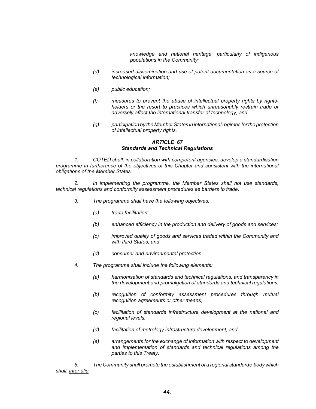*knowledge and national heritage, particularly of indigenous populations in the Community;*

- *(d) increased dissemination and use of patent documentation as a source of technological information;*
- *(e) public education;*
- *(f) measures to prevent the abuse of intellectual property rights by rightsholders or the resort to practices which unreasonably restrain trade or adversely affect the international transfer of technology; and*
- *(g) participation by the Member States in international regimes for the protection of intellectual property rights.*

## *ARTICLE 67 Standards and Technical Regulations*

*1. COTED shall, in collaboration with competent agencies, develop a standardisation programme in furtherance of the objectives of this Chapter and consistent with the international obligations of the Member States.*

*2. In implementing the programme, the Member States shall not use standards, technical regulations and conformity assessment procedures as barriers to trade.*

- *3. The programme shall have the following objectives:*
	- *(a) trade facilitation;*
	- *(b) enhanced efficiency in the production and delivery of goods and services;*
	- *(c) improved quality of goods and services traded within the Community and with third States; and*
	- *(d) consumer and environmental protection.*
- *4. The programme shall include the following elements:*
	- *(a) harmonisation of standards and technical regulations, and transparency in the development and promulgation of standards and technical regulations;*
	- *(b) recognition of conformity assessment procedures through mutual recognition agreements or other means;*
	- *(c) facilitation of standards infrastructure development at the national and regional levels;*
	- *(d) facilitation of metrology infrastructure development; and*
	- *(e) arrangements for the exchange of information with respect to development and implementation of standards and technical regulations among the parties to this Treaty.*

*5. The Community shall promote the establishment of a regional standards body which shall, inter alia:*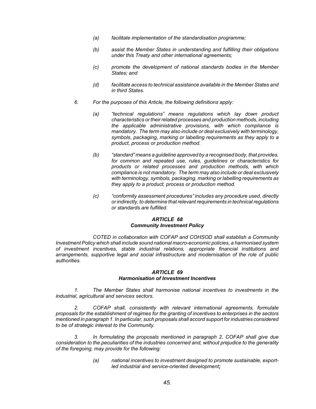- *(a) facilitate implementation of the standardisation programme;*
- *(b) assist the Member States in understanding and fulfilling their obligations under this Treaty and other international agreements;*
- *(c) promote the development of national standards bodies in the Member States; and*
- *(d) facilitate access to technical assistance available in the Member States and in third States.*
- *6. For the purposes of this Article, the following definitions apply:*
	- *(a) "technical regulations" means regulations which lay down product characteristics or their related processes and production methods, including the applicable administrative provisions, with which compliance is mandatory. The term may also include or deal exclusively with terminology, symbols, packaging, marking or labelling requirements as they apply to a product, process or production method.*
	- *(b) "standard" means a guideline approved by a recognised body, that provides, for common and repeated use, rules, guidelines or characteristics for products or related processes and production methods, with which compliance is not mandatory. The term may also include or deal exclusively with terminology, symbols, packaging, marking or labelling requirements as they apply to a product, process or production method.*
	- *(c) "conformity assessment procedures" includes any procedure used, directly or indirectly, to determine that relevant requirements in technical regulations or standards are fulfilled.*

#### *ARTICLE 68 Community Investment Policy*

*COTED in collaboration with COFAP and COHSOD shall establish a Community Investment Policy which shall include sound national macro-economic policies, a harmonised system of investment incentives, stable industrial relations, appropriate financial institutions and arrangements, supportive legal and social infrastructure and modernisation of the role of public authorities.*

## *ARTICLE 69 Harmonisation of Investment Incentives*

*1. The Member States shall harmonise national incentives to investments in the industrial, agricultural and services sectors.*

*2. COFAP shall, consistently with relevant international agreements, formulate proposals for the establishment of regimes for the granting of incentives to enterprises in the sectors mentioned in paragraph 1. In particular, such proposals shall accord support for industries considered to be of strategic interest to the Community.*

*3. In formulating the proposals mentioned in paragraph 2, COFAP shall give due consideration to the peculiarities of the industries concerned and, without prejudice to the generality of the foregoing, may provide for the following:*

> *(a) national incentives to investment designed to promote sustainable, exportled industrial and service-oriented development;*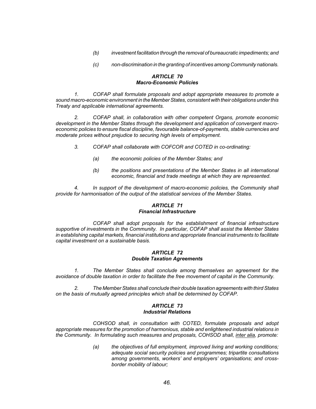- *(b) investment facilitation through the removal of bureaucratic impediments; and*
- *(c) non-discrimination in the granting of incentives among Community nationals.*

## *ARTICLE 70 Macro-Economic Policies*

*1. COFAP shall formulate proposals and adopt appropriate measures to promote a sound macro-economic environment in the Member States, consistent with their obligations under this Treaty and applicable international agreements.*

*2. COFAP shall, in collaboration with other competent Organs, promote economic development in the Member States through the development and application of convergent macroeconomic policies to ensure fiscal discipline, favourable balance-of-payments, stable currencies and moderate prices without prejudice to securing high levels of employment.*

- *3. COFAP shall collaborate with COFCOR and COTED in co-ordinating:*
	- *(a) the economic policies of the Member States; and*
	- *(b) the positions and presentations of the Member States in all international economic, financial and trade meetings at which they are represented.*

*4. In support of the development of macro-economic policies, the Community shall provide for harmonisation of the output of the statistical services of the Member States.*

## *ARTICLE 71 Financial Infrastructure*

*COFAP shall adopt proposals for the establishment of financial infrastructure supportive of investments in the Community. In particular, COFAP shall assist the Member States in establishing capital markets, financial institutions and appropriate financial instruments to facilitate capital investment on a sustainable basis.*

## *ARTICLE 72 Double Taxation Agreements*

*1. The Member States shall conclude among themselves an agreement for the avoidance of double taxation in order to facilitate the free movement of capital in the Community.*

*2. The Member States shall conclude their double taxation agreements with third States on the basis of mutually agreed principles which shall be determined by COFAP.* 

#### *ARTICLE 73 Industrial Relations*

*COHSOD shall, in consultation with COTED, formulate proposals and adopt appropriate measures for the promotion of harmonious, stable and enlightened industrial relations in the Community. In formulating such measures and proposals, COHSOD shall, inter alia, promote:*

> *(a) the objectives of full employment, improved living and working conditions; adequate social security policies and programmes; tripartite consultations among governments, workers' and employers' organisations; and crossborder mobility of labour;*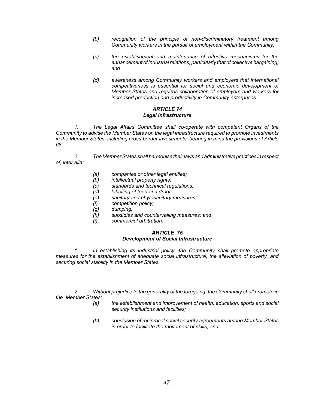- *(b) recognition of the principle of non-discriminatory treatment among Community workers in the pursuit of employment within the Community;*
- *(c) the establishment and maintenance of effective mechanisms for the enhancement of industrial relations, particularly that of collective bargaining; and*
- *(d) awareness among Community workers and employers that international competitiveness is essential for social and economic development of Member States and requires collaboration of employers and workers for increased production and productivity in Community enterprises.*

#### *ARTICLE 74 Legal Infrastructure*

*1. The Legal Affairs Committee shall co-operate with competent Organs of the Community to advise the Member States on the legal infrastructure required to promote investments in the Member States, including cross-border investments, bearing in mind the provisions of Article 68.*

*2. The Member States shall harmonise their laws and administrative practices in respect of, inter alia:*

- *(a) companies or other legal entities;*
- *(b) intellectual property rights;*
- *(c) standards and technical regulations;*
- *(d) labelling of food and drugs;*
- *(e) sanitary and phytosanitary measures;*
- *(f) competition policy;*
- *(g) dumping;*
- *(h) subsidies and countervailing measures; and*
- *(i) commercial arbitration.*

### *ARTICLE 75 Development of Social Infrastructure*

*1. In establishing its industrial policy, the Community shall promote appropriate measures for the establishment of adequate social infrastructure, the alleviation of poverty, and securing social stability in the Member States.* 

*2. Without prejudice to the generality of the foregoing, the Community shall promote in the Member States:*

- *(a) the establishment and improvement of health, education, sports and social security institutions and facilities;*
- *(b) conclusion of reciprocal social security agreements among Member States in order to facilitate the movement of skills; and*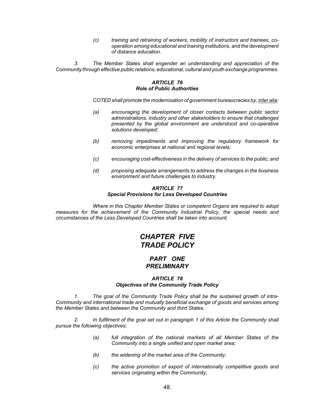*(c) training and retraining of workers, mobility of instructors and trainees, cooperation among educational and training institutions, and the development of distance education.*

*3. The Member States shall engender an understanding and appreciation of the Community through effective public relations, educational, cultural and youth exchange programmes.*

#### *ARTICLE 76 Role of Public Authorities*

*COTED shall promote the modernisation of government bureaucracies by, inter alia:*

- *(a) encouraging the development of closer contacts between public sector administrations, industry and other stakeholders to ensure that challenges presented by the global environment are understood and co-operative solutions developed;*
- *(b) removing impediments and improving the regulatory framework for economic enterprises at national and regional levels;*
- *(c) encouraging cost-effectiveness in the delivery of services to the public; and*
- *(d) proposing adequate arrangements to address the changes in the business environment and future challenges to industry.*

## *ARTICLE 77*

#### *Special Provisions for Less Developed Countries*

*Where in this Chapter Member States or competent Organs are required to adopt measures for the achievement of the Community Industrial Policy, the special needs and circumstances of the Less Developed Countries shall be taken into account.*

# *CHAPTER FIVE TRADE POLICY*

## *PART ONE PRELIMINARY*

## *ARTICLE 78 Objectives of the Community Trade Policy*

*1. The goal of the Community Trade Policy shall be the sustained growth of intra-Community and international trade and mutually beneficial exchange of goods and services among the Member States and between the Community and third States.*

*2. In fulfilment of the goal set out in paragraph 1 of this Article the Community shall pursue the following objectives:*

- *(a) full integration of the national markets of all Member States of the Community into a single unified and open market area;*
- *(b) the widening of the market area of the Community;*
- *(c) the active promotion of export of internationally competitive goods and services originating within the Community;*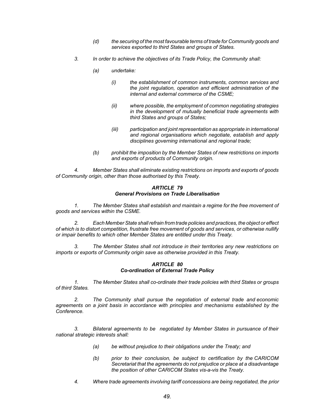- *(d) the securing of the most favourable terms of trade for Community goods and services exported to third States and groups of States.*
- *3. In order to achieve the objectives of its Trade Policy, the Community shall:*
	- *(a) undertake:*
		- *(i) the establishment of common instruments, common services and the joint regulation, operation and efficient administration of the internal and external commerce of the CSME;*
		- *(ii) where possible, the employment of common negotiating strategies in the development of mutually beneficial trade agreements with third States and groups of States;*
		- *(iii) participation and joint representation as appropriate in international and regional organisations which negotiate, establish and apply disciplines governing international and regional trade;*
	- *(b) prohibit the imposition by the Member States of new restrictions on imports and exports of products of Community origin.*

*4. Member States shall eliminate existing restrictions on imports and exports of goods of Community origin, other than those authorised by this Treaty.*

## *ARTICLE 79 General Provisions on Trade Liberalisation*

*1. The Member States shall establish and maintain a regime for the free movement of goods and services within the CSME.*

*2. Each Member State shall refrain from trade policies and practices, the object or effect of which is to distort competition, frustrate free movement of goods and services, or otherwise nullify or impair benefits to which other Member States are entitled under this Treaty.*

*3. The Member States shall not introduce in their territories any new restrictions on imports or exports of Community origin save as otherwise provided in this Treaty.*

## *ARTICLE 80 Co-ordination of External Trade Policy*

*1. The Member States shall co-ordinate their trade policies with third States or groups of third States.*

*2. The Community shall pursue the negotiation of external trade and economic agreements on a joint basis in accordance with principles and mechanisms established by the Conference.*

*3. Bilateral agreements to be negotiated by Member States in pursuance of their national strategic interests shall:*

- *(a) be without prejudice to their obligations under the Treaty; and*
- *(b) prior to their conclusion, be subject to certification by the CARICOM Secretariat that the agreements do not prejudice or place at a disadvantage the position of other CARICOM States vis-a-vis the Treaty.*
- *4. Where trade agreements involving tariff concessions are being negotiated, the prior*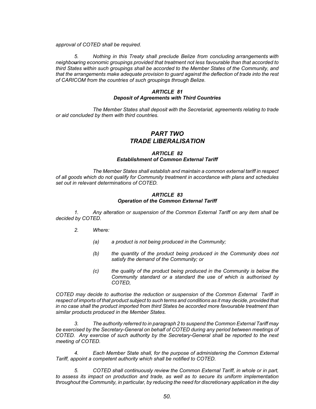*approval of COTED shall be required.*

 *5. Nothing in this Treaty shall preclude Belize from concluding arrangements with neighbouring economic groupings provided that treatment not less favourable than that accorded to third States within such groupings shall be accorded to the Member States of the Community, and that the arrangements make adequate provision to guard against the deflection of trade into the rest of CARICOM from the countries of such groupings through Belize.*

#### *ARTICLE 81 Deposit of Agreements with Third Countries*

*The Member States shall deposit with the Secretariat, agreements relating to trade or aid concluded by them with third countries.*

## *PART TWO TRADE LIBERALISATION*

## *ARTICLE 82 Establishment of Common External Tariff*

*The Member States shall establish and maintain a common external tariff in respect of all goods which do not qualify for Community treatment in accordance with plans and schedules set out in relevant determinations of COTED.*

## *ARTICLE 83 Operation of the Common External Tariff*

*1. Any alteration or suspension of the Common External Tariff on any item shall be decided by COTED.*

- *2. Where:*
	- *(a) a product is not being produced in the Community;*
	- *(b) the quantity of the product being produced in the Community does not satisfy the demand of the Community; or*
	- *(c) the quality of the product being produced in the Community is below the Community standard or a standard the use of which is authorised by COTED,*

*COTED may decide to authorise the reduction or suspension of the Common External Tariff in respect of imports of that product subject to such terms and conditions as it may decide, provided that in no case shall the product imported from third States be accorded more favourable treatment than similar products produced in the Member States.*

*3. The authority referred to in paragraph 2 to suspend the Common External Tariff may be exercised by the Secretary-General on behalf of COTED during any period between meetings of COTED. Any exercise of such authority by the Secretary-General shall be reported to the next meeting of COTED.*

*4. Each Member State shall, for the purpose of administering the Common External Tariff, appoint a competent authority which shall be notified to COTED.*

*5. COTED shall continuously review the Common External Tariff, in whole or in part, to assess its impact on production and trade, as well as to secure its uniform implementation throughout the Community, in particular, by reducing the need for discretionary application in the day*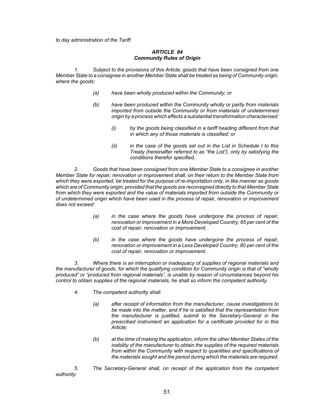*to day administration of the Tariff.*

## *ARTICLE 84 Community Rules of Origin*

*1. Subject to the provisions of this Article, goods that have been consigned from one Member State to a consignee in another Member State shall be treated as being of Community origin, where the goods:*

- *(a) have been wholly produced within the Community; or*
- *(b) have been produced within the Community wholly or partly from materials imported from outside the Community or from materials of undetermined origin by a process which effects a substantial transformation characterised:*
	- *(i) by the goods being classified in a tariff heading different from that in which any of those materials is classified; or*
	- *(ii) in the case of the goods set out in the List in Schedule I to this Treaty (hereinafter referred to as "the List"), only by satisfying the conditions therefor specified.*

*2. Goods that have been consigned from one Member State to a consignee in another Member State for repair, renovation or improvement shall, on their return to the Member State from which they were exported, be treated for the purpose of re-importation only, in like manner as goods which are of Community origin, provided that the goods are reconsigned directly to that Member State from which they were exported and the value of materials imported from outside the Community or of undetermined origin which have been used in the process of repair, renovation or improvement does not exceed:*

- *(a) in the case where the goods have undergone the process of repair, renovation or improvement in a More Developed Country, 65 per cent of the cost of repair, renovation or improvement;*
- *(b) in the case where the goods have undergone the process of repair, renovation or improvement in a Less Developed Country, 80 per cent of the cost of repair, renovation or improvement.*

*3. Where there is an interruption or inadequacy of supplies of regional materials and the manufacturer of goods, for which the qualifying condition for Community origin is that of "wholly produced" or "produced from regional materials", is unable by reason of circumstances beyond his control to obtain supplies of the regional materials, he shall so inform the competent authority.*

- *4. The competent authority shall:*
	- *(a) after receipt of information from the manufacturer, cause investigations to be made into the matter, and if he is satisfied that the representation from the manufacturer is justified, submit to the Secretary-General in the prescribed instrument an application for a certificate provided for in this Article;*
	- *(b) at the time of making the application, inform the other Member States of the inability of the manufacturer to obtain the supplies of the required materials from within the Community with respect to quantities and specifications of the materials sought and the period during which the materials are required.*
- *5. The Secretary-General shall, on receipt of the application from the competent authority:*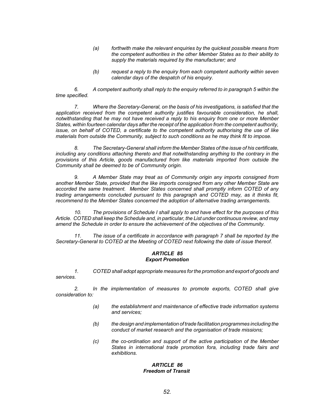- *(a) forthwith make the relevant enquiries by the quickest possible means from the competent authorities in the other Member States as to their ability to supply the materials required by the manufacturer; and*
- *(b) request a reply to the enquiry from each competent authority within seven calendar days of the despatch of his enquiry.*

*6. A competent authority shall reply to the enquiry referred to in paragraph 5 within the time specified.*

*7. Where the Secretary-General, on the basis of his investigations, is satisfied that the application received from the competent authority justifies favourable consideration, he shall, notwithstanding that he may not have received a reply to his enquiry from one or more Member States, within fourteen calendar days after the receipt of the application from the competent authority, issue, on behalf of COTED, a certificate to the competent authority authorising the use of like materials from outside the Community, subject to such conditions as he may think fit to impose.*

*8. The Secretary-General shall inform the Member States of the issue of his certificate, including any conditions attaching thereto and that notwithstanding anything to the contrary in the provisions of this Article, goods manufactured from like materials imported from outside the Community shall be deemed to be of Community origin.* 

*9. A Member State may treat as of Community origin any imports consigned from another Member State, provided that the like imports consigned from any other Member State are accorded the same treatment. Member States concerned shall promptly inform COTED of any trading arrangements concluded pursuant to this paragraph and COTED may, as it thinks fit, recommend to the Member States concerned the adoption of alternative trading arrangements.*

*10. The provisions of Schedule I shall apply to and have effect for the purposes of this Article. COTED shall keep the Schedule and, in particular, the List under continuous review, and may amend the Schedule in order to ensure the achievement of the objectives of the Community.*

*11. The issue of a certificate in accordance with paragraph 7 shall be reported by the Secretary-General to COTED at the Meeting of COTED next following the date of issue thereof.*

#### *ARTICLE 85 Export Promotion*

*1. COTED shall adopt appropriate measures for the promotion and export of goods and services.*

*2. In the implementation of measures to promote exports, COTED shall give consideration to:*

- *(a) the establishment and maintenance of effective trade information systems and services;*
- *(b) the design and implementation of trade facilitation programmes including the conduct of market research and the organisation of trade missions;*
- *(c) the co-ordination and support of the active participation of the Member States in international trade promotion fora, including trade fairs and exhibitions.*

## *ARTICLE 86 Freedom of Transit*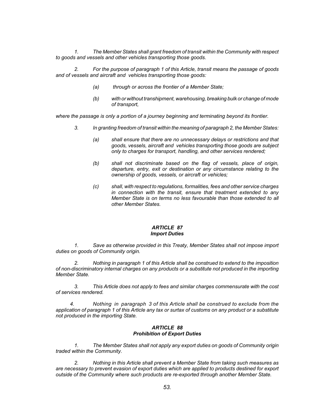*1. The Member States shall grant freedom of transit within the Community with respect to goods and vessels and other vehicles transporting those goods.*

*2. For the purpose of paragraph 1 of this Article, transit means the passage of goods and of vessels and aircraft and vehicles transporting those goods:*

- *(a) through or across the frontier of a Member State;*
- *(b) with or without transhipment, warehousing, breaking bulk or change of mode of transport,*

*where the passage is only a portion of a journey beginning and terminating beyond its frontier.*

- *3. In granting freedom of transit within the meaning of paragraph 2, the Member States:*
	- *(a) shall ensure that there are no unnecessary delays or restrictions and that goods, vessels, aircraft and vehicles transporting those goods are subject only to charges for transport, handling, and other services rendered;*
	- *(b) shall not discriminate based on the flag of vessels, place of origin, departure, entry, exit or destination or any circumstance relating to the ownership of goods, vessels, or aircraft or vehicles;*
	- *(c) shall, with respect to regulations, formalities, fees and other service charges in connection with the transit, ensure that treatment extended to any Member State is on terms no less favourable than those extended to all other Member States.*

#### *ARTICLE 87 Import Duties*

*1. Save as otherwise provided in this Treaty, Member States shall not impose import duties on goods of Community origin.*

*2. Nothing in paragraph 1 of this Article shall be construed to extend to the imposition of non-discriminatory internal charges on any products or a substitute not produced in the importing Member State.*

*3. This Article does not apply to fees and similar charges commensurate with the cost of services rendered.*

 *4. Nothing in paragraph 3 of this Article shall be construed to exclude from the application of paragraph 1 of this Article any tax or surtax of customs on any product or a substitute not produced in the importing State.*

### *ARTICLE 88 Prohibition of Export Duties*

*1. The Member States shall not apply any export duties on goods of Community origin traded within the Community.*

*2. Nothing in this Article shall prevent a Member State from taking such measures as are necessary to prevent evasion of export duties which are applied to products destined for export outside of the Community where such products are re-exported through another Member State.*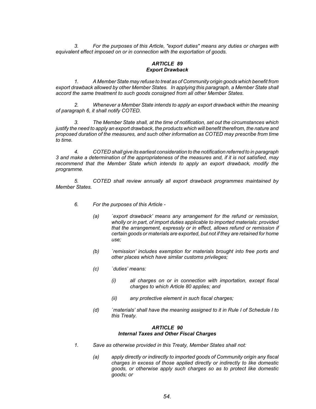*3. For the purposes of this Article, "export duties" means any duties or charges with equivalent effect imposed on or in connection with the exportation of goods.*

### *ARTICLE 89 Export Drawback*

*1. A Member State may refuse to treat as of Community origin goods which benefit from export drawback allowed by other Member States. In applying this paragraph, a Member State shall accord the same treatment to such goods consigned from all other Member States.*

*2. Whenever a Member State intends to apply an export drawback within the meaning of paragraph 6, it shall notify COTED.*

*3. The Member State shall, at the time of notification, set out the circumstances which justify the need to apply an export drawback, the products which will benefit therefrom, the nature and proposed duration of the measures, and such other information as COTED may prescribe from time to time.*

*4. COTED shall give its earliest consideration to the notification referred to in paragraph 3 and make a determination of the appropriateness of the measures and, if it is not satisfied, may recommend that the Member State which intends to apply an export drawback, modify the programme.*

*5. COTED shall review annually all export drawback programmes maintained by Member States.*

- *6. For the purposes of this Article -*
	- *(a) `export drawback' means any arrangement for the refund or remission, wholly or in part, of import duties applicable to imported materials: provided that the arrangement, expressly or in effect, allows refund or remission if certain goods or materials are exported, but not if they are retained for home use;*
	- *(b) `remission' includes exemption for materials brought into free ports and other places which have similar customs privileges;*
	- *(c) `duties' means:*
		- *(i) all charges on or in connection with importation, except fiscal charges to which Article 80 applies; and*
		- *(ii) any protective element in such fiscal charges;*
	- *(d) `materials' shall have the meaning assigned to it in Rule I of Schedule I to this Treaty.*

#### *ARTICLE 90 Internal Taxes and Other Fiscal Charges*

- *1. Save as otherwise provided in this Treaty, Member States shall not:*
	- *(a) apply directly or indirectly to imported goods of Community origin any fiscal charges in excess of those applied directly or indirectly to like domestic goods, or otherwise apply such charges so as to protect like domestic goods; or*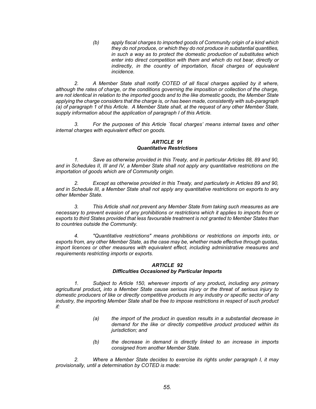*(b) apply fiscal charges to imported goods of Community origin of a kind which they do not produce, or which they do not produce in substantial quantities, in such a way as to protect the domestic production of substitutes which enter into direct competition with them and which do not bear, directly or indirectly, in the country of importation, fiscal charges of equivalent incidence.*

*2. A Member State shall notify COTED of all fiscal charges applied by it where, although the rates of charge, or the conditions governing the imposition or collection of the charge, are not identical in relation to the imported goods and to the like domestic goods, the Member State applying the charge considers that the charge is, or has been made, consistently with sub-paragraph (a) of paragraph 1 of this Article. A Member State shall, at the request of any other Member State, supply information about the application of paragraph I of this Article.*

*3. For the purposes of this Article `fiscal charges' means internal taxes and other internal charges with equivalent effect on goods.*

#### *ARTICLE 91 Quantitative Restrictions*

*1. Save as otherwise provided in this Treaty, and in particular Articles 88, 89 and 90, and in Schedules II, III and IV, a Member State shall not apply any quantitative restrictions on the importation of goods which are of Community origin.*

*2. Except as otherwise provided in this Treaty, and particularly in Articles 89 and 90, and in Schedule III, a Member State shall not apply any quantitative restrictions on exports to any other Member State.*

*3. This Article shall not prevent any Member State from taking such measures as are necessary to prevent evasion of any prohibitions or restrictions which it applies to imports from or exports to third States provided that less favourable treatment is not granted to Member States than to countries outside the Community.*

*4. "Quantitative restrictions" means prohibitions or restrictions on imports into, or exports from, any other Member State, as the case may be, whether made effective through quotas, import licences or other measures with equivalent effect, including administrative measures and requirements restricting imports or exports.*

## *ARTICLE 92 Difficulties Occasioned by Particular Imports*

*1. Subject to Article 150, wherever imports of any product, including any primary agricultural product, into a Member State cause serious injury or the threat of serious injury to domestic producers of like or directly competitive products in any industry or specific sector of any industry, the importing Member State shall be free to impose restrictions in respect of such product if:*

- *(a) the import of the product in question results in a substantial decrease in demand for the like or directly competitive product produced within its jurisdiction; and*
- *(b) the decrease in demand is directly linked to an increase in imports consigned from another Member State.*

*2. Where a Member State decides to exercise its rights under paragraph I, it may provisionally, until a determination by COTED is made:*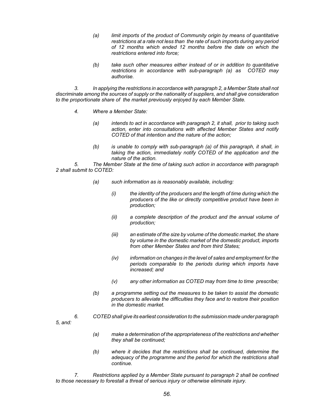- *(a) limit imports of the product of Community origin by means of quantitative restrictions at a rate not less than the rate of such imports during any period of 12 months which ended 12 months before the date on which the restrictions entered into force;*
- *(b) take such other measures either instead of or in addition to quantitative restrictions in accordance with sub-paragraph (a) as COTED may authorise.*

*3. In applying the restrictions in accordance with paragraph 2, a Member State shall not discriminate among the sources of supply or the nationality of suppliers, and shall give consideration to the proportionate share of the market previously enjoyed by each Member State.*

*4. Where a Member State:*

*5, and:*

- *(a) intends to act in accordance with paragraph 2, it shall, prior to taking such action, enter into consultations with affected Member States and notify COTED of that intention and the nature of the action;*
- *(b) is unable to comply with sub-paragraph (a) of this paragraph, it shall, in taking the action, immediately notify COTED of the application and the nature of the action.*

*5. The Member State at the time of taking such action in accordance with paragraph 2 shall submit to COTED:*

- *(a) such information as is reasonably available, including:*
	- *(i) the identity of the producers and the length of time during which the producers of the like or directly competitive product have been in production;*
	- *(ii) a complete description of the product and the annual volume of production;*
	- *(iii) an estimate of the size by volume of the domestic market, the share by volume in the domestic market of the domestic product, imports from other Member States and from third States;*
	- *(iv) information on changes in the level of sales and employment for the periods comparable to the periods during which imports have increased; and*
	- *(v) any other information as COTED may from time to time prescribe;*
- *(b) a programme setting out the measures to be taken to assist the domestic producers to alleviate the difficulties they face and to restore their position in the domestic market.*
- *6. COTED shall give its earliest consideration to the submission made under paragraph*
	- *(a) make a determination of the appropriateness of the restrictions and whether they shall be continued;*
	- *(b) where it decides that the restrictions shall be continued, determine the adequacy of the programme and the period for which the restrictions shall continue.*

*7. Restrictions applied by a Member State pursuant to paragraph 2 shall be confined to those necessary to forestall a threat of serious injury or otherwise eliminate injury.*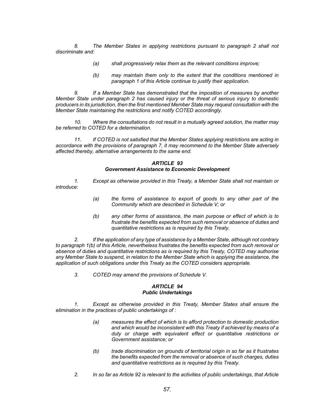*8. The Member States in applying restrictions pursuant to paragraph 2 shall not discriminate and:*

- *(a) shall progressively relax them as the relevant conditions improve;*
- *(b) may maintain them only to the extent that the conditions mentioned in paragraph 1 of this Article continue to justify their application.*

*9. If a Member State has demonstrated that the imposition of measures by another Member State under paragraph 2 has caused injury or the threat of serious injury to domestic producers in its jurisdiction, then the first mentioned Member State may request consultation with the Member State maintaining the restrictions and notify COTED accordingly.*

*10. Where the consultations do not result in a mutually agreed solution, the matter may be referred to COTED for a determination.*

*11. If COTED is not satisfied that the Member States applying restrictions are acting in accordance with the provisions of paragraph 7, it may recommend to the Member State adversely affected thereby, alternative arrangements to the same end.*

## *ARTICLE 93 Government Assistance to Economic Development*

*1. Except as otherwise provided in this Treaty, a Member State shall not maintain or introduce:*

- *(a) the forms of assistance to export of goods to any other part of the Community which are described in Schedule V; or*
- *(b) any other forms of assistance, the main purpose or effect of which is to frustrate the benefits expected from such removal or absence of duties and quantitative restrictions as is required by this Treaty.*

*2. If the application of any type of assistance by a Member State, although not contrary to paragraph 1(b) of this Article, nevertheless frustrates the benefits expected from such removal or absence of duties and quantitative restrictions as is required by this Treaty, COTED may authorise any Member State to suspend, in relation to the Member State which is applying the assistance, the application of such obligations under this Treaty as the COTED considers appropriate.*

*3. COTED may amend the provisions of Schedule V.*

### *ARTICLE 94 Public Undertakings*

*Except as otherwise provided in this Treaty, Member States shall ensure the elimination in the practices of public undertakings of :*

- *(a) measures the effect of which is to afford protection to domestic production and which would be inconsistent with this Treaty if achieved by means of a duty or charge with equivalent effect or quantitative restrictions or Government assistance; or*
- *(b) trade discrimination on grounds of territorial origin in so far as it frustrates the benefits expected from the removal or absence of such charges, duties and quantitative restrictions as is required by this Treaty.*
- *2. In so far as Article 92 is relevant to the activities of public undertakings, that Article*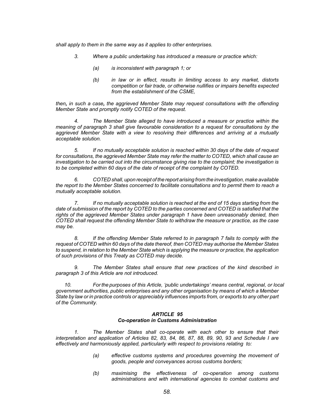*shall apply to them in the same way as it applies to other enterprises.*

- *3. Where a public undertaking has introduced a measure or practice which:*
	- *(a) is inconsistent with paragraph 1; or*
	- *(b) in law or in effect, results in limiting access to any market, distorts competition or fair trade, or otherwise nullifies or impairs benefits expected from the establishment of the CSME,*

*then, in such a case, the aggrieved Member State may request consultations with the offending Member State and promptly notify COTED of the request.*

*4. The Member State alleged to have introduced a measure or practice within the meaning of paragraph 3 shall give favourable consideration to a request for consultations by the aggrieved Member State with a view to resolving their differences and arriving at a mutually acceptable solution.*

*5. If no mutually acceptable solution is reached within 30 days of the date of request for consultations, the aggrieved Member State may refer the matter to COTED, which shall cause an investigation to be carried out into the circumstance giving rise to the complaint; the investigation is to be completed within 60 days of the date of receipt of the complaint by COTED.*

*6. COTED shall, upon receipt of the report arising from the investigation, make available the report to the Member States concerned to facilitate consultations and to permit them to reach a mutually acceptable solution.*

*7. If no mutually acceptable solution is reached at the end of 15 days starting from the date of submission of the report by COTED to the parties concerned and COTED is satisfied that the rights of the aggrieved Member States under paragraph 1 have been unreasonably denied, then COTED shall request the offending Member State to withdraw the measure or practice, as the case may be.*

*8. If the offending Member State referred to in paragraph 7 fails to comply with the request of COTED within 60 days of the date thereof, then COTED may authorise the Member States to suspend, in relation to the Member State which is applying the measure or practice, the application of such provisions of this Treaty as COTED may decide.*

*9. The Member States shall ensure that new practices of the kind described in paragraph 3 of this Article are not introduced.*

 *10. For the purposes of this Article, 'public undertakings' means central, regional, or local government authorities, public enterprises and any other organisation by means of which a Member State by law or in practice controls or appreciably influences imports from, or exports to any other part of the Community.*

#### *ARTICLE 95 Co-operation in Customs Administration*

*1. The Member States shall co-operate with each other to ensure that their interpretation and application of Articles 82, 83, 84, 86, 87, 88, 89, 90, 93 and Schedule I are effectively and harmoniously applied, particularly with respect to provisions relating to:*

- *(a) effective customs systems and procedures governing the movement of goods, people and conveyances across customs borders;*
- *(b) maximising the effectiveness of co-operation among customs administrations and with international agencies to combat customs and*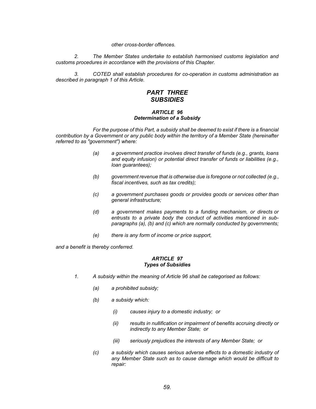#### *other cross-border offences.*

*2. The Member States undertake to establish harmonised customs legislation and customs procedures in accordance with the provisions of this Chapter.*

*3. COTED shall establish procedures for co-operation in customs administration as described in paragraph 1 of this Article.*

## *PART THREE SUBSIDIES*

## *ARTICLE 96 Determination of a Subsidy*

*For the purpose of this Part, a subsidy shall be deemed to exist if there is a financial contribution by a Government or any public body within the territory of a Member State (hereinafter referred to as "government") where:*

- *(a) a government practice involves direct transfer of funds (e.g., grants, loans and equity infusion) or potential direct transfer of funds or liabilities (e.g., loan guarantees);*
- *(b) government revenue that is otherwise due is foregone or not collected (e.g., fiscal incentives, such as tax credits);*
- *(c) a government purchases goods or provides goods or services other than general infrastructure;*
- *(d) a government makes payments to a funding mechanism, or directs or entrusts to a private body the conduct of activities mentioned in subparagraphs (a), (b) and (c) which are normally conducted by governments;*
- *(e) there is any form of income or price support,*

*and a benefit is thereby conferred.*

### *ARTICLE 97 Types of Subsidies*

- *1. A subsidy within the meaning of Article 96 shall be categorised as follows:*
	- *(a) a prohibited subsidy;*
	- *(b) a subsidy which:*
		- *(i) causes injury to a domestic industry; or*
		- *(ii) results in nullification or impairment of benefits accruing directly or indirectly to any Member State; or*
		- *(iii) seriously prejudices the interests of any Member State; or*
	- *(c) a subsidy which causes serious adverse effects to a domestic industry of any Member State such as to cause damage which would be difficult to repair:*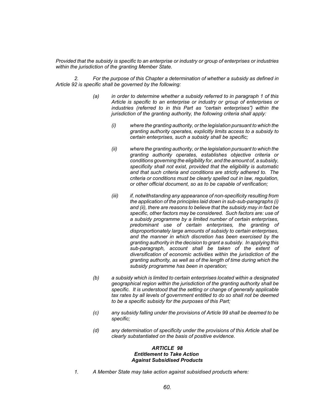*Provided that the subsidy is specific to an enterprise or industry or group of enterprises or industries within the jurisdiction of the granting Member State.*

*2. For the purpose of this Chapter a determination of whether a subsidy as defined in Article 92 is specific shall be governed by the following:*

- *(a) in order to determine whether a subsidy referred to in paragraph 1 of this Article is specific to an enterprise or industry or group of enterprises or industries (referred to in this Part as "certain enterprises") within the jurisdiction of the granting authority, the following criteria shall apply:*
	- *(i) where the granting authority, or the legislation pursuant to which the granting authority operates, explicitly limits access to a subsidy to certain enterprises, such a subsidy shall be specific;*
	- *(ii) where the granting authority, or the legislation pursuant to which the granting authority operates, establishes objective criteria or conditions governing the eligibility for, and the amount of, a subsidy, specificity shall not exist, provided that the eligibility is automatic and that such criteria and conditions are strictly adhered to. The criteria or conditions must be clearly spelled out in law, regulation, or other official document, so as to be capable of verification;*
	- *(iii) if, notwithstanding any appearance of non-specificity resulting from the application of the principles laid down in sub-sub-paragraphs (i) and (ii), there are reasons to believe that the subsidy may in fact be specific, other factors may be considered. Such factors are: use of a subsidy programme by a limited number of certain enterprises, predominant use of certain enterprises, the granting of disproportionately large amounts of subsidy to certain enterprises, and the manner in which discretion has been exercised by the granting authority in the decision to grant a subsidy. In applying this sub-paragraph, account shall be taken of the extent of diversification of economic activities within the jurisdiction of the granting authority, as well as of the length of time during which the subsidy programme has been in operation;*
- *(b) a subsidy which is limited to certain enterprises located within a designated geographical region within the jurisdiction of the granting authority shall be specific. It is understood that the setting or change of generally applicable tax rates by all levels of government entitled to do so shall not be deemed to be a specific subsidy for the purposes of this Part;*
- *(c) any subsidy falling under the provisions of Article 99 shall be deemed to be specific;*
- *(d) any determination of specificity under the provisions of this Article shall be clearly substantiated on the basis of positive evidence.*

## *ARTICLE 98 Entitlement to Take Action Against Subsidised Products*

*1. A Member State may take action against subsidised products where:*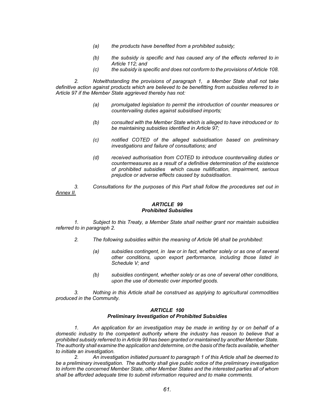- *(a) the products have benefited from a prohibited subsidy;*
- *(b) the subsidy is specific and has caused any of the effects referred to in Article 112; and*
- *(c) the subsidy is specific and does not conform to the provisions of Article 108.*

*2. Notwithstanding the provisions of paragraph 1, a Member State shall not take definitive action against products which are believed to be benefitting from subsidies referred to in Article 97 if the Member State aggrieved thereby has not:*

- *(a) promulgated legislation to permit the introduction of counter measures or countervailing duties against subsidised imports;*
- *(b) consulted with the Member State which is alleged to have introduced or to be maintaining subsidies identified in Article 97;*
- *(c) notified COTED of the alleged subsidisation based on preliminary investigations and failure of consultations; and*
- *(d) received authorisation from COTED to introduce countervailing duties or countermeasures as a result of a definitive determination of the existence of prohibited subsidies which cause nullification, impairment, serious prejudice or adverse effects caused by subsidisation.*

*3. Consultations for the purposes of this Part shall follow the procedures set out in Annex II.*

#### *ARTICLE 99 Prohibited Subsidies*

*1. Subject to this Treaty, a Member State shall neither grant nor maintain subsidies referred to in paragraph 2.*

- *2. The following subsidies within the meaning of Article 96 shall be prohibited:*
	- *(a) subsidies contingent, in law or in fact, whether solely or as one of several other conditions, upon export performance, including those listed in Schedule V; and*
	- *(b) subsidies contingent, whether solely or as one of several other conditions, upon the use of domestic over imported goods.*

*3. Nothing in this Article shall be construed as applying to agricultural commodities produced in the Community.*

### *ARTICLE 100 Preliminary Investigation of Prohibited Subsidies*

*1. An application for an investigation may be made in writing by or on behalf of a domestic industry to the competent authority where the industry has reason to believe that a prohibited subsidy referred to in Article 99 has been granted or maintained by another Member State. The authority shall examine the application and determine, on the basis of the facts available, whether to initiate an investigation.*

*2. An investigation initiated pursuant to paragraph 1 of this Article shall be deemed to be a preliminary investigation. The authority shall give public notice of the preliminary investigation to inform the concerned Member State, other Member States and the interested parties all of whom shall be afforded adequate time to submit information required and to make comments.*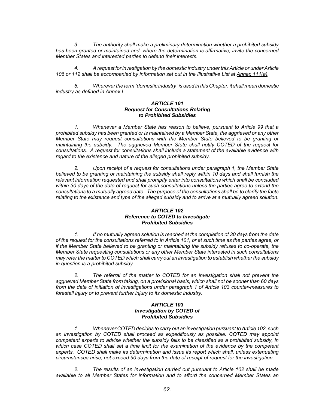*3. The authority shall make a preliminary determination whether a prohibited subsidy has been granted or maintained and, where the determination is affirmative, invite the concerned Member States and interested parties to defend their interests.*

*4. A request for investigation by the domestic industry under this Article or under Article 106 or 112 shall be accompanied by information set out in the Illustrative List at Annex 111(a).*

*5. Wherever the term "domestic industry" is used in this Chapter, it shall mean domestic industry as defined in Annex I.*

## *ARTICLE 101 Request for Consultations Relating to Prohibited Subsidies*

*1. Whenever a Member State has reason to believe, pursuant to Article 99 that a prohibited subsidy has been granted or is maintained by a Member State, the aggrieved or any other Member State may request consultations with the Member State believed to be granting or maintaining the subsidy. The aggrieved Member State shall notify COTED of the request for consultations. A request for consultations shall include a statement of the available evidence with regard to the existence and nature of the alleged prohibited subsidy.*

*2. Upon receipt of a request for consultations under paragraph 1, the Member State believed to be granting or maintaining the subsidy shall reply within 10 days and shall furnish the relevant information requested and shall promptly enter into consultations which shall be concluded within 30 days of the date of request for such consultations unless the parties agree to extend the consultations to a mutually agreed date. The purpose of the consultations shall be to clarify the facts relating to the existence and type of the alleged subsidy and to arrive at a mutually agreed solution.*

## *ARTICLE 102 Reference to COTED to Investigate Prohibited Subsidies*

*1. If no mutually agreed solution is reached at the completion of 30 days from the date of the request for the consultations referred to in Article 101, or at such time as the parties agree, or if the Member State believed to be granting or maintaining the subsidy refuses to co-operate, the Member State requesting consultations or any other Member State interested in such consultations may refer the matter to COTED which shall carry out an investigation to establish whether the subsidy in question is a prohibited subsidy.*

*2. The referral of the matter to COTED for an investigation shall not prevent the aggrieved Member State from taking, on a provisional basis, which shall not be sooner than 60 days from the date of initiation of investigations under paragraph 1 of Article 103 counter-measures to forestall injury or to prevent further injury to its domestic industry.*

### *ARTICLE 103 Investigation by COTED of Prohibited Subsidies*

*1. Whenever COTED decides to carry out an investigation pursuant to Article 102, such an investigation by COTED shall proceed as expeditiously as possible. COTED may appoint competent experts to advise whether the subsidy falls to be classified as a prohibited subsidy, in which case COTED shall set a time limit for the examination of the evidence by the competent experts. COTED shall make its determination and issue its report which shall, unless extenuating circumstances arise, not exceed 90 days from the date of receipt of request for the investigation.* 

*2. The results of an investigation carried out pursuant to Article 102 shall be made available to all Member States for information and to afford the concerned Member States an*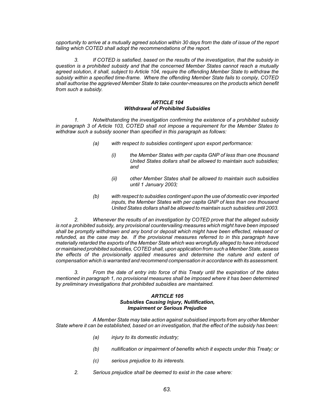*opportunity to arrive at a mutually agreed solution within 30 days from the date of issue of the report failing which COTED shall adopt the recommendations of the report.*

*3. If COTED is satisfied, based on the results of the investigation, that the subsidy in question is a prohibited subsidy and that the concerned Member States cannot reach a mutually agreed solution, it shall, subject to Article 104, require the offending Member State to withdraw the subsidy within a specified time-frame. Where the offending Member State fails to comply, COTED shall authorise the aggrieved Member State to take counter-measures on the products which benefit from such a subsidy.*

### *ARTICLE 104 Withdrawal of Prohibited Subsidies*

*1. Notwithstanding the investigation confirming the existence of a prohibited subsidy in paragraph 3 of Article 103, COTED shall not impose a requirement for the Member States to withdraw such a subsidy sooner than specified in this paragraph as follows:* 

- *(a) with respect to subsidies contingent upon export performance:*
	- *(i) the Member States with per capita GNP of less than one thousand United States dollars shall be allowed to maintain such subsidies; and*
	- *(ii) other Member States shall be allowed to maintain such subsidies until 1 January 2003;*
- *(b) with respect to subsidies contingent upon the use of domestic over imported inputs, the Member States with per capita GNP of less than one thousand United States dollars shall be allowed to maintain such subsidies until 2003.*

*2. Whenever the results of an investigation by COTED prove that the alleged subsidy is not a prohibited subsidy, any provisional countervailing measures which might have been imposed shall be promptly withdrawn and any bond or deposit which might have been effected, released or refunded, as the case may be. If the provisional measures referred to in this paragraph have materially retarded the exports of the Member State which was wrongfully alleged to have introduced or maintained prohibited subsidies, COTED shall, upon application from such a Member State, assess the effects of the provisionally applied measures and determine the nature and extent of compensation which is warranted and recommend compensation in accordance with its assessment.*

*3. From the date of entry into force of this Treaty until the expiration of the dates mentioned in paragraph 1, no provisional measures shall be imposed where it has been determined by preliminary investigations that prohibited subsidies are maintained.* 

## *ARTICLE 105 Subsidies Causing Injury, Nullification, Impairment or Serious Prejudice*

*A Member State may take action against subsidised imports from any other Member State where it can be established, based on an investigation, that the effect of the subsidy has been:*

- *(a) injury to its domestic industry;*
- *(b) nullification or impairment of benefits which it expects under this Treaty; or*
- *(c) serious prejudice to its interests.*
- *2. Serious prejudice shall be deemed to exist in the case where:*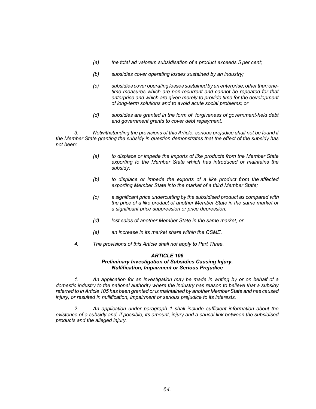- *(a) the total ad valorem subsidisation of a product exceeds 5 per cent;*
- *(b) subsidies cover operating losses sustained by an industry;*
- *(c) subsidies cover operating losses sustained by an enterprise, other than onetime measures which are non-recurrent and cannot be repeated for that enterprise and which are given merely to provide time for the development of long-term solutions and to avoid acute social problems; or*
- *(d) subsidies are granted in the form of forgiveness of government-held debt and government grants to cover debt repayment.*

*3. Notwithstanding the provisions of this Article, serious prejudice shall not be found if the Member State granting the subsidy in question demonstrates that the effect of the subsidy has not been:*

- *(a) to displace or impede the imports of like products from the Member State exporting to the Member State which has introduced or maintains the subsidy;*
- *(b) to displace or impede the exports of a like product from the affected exporting Member State into the market of a third Member State;*
- *(c) a significant price undercutting by the subsidised product as compared with the price of a like product of another Member State in the same market or a significant price suppression or price depression;*
- *(d) lost sales of another Member State in the same market; or*
- *(e) an increase in its market share within the CSME.*
- *4. The provisions of this Article shall not apply to Part Three.*

## *ARTICLE 106*

#### *Preliminary Investigation of Subsidies Causing Injury, Nullification, Impairment or Serious Prejudice*

*1. An application for an investigation may be made in writing by or on behalf of a domestic industry to the national authority where the industry has reason to believe that a subsidy referred to in Article 105 has been granted or is maintained by another Member State and has caused injury, or resulted in nullification, impairment or serious prejudice to its interests.*

*2. An application under paragraph 1 shall include sufficient information about the existence of a subsidy and, if possible, its amount, injury and a causal link between the subsidised products and the alleged injury.*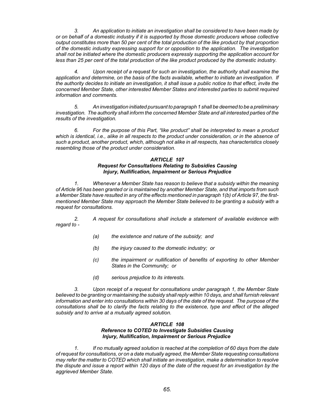*3. An application to initiate an investigation shall be considered to have been made by or on behalf of a domestic industry if it is supported by those domestic producers whose collective output constitutes more than 50 per cent of the total production of the like product by that proportion of the domestic industry expressing support for or opposition to the application. The investigation shall not be initiated where the domestic producers expressly supporting the application account for less than 25 per cent of the total production of the like product produced by the domestic industry.*

*4. Upon receipt of a request for such an investigation, the authority shall examine the application and determine, on the basis of the facts available, whether to initiate an investigation. If the authority decides to initiate an investigation, it shall issue a public notice to that effect, invite the concerned Member State, other interested Member States and interested parties to submit required information and comments.*

*5. An investigation initiated pursuant to paragraph 1 shall be deemed to be a preliminary investigation. The authority shall inform the concerned Member State and all interested parties of the results of the investigation.*

*6. For the purpose of this Part, "like product" shall be interpreted to mean a product which is identical, i.e., alike in all respects to the product under consideration, or in the absence of such a product, another product, which, although not alike in all respects, has characteristics closely resembling those of the product under consideration.*

## *ARTICLE 107*

## *Request for Consultations Relating to Subsidies Causing Injury, Nullification, Impairment or Serious Prejudice*

*1. Whenever a Member State has reason to believe that a subsidy within the meaning of Article 96 has been granted or is maintained by another Member State, and that imports from such a Member State have resulted in any of the effects mentioned in paragraph 1(b) of Article 97, the firstmentioned Member State may approach the Member State believed to be granting a subsidy with a request for consultations.*

*2. A request for consultations shall include a statement of available evidence with regard to -*

- *(a) the existence and nature of the subsidy; and*
- *(b) the injury caused to the domestic industry; or*
- *(c) the impairment or nullification of benefits of exporting to other Member States in the Community; or*
- *(d) serious prejudice to its interests.*

*3. Upon receipt of a request for consultations under paragraph 1, the Member State believed to be granting or maintaining the subsidy shall reply within 10 days, and shall furnish relevant information and enter into consultations within 30 days of the date of the request. The purpose of the consultations shall be to clarify the facts relating to the existence, type and effect of the alleged subsidy and to arrive at a mutually agreed solution.*

## *ARTICLE 108*

#### *Reference to COTED to Investigate Subsidies Causing Injury, Nullification, Impairment or Serious Prejudice*

*1. If no mutually agreed solution is reached at the completion of 60 days from the date of request for consultations, or on a date mutually agreed, the Member State requesting consultations may refer the matter to COTED which shall initiate an investigation, make a determination to resolve the dispute and issue a report within 120 days of the date of the request for an investigation by the aggrieved Member State.*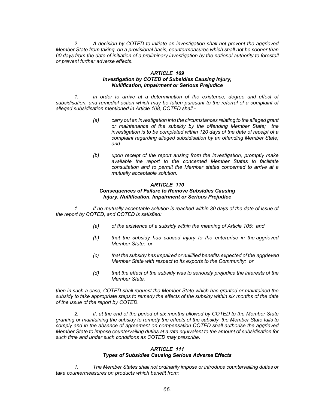*2. A decision by COTED to initiate an investigation shall not prevent the aggrieved Member State from taking, on a provisional basis, countermeasures which shall not be sooner than 60 days from the date of initiation of a preliminary investigation by the national authority to forestall or prevent further adverse effects.*

#### *ARTICLE 109 Investigation by COTED of Subsidies Causing Injury, Nullification, Impairment or Serious Prejudice*

*1. In order to arrive at a determination of the existence, degree and effect of subsidisation, and remedial action which may be taken pursuant to the referral of a complaint of alleged subsidisation mentioned in Article 108, COTED shall -*

- *(a) carry out an investigation into the circumstances relating to the alleged grant or maintenance of the subsidy by the offending Member State; the investigation is to be completed within 120 days of the date of receipt of a complaint regarding alleged subsidisation by an offending Member State; and*
- *(b) upon receipt of the report arising from the investigation, promptly make available the report to the concerned Member States to facilitate consultation and to permit the Member states concerned to arrive at a mutually acceptable solution.*

## *ARTICLE 110 Consequences of Failure to Remove Subsidies Causing Injury, Nullification, Impairment or Serious Prejudice*

*1. If no mutually acceptable solution is reached within 30 days of the date of issue of the report by COTED, and COTED is satisfied:*

- *(a) of the existence of a subsidy within the meaning of Article 105; and*
- *(b) that the subsidy has caused injury to the enterprise in the aggrieved Member State; or*
- *(c) that the subsidy has impaired or nullified benefits expected of the aggrieved Member State with respect to its exports to the Community; or*
- *(d) that the effect of the subsidy was to seriously prejudice the interests of the Member State,*

*then in such a case, COTED shall request the Member State which has granted or maintained the subsidy to take appropriate steps to remedy the effects of the subsidy within six months of the date of the issue of the report by COTED.*

*2. If, at the end of the period of six months allowed by COTED to the Member State granting or maintaining the subsidy to remedy the effects of the subsidy, the Member State fails to comply and in the absence of agreement on compensation COTED shall authorise the aggrieved Member State to impose countervailing duties at a rate equivalent to the amount of subsidisation for such time and under such conditions as COTED may prescribe.*

#### *ARTICLE 111 Types of Subsidies Causing Serious Adverse Effects*

*1. The Member States shall not ordinarily impose or introduce countervailing duties or take countermeasures on products which benefit from:*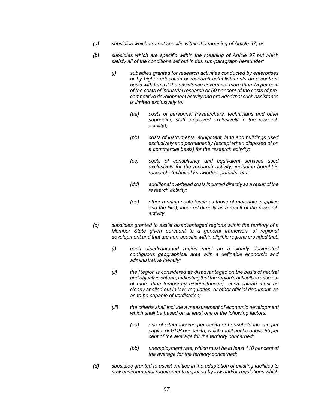- *(a) subsidies which are not specific within the meaning of Article 97; or*
- *(b) subsidies which are specific within the meaning of Article 97 but which satisfy all of the conditions set out in this sub-paragraph hereunder:*
	- *(i) subsidies granted for research activities conducted by enterprises or by higher education or research establishments on a contract basis with firms if the assistance covers not more than 75 per cent of the costs of industrial research or 50 per cent of the costs of precompetitive development activity and provided that such assistance is limited exclusively to:*
		- *(aa) costs of personnel (researchers, technicians and other supporting staff employed exclusively in the research activity);*
		- *(bb) costs of instruments, equipment, land and buildings used exclusively and permanently (except when disposed of on a commercial basis) for the research activity;*
		- *(cc) costs of consultancy and equivalent services used exclusively for the research activity, including bought-in research, technical knowledge, patents, etc.;*
		- *(dd) additional overhead costs incurred directly as a result of the research activity;*
		- *(ee) other running costs (such as those of materials, supplies and the like), incurred directly as a result of the research activity.*
- *(c) subsidies granted to assist disadvantaged regions within the territory of a Member State given pursuant to a general framework of regional development and that are non-specific within eligible regions provided that:*
	- *(i) each disadvantaged region must be a clearly designated contiguous geographical area with a definable economic and administrative identify;*
	- *(ii) the Region is considered as disadvantaged on the basis of neutral and objective criteria, indicating that the region's difficulties arise out of more than temporary circumstances; such criteria must be clearly spelled out in law, regulation, or other official document, so as to be capable of verification;*
	- *(iii) the criteria shall include a measurement of economic development which shall be based on at least one of the following factors:*
		- *(aa) one of either income per capita or household income per capita, or GDP per capita, which must not be above 85 per cent of the average for the territory concerned;*
		- *(bb) unemployment rate, which must be at least 110 per cent of the average for the territory concerned;*
- *(d) subsidies granted to assist entities in the adaptation of existing facilities to new environmental requirements imposed by law and/or regulations which*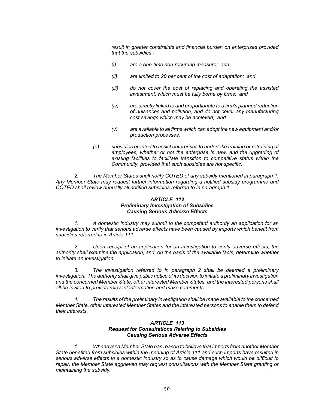*result in greater constraints and financial burden on enterprises provided that the subsidies -*

- *(i) are a one-time non-recurring measure; and*
- *(ii) are limited to 20 per cent of the cost of adaptation; and*
- *(iii) do not cover the cost of replacing and operating the assisted investment, which must be fully borne by firms; and*
- *(iv) are directly linked to and proportionate to a firm's planned reduction of nuisances and pollution, and do not cover any manufacturing cost savings which may be achieved; and*
- *(v) are available to all firms which can adopt the new equipment and/or production processes.*
- *(e) subsidies granted to assist enterprises to undertake training or retraining of employees, whether or not the enterprise is new, and the upgrading of existing facilities to facilitate transition to competitive status within the Community, provided that such subsidies are not specific.*

*2. The Member States shall notify COTED of any subsidy mentioned in paragraph 1. Any Member State may request further information regarding a notified subsidy programme and COTED shall review annually all notified subsidies referred to in paragraph 1.*

## *ARTICLE 112 Preliminary Investigation of Subsidies Causing Serious Adverse Effects*

*1. A domestic industry may submit to the competent authority an application for an investigation to verify that serious adverse effects have been caused by imports which benefit from subsidies referred to in Article 111.*

*2. Upon receipt of an application for an investigation to verify adverse effects, the authority shall examine the application, and, on the basis of the available facts, determine whether to initiate an investigation.*

*3. The investigation referred to in paragraph 2 shall be deemed a preliminary investigation. The authority shall give public notice of its decision to initiate a preliminary investigation and the concerned Member State, other interested Member States, and the interested persons shall all be invited to provide relevant information and make comments.*

*4. The results of the preliminary investigation shall be made available to the concerned Member State, other interested Member States and the interested persons to enable them to defend their interests.*

### *ARTICLE 113 Request for Consultations Relating to Subsidies Causing Serious Adverse Effects*

*1. Whenever a Member State has reason to believe that imports from another Member State benefited from subsidies within the meaning of Article 111 and such imports have resulted in serious adverse effects to a domestic industry so as to cause damage which would be difficult to repair, the Member State aggrieved may request consultations with the Member State granting or maintaining the subsidy.*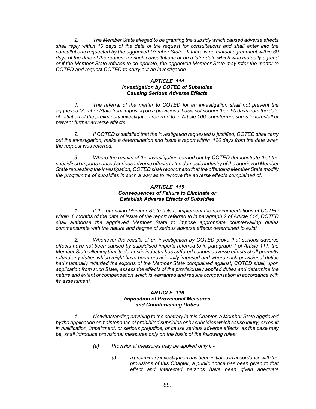*2. The Member State alleged to be granting the subsidy which caused adverse effects shall reply within 10 days of the date of the request for consultations and shall enter into the consultations requested by the aggrieved Member State. If there is no mutual agreement within 60 days of the date of the request for such consultations or on a later date which was mutually agreed or if the Member State refuses to co-operate, the aggrieved Member State may refer the matter to COTED and request COTED to carry out an investigation.*

### *ARTICLE 114 Investigation by COTED of Subsidies Causing Serious Adverse Effects*

*1. The referral of the matter to COTED for an investigation shall not prevent the aggrieved Member State from imposing on a provisional basis not sooner than 60 days from the date of initiation of the preliminary investigation referred to in Article 106, countermeasures to forestall or prevent further adverse effects.*

*2. If COTED is satisfied that the investigation requested is justified, COTED shall carry out the investigation, make a determination and issue a report within 120 days from the date when the request was referred.*

*3. Where the results of the investigation carried out by COTED demonstrate that the subsidised imports caused serious adverse effects to the domestic industry of the aggrieved Member State requesting the investigation, COTED shall recommend that the offending Member State modify the programme of subsidies in such a way as to remove the adverse effects complained of.*

### *ARTICLE 115 Consequences of Failure to Eliminate or Establish Adverse Effects of Subsidies*

*1. If the offending Member State fails to implement the recommendations of COTED within 6 months of the date of issue of the report referred to in paragraph 2 of Article 114, COTED shall authorise the aggrieved Member State to impose appropriate countervailing duties commensurate with the nature and degree of serious adverse effects determined to exist.*

*2. Whenever the results of an investigation by COTED prove that serious adverse effects have not been caused by subsidised imports referred to in paragraph 1 of Article 111, the Member State alleging that its domestic industry has suffered serious adverse effects shall promptly refund any duties which might have been provisionally imposed and where such provisional duties had materially retarded the exports of the Member State complained against, COTED shall, upon application from such State, assess the effects of the provisionally applied duties and determine the nature and extent of compensation which is warranted and require compensation in accordance with its assessment.*

## *ARTICLE 116 Imposition of Provisional Measures and Countervailing Duties*

*1. Notwithstanding anything to the contrary in this Chapter, a Member State aggrieved by the application or maintenance of prohibited subsidies or by subsidies which cause injury, or result in nullification, impairment, or serious prejudice, or cause serious adverse effects, as the case may be, shall introduce provisional measures only on the basis of the following rules:*

- *(a) Provisional measures may be applied only if -*
	- *(i) a preliminary investigation has been initiated in accordance with the provisions of this Chapter, a public notice has been given to that effect and interested persons have been given adequate*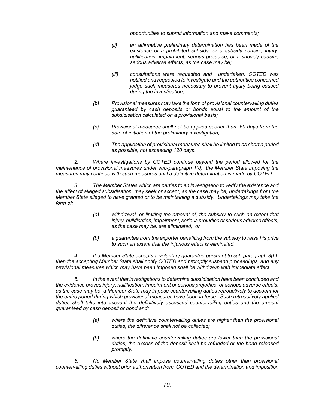*opportunities to submit information and make comments;*

- *(ii) an affirmative preliminary determination has been made of the existence of a prohibited subsidy, or a subsidy causing injury, nullification, impairment, serious prejudice, or a subsidy causing serious adverse effects, as the case may be;*
- *(iii) consultations were requested and undertaken, COTED was notified and requested to investigate and the authorities concerned judge such measures necessary to prevent injury being caused during the investigation;*
- *(b) Provisional measures may take the form of provisional countervailing duties guaranteed by cash deposits or bonds equal to the amount of the subsidisation calculated on a provisional basis;*
- *(c) Provisional measures shall not be applied sooner than 60 days from the date of initiation of the preliminary investigation;*
- *(d) The application of provisional measures shall be limited to as short a period as possible, not exceeding 120 days.*

*2. Where investigations by COTED continue beyond the period allowed for the maintenance of provisional measures under sub-paragraph 1(d), the Member State imposing the measures may continue with such measures until a definitive determination is made by COTED.*

*3. The Member States which are parties to an investigation to verify the existence and the effect of alleged subsidisation, may seek or accept, as the case may be, undertakings from the Member State alleged to have granted or to be maintaining a subsidy. Undertakings may take the form of:*

- *(a) withdrawal, or limiting the amount of, the subsidy to such an extent that injury, nullification, impairment, serious prejudice or serious adverse effects, as the case may be, are eliminated; or*
- *(b) a guarantee from the exporter benefiting from the subsidy to raise his price to such an extent that the injurious effect is eliminated.*

*4. If a Member State accepts a voluntary guarantee pursuant to sub-paragraph 3(b), then the accepting Member State shall notify COTED and promptly suspend proceedings, and any provisional measures which may have been imposed shall be withdrawn with immediate effect.*

*5. In the event that investigations to determine subsidisation have been concluded and the evidence proves injury, nullification, impairment or serious prejudice, or serious adverse effects, as the case may be, a Member State may impose countervailing duties retroactively to account for the entire period during which provisional measures have been in force. Such retroactively applied duties shall take into account the definitively assessed countervailing duties and the amount guaranteed by cash deposit or bond and:*

- *(a) where the definitive countervailing duties are higher than the provisional duties, the difference shall not be collected;*
- *(b) where the definitive countervailing duties are lower than the provisional duties, the excess of the deposit shall be refunded or the bond released promptly.*

*6. No Member State shall impose countervailing duties other than provisional countervailing duties without prior authorisation from COTED and the determination and imposition*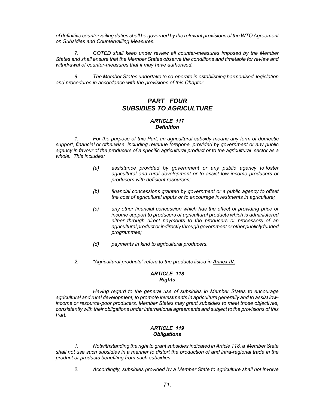*of definitive countervailing duties shall be governed by the relevant provisions of the WTO Agreement on Subsidies and Countervailing Measures.*

*7. COTED shall keep under review all counter-measures imposed by the Member States and shall ensure that the Member States observe the conditions and timetable for review and withdrawal of counter-measures that it may have authorised.*

*8. The Member States undertake to co-operate in establishing harmonised legislation and procedures in accordance with the provisions of this Chapter.*

## *PART FOUR SUBSIDIES TO AGRICULTURE*

## *ARTICLE 117 Definition*

*1. For the purpose of this Part, an agricultural subsidy means any form of domestic support, financial or otherwise, including revenue foregone, provided by government or any public agency in favour of the producers of a specific agricultural product or to the agricultural sector as a whole. This includes:*

- *(a) assistance provided by government or any public agency to foster agricultural and rural development or to assist low income producers or producers with deficient resources;*
- *(b) financial concessions granted by government or a public agency to offset the cost of agricultural inputs or to encourage investments in agriculture;*
- *(c) any other financial concession which has the effect of providing price or income support to producers of agricultural products which is administered either through direct payments to the producers or processors of an agricultural product or indirectly through government or other publicly funded programmes;*
- *(d) payments in kind to agricultural producers.*
- *2. "Agricultural products" refers to the products listed in Annex IV.*

#### *ARTICLE 118 Rights*

*Having regard to the general use of subsidies in Member States to encourage agricultural and rural development, to promote investments in agriculture generally and to assist lowincome or resource-poor producers, Member States may grant subsidies to meet those objectives, consistently with their obligations under international agreements and subject to the provisions of this Part.*

## *ARTICLE 119 Obligations*

*1. Notwithstanding the right to grant subsidies indicated in Article 118, a Member State shall not use such subsidies in a manner to distort the production of and intra-regional trade in the product or products benefiting from such subsidies.*

*2. Accordingly, subsidies provided by a Member State to agriculture shall not involve*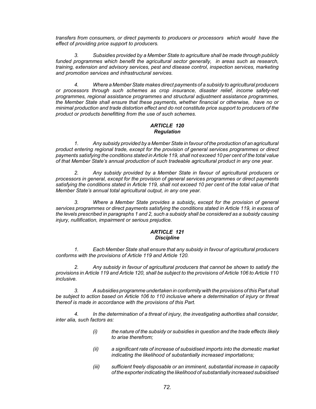*transfers from consumers, or direct payments to producers or processors which would have the effect of providing price support to producers.*

*3. Subsidies provided by a Member State to agriculture shall be made through publicly funded programmes which benefit the agricultural sector generally, in areas such as research, training, extension and advisory services, pest and disease control, inspection services, marketing and promotion services and infrastructural services.*

*4. Where a Member State makes direct payments of a subsidy to agricultural producers or processors through such schemes as crop insurance, disaster relief, income safety-net programmes, regional assistance programmes and structural adjustment assistance programmes, the Member State shall ensure that these payments, whether financial or otherwise, have no or minimal production and trade distortion effect and do not constitute price support to producers of the product or products benefitting from the use of such schemes.*

#### *ARTICLE 120 Regulation*

*1. Any subsidy provided by a Member State in favour of the production of an agricultural product entering regional trade, except for the provision of general services programmes or direct payments satisfying the conditions stated in Article 119, shall not exceed 10 per cent of the total value of that Member State's annual production of such tradeable agricultural product in any one year.*

*2. Any subsidy provided by a Member State in favour of agricultural producers or processors in general, except for the provision of general services programmes or direct payments satisfying the conditions stated in Article 119, shall not exceed 10 per cent of the total value of that Member State's annual total agricultural output, in any one year.*

*3. Where a Member State provides a subsidy, except for the provision of general services programmes or direct payments satisfying the conditions stated in Article 119, in excess of the levels prescribed in paragraphs 1 and 2, such a subsidy shall be considered as a subsidy causing injury, nullification, impairment or serious prejudice.*

#### *ARTICLE 121 Discipline*

*1. Each Member State shall ensure that any subsidy in favour of agricultural producers conforms with the provisions of Article 119 and Article 120.*

*2. Any subsidy in favour of agricultural producers that cannot be shown to satisfy the provisions in Article 119 and Article 120, shall be subject to the provisions of Article 106 to Article 110 inclusive.*

*3. A subsidies programme undertaken in conformity with the provisions of this Part shall be subject to action based on Article 106 to 110 inclusive where a determination of injury or threat thereof is made in accordance with the provisions of this Part.*

*4. In the determination of a threat of injury, the investigating authorities shall consider, inter alia, such factors as:*

- *(i) the nature of the subsidy or subsidies in question and the trade effects likely to arise therefrom;*
- *(ii) a significant rate of increase of subsidised imports into the domestic market indicating the likelihood of substantially increased importations;*
- *(iii) sufficient freely disposable or an imminent, substantial increase in capacity of the exporter indicating the likelihood of substantially increased subsidised*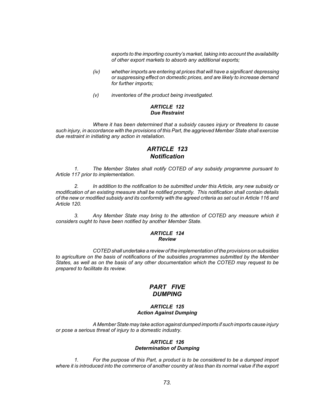*exports to the importing country's market, taking into account the availability of other export markets to absorb any additional exports;*

- *(iv) whether imports are entering at prices that will have a significant depressing or suppressing effect on domestic prices, and are likely to increase demand for further imports;*
- *(v) inventories of the product being investigated.*

#### *ARTICLE 122 Due Restraint*

*Where it has been determined that a subsidy causes injury or threatens to cause such injury, in accordance with the provisions of this Part, the aggrieved Member State shall exercise due restraint in initiating any action in retaliation.*

# *ARTICLE 123 Notification*

*1. The Member States shall notify COTED of any subsidy programme pursuant to Article 117 prior to implementation.*

*2. In addition to the notification to be submitted under this Article, any new subsidy or modification of an existing measure shall be notified promptly. This notification shall contain details of the new or modified subsidy and its conformity with the agreed criteria as set out in Article 116 and Article 120.*

*3. Any Member State may bring to the attention of COTED any measure which it considers ought to have been notified by another Member State.*

#### *ARTICLE 124 Review*

*COTED shall undertake a review of the implementation of the provisions on subsidies to agriculture on the basis of notifications of the subsidies programmes submitted by the Member States, as well as on the basis of any other documentation which the COTED may request to be prepared to facilitate its review.*

# *PART FIVE DUMPING*

### *ARTICLE 125 Action Against Dumping*

*A Member State may take action against dumped imports if such imports cause injury or pose a serious threat of injury to a domestic industry.*

### *ARTICLE 126 Determination of Dumping*

*1. For the purpose of this Part, a product is to be considered to be a dumped import where it is introduced into the commerce of another country at less than its normal value if the export*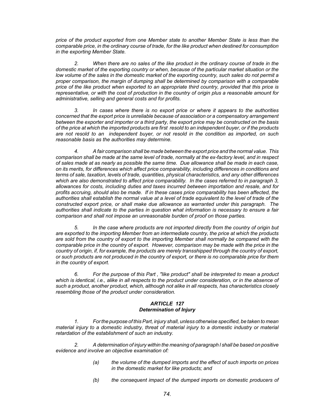*price of the product exported from one Member state to another Member State is less than the comparable price, in the ordinary course of trade, for the like product when destined for consumption in the exporting Member State.*

*2. When there are no sales of the like product in the ordinary course of trade in the domestic market of the exporting country or when, because of the particular market situation or the low volume of the sales in the domestic market of the exporting country, such sales do not permit a proper comparison, the margin of dumping shall be determined by comparison with a comparable price of the like product when exported to an appropriate third country, provided that this price is representative, or with the cost of production in the country of origin plus a reasonable amount for administrative, selling and general costs and for profits.*

*3. In cases where there is no export price or where it appears to the authorities concerned that the export price is unreliable because of association or a compensatory arrangement between the exporter and importer or a third party, the export price may be constructed on the basis of the price at which the imported products are first resold to an independent buyer, or if the products are not resold to an independent buyer, or not resold in the condition as imported, on such reasonable basis as the authorities may determine.*

*4. A fair comparison shall be made between the export price and the normal value. This comparison shall be made at the same level of trade, normally at the ex-factory level, and in respect of sales made at as nearly as possible the same time. Due allowance shall be made in each case, on its merits, for differences which affect price comparability, including differences in conditions and terms of sale, taxation, levels of trade, quantities, physical characteristics, and any other differences which are also demonstrated to affect price comparability. In the cases referred to in paragraph 3, allowances for costs, including duties and taxes incurred between importation and resale, and for profits accruing, should also be made. If in these cases price comparability has been affected, the authorities shall establish the normal value at a level of trade equivalent to the level of trade of the constructed export price, or shall make due allowance as warranted under this paragraph. The authorities shall indicate to the parties in question what information is necessary to ensure a fair comparison and shall not impose an unreasonable burden of proof on those parties.*

*5. In the case where products are not imported directly from the country of origin but are exported to the importing Member from an intermediate country, the price at which the products are sold from the country of export to the importing Member shall normally be compared with the comparable price in the country of export. However, comparison may be made with the price in the country of origin, if, for example, the products are merely transshipped through the country of export, or such products are not produced in the country of export, or there is no comparable price for them in the country of export.*

*6. For the purpose of this Part , "like product" shall be interpreted to mean a product which is identical, i.e., alike in all respects to the product under consideration, or in the absence of such a product, another product, which, although not alike in all respects, has characteristics closely resembling those of the product under consideration.*

### *ARTICLE 127 Determination of Injury*

*1. For the purpose of this Part, injury shall, unless otherwise specified, be taken to mean material injury to a domestic industry, threat of material injury to a domestic industry or material retardation of the establishment of such an industry.*

*2. A determination of injury within the meaning of paragraph l shall be based on positive evidence and involve an objective examination of:*

- *(a) the volume of the dumped imports and the effect of such imports on prices in the domestic market for like products; and*
- *(b) the consequent impact of the dumped imports on domestic producers of*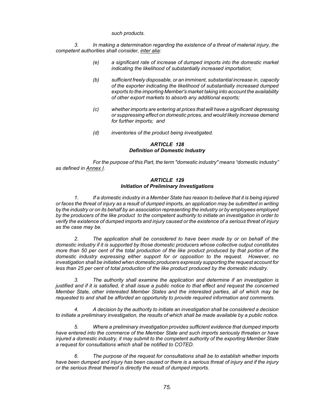#### *such products.*

*3. In making a determination regarding the existence of a threat of material injury, the competent authorities shall consider, inter alia:*

- *(e) a significant rate of increase of dumped imports into the domestic market indicating the likelihood of substantially increased importation;*
- *(b) sufficient freely disposable, or an imminent, substantial increase in, capacity of the exporter indicating the likelihood of substantially increased dumped exports to the importing Member's market taking into account the availability of other export markets to absorb any additional exports;*
- *(c) whether imports are entering at prices that will have a significant depressing or suppressing effect on domestic prices, and would likely increase demand for further imports; and*
- *(d) inventories of the product being investigated.*

# *ARTICLE 128 Definition of Domestic Industry*

*For the purpose of this Part, the term "domestic industry" means "domestic industry" as defined in Annex I.*

### *ARTICLE 129 Initiation of Preliminary Investigations*

*1. If a domestic industry in a Member State has reason to believe that it is being injured or faces the threat of injury as a result of dumped imports, an application may be submitted in writing by the industry or on its behalf by an association representing the industry or by employees employed by the producers of the like product to the competent authority to initiate an investigation in order to verify the existence of dumped imports and injury caused or the existence of a serious threat of injury as the case may be.*

*2. The application shall be considered to have been made by or on behalf of the domestic industry if it is supported by those domestic producers whose collective output constitutes more than 50 per cent of the total production of the like product produced by that portion of the domestic industry expressing either support for or opposition to the request. However, no investigation shall be initiated when domestic producers expressly supporting the request account for less than 25 per cent of total production of the like product produced by the domestic industry.*

*3. The authority shall examine the application and determine if an investigation is justified and if it is satisfied, it shall issue a public notice to that effect and request the concerned Member State, other interested Member States and the interested parties, all of which may be requested to and shall be afforded an opportunity to provide required information and comments.*

*4. A decision by the authority to initiate an investigation shall be considered a decision to initiate a preliminary investigation, the results of which shall be made available by a public notice.*

*5. Where a preliminary investigation provides sufficient evidence that dumped imports have entered into the commerce of the Member State and such imports seriously threaten or have injured a domestic industry, it may submit to the competent authority of the exporting Member State a request for consultations which shall be notified to COTED.*

*6. The purpose of the request for consultations shall be to establish whether imports have been dumped and injury has been caused or there is a serious threat of injury and if the injury or the serious threat thereof is directly the result of dumped imports.*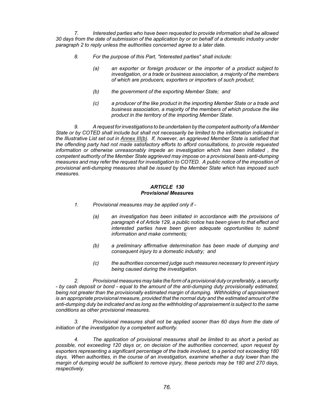*7. Interested parties who have been requested to provide information shall be allowed 30 days from the date of submission of the application by or on behalf of a domestic industry under paragraph 2 to reply unless the authorities concerned agree to a later date.*

- *8. For the purpose of this Part, "interested parties" shall include:*
	- *(a) an exporter or foreign producer or the importer of a product subject to investigation, or a trade or business association, a majority of the members of which are producers, exporters or importers of such product;*
	- *(b) the government of the exporting Member State; and*
	- *(c) a producer of the like product in the importing Member State or a trade and business association, a majority of the members of which produce the like product in the territory of the importing Member State.*

*9. A request for investigations to be undertaken by the competent authority of a Member State or by COTED shall include but shall not necessarily be limited to the information indicated in the Illustrative List set out in Annex III(b). If, however, an aggrieved Member State is satisfied that the offending party had not made satisfactory efforts to afford consultations, to provide requested information or otherwise unreasonably impede an investigation which has been initiated , the competent authority of the Member State aggrieved may impose on a provisional basis anti-dumping measures and may refer the request for investigation to COTED. A public notice of the imposition of provisional anti-dumping measures shall be issued by the Member State which has imposed such measures.*

### *ARTICLE 130 Provisional Measures*

- *1. Provisional measures may be applied only if -*
	- *(a) an investigation has been initiated in accordance with the provisions of paragraph 4 of Article 129, a public notice has been given to that effect and interested parties have been given adequate opportunities to submit information and make comments;*
	- *(b) a preliminary affirmative determination has been made of dumping and consequent injury to a domestic industry; and*
	- *(c) the authorities concerned judge such measures necessary to prevent injury being caused during the investigation.*

*2. Provisional measures may take the form of a provisional duty or preferably, a security - by cash deposit or bond - equal to the amount of the anti-dumping duty provisionally estimated, being not greater than the provisionally estimated margin of dumping. Withholding of appraisement is an appropriate provisional measure, provided that the normal duty and the estimated amount of the anti-dumping duty be indicated and as long as the withholding of appraisement is subject to the same conditions as other provisional measures.*

*3. Provisional measures shall not be applied sooner than 60 days from the date of initiation of the investigation by a competent authority.*

*4. The application of provisional measures shall be limited to as short a period as possible, not exceeding 120 days or, on decision of the authorities concerned, upon request by exporters representing a significant percentage of the trade involved, to a period not exceeding 180 days. When authorities, in the course of an investigation, examine whether a duty lower than the margin of dumping would be sufficient to remove injury, these periods may be 180 and 270 days, respectively.*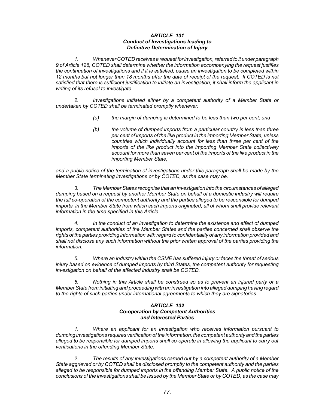## *ARTICLE 131 Conduct of Investigations leading to Definitive Determination of Injury*

*1. Whenever COTED receives a request for investigation, referred to it under paragraph 9 of Article 126, COTED shall determine whether the information accompanying the request justifies the continuation of investigations and if it is satisfied, cause an investigation to be completed within 12 months but not longer than 18 months after the date of receipt of the request. If COTED is not satisfied that there is sufficient justification to initiate an investigation, it shall inform the applicant in writing of its refusal to investigate.*

*2. Investigations initiated either by a competent authority of a Member State or undertaken by COTED shall be terminated promptly whenever:*

- *(a) the margin of dumping is determined to be less than two per cent; and*
- *(b) the volume of dumped imports from a particular country is less than three per cent of imports of the like product in the importing Member State, unless countries which individually account for less than three per cent of the imports of the like product into the importing Member State collectively account for more than seven per cent of the imports of the like product in the importing Member State,*

*and a public notice of the termination of investigations under this paragraph shall be made by the Member State terminating investigations or by COTED, as the case may be.*

*3. The Member States recognise that an investigation into the circumstances of alleged dumping based on a request by another Member State on behalf of a domestic industry will require the full co-operation of the competent authority and the parties alleged to be responsible for dumped imports, in the Member State from which such imports originated, all of whom shall provide relevant information in the time specified in this Article.*

*4. In the conduct of an investigation to determine the existence and effect of dumped imports, competent authorities of the Member States and the parties concerned shall observe the rights of the parties providing information with regard to confidentiality of any information provided and shall not disclose any such information without the prior written approval of the parties providing the information.*

*5. Where an industry within the CSME has suffered injury or faces the threat of serious injury based on evidence of dumped imports by third States, the competent authority for requesting investigation on behalf of the affected industry shall be COTED.*

*6. Nothing in this Article shall be construed so as to prevent an injured party or a Member State from initiating and proceeding with an investigation into alleged dumping having regard to the rights of such parties under international agreements to which they are signatories.*

#### *ARTICLE 132 Co-operation by Competent Authorities and Interested Parties*

*1. Where an applicant for an investigation who receives information pursuant to dumping investigations requires verification of the information, the competent authority and the parties alleged to be responsible for dumped imports shall co-operate in allowing the applicant to carry out verifications in the offending Member State.* 

*2. The results of any investigations carried out by a competent authority of a Member State aggrieved or by COTED shall be disclosed promptly to the competent authority and the parties alleged to be responsible for dumped imports in the offending Member State. A public notice of the conclusions of the investigations shall be issued by the Member State or by COTED, as the case may*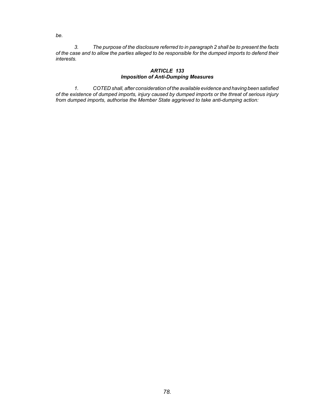*be.*

*3. The purpose of the disclosure referred to in paragraph 2 shall be to present the facts of the case and to allow the parties alleged to be responsible for the dumped imports to defend their interests.*

# *ARTICLE 133 Imposition of Anti-Dumping Measures*

*1. COTED shall, after consideration of the available evidence and having been satisfied of the existence of dumped imports, injury caused by dumped imports or the threat of serious injury from dumped imports, authorise the Member State aggrieved to take anti-dumping action:*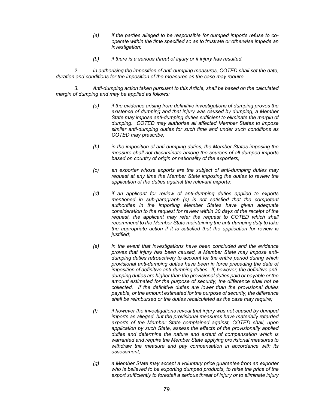- *(a) if the parties alleged to be responsible for dumped imports refuse to cooperate within the time specified so as to frustrate or otherwise impede an investigation;*
- *(b) if there is a serious threat of injury or if injury has resulted.*

*2. In authorising the imposition of anti-dumping measures, COTED shall set the date, duration and conditions for the imposition of the measures as the case may require.*

*3. Anti-dumping action taken pursuant to this Article, shall be based on the calculated margin of dumping and may be applied as follows:*

- *(a) if the evidence arising from definitive investigations of dumping proves the existence of dumping and that injury was caused by dumping, a Member State may impose anti-dumping duties sufficient to eliminate the margin of dumping. COTED may authorise all affected Member States to impose similar anti-dumping duties for such time and under such conditions as COTED may prescribe;*
- *(b) in the imposition of anti-dumping duties, the Member States imposing the measure shall not discriminate among the sources of all dumped imports based on country of origin or nationality of the exporters;*
- *(c) an exporter whose exports are the subject of anti-dumping duties may request at any time the Member State imposing the duties to review the application of the duties against the relevant exports;*
- *(d) if an applicant for review of anti-dumping duties applied to exports mentioned in sub-paragraph (c) is not satisfied that the competent authorities in the importing Member States have given adequate consideration to the request for review within 30 days of the receipt of the request, the applicant may refer the request to COTED which shall recommend to the Member State maintaining the anti-dumping duty to take the appropriate action if it is satisfied that the application for review is justified;*
- *(e) in the event that investigations have been concluded and the evidence proves that injury has been caused, a Member State may impose antidumping duties retroactively to account for the entire period during which provisional anti-dumping duties have been in force preceding the date of imposition of definitive anti-dumping duties. If, however, the definitive antidumping duties are higher than the provisional duties paid or payable or the amount estimated for the purpose of security, the difference shall not be collected. If the definitive duties are lower than the provisional duties payable, or the amount estimated for the purpose of security, the difference shall be reimbursed or the duties recalculated as the case may require;*
- *(f) if however the investigations reveal that injury was not caused by dumped imports as alleged, but the provisional measures have materially retarded exports of the Member State complained against, COTED shall, upon application by such State, assess the effects of the provisionally applied duties and determine the nature and extent of compensation which is warranted and require the Member State applying provisional measures to withdraw the measure and pay compensation in accordance with its assessment;*
- *(g) a Member State may accept a voluntary price guarantee from an exporter who is believed to be exporting dumped products, to raise the price of the export sufficiently to forestall a serious threat of injury or to eliminate injury*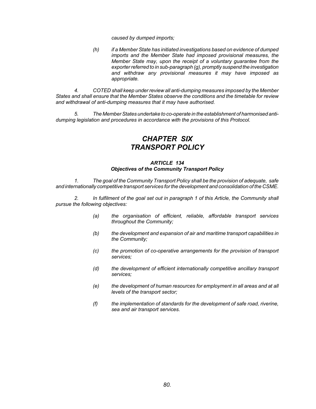*caused by dumped imports;*

*(h) if a Member State has initiated investigations based on evidence of dumped imports and the Member State had imposed provisional measures, the Member State may, upon the receipt of a voluntary guarantee from the exporter referred to in sub-paragraph (g), promptly suspend the investigation and withdraw any provisional measures it may have imposed as appropriate.*

*4. COTED shall keep under review all anti-dumping measures imposed by the Member States and shall ensure that the Member States observe the conditions and the timetable for review and withdrawal of anti-dumping measures that it may have authorised.*

*5. The Member States undertake to co-operate in the establishment of harmonised antidumping legislation and procedures in accordance with the provisions of this Protocol.*

# *CHAPTER SIX TRANSPORT POLICY*

### *ARTICLE 134 Objectives of the Community Transport Policy*

*1. The goal of the Community Transport Policy shall be the provision of adequate, safe and internationally competitive transport services for the development and consolidation of the CSME.*

*2. In fulfilment of the goal set out in paragraph 1 of this Article, the Community shall pursue the following objectives:*

- *(a) the organisation of efficient, reliable, affordable transport services throughout the Community;*
- *(b) the development and expansion of air and maritime transport capabilities in the Community;*
- *(c) the promotion of co-operative arrangements for the provision of transport services;*
- *(d) the development of efficient internationally competitive ancillary transport services;*
- *(e) the development of human resources for employment in all areas and at all levels of the transport sector;*
- *(f) the implementation of standards for the development of safe road, riverine, sea and air transport services.*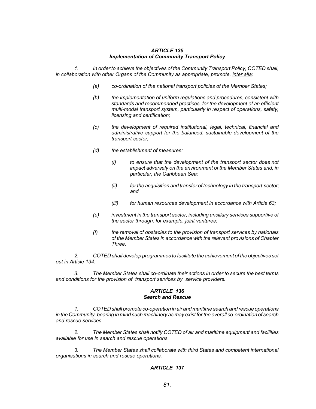#### *ARTICLE 135 Implementation of Community Transport Policy*

*1. In order to achieve the objectives of the Community Transport Policy, COTED shall, in collaboration with other Organs of the Community as appropriate, promote, inter alia:*

- *(a) co-ordination of the national transport policies of the Member States;*
- *(b) the implementation of uniform regulations and procedures, consistent with standards and recommended practices, for the development of an efficient multi-modal transport system, particularly in respect of operations, safety, licensing and certification;*
- *(c) the development of required institutional, legal, technical, financial and administrative support for the balanced, sustainable development of the transport sector;*
- *(d) the establishment of measures:*
	- *(i) to ensure that the development of the transport sector does not impact adversely on the environment of the Member States and, in particular, the Caribbean Sea;*
	- *(ii) for the acquisition and transfer of technology in the transport sector; and*
	- *(iii) for human resources development in accordance with Article 63;*
- *(e) investment in the transport sector, including ancillary services supportive of the sector through, for example, joint ventures;*
- *(f) the removal of obstacles to the provision of transport services by nationals of the Member States in accordance with the relevant provisions of Chapter Three.*

*2. COTED shall develop programmes to facilitate the achievement of the objectives set out in Article 134.*

*3. The Member States shall co-ordinate their actions in order to secure the best terms and conditions for the provision of transport services by service providers.* 

### *ARTICLE 136 Search and Rescue*

*1. COTED shall promote co-operation in air and maritime search and rescue operations in the Community, bearing in mind such machinery as may exist for the overall co-ordination of search and rescue services.*

*2. The Member States shall notify COTED of air and maritime equipment and facilities available for use in search and rescue operations.*

*3. The Member States shall collaborate with third States and competent international organisations in search and rescue operations.*

# *ARTICLE 137*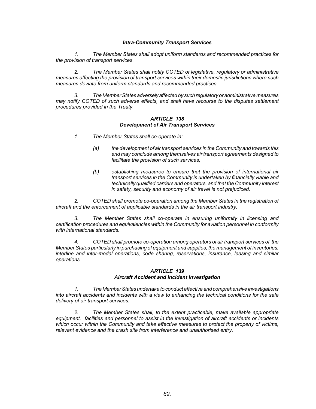#### *Intra-Community Transport Services*

*1. The Member States shall adopt uniform standards and recommended practices for the provision of transport services.*

*2. The Member States shall notify COTED of legislative, regulatory or administrative measures affecting the provision of transport services within their domestic jurisdictions where such measures deviate from uniform standards and recommended practices.* 

*3. The Member States adversely affected by such regulatory or administrative measures may notify COTED of such adverse effects, and shall have recourse to the disputes settlement procedures provided in the Treaty.*

#### *ARTICLE 138 Development of Air Transport Services*

- *1. The Member States shall co-operate in:*
	- *(a) the development of air transport services in the Community and towards this end may conclude among themselves air transport agreements designed to facilitate the provision of such services;*
	- *(b) establishing measures to ensure that the provision of international air transport services in the Community is undertaken by financially viable and technically qualified carriers and operators, and that the Community interest in safety, security and economy of air travel is not prejudiced.*

*2. COTED shall promote co-operation among the Member States in the registration of aircraft and the enforcement of applicable standards in the air transport industry.*

*3. The Member States shall co-operate in ensuring uniformity in licensing and certification procedures and equivalencies within the Community for aviation personnel in conformity with international standards.*

*4. COTED shall promote co-operation among operators of air transport services of the Member States particularly in purchasing of equipment and supplies, the management of inventories, interline and inter-modal operations, code sharing, reservations, insurance, leasing and similar operations.*

### *ARTICLE 139 Aircraft Accident and Incident Investigation*

*1. The Member States undertake to conduct effective and comprehensive investigations into aircraft accidents and incidents with a view to enhancing the technical conditions for the safe delivery of air transport services.*

*2. The Member States shall, to the extent practicable, make available appropriate equipment, facilities and personnel to assist in the investigation of aircraft accidents or incidents which occur within the Community and take effective measures to protect the property of victims, relevant evidence and the crash site from interference and unauthorised entry.*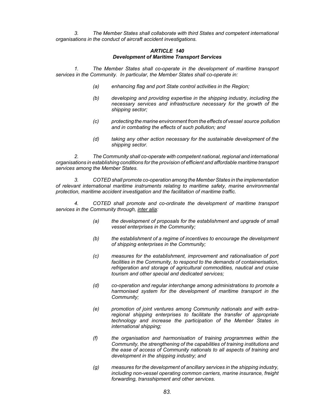*3. The Member States shall collaborate with third States and competent international organisations in the conduct of aircraft accident investigations.*

## *ARTICLE 140 Development of Maritime Transport Services*

*1. The Member States shall co-operate in the development of maritime transport services in the Community. In particular, the Member States shall co-operate in:*

- *(a) enhancing flag and port State control activities in the Region;*
- *(b) developing and providing expertise in the shipping industry, including the necessary services and infrastructure necessary for the growth of the shipping sector;*
- *(c) protecting the marine environment from the effects of vessel source pollution and in combating the effects of such pollution; and*
- *(d) taking any other action necessary for the sustainable development of the shipping sector.*

*2. The Community shall co-operate with competent national, regional and international organisations in establishing conditions for the provision of efficient and affordable maritime transport services among the Member States.*

*3. COTED shall promote co-operation among the Member States in the implementation of relevant international maritime instruments relating to maritime safety, marine environmental protection, maritime accident investigation and the facilitation of maritime traffic.*

*4. COTED shall promote and co-ordinate the development of maritime transport services in the Community through, inter alia:*

- *(a) the development of proposals for the establishment and upgrade of small vessel enterprises in the Community;*
- *(b) the establishment of a regime of incentives to encourage the development of shipping enterprises in the Community;*
- *(c) measures for the establishment, improvement and rationalisation of port facilities in the Community, to respond to the demands of containerisation, refrigeration and storage of agricultural commodities, nautical and cruise tourism and other special and dedicated services;*
- *(d) co-operation and regular interchange among administrations to promote a harmonised system for the development of maritime transport in the Community;*
- *(e) promotion of joint ventures among Community nationals and with extraregional shipping enterprises to facilitate the transfer of appropriate technology and increase the participation of the Member States in international shipping;*
- *(f) the organisation and harmonisation of training programmes within the Community, the strengthening of the capabilities of training institutions and the ease of access of Community nationals to all aspects of training and development in the shipping industry; and*
- *(g) measures for the development of ancillary services in the shipping industry, including non-vessel operating common carriers, marine insurance, freight forwarding, transshipment and other services.*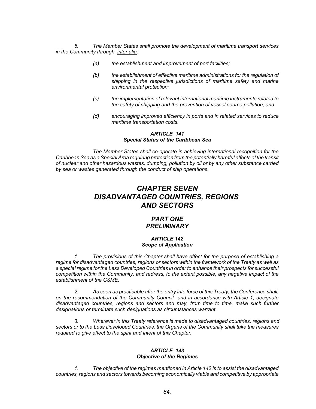*5. The Member States shall promote the development of maritime transport services in the Community through, inter alia:*

- *(a) the establishment and improvement of port facilities;*
- *(b) the establishment of effective maritime administrations for the regulation of shipping in the respective jurisdictions of maritime safety and marine environmental protection;*
- *(c) the implementation of relevant international maritime instruments related to the safety of shipping and the prevention of vessel source pollution; and*
- *(d) encouraging improved efficiency in ports and in related services to reduce maritime transportation costs.*

## *ARTICLE 141 Special Status of the Caribbean Sea*

*The Member States shall co-operate in achieving international recognition for the Caribbean Sea as a Special Area requiring protection from the potentially harmful effects of the transit of nuclear and other hazardous wastes, dumping, pollution by oil or by any other substance carried by sea or wastes generated through the conduct of ship operations.*

# *CHAPTER SEVEN DISADVANTAGED COUNTRIES, REGIONS AND SECTORS*

# *PART ONE PRELIMINARY*

# *ARTICLE 142 Scope of Application*

*1. The provisions of this Chapter shall have effect for the purpose of establishing a regime for disadvantaged countries, regions or sectors within the framework of the Treaty as well as a special regime for the Less Developed Countries in order to enhance their prospects for successful competition within the Community, and redress, to the extent possible, any negative impact of the establishment of the CSME.*

*2. As soon as practicable after the entry into force of this Treaty, the Conference shall, on the recommendation of the Community Council and in accordance with Article 1, designate disadvantaged countries, regions and sectors and may, from time to time, make such further designations or terminate such designations as circumstances warrant.* 

 *3. Wherever in this Treaty reference is made to disadvantaged countries, regions and sectors or to the Less Developed Countries, the Organs of the Community shall take the measures required to give effect to the spirit and intent of this Chapter.*

### *ARTICLE 143 Objective of the Regimes*

*1. The objective of the regimes mentioned in Article 142 is to assist the disadvantaged countries, regions and sectors towards becoming economically viable and competitive by appropriate*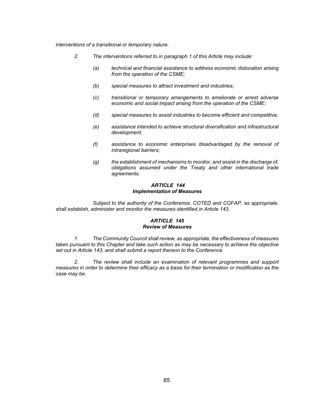*interventions of a transitional or temporary nature.*

- *2. The interventions referred to in paragraph 1 of this Article may include:*
	- *(a) technical and financial assistance to address economic dislocation arising from the operation of the CSME;*
	- *(b) special measures to attract investment and industries;*
	- *(c) transitional or temporary arrangements to ameliorate or arrest adverse economic and social impact arising from the operation of the CSME;*
	- *(d) special measures to assist industries to become efficient and competitive;*
	- *(e) assistance intended to achieve structural diversification and infrastructural development;*
	- *(f) assistance to economic enterprises disadvantaged by the removal of intraregional barriers;*
	- *(g) the establishment of mechanisms to monitor, and assist in the discharge of, obligations assumed under the Treaty and other international trade agreements.*

#### *ARTICLE 144 Implementation of Measures*

*Subject to the authority of the Conference, COTED and COFAP, as appropriate, shall establish, administer and monitor the measures identified in Article 143.*

#### *ARTICLE 145 Review of Measures*

*1. The Community Council shall review, as appropriate, the effectiveness of measures taken pursuant to this Chapter and take such action as may be necessary to achieve the objective set out in Article 143, and shall submit a report thereon to the Conference.*

*2. The review shall include an examination of relevant programmes and support measures in order to determine their efficacy as a basis for their termination or modification as the case may be.*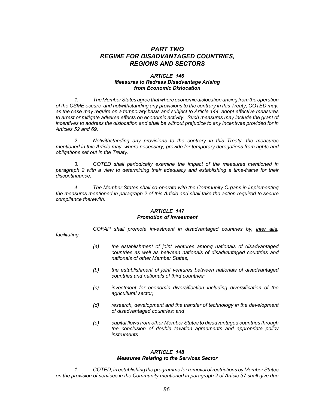# *PART TWO REGIME FOR DISADVANTAGED COUNTRIES, REGIONS AND SECTORS*

#### *ARTICLE 146 Measures to Redress Disadvantage Arising from Economic Dislocation*

*1. The Member States agree that where economic dislocation arising from the operation of the CSME occurs, and notwithstanding any provisions to the contrary in this Treaty, COTED may, as the case may require on a temporary basis and subject to Article 144, adopt effective measures to arrest or mitigate adverse effects on economic activity. Such measures may include the grant of incentives to address the dislocation and shall be without prejudice to any incentives provided for in Articles 52 and 69.*

*2. Notwithstanding any provisions to the contrary in this Treaty, the measures mentioned in this Article may, where necessary, provide for temporary derogations from rights and obligations set out in the Treaty.*

*3. COTED shall periodically examine the impact of the measures mentioned in paragraph 2 with a view to determining their adequacy and establishing a time-frame for their discontinuance.*

*4. The Member States shall co-operate with the Community Organs in implementing the measures mentioned in paragraph 2 of this Article and shall take the action required to secure compliance therewith.*

#### *ARTICLE 147 Promotion of Investment*

*COFAP shall promote investment in disadvantaged countries by, inter alia,*

*facilitating:*

- *(a) the establishment of joint ventures among nationals of disadvantaged countries as well as between nationals of disadvantaged countries and nationals of other Member States;*
- *(b) the establishment of joint ventures between nationals of disadvantaged countries and nationals of third countries;*
- *(c) investment for economic diversification including diversification of the agricultural sector;*
- *(d) research, development and the transfer of technology in the development of disadvantaged countries; and*
- *(e) capital flows from other Member States to disadvantaged countries through the conclusion of double taxation agreements and appropriate policy instruments.*

## *ARTICLE 148 Measures Relating to the Services Sector*

*1. COTED, in establishing the programme for removal of restrictions by Member States on the provision of services in the Community mentioned in paragraph 2 of Article 37 shall give due*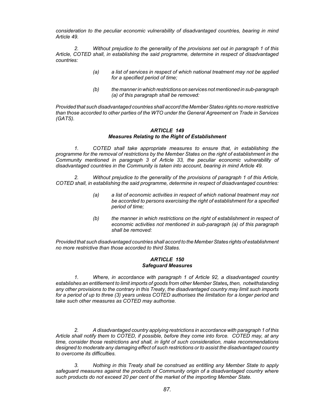*consideration to the peculiar economic vulnerability of disadvantaged countries, bearing in mind Article 49.*

*2. Without prejudice to the generality of the provisions set out in paragraph 1 of this Article, COTED shall, in establishing the said programme, determine in respect of disadvantaged countries:*

- *(a) a list of services in respect of which national treatment may not be applied for a specified period of time;*
- *(b) the manner in which restrictions on services not mentioned in sub-paragraph (a) of this paragraph shall be removed:*

*Provided that such disadvantaged countries shall accord the Member States rights no more restrictive than those accorded to other parties of the WTO under the General Agreement on Trade in Services (GATS).*

#### *ARTICLE 149 Measures Relating to the Right of Establishment*

*1. COTED shall take appropriate measures to ensure that, in establishing the programme for the removal of restrictions by the Member States on the right of establishment in the Community mentioned in paragraph 3 of Article 33, the peculiar economic vulnerability of disadvantaged countries in the Community is taken into account, bearing in mind Article 49.*

*2. Without prejudice to the generality of the provisions of paragraph 1 of this Article, COTED shall, in establishing the said programme, determine in respect of disadvantaged countries:*

- *(a) a list of economic activities in respect of which national treatment may not be accorded to persons exercising the right of establishment for a specified period of time;*
- *(b) the manner in which restrictions on the right of establishment in respect of economic activities not mentioned in sub-paragraph (a) of this paragraph shall be removed:*

*Provided that such disadvantaged countries shall accord to the Member States rights of establishment no more restrictive than those accorded to third States.*

#### *ARTICLE 150 Safeguard Measures*

*1. Where, in accordance with paragraph 1 of Article 92, a disadvantaged country establishes an entitlement to limit imports of goods from other Member States, then, notwithstanding any other provisions to the contrary in this Treaty, the disadvantaged country may limit such imports for a period of up to three (3) years unless COTED authorises the limitation for a longer period and take such other measures as COTED may authorise.*

*2. A disadvantaged country applying restrictions in accordance with paragraph 1 of this Article shall notify them to COTED, if possible, before they come into force. COTED may, at any time, consider those restrictions and shall, in light of such consideration, make recommendations designed to moderate any damaging effect of such restrictions or to assist the disadvantaged country to overcome its difficulties.*

*3. Nothing in this Treaty shall be construed as entitling any Member State to apply safeguard measures against the products of Community origin of a disadvantaged country where such products do not exceed 20 per cent of the market of the importing Member State.*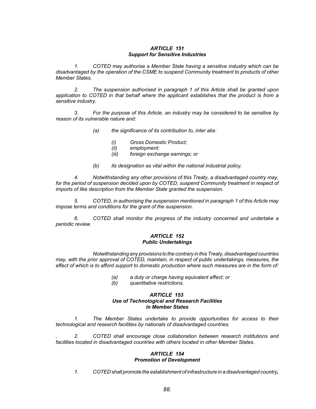#### *ARTICLE 151 Support for Sensitive Industries*

*1. COTED may authorise a Member State having a sensitive industry which can be disadvantaged by the operation of the CSME to suspend Community treatment to products of other Member States.*

*2. The suspension authorised in paragraph 1 of this Article shall be granted upon application to COTED in that behalf where the applicant establishes that the product is from a sensitive industry.*

*3. For the purpose of this Article, an industry may be considered to be sensitive by reason of its vulnerable nature and:*

- *(a) the significance of its contribution to, inter alia:*
	- *(i) Gross Domestic Product;*
	- *(ii) employment;*
	- *(iii) foreign exchange earnings; or*
- *(b) its designation as vital within the national industrial policy.*

*4. Notwithstanding any other provisions of this Treaty, a disadvantaged country may, for the period of suspension decided upon by COTED, suspend Community treatment in respect of imports of like description from the Member State granted the suspension.*

*5. COTED, in authorising the suspension mentioned in paragraph 1 of this Article may impose terms and conditions for the grant of the suspension.*

*6. COTED shall monitor the progress of the industry concerned and undertake a periodic review.*

### *ARTICLE 152 Public Undertakings*

*Notwithstanding any provisions to the contrary in this Treaty, disadvantaged countries may, with the prior approval of COTED, maintain, in respect of public undertakings, measures, the effect of which is to afford support to domestic production where such measures are in the form of:*

- *(a) a duty or charge having equivalent effect; or*
- *(b) quantitative restrictions.*

# *ARTICLE 153 Use of Technological and Research Facilities in Member States*

*1. The Member States undertake to provide opportunities for access to their technological and research facilities by nationals of disadvantaged countries.*

*. 2. COTED shall encourage close collaboration between research institutions and facilities located in disadvantaged countries with others located in other Member States.*

#### *ARTICLE 154 Promotion of Development*

*1. COTED shall promote the establishment of infrastructure in a disadvantaged country,*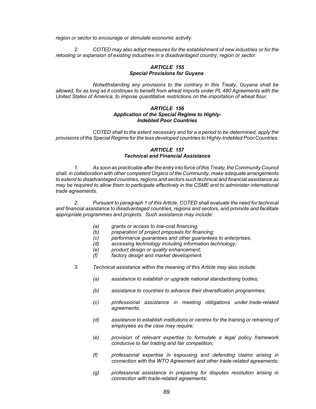*region or sector to encourage or stimulate economic activity.*

*2. COTED may also adopt measures for the establishment of new industries or for the retooling or expansion of existing industries in a disadvantaged country, region or sector.*

# *ARTICLE 155 Special Provisions for Guyana*

*Notwithstanding any provisions to the contrary in this Treaty, Guyana shall be allowed, for as long as it continues to benefit from wheat imports under PL 480 Agreements with the United States of America, to impose quantitative restrictions on the importation of wheat flour.*

#### *ARTICLE 156 Application of the Special Regime to Highly-Indebted Poor Countries*

*COTED shall to the extent necessary and for a a period to be determined, apply the provisions of the Special Regime for the less developed countries to Highly-Indebted Poor Countries.*

#### *ARTICLE 157 Technical and Financial Assistance*

*1. As soon as practicable after the entry into force of this Treaty, the Community Council shall, in collaboration with other competent Organs of the Community, make adequate arrangements to extend to disadvantaged countries, regions and sectors such technical and financial assistance as may be required to allow them to participate effectively in the CSME and to administer international trade agreements.*

*2. Pursuant to paragraph 1 of this Article, COTED shall evaluate the need for technical and financial assistance to disadvantaged countries, regions and sectors, and promote and facilitate appropriate programmes and projects. Such assistance may include:*

- *(a) grants or access to low-cost financing;*
- *(b) preparation of project proposals for financing;*
- *(c) performance guarantees and other guarantees to enterprises;*
- *(d) accessing technology including information technology;*
- *(e) product design or quality enhancement;*
- *(f) factory design and market development.*
- *3. Technical assistance within the meaning of this Article may also include:*
	- *(a) assistance to establish or upgrade national standardising bodies;*
	- *(b) assistance to countries to advance their diversification programmes;*
	- *(c) professional assistance in meeting obligations under trade-related agreements;*
	- *(d) assistance to establish institutions or centres for the training or retraining of employees as the case may require;*
	- *(e) provision of relevant expertise to formulate a legal policy framework conducive to fair trading and fair competition;*
	- *(f) professional expertise in espousing and defending claims arising in connection with the WTO Agreement and other trade-related agreements;*
	- *(g) professional assistance in preparing for disputes resolution arising in connection with trade-related agreements;*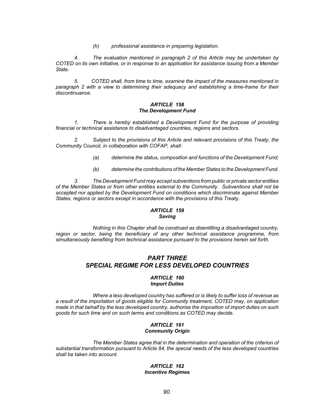*(h) professional assistance in preparing legislation.*

*4. The evaluation mentioned in paragraph 2 of this Article may be undertaken by COTED on its own initiative, or in response to an application for assistance issuing from a Member State.*

*5. COTED shall, from time to time, examine the impact of the measures mentioned in paragraph 2 with a view to determining their adequacy and establishing a time-frame for their discontinuance.*

#### *ARTICLE 158 The Development Fund*

*1. There is hereby established a Development Fund for the purpose of providing financial or technical assistance to disadvantaged countries, regions and sectors.*

*2. Subject to the provisions of this Article and relevant provisions of this Treaty, the Community Council, in collaboration with COFAP, shall:* 

- *(a) determine the status, composition and functions of the Development Fund;*
- *(b) determine the contributions of the Member States to the Development Fund.*

*3. The Development Fund may accept subventions from public or private sector entities of the Member States or from other entities external to the Community. Subventions shall not be accepted nor applied by the Development Fund on conditions which discriminate against Member States, regions or sectors except in accordance with the provisions of this Treaty.*

#### *ARTICLE 159 Saving*

*Nothing in this Chapter shall be construed as disentitling a disadvantaged country, region or sector, being the beneficiary of any other technical assistance programme, from simultaneously benefiting from technical assistance pursuant to the provisions herein set forth.*

# *PART THREE SPECIAL REGIME FOR LESS DEVELOPED COUNTRIES*

#### *ARTICLE 160 Import Duties*

*Where a less developed country has suffered or is likely to suffer loss of revenue as a result of the importation of goods eligible for Community treatment, COTED may, on application made in that behalf by the less developed country, authorise the imposition of import duties on such goods for such time and on such terms and conditions as COTED may decide.*

### *ARTICLE 161 Community Origin*

*The Member States agree that in the determination and operation of the criterion of substantial transformation pursuant to Article 84, the special needs of the less developed countries shall be taken into account.*

## *ARTICLE 162 Incentive Regimes*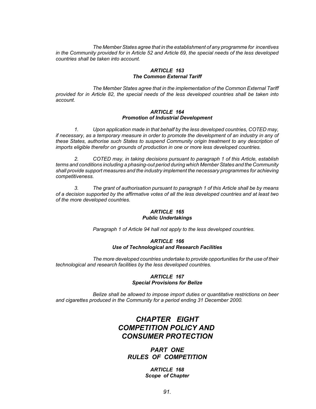*The Member States agree that in the establishment of any programme for incentives in the Community provided for in Article 52 and Article 69, the special needs of the less developed countries shall be taken into account.*

#### *ARTICLE 163 The Common External Tariff*

*The Member States agree that in the implementation of the Common External Tariff provided for in Article 82, the special needs of the less developed countries shall be taken into account.*

#### *ARTICLE 164 Promotion of Industrial Development*

*1. Upon application made in that behalf by the less developed countries, COTED may, if necessary, as a temporary measure in order to promote the development of an industry in any of these States, authorise such States to suspend Community origin treatment to any description of imports eligible therefor on grounds of production in one or more less developed countries.*

*2. COTED may, in taking decisions pursuant to paragraph 1 of this Article, establish terms and conditions including a phasing-out period during which Member States and the Community shall provide support measures and the industry implement the necessary programmes for achieving competitiveness.*

*3. The grant of authorisation pursuant to paragraph 1 of this Article shall be by means of a decision supported by the affirmative votes of all the less developed countries and at least two of the more developed countries.*

#### *ARTICLE 165 Public Undertakings*

*Paragraph 1 of Article 94 hall not apply to the less developed countries.*

### *ARTICLE 166 Use of Technological and Research Facilities*

*The more developed countries undertake to provide opportunities for the use of their technological and research facilities by the less developed countries.*

#### *ARTICLE 167 Special Provisions for Belize*

*Belize shall be allowed to impose import duties or quantitative restrictions on beer and cigarettes produced in the Community for a period ending 31 December 2000.* 

# *CHAPTER EIGHT COMPETITION POLICY AND CONSUMER PROTECTION*

# *PART ONE RULES OF COMPETITION*

*ARTICLE 168 Scope of Chapter*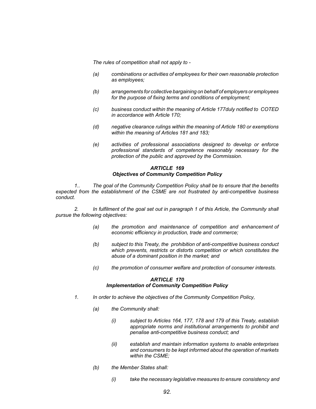*The rules of competition shall not apply to -*

- *(a) combinations or activities of employees for their own reasonable protection as employees;*
- *(b) arrangements for collective bargaining on behalf of employers or employees for the purpose of fixing terms and conditions of employment;*
- *(c) business conduct within the meaning of Article 177duly notified to COTED in accordance with Article 170;*
- *(d) negative clearance rulings within the meaning of Article 180 or exemptions within the meaning of Articles 181 and 183;*
- *(e) activities of professional associations designed to develop or enforce professional standards of competence reasonably necessary for the protection of the public and approved by the Commission.*

#### *ARTICLE 169 Objectives of Community Competition Policy*

*1.. The goal of the Community Competition Policy shall be to ensure that the benefits expected from the establishment of the CSME are not frustrated by anti-competitive business conduct.* 

*2. In fulfilment of the goal set out in paragraph 1 of this Article, the Community shall pursue the following objectives:*

- *(a) the promotion and maintenance of competition and enhancement of economic efficiency in production, trade and commerce;*
- *(b) subject to this Treaty, the prohibition of anti-competitive business conduct which prevents, restricts or distorts competition or which constitutes the abuse of a dominant position in the market; and*
- *(c) the promotion of consumer welfare and protection of consumer interests.*

### *ARTICLE 170 Implementation of Community Competition Policy*

- *1. In order to achieve the objectives of the Community Competition Policy,* 
	- *(a) the Community shall:*
		- *(i) subject to Articles 164, 177, 178 and 179 of this Treaty, establish appropriate norms and institutional arrangements to prohibit and penalise anti-competitive business conduct; and*
		- *(ii) establish and maintain information systems to enable enterprises and consumers to be kept informed about the operation of markets within the CSME;*
	- *(b) the Member States shall:*
		- *(i) take the necessary legislative measures to ensure consistency and*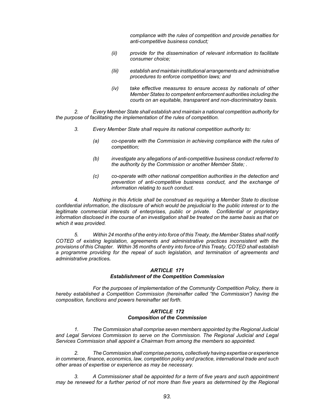*compliance with the rules of competition and provide penalties for anti-competitive business conduct;*

- *(ii) provide for the dissemination of relevant information to facilitate consumer choice;*
- *(Iii) establish and maintain institutional arrangements and administrative procedures to enforce competition laws; and*
- *(iv) take effective measures to ensure access by nationals of other Member States to competent enforcement authorities including the courts on an equitable, transparent and non-discriminatory basis.*

*2. Every Member State shall establish and maintain a national competition authority for the purpose of facilitating the implementation of the rules of competition.*

- *3. Every Member State shall require its national competition authority to:*
	- *(a) co-operate with the Commission in achieving compliance with the rules of competition;*
	- *(b) investigate any allegations of anti-competitive business conduct referred to the authority by the Commission or another Member State; .*
	- *(c) co-operate with other national competition authorities in the detection and prevention of anti-competitive business conduct, and the exchange of information relating to such conduct.*

 *4. Nothing in this Article shall be construed as requiring a Member State to disclose confidential information, the disclosure of which would be prejudicial to the public interest or to the legitimate commercial interests of enterprises, public or private. Confidential or proprietary information disclosed in the course of an investigation shall be treated on the same basis as that on which it was provided.*

*5. Within 24 months of the entry into force of this Treaty, the Member States shall notify COTED of existing legislation, agreements and administrative practices inconsistent with the provisions of this Chapter. Within 36 months of entry into force of this Treaty, COTED shall establish a programme providing for the repeal of such legislation, and termination of agreements and administrative practices.*

#### *ARTICLE 171 Establishment of the Competition Commission*

*For the purposes of implementation of the Community Competition Policy, there is hereby established a Competition Commission (hereinafter called "the Commission") having the composition, functions and powers hereinafter set forth.*

#### *ARTICLE 172 Composition of the Commission*

*1. The Commission shall comprise seven members appointed by the Regional Judicial and Legal Services Commission to serve on the Commission. The Regional Judicial and Legal Services Commission shall appoint a Chairman from among the members so appointed.*

*2. The Commission shall comprise persons, collectively having expertise or experience in commerce, finance, economics, law, competition policy and practice, international trade and such other areas of expertise or experience as may be necessary.*

*3. A Commissioner shall be appointed for a term of five years and such appointment may be renewed for a further period of not more than five years as determined by the Regional*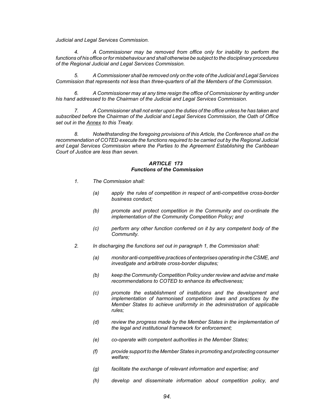*Judicial and Legal Services Commission.*

*4. A Commissioner may be removed from office only for inability to perform the functions of his office or for misbehaviour and shall otherwise be subject to the disciplinary procedures of the Regional Judicial and Legal Services Commission.*

*5. A Commissioner shall be removed only on the vote of the Judicial and Legal Services Commission that represents not less than three-quarters of all the Members of the Commission.*

*6. A Commissioner may at any time resign the office of Commissioner by writing under his hand addressed to the Chairman of the Judicial and Legal Services Commission.*

*7. A Commissioner shall not enter upon the duties of the office unless he has taken and subscribed before the Chairman of the Judicial and Legal Services Commission, the Oath of Office set out in the Annex to this Treaty.*

*8. Notwithstanding the foregoing provisions of this Article, the Conference shall on the recommendation of COTED execute the functions required to be carried out by the Regional Judicial and Legal Services Commission where the Parties to the Agreement Establishing the Caribbean Court of Justice are less than seven.*

# *ARTICLE 173 Functions of the Commission*

- *1. The Commission shall:*
	- *(a) apply the rules of competition in respect of anti-competitive cross-border business conduct;*
	- *(b) promote and protect competition in the Community and co-ordinate the implementation of the Community Competition Policy; and*
	- *(c) perform any other function conferred on it by any competent body of the Community.*
- *2. In discharging the functions set out in paragraph 1, the Commission shall:*
	- *(a) monitor anti-competitive practices of enterprises operating in the CSME, and investigate and arbitrate cross-border disputes;*
	- *(b) keep the Community Competition Policy under review and advise and make recommendations to COTED to enhance its effectiveness;*
	- *(c) promote the establishment of institutions and the development and implementation of harmonised competition laws and practices by the Member States to achieve uniformity in the administration of applicable rules;*
	- *(d) review the progress made by the Member States in the implementation of the legal and institutional framework for enforcement;*
	- *(e) co-operate with competent authorities in the Member States;*
	- *(f) provide support to the Member States in promoting and protecting consumer welfare;*
	- *(g) facilitate the exchange of relevant information and expertise; and*
	- *(h) develop and disseminate information about competition policy, and*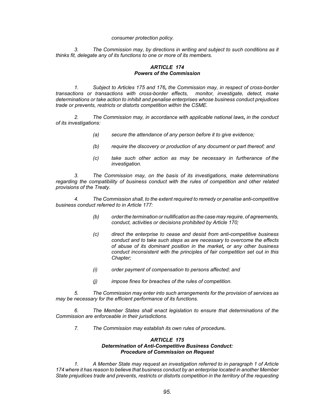#### *consumer protection policy.*

*3. The Commission may, by directions in writing and subject to such conditions as it thinks fit, delegate any of its functions to one or more of its members.*

# *ARTICLE 174 Powers of the Commission*

*1. Subject to Articles 175 and 176, the Commission may, in respect of cross-border transactions or transactions with cross-border effects, monitor, investigate, detect, make determinations or take action to inhibit and penalise enterprises whose business conduct prejudices trade or prevents, restricts or distorts competition within the CSME.*

*2. The Commission may, in accordance with applicable national laws, in the conduct of its investigations:*

- *(a) secure the attendance of any person before it to give evidence;*
- *(b) require the discovery or production of any document or part thereof; and*
- *(c) take such other action as may be necessary in furtherance of the investigation.*

*3. The Commission may, on the basis of its investigations, make determinations regarding the compatibility of business conduct with the rules of competition and other related provisions of the Treaty.*

*4. The Commission shall, to the extent required to remedy or penalise anti-competitive business conduct referred to in Article 177:*

- *(b) order the termination or nullification as the case may require, of agreements, conduct, activities or decisions prohibited by Article 170;*
- *(c) direct the enterprise to cease and desist from anti-competitive business conduct and to take such steps as are necessary to overcome the effects of abuse of its dominant position in the market, or any other business conduct inconsistent with the principles of fair competition set out in this Chapter;*
- *(i) order payment of compensation to persons affected; and*
- *(j) impose fines for breaches of the rules of competition.*

*5. The Commission may enter into such arrangements for the provision of services as may be necessary for the efficient performance of its functions.*

*6. The Member States shall enact legislation to ensure that determinations of the Commission are enforceable in their jurisdictions.*

*7. The Commission may establish its own rules of procedure.*

#### *ARTICLE 175 Determination of Anti-Competitive Business Conduct: Procedure of Commission on Request*

*1. A Member State may request an investigation referred to in paragraph 1 of Article 174 where it has reason to believe that business conduct by an enterprise located in another Member State prejudices trade and prevents, restricts or distorts competition in the territory of the requesting*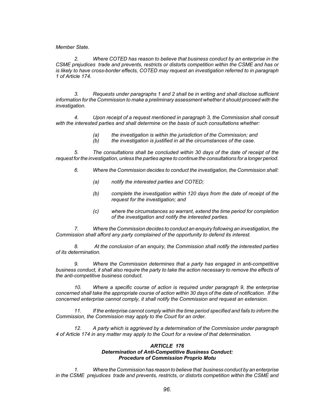*Member State.*

*2. Where COTED has reason to believe that business conduct by an enterprise in the CSME prejudices trade and prevents, restricts or distorts competition within the CSME and has or is likely to have cross-border effects, COTED may request an investigation referred to in paragraph 1 of Article 174.*

*3. Requests under paragraphs 1 and 2 shall be in writing and shall disclose sufficient information for the Commission to make a preliminary assessment whether it should proceed with the investigation.*

*4. Upon receipt of a request mentioned in paragraph 3, the Commission shall consult with the interested parties and shall determine on the basis of such consultations whether:*

- *(a) the investigation is within the jurisdiction of the Commission; and*
- *(b) the investigation is justified in all the circumstances of the case.*

*5. The consultations shall be concluded within 30 days of the date of receipt of the request for the investigation, unless the parties agree to continue the consultations for a longer period.*

- *6. Where the Commission decides to conduct the investigation, the Commission shall:*
	- *(a) notify the interested parties and COTED;*
	- *(b) complete the investigation within 120 days from the date of receipt of the request for the investigation; and*
	- *(c) where the circumstances so warrant, extend the time period for completion of the investigation and notify the interested parties.*

*7. Where the Commission decides to conduct an enquiry following an investigation, the Commission shall afford any party complained of the opportunity to defend its interest.*

*8. At the conclusion of an enquiry, the Commission shall notify the interested parties of its determination.*

*9. Where the Commission determines that a party has engaged in anti-competitive business conduct, it shall also require the party to take the action necessary to remove the effects of the anti-competitive business conduct.*

*10. Where a specific course of action is required under paragraph 9, the enterprise concerned shall take the appropriate course of action within 30 days of the date of notification. If the concerned enterprise cannot comply, it shall notify the Commission and request an extension.*

*11. If the enterprise cannot comply within the time period specified and fails to inform the Commission, the Commission may apply to the Court for an order.*

*12. A party which is aggrieved by a determination of the Commission under paragraph 4 of Article 174 in any matter may apply to the Court for a review of that determination.*

#### *ARTICLE 176 Determination of Anti-Competitive Business Conduct: Procedure of Commission Proprio Motu*

*1. Where the Commission has reason to believe that business conduct by an enterprise in the CSME prejudices trade and prevents, restricts, or distorts competition within the CSME and*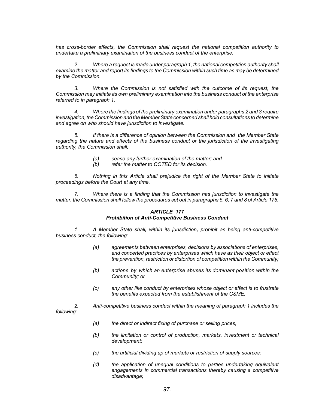*has cross-border effects, the Commission shall request the national competition authority to undertake a preliminary examination of the business conduct of the enterprise.*

*2. Where a request is made under paragraph 1, the national competition authority shall examine the matter and report its findings to the Commission within such time as may be determined by the Commission.*

*3. Where the Commission is not satisfied with the outcome of its request, the Commission may initiate its own preliminary examination into the business conduct of the enterprise referred to in paragraph 1.*

*4. Where the findings of the preliminary examination under paragraphs 2 and 3 require investigation, the Commission and the Member State concerned shall hold consultations to determine and agree on who should have jurisdiction to investigate.*

*5. If there is a difference of opinion between the Commission and the Member State regarding the nature and effects of the business conduct or the jurisdiction of the investigating authority, the Commission shall:*

- *(a) cease any further examination of the matter; and*
- *(b) refer the matter to COTED for its decision.*

*6. Nothing in this Article shall prejudice the right of the Member State to initiate proceedings before the Court at any time.*

*7. Where there is a finding that the Commission has jurisdiction to investigate the matter, the Commission shall follow the procedures set out in paragraphs 5, 6, 7 and 8 of Article 175.*

# *ARTICLE 177*

### *Prohibition of Anti-Competitive Business Conduct*

*1. A Member State shall, within its jurisdiction, prohibit as being anti-competitive business conduct, the following:*

- *(a) agreements between enterprises, decisions by associations of enterprises, and concerted practices by enterprises which have as their object or effect the prevention, restriction or distortion of competition within the Community;*
- *(b) actions by which an enterprise abuses its dominant position within the Community; or*
- *(c) any other like conduct by enterprises whose object or effect is to frustrate the benefits expected from the establishment of the CSME.*

*2. Anti-competitive business conduct within the meaning of paragraph 1 includes the following:*

- *(a) the direct or indirect fixing of purchase or selling prices,*
- *(b) the limitation or control of production, markets, investment or technical development;*
- *(c) the artificial dividing up of markets or restriction of supply sources;*
- *(d) the application of unequal conditions to parties undertaking equivalent engagements in commercial transactions thereby causing a competitive disadvantage;*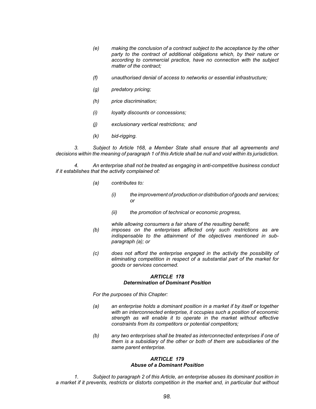- *(e) making the conclusion of a contract subject to the acceptance by the other party to the contract of additional obligations which, by their nature or according to commercial practice, have no connection with the subject matter of the contract;*
- *(f) unauthorised denial of access to networks or essential infrastructure;*
- *(g) predatory pricing;*
- *(h) price discrimination;*
- *(i) loyalty discounts or concessions;*
- *(j) exclusionary vertical restrictions; and*
- *(k) bid-rigging.*

*3. Subject to Article 168, a Member State shall ensure that all agreements and decisions within the meaning of paragraph 1 of this Article shall be null and void within its jurisdiction.*

 *4. An enterprise shall not be treated as engaging in anti-competitive business conduct if it establishes that the activity complained of:* 

- *(a) contributes to:*
	- *(i) the improvement of production or distribution of goods and services; or*
	- *(ii) the promotion of technical or economic progress,*

 *while allowing consumers a fair share of the resulting benefit;*

- *(b) imposes on the enterprises affected only such restrictions as are indispensable to the attainment of the objectives mentioned in subparagraph (a); or*
- *(c) does not afford the enterprise engaged in the activity the possibility of eliminating competition in respect of a substantial part of the market for goods or services concerned.*

#### *ARTICLE 178 Determination of Dominant Position*

*For the purposes of this Chapter:*

- *(a) an enterprise holds a dominant position in a market if by itself or together with an interconnected enterprise, it occupies such a position of economic strength as will enable it to operate in the market without effective constraints from its competitors or potential competitors;*
- *(b) any two enterprises shall be treated as interconnected enterprises if one of them is a subsidiary of the other or both of them are subsidiaries of the same parent enterprise.*

# *ARTICLE 179 Abuse of a Dominant Position*

*1. Subject to paragraph 2 of this Article, an enterprise abuses its dominant position in a market if it prevents, restricts or distorts competition in the market and, in particular but without*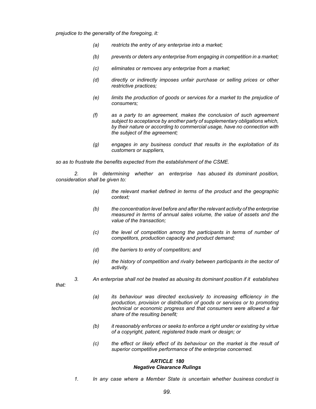*prejudice to the generality of the foregoing, it:*

- *(a) restricts the entry of any enterprise into a market;*
- *(b) prevents or deters any enterprise from engaging in competition in a market;*
- *(c) eliminates or removes any enterprise from a market;*
- *(d) directly or indirectly imposes unfair purchase or selling prices or other restrictive practices;*
- *(e) limits the production of goods or services for a market to the prejudice of consumers;*
- *(f) as a party to an agreement, makes the conclusion of such agreement subject to acceptance by another party of supplementary obligations which, by their nature or according to commercial usage, have no connection with the subject of the agreement;*
- *(g) engages in any business conduct that results in the exploitation of its customers or suppliers,*

*so as to frustrate the benefits expected from the establishment of the CSME.*

*2. In determining whether an enterprise has abused its dominant position, consideration shall be given to:*

- *(a) the relevant market defined in terms of the product and the geographic context;*
- *(b) the concentration level before and after the relevant activity of the enterprise measured in terms of annual sales volume, the value of assets and the value of the transaction;*
- *(c) the level of competition among the participants in terms of number of competitors, production capacity and product demand;*
- *(d) the barriers to entry of competitors; and*

*that:*

- *(e) the history of competition and rivalry between participants in the sector of activity.*
- *3. An enterprise shall not be treated as abusing its dominant position if it establishes*
	- *(a) its behaviour was directed exclusively to increasing efficiency in the production, provision or distribution of goods or services or to promoting technical or economic progress and that consumers were allowed a fair share of the resulting benefit;*
	- *(b) it reasonably enforces or seeks to enforce a right under or existing by virtue of a copyright, patent, registered trade mark or design; or*
	- *(c) the effect or likely effect of its behaviour on the market is the result of superior competitive performance of the enterprise concerned.*

#### *ARTICLE 180 Negative Clearance Rulings*

*1. In any case where a Member State is uncertain whether business conduct is*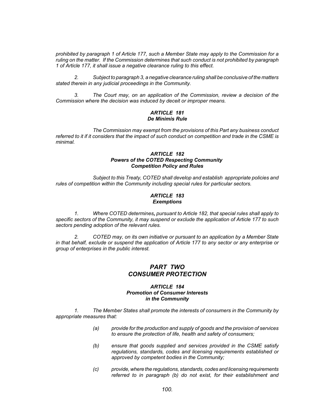*prohibited by paragraph 1 of Article 177, such a Member State may apply to the Commission for a ruling on the matter. If the Commission determines that such conduct is not prohibited by paragraph 1 of Article 177, it shall issue a negative clearance ruling to this effect.*

*2. Subject to paragraph 3, a negative clearance ruling shall be conclusive of the matters stated therein in any judicial proceedings in the Community.*

*3. The Court may, on an application of the Commission, review a decision of the Commission where the decision was induced by deceit or improper means.*

#### *ARTICLE 181 De Minimis Rule*

*The Commission may exempt from the provisions of this Part any business conduct referred to it if it considers that the impact of such conduct on competition and trade in the CSME is minimal.*

# *ARTICLE 182 Powers of the COTED Respecting Community Competition Policy and Rules*

*Subject to this Treaty, COTED shall develop and establish appropriate policies and rules of competition within the Community including special rules for particular sectors.*

#### *ARTICLE 183 Exemptions*

*1. Where COTED determines, pursuant to Article 182, that special rules shall apply to specific sectors of the Community, it may suspend or exclude the application of Article 177 to such sectors pending adoption of the relevant rules.*

*2. COTED may, on its own initiative or pursuant to an application by a Member State in that behalf, exclude or suspend the application of Article 177 to any sector or any enterprise or group of enterprises in the public interest.*

# *PART TWO CONSUMER PROTECTION*

#### *ARTICLE 184 Promotion of Consumer Interests in the Community*

*1. The Member States shall promote the interests of consumers in the Community by appropriate measures that:*

- *(a) provide for the production and supply of goods and the provision of services to ensure the protection of life, health and safety of consumers;*
- *(b) ensure that goods supplied and services provided in the CSME satisfy regulations, standards, codes and licensing requirements established or approved by competent bodies in the Community;*
- *(c) provide, where the regulations, standards, codes and licensing requirements referred to in paragraph (b) do not exist, for their establishment and*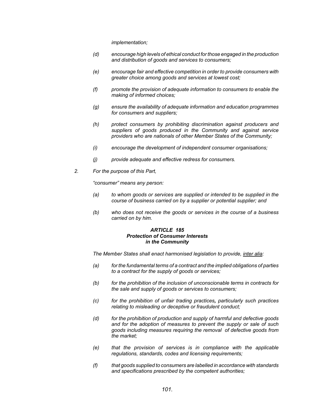*implementation;*

- *(d) encourage high levels of ethical conduct for those engaged in the production and distribution of goods and services to consumers;*
- *(e) encourage fair and effective competition in order to provide consumers with greater choice among goods and services at lowest cost;*
- *(f) promote the provision of adequate information to consumers to enable the making of informed choices;*
- *(g) ensure the availability of adequate information and education programmes for consumers and suppliers;*
- *(h) protect consumers by prohibiting discrimination against producers and suppliers of goods produced in the Community and against service providers who are nationals of other Member States of the Community;*
- *(i) encourage the development of independent consumer organisations;*
- *(j) provide adequate and effective redress for consumers.*
- *2. For the purpose of this Part,*

*"consumer" means any person:*

- *(a) to whom goods or services are supplied or intended to be supplied in the course of business carried on by a supplier or potential supplier; and*
- *(b) who does not receive the goods or services in the course of a business carried on by him.*

### *ARTICLE 185 Protection of Consumer Interests in the Community*

*The Member States shall enact harmonised legislation to provide, inter alia:*

- *(a) for the fundamental terms of a contract and the implied obligations of parties to a contract for the supply of goods or services;*
- *(b) for the prohibition of the inclusion of unconscionable terms in contracts for the sale and supply of goods or services to consumers;*
- *(c) for the prohibition of unfair trading practices, particularly such practices relating to misleading or deceptive or fraudulent conduct;*
- *(d) for the prohibition of production and supply of harmful and defective goods and for the adoption of measures to prevent the supply or sale of such goods including measures requiring the removal of defective goods from the market;*
- *(e) that the provision of services is in compliance with the applicable regulations, standards, codes and licensing requirements;*
- *(f) that goods supplied to consumers are labelled in accordance with standards and specifications prescribed by the competent authorities;*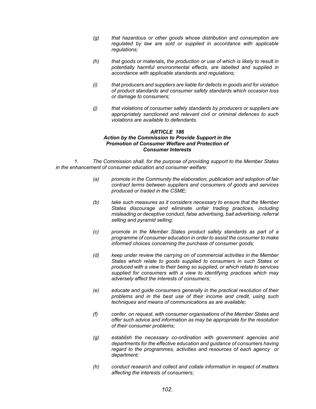- *(g) that hazardous or other goods whose distribution and consumption are regulated by law are sold or supplied in accordance with applicable regulations;*
- *(h) that goods or materials, the production or use of which is likely to result in potentially harmful environmental effects, are labelled and supplied in accordance with applicable standards and regulations;*
- *(i) that producers and suppliers are liable for defects in goods and for violation of product standards and consumer safety standards which occasion loss or damage to consumers;*
- *(j) that violations of consumer safety standards by producers or suppliers are appropriately sanctioned and relevant civil or criminal defences to such violations are available to defendants.*

#### *ARTICLE 186 Action by the Commission to Provide Support in the Promotion of Consumer Welfare and Protection of Consumer Interests*

*1. The Commission shall, for the purpose of providing support to the Member States in the enhancement of consumer education and consumer welfare:*

- *(a) promote in the Community the elaboration, publication and adoption of fair contract terms between suppliers and consumers of goods and services produced or traded in the CSME;*
- *(b) take such measures as it considers necessary to ensure that the Member States discourage and eliminate unfair trading practices, including misleading or deceptive conduct, false advertising, bait advertising, referral selling and pyramid selling;*
- *(c) promote in the Member States product safety standards as part of a programme of consumer education in order to assist the consumer to make informed choices concerning the purchase of consumer goods;*
- *(d) keep under review the carrying on of commercial activities in the Member States which relate to goods supplied to consumers in such States or produced with a view to their being so supplied, or which relate to services supplied for consumers with a view to identifying practices which may adversely affect the interests of consumers;*
- *(e) educate and guide consumers generally in the practical resolution of their problems and in the best use of their income and credit, using such techniques and means of communications as are available;*
- *(f) confer, on request, with consumer organisations of the Member States and offer such advice and information as may be appropriate for the resolution of their consumer problems;*
- *(g) establish the necessary co-ordination with government agencies and departments for the effective education and guidance of consumers having regard to the programmes, activities and resources of each agency or department;*
- *(h) conduct research and collect and collate information in respect of matters affecting the interests of consumers;*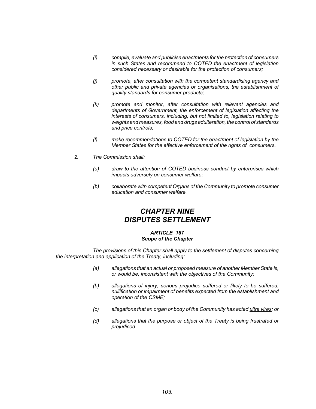- *(i) compile, evaluate and publicise enactments for the protection of consumers in such States and recommend to COTED the enactment of legislation considered necessary or desirable for the protection of consumers;*
- *(j) promote, after consultation with the competent standardising agency and other public and private agencies or organisations, the establishment of quality standards for consumer products;*
- *(k) promote and monitor, after consultation with relevant agencies and departments of Government, the enforcement of legislation affecting the interests of consumers, including, but not limited to, legislation relating to weights and measures, food and drugs adulteration, the control of standards and price controls;*
- *(l) make recommendations to COTED for the enactment of legislation by the Member States for the effective enforcement of the rights of consumers.*
- *2. The Commission shall:*
	- *(a) draw to the attention of COTED business conduct by enterprises which impacts adversely on consumer welfare;*
	- *(b) collaborate with competent Organs of the Community to promote consumer education and consumer welfare.*

# *CHAPTER NINE DISPUTES SETTLEMENT*

#### *ARTICLE 187 Scope of the Chapter*

*The provisions of this Chapter shall apply to the settlement of disputes concerning the interpretation and application of the Treaty, including:*

- *(a) allegations that an actual or proposed measure of another Member State is, or would be, inconsistent with the objectives of the Community;*
- *(b) allegations of injury, serious prejudice suffered or likely to be suffered, nullification or impairment of benefits expected from the establishment and operation of the CSME;*
- *(c) allegations that an organ or body of the Community has acted ultra vires; or*
- *(d) allegations that the purpose or object of the Treaty is being frustrated or prejudiced.*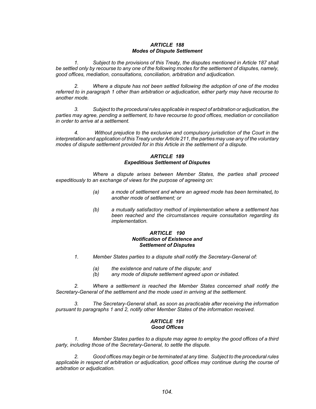#### *ARTICLE 188 Modes of Dispute Settlement*

*1. Subject to the provisions of this Treaty, the disputes mentioned in Article 187 shall be settled only by recourse to any one of the following modes for the settlement of disputes, namely, good offices, mediation, consultations, conciliation, arbitration and adjudication.*

*2. Where a dispute has not been settled following the adoption of one of the modes referred to in paragraph 1 other than arbitration or adjudication, either party may have recourse to another mode.*

*3. Subject to the procedural rules applicable in respect of arbitration or adjudication, the parties may agree, pending a settlement, to have recourse to good offices, mediation or conciliation in order to arrive at a settlement.*

*4. Without prejudice to the exclusive and compulsory jurisdiction of the Court in the interpretation and application of this Treaty under Article 211, the parties may use any of the voluntary modes of dispute settlement provided for in this Article in the settlement of a dispute.*

### *ARTICLE 189 Expeditious Settlement of Disputes*

*Where a dispute arises between Member States, the parties shall proceed expeditiously to an exchange of views for the purpose of agreeing on:*

- *(a) a mode of settlement and where an agreed mode has been terminated, to another mode of settlement; or*
- *(b) a mutually satisfactory method of implementation where a settlement has been reached and the circumstances require consultation regarding its implementation.*

# *ARTICLE 190 Notification of Existence and Settlement of Disputes*

- *1. Member States parties to a dispute shall notify the Secretary-General of:*
	- *(a) the existence and nature of the dispute; and*
	- *(b) any mode of dispute settlement agreed upon or initiated.*

*<i>2. Where a settlement is reached the Member States concerned shall notify the Secretary-General of the settlement and the mode used in arriving at the settlement.*

*3. The Secretary-General shall, as soon as practicable after receiving the information pursuant to paragraphs 1 and 2, notify other Member States of the information received.*

#### *ARTICLE 191 Good Offices*

*1. Member States parties to a dispute may agree to employ the good offices of a third party, including those of the Secretary-General, to settle the dispute.*

*2. Good offices may begin or be terminated at any time. Subject to the procedural rules applicable in respect of arbitration or adjudication, good offices may continue during the course of arbitration or adjudication.*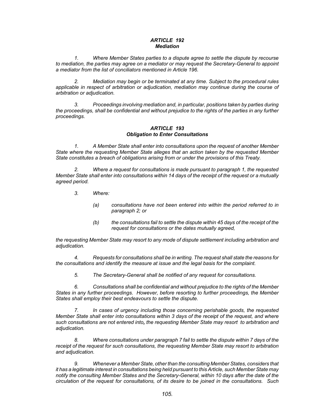#### *ARTICLE 192 Mediation*

*1. Where Member States parties to a dispute agree to settle the dispute by recourse to mediation, the parties may agree on a mediator or may request the Secretary-General to appoint a mediator from the list of conciliators mentioned in Article 196.*

*2. Mediation may begin or be terminated at any time. Subject to the procedural rules applicable in respect of arbitration or adjudication, mediation may continue during the course of arbitration or adjudication.*

*3. Proceedings involving mediation and, in particular, positions taken by parties during the proceedings, shall be confidential and without prejudice to the rights of the parties in any further proceedings.*

# *ARTICLE 193 Obligation to Enter Consultations*

*1. A Member State shall enter into consultations upon the request of another Member State where the requesting Member State alleges that an action taken by the requested Member State constitutes a breach of obligations arising from or under the provisions of this Treaty.*

*2. Where a request for consultations is made pursuant to paragraph 1, the requested Member State shall enter into consultations within 14 days of the receipt of the request or a mutually agreed period.*

- *3. Where:*
	- *(a) consultations have not been entered into within the period referred to in paragraph 2; or*
	- *(b) the consultations fail to settle the dispute within 45 days of the receipt of the request for consultations or the dates mutually agreed,*

*the requesting Member State may resort to any mode of dispute settlement including arbitration and adjudication.*

*4. Requests for consultations shall be in writing. The request shall state the reasons for the consultations and identify the measure at issue and the legal basis for the complaint.*

*5. The Secretary-General shall be notified of any request for consultations.*

*6. Consultations shall be confidential and without prejudice to the rights of the Member States in any further proceedings. However, before resorting to further proceedings, the Member States shall employ their best endeavours to settle the dispute.*

*7. In cases of urgency including those concerning perishable goods, the requested Member State shall enter into consultations within 3 days of the receipt of the request, and where such consultations are not entered into, the requesting Member State may resort to arbitration and adjudication.* 

*8. Where consultations under paragraph 7 fail to settle the dispute within 7 days of the receipt of the request for such consultations, the requesting Member State may resort to arbitration and adjudication.*

*9. Whenever a Member State, other than the consulting Member States, considers that it has a legitimate interest in consultations being held pursuant to this Article, such Member State may notify the consulting Member States and the Secretary-General, within 10 days after the date of the circulation of the request for consultations, of its desire to be joined in the consultations. Such*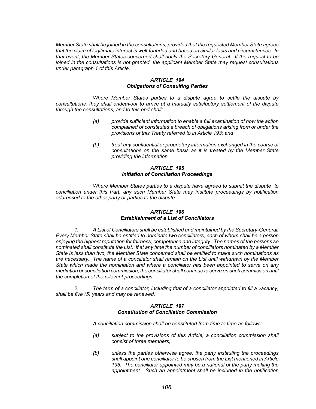*Member State shall be joined in the consultations, provided that the requested Member State agrees that the claim of legitimate interest is well-founded and based on similar facts and circumstances. In that event, the Member States concerned shall notify the Secretary-General. If the request to be joined in the consultations is not granted, the applicant Member State may request consultations under paragraph 1 of this Article.*

# *ARTICLE 194 Obligations of Consulting Parties*

*Where Member States parties to a dispute agree to settle the dispute by consultations, they shall endeavour to arrive at a mutually satisfactory settlement of the dispute through the consultations, and to this end shall:*

- *(a) provide sufficient information to enable a full examination of how the action complained of constitutes a breach of obligations arising from or under the provisions of this Treaty referred to in Article 193; and*
- *(b) treat any confidential or proprietary information exchanged in the course of consultations on the same basis as it is treated by the Member State providing the information.*

#### *ARTICLE 195 Initiation of Conciliation Proceedings*

*Where Member States parties to a dispute have agreed to submit the dispute to conciliation under this Part, any such Member State may institute proceedings by notification addressed to the other party or parties to the dispute.*

### *ARTICLE 196 Establishment of a List of Conciliators*

*1. A List of Conciliators shall be established and maintained by the Secretary-General. Every Member State shall be entitled to nominate two conciliators, each of whom shall be a person enjoying the highest reputation for fairness, competence and integrity. The names of the persons so nominated shall constitute the List. If at any time the number of conciliators nominated by a Member State is less than two, the Member State concerned shall be entitled to make such nominations as are necessary. The name of a conciliator shall remain on the List until withdrawn by the Member State which made the nomination and where a conciliator has been appointed to serve on any mediation or conciliation commission, the conciliator shall continue to serve on such commission until the completion of the relevant proceedings.*

*2. The term of a conciliator, including that of a conciliator appointed to fill a vacancy, shall be five (5) years and may be renewed.*

### *ARTICLE 197 Constitution of Conciliation Commission*

*A conciliation commission shall be constituted from time to time as follows:*

- *(a) subject to the provisions of this Article, a conciliation commission shall consist of three members;*
- *(b) unless the parties otherwise agree, the party instituting the proceedings shall appoint one conciliator to be chosen from the List mentioned in Article 196. The conciliator appointed may be a national of the party making the appointment. Such an appointment shall be included in the notification*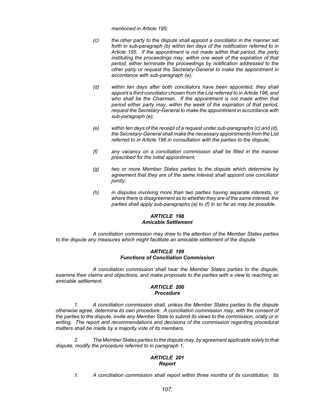*mentioned in Article 195;*

- *(c) the other party to the dispute shall appoint a conciliator in the manner set forth in sub-paragraph (b) within ten days of the notification referred to in Article 195. If the appointment is not made within that period, the party instituting the proceedings may, within one week of the expiration of that period, either terminate the proceedings by notification addressed to the other party or request the Secretary-General to make the appointment in accordance with sub-paragraph (e);*
- *(d) within ten days after both conciliators have been appointed, they shall appoint a third conciliator chosen from the List referred to in Article 196, and who shall be the Chairman. If the appointment is not made within that period either party may, within the week of the expiration of that period, request the Secretary-General to make the appointment in accordance with sub-paragraph (e);*
- *(e) within ten days of the receipt of a request under sub-paragraphs (c) and (d), the Secretary-General shall make the necessary appointments from the List referred to in Article 196 in consultation with the parties to the dispute;*
- *(f) any vacancy on a conciliation commission shall be filled in the manner prescribed for the initial appointment;*
- *(g) two or more Member States parties to the dispute which determine by agreement that they are of the same interest shall appoint one conciliator jointly;*
- *(h) in disputes involving more than two parties having separate interests, or where there is disagreement as to whether they are of the same interest, the parties shall apply sub-paragraphs (a) to (f) in so far as may be possible.*

### *ARTICLE 198 Amicable Settlement*

*A conciliation commission may draw to the attention of the Member States parties to the dispute any measures which might facilitate an amicable settlement of the dispute.*

### *ARTICLE 199 Functions of Conciliation Commission*

*A conciliation commission shall hear the Member States parties to the dispute, examine their claims and objections, and make proposals to the parties with a view to reaching an amicable settlement.*

#### *ARTICLE 200 Procedure*

*1. A conciliation commission shall, unless the Member States parties to the dispute otherwise agree, determine its own procedure. A conciliation commission may, with the consent of the parties to the dispute, invite any Member State to submit its views to the commission, orally or in writing. The report and recommendations and decisions of the commission regarding procedural matters shall be made by a majority vote of its members.*

*2. The Member States parties to the dispute may, by agreement applicable solely to that dispute, modify the procedure referred to in paragraph 1.*

#### *ARTICLE 201 Report*

*1. A conciliation commission shall report within three months of its constitution. Its*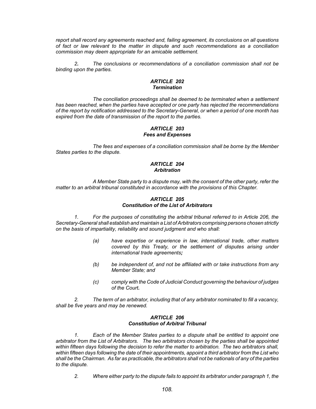*report shall record any agreements reached and, failing agreement, its conclusions on all questions of fact or law relevant to the matter in dispute and such recommendations as a conciliation commission may deem appropriate for an amicable settlement.*

*2. The conclusions or recommendations of a conciliation commission shall not be binding upon the parties.*

#### *ARTICLE 202 Termination*

*The conciliation proceedings shall be deemed to be terminated when a settlement has been reached, when the parties have accepted or one party has rejected the recommendations of the report by notification addressed to the Secretary-General, or when a period of one month has expired from the date of transmission of the report to the parties.*

#### *ARTICLE 203 Fees and Expenses*

*The fees and expenses of a conciliation commission shall be borne by the Member States parties to the dispute.*

#### *ARTICLE 204 Arbitration*

*A Member State party to a dispute may, with the consent of the other party, refer the matter to an arbitral tribunal constituted in accordance with the provisions of this Chapter.*

#### *ARTICLE 205 Constitution of the List of Arbitrators*

*1. For the purposes of constituting the arbitral tribunal referred to in Article 206, the Secretary-General shall establish and maintain a List of Arbitrators comprising persons chosen strictly on the basis of impartiality, reliability and sound judgment and who shall:*

- *(a) have expertise or experience in law, international trade, other matters covered by this Treaty, or the settlement of disputes arising under international trade agreements;*
- *(b) be independent of, and not be affiliated with or take instructions from any Member State; and*
- *(c) comply with the Code of Judicial Conduct governing the behaviour of judges of the Court.*

*2. The term of an arbitrator, including that of any arbitrator nominated to fill a vacancy, shall be five years and may be renewed.*

#### *ARTICLE 206 Constitution of Arbitral Tribunal*

*1. Each of the Member States parties to a dispute shall be entitled to appoint one arbitrator from the List of Arbitrators. The two arbitrators chosen by the parties shall be appointed within fifteen days following the decision to refer the matter to arbitration. The two arbitrators shall, within fifteen days following the date of their appointments, appoint a third arbitrator from the List who shall be the Chairman. As far as practicable, the arbitrators shall not be nationals of any of the parties to the dispute.*

*2. Where either party to the dispute fails to appoint its arbitrator under paragraph 1, the*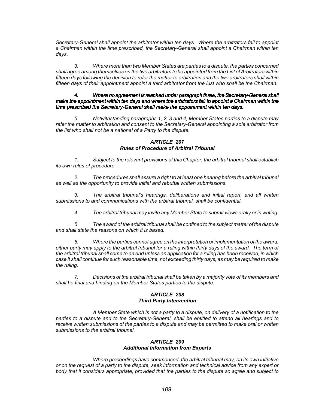*Secretary-General shall appoint the arbitrator within ten days. Where the arbitrators fail to appoint a Chairman within the time prescribed, the Secretary-General shall appoint a Chairman within ten days.*

*3. Where more than two Member States are parties to a dispute, the parties concerned shall agree among themselves on the two arbitrators to be appointed from the List of Arbitrators within fifteen days following the decision to refer the matter to arbitration and the two arbitrators shall within fifteen days of their appointment appoint a third arbitrator from the List who shall be the Chairman.*

#### Where no agreement is reached under paragraph three, the Secretary-General shall 4 make the appointment within ten days and where the arbitrators fail to appoint a Chairman within the time prescribed the Secretary-General shall make the appointment within ten days.

*5. Notwithstanding paragraphs 1, 2, 3 and 4, Member States parties to a dispute may refer the matter to arbitration and consent to the Secretary-General appointing a sole arbitrator from the list who shall not be a national of a Party to the dispute.* 

#### *ARTICLE 207 Rules of Procedure of Arbitral Tribunal*

*1. Subject to the relevant provisions of this Chapter, the arbitral tribunal shall establish its own rules of procedure.*

*2. The procedures shall assure a right to at least one hearing before the arbitral tribunal as well as the opportunity to provide initial and rebuttal written submissions.*

*3. The arbitral tribunal's hearings, deliberations and initial report, and all written submissions to and communications with the arbitral tribunal, shall be confidential.*

*4. The arbitral tribunal may invite any Member State to submit views orally or in writing.*

*5 The award of the arbitral tribunal shall be confined to the subject matter of the dispute and shall state the reasons on which it is based.*

*6. Where the parties cannot agree on the interpretation or implementation of the award, either party may apply to the arbitral tribunal for a ruling within thirty days of the award. The term of the arbitral tribunal shall come to an end unless an application for a ruling has been received, in which case it shall continue for such reasonable time, not exceeding thirty days, as may be required to make the ruling.*

*7. Decisions of the arbitral tribunal shall be taken by a majority vote of its members and shall be final and binding on the Member States parties to the dispute.*

#### *ARTICLE 208 Third Party Intervention*

*A Member State which is not a party to a dispute, on delivery of a notification to the parties to a dispute and to the Secretary-General, shall be entitled to attend all hearings and to receive written submissions of the parties to a dispute and may be permitted to make oral or written submissions to the arbitral tribunal.*

#### *ARTICLE 209 Additional Information from Experts*

*Where proceedings have commenced, the arbitral tribunal may, on its own initiative or on the request of a party to the dispute, seek information and technical advice from any expert or body that it considers appropriate, provided that the parties to the dispute so agree and subject to*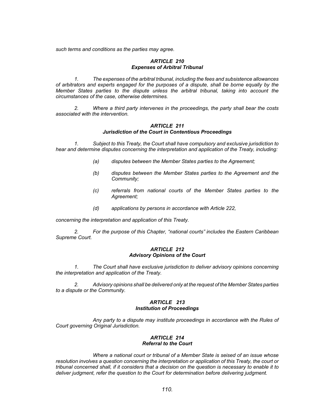*such terms and conditions as the parties may agree.*

#### *ARTICLE 210 Expenses of Arbitral Tribunal*

*1. The expenses of the arbitral tribunal, including the fees and subsistence allowances of arbitrators and experts engaged for the purposes of a dispute, shall be borne equally by the Member States parties to the dispute unless the arbitral tribunal, taking into account the circumstances of the case, otherwise determines.*

*2. Where a third party intervenes in the proceedings, the party shall bear the costs associated with the intervention.*

#### *ARTICLE 211 Jurisdiction of the Court in Contentious Proceedings*

*1. Subject to this Treaty, the Court shall have compulsory and exclusive jurisdiction to hear and determine disputes concerning the interpretation and application of the Treaty, including:*

- *(a) disputes between the Member States parties to the Agreement;*
- *(b) disputes between the Member States parties to the Agreement and the Community;*
- *(c) referrals from national courts of the Member States parties to the Agreement;*
- *(d) applications by persons in accordance with Article 222,*

*concerning the interpretation and application of this Treaty.*

*2. For the purpose of this Chapter, "national courts" includes the Eastern Caribbean Supreme Court.*

#### *ARTICLE 212 Advisory Opinions of the Court*

*1. The Court shall have exclusive jurisdiction to deliver advisory opinions concerning the interpretation and application of the Treaty.*

*2. Advisory opinions shall be delivered only at the request of the Member States parties to a dispute or the Community.*

#### *ARTICLE 213 Institution of Proceedings*

*Any party to a dispute may institute proceedings in accordance with the Rules of Court governing Original Jurisdiction.*

#### *ARTICLE 214 Referral to the Court*

*Where a national court or tribunal of a Member State is seised of an issue whose resolution involves a question concerning the interpretation or application of this Treaty, the court or tribunal concerned shall, if it considers that a decision on the question is necessary to enable it to deliver judgment, refer the question to the Court for determination before delivering judgment.*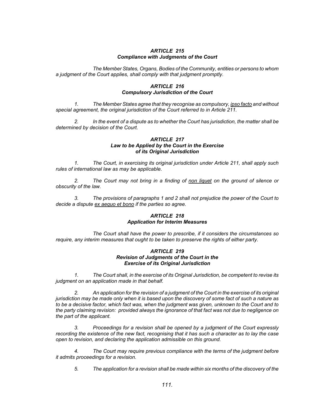#### *ARTICLE 215 Compliance with Judgments of the Court*

*The Member States, Organs, Bodies of the Community, entities or persons to whom a judgment of the Court applies, shall comply with that judgment promptly.*

#### *ARTICLE 216 Compulsory Jurisdiction of the Court*

*1. The Member States agree that they recognise as compulsory, ipso facto and without special agreement, the original jurisdiction of the Court referred to in Article 211.*

*2. In the event of a dispute as to whether the Court has jurisdiction, the matter shall be determined by decision of the Court.*

#### *ARTICLE 217 Law to be Applied by the Court in the Exercise of its Original Jurisdiction*

*1. The Court, in exercising its original jurisdiction under Article 211, shall apply such rules of international law as may be applicable.*

*2. The Court may not bring in a finding of non liquet on the ground of silence or obscurity of the law.*

*3. The provisions of paragraphs 1 and 2 shall not prejudice the power of the Court to decide a dispute ex aequo et bono if the parties so agree.*

#### *ARTICLE 218 Application for Interim Measures*

*The Court shall have the power to prescribe, if it considers the circumstances so require, any interim measures that ought to be taken to preserve the rights of either party.*

#### *ARTICLE 219 Revision of Judgments of the Court in the Exercise of its Original Jurisdiction*

*1. The Court shall, in the exercise of its Original Jurisdiction, be competent to revise its judgment on an application made in that behalf.*

*2. An application for the revision of a judgment of the Court in the exercise of its original jurisdiction may be made only when it is based upon the discovery of some fact of such a nature as to be a decisive factor, which fact was, when the judgment was given, unknown to the Court and to the party claiming revision: provided always the ignorance of that fact was not due to negligence on the part of the applicant.*

*3. Proceedings for a revision shall be opened by a judgment of the Court expressly recording the existence of the new fact, recognising that it has such a character as to lay the case open to revision, and declaring the application admissible on this ground.*

*4. The Court may require previous compliance with the terms of the judgment before it admits proceedings for a revision.*

*5. The application for a revision shall be made within six months of the discovery of the*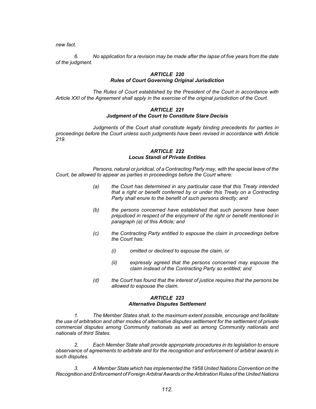*new fact.*

*6. No application for a revision may be made after the lapse of five years from the date of the judgment.*

#### *ARTICLE 220 Rules of Court Governing Original Jurisdiction*

*The Rules of Court established by the President of the Court in accordance with Article XXI of the Agreement shall apply in the exercise of the original jurisdiction of the Court.*

#### *ARTICLE 221 Judgment of the Court to Constitute Stare Decisis*

*Judgments of the Court shall constitute legally binding precedents for parties in proceedings before the Court unless such judgments have been revised in accordance with Article 219.*

#### *ARTICLE 222 Locus Standi of Private Entities*

*Persons, natural or juridical, of a Contracting Party may, with the special leave of the Court, be allowed to appear as parties in proceedings before the Court where:*

- *(a) the Court has determined in any particular case that this Treaty intended that a right or benefit conferred by or under this Treaty on a Contracting Party shall enure to the benefit of such persons directly; and*
- *(b) the persons concerned have established that such persons have been prejudiced in respect of the enjoyment of the right or benefit mentioned in paragraph (a) of this Article; and*
- *(c) the Contracting Party entitled to espouse the claim in proceedings before the Court has:*
	- *(i) omitted or declined to espouse the claim, or*
	- *(ii) expressly agreed that the persons concerned may espouse the claim instead of the Contracting Party so entitled; and*
- *(d) the Court has found that the interest of justice requires that the persons be allowed to espouse the claim.*

#### *ARTICLE 223 Alternative Disputes Settlement*

*1. The Member States shall, to the maximum extent possible, encourage and facilitate the use of arbitration and other modes of alternative disputes settlement for the settlement of private commercial disputes among Community nationals as well as among Community nationals and nationals of third States.*

*2. Each Member State shall provide appropriate procedures in its legislation to ensure observance of agreements to arbitrate and for the recognition and enforcement of arbitral awards in such disputes.*

*3. A Member State which has implemented the 1958 United Nations Convention on the Recognition and Enforcement of Foreign Arbitral Awards or the Arbitration Rules of the United Nations*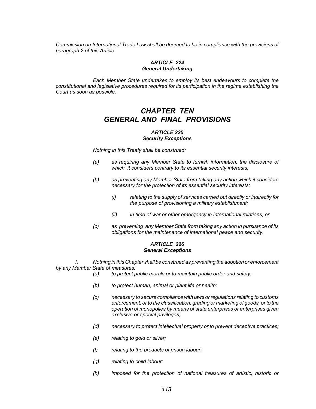*Commission on International Trade Law shall be deemed to be in compliance with the provisions of paragraph 2 of this Article.* 

#### *ARTICLE 224 General Undertaking*

*Each Member State undertakes to employ its best endeavours to complete the constitutional and legislative procedures required for its participation in the regime establishing the Court as soon as possible.*

### *CHAPTER TEN GENERAL AND FINAL PROVISIONS*

#### *ARTICLE 225 Security Exceptions*

*Nothing in this Treaty shall be construed:*

- *(a) as requiring any Member State to furnish information, the disclosure of which it considers contrary to its essential security interests;*
- *(b) as preventing any Member State from taking any action which it considers necessary for the protection of its essential security interests:*
	- *(i) relating to the supply of services carried out directly or indirectly for the purpose of provisioning a military establishment;*
	- *(ii) in time of war or other emergency in international relations; or*
- *(c) as preventing any Member State from taking any action in pursuance of its obligations for the maintenance of international peace and security.*

#### *ARTICLE 226 General Exceptions*

*1. Nothing in this Chapter shall be construed as preventing the adoption or enforcement by any Member State of measures:*

- *(a) to protect public morals or to maintain public order and safety;*
- *(b) to protect human, animal or plant life or health;*
- *(c) necessary to secure compliance with laws or regulations relating to customs enforcement, or to the classification, grading or marketing of goods, or to the operation of monopolies by means of state enterprises or enterprises given exclusive or special privileges;*
- *(d) necessary to protect intellectual property or to prevent deceptive practices;*
- *(e) relating to gold or silver;*
- *(f) relating to the products of prison labour;*
- *(g) relating to child labour;*
- *(h) imposed for the protection of national treasures of artistic, historic or*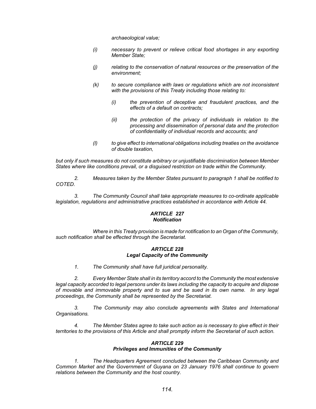*archaeological value;*

- *(i) necessary to prevent or relieve critical food shortages in any exporting Member State;*
- *(j) relating to the conservation of natural resources or the preservation of the environment;*
- *(k) to secure compliance with laws or regulations which are not inconsistent with the provisions of this Treaty including those relating to:*
	- *(i) the prevention of deceptive and fraudulent practices, and the effects of a default on contracts;*
	- *(ii) the protection of the privacy of individuals in relation to the processing and dissemination of personal data and the protection of confidentiality of individual records and accounts; and*
- *(l) to give effect to international obligations including treaties on the avoidance of double taxation,*

*but only if such measures do not constitute arbitrary or unjustifiable discrimination between Member States where like conditions prevail, or a disguised restriction on trade within the Community.*

*2. Measures taken by the Member States pursuant to paragraph 1 shall be notified to COTED.*

*3. The Community Council shall take appropriate measures to co-ordinate applicable legislation, regulations and administrative practices established in accordance with Article 44.*

#### *ARTICLE 227 Notification*

*Where in this Treaty provision is made for notification to an Organ of the Community, such notification shall be effected through the Secretariat.*

#### *ARTICLE 228 Legal Capacity of the Community*

*1. The Community shall have full juridical personality.*

*2. Every Member State shall in its territory accord to the Community the most extensive legal capacity accorded to legal persons under its laws including the capacity to acquire and dispose of movable and immovable property and to sue and be sued in its own name. In any legal proceedings, the Community shall be represented by the Secretariat.*

*3. The Community may also conclude agreements with States and International Organisations.*

*4. The Member States agree to take such action as is necessary to give effect in their territories to the provisions of this Article and shall promptly inform the Secretariat of such action.*

#### *ARTICLE 229 Privileges and Immunities of the Community*

*1. The Headquarters Agreement concluded between the Caribbean Community and Common Market and the Government of Guyana on 23 January 1976 shall continue to govern relations between the Community and the host country.*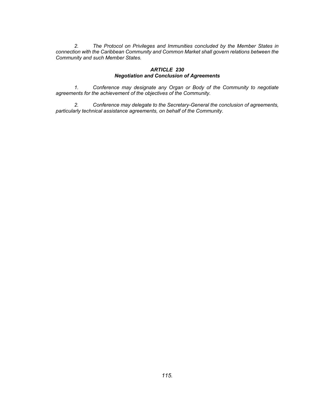*2. The Protocol on Privileges and Immunities concluded by the Member States in connection with the Caribbean Community and Common Market shall govern relations between the Community and such Member States.*

#### *ARTICLE 230 Negotiation and Conclusion of Agreements*

*1. Conference may designate any Organ or Body of the Community to negotiate agreements for the achievement of the objectives of the Community.*

*2. Conference may delegate to the Secretary-General the conclusion of agreements, particularly technical assistance agreements, on behalf of the Community*.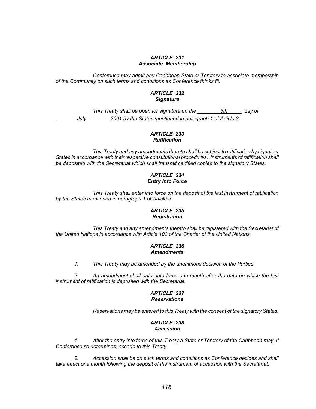#### *ARTICLE 231 Associate Membership*

*Conference may admit any Caribbean State or Territory to associate membership of the Community on such terms and conditions as Conference thinks fit.*

#### *ARTICLE 232 Signature*

*This Treaty shall be open for signature on the* 5th 5th day of  *July 2001 by the States mentioned in paragraph 1 of Article 3.*

#### *ARTICLE 233 Ratification*

*This Treaty and any amendments thereto shall be subject to ratification by signatory States in accordance with their respective constitutional procedures. Instruments of ratification shall be deposited with the Secretariat which shall transmit certified copies to the signatory States.*

#### *ARTICLE 234 Entry Into Force*

*This Treaty shall enter into force on the deposit of the last instrument of ratification by the States mentioned in paragraph 1 of Article 3*

#### *ARTICLE 235 Registration*

*This Treaty and any amendments thereto shall be registered with the Secretariat of the United Nations in accordance with Article 102 of the Charter of the United Nations*

#### *ARTICLE 236 Amendments*

*1. This Treaty may be amended by the unanimous decision of the Parties.*

*2. An amendment shall enter into force one month after the date on which the last instrument of ratification is deposited with the Secretariat.*

#### *ARTICLE 237 Reservations*

*Reservations may be entered to this Treaty with the consent of the signatory States.*

#### *ARTICLE 238 Accession*

*1. After the entry into force of this Treaty a State or Territory of the Caribbean may, if Conference so determines, accede to this Treaty.*

*2. Accession shall be on such terms and conditions as Conference decides and shall take effect one month following the deposit of the instrument of accession with the Secretariat.*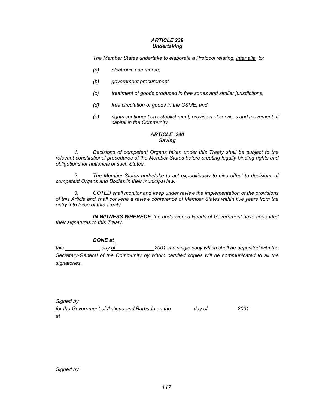#### *ARTICLE 239 Undertaking*

*The Member States undertake to elaborate a Protocol relating, inter alia, to:*

- *(a) electronic commerce;*
- *(b) government procurement*
- *(c) treatment of goods produced in free zones and similar jurisdictions;*
- *(d) free circulation of goods in the CSME, and*
- *(e) rights contingent on establishment, provision of services and movement of capital in the Community.*

#### *ARTICLE 240 Saving*

*1. Decisions of competent Organs taken under this Treaty shall be subject to the relevant constitutional procedures of the Member States before creating legally binding rights and obligations for nationals of such States.*

*2. The Member States undertake to act expeditiously to give effect to decisions of competent Organs and Bodies in their municipal law.*

*3. COTED shall monitor and keep under review the implementation of the provisions of this Article and shall convene a review conference of Member States within five years from the entry into force of this Treaty.*

*IN WITNESS WHEREOF, the undersigned Heads of Government have appended their signatures to this Treaty.*

*DONE at this day of 2001 in a single copy which shall be deposited with the Secretary-General of the Community by whom certified copies will be communicated to all the signatories.*

| Signed by                                        |        |      |
|--------------------------------------------------|--------|------|
| for the Government of Antigua and Barbuda on the | dav of | 2001 |
| at                                               |        |      |

*Signed by*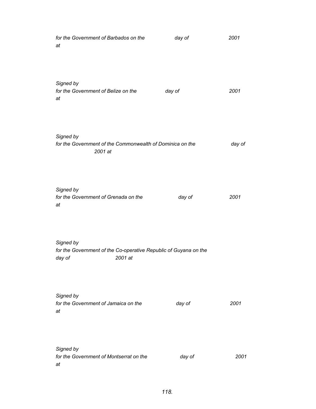| for the Government of Barbados on the<br>at                                             |         | day of | 2001   |
|-----------------------------------------------------------------------------------------|---------|--------|--------|
| Signed by<br>for the Government of Belize on the<br>at                                  |         | day of | 2001   |
| Signed by<br>for the Government of the Commonwealth of Dominica on the<br>2001 at       |         |        | day of |
| Signed by<br>for the Government of Grenada on the<br>at                                 |         | day of | 2001   |
| Signed by<br>for the Government of the Co-operative Republic of Guyana on the<br>day of | 2001 at |        |        |
| Signed by<br>for the Government of Jamaica on the<br>at                                 |         | day of | 2001   |
| Signed by<br>for the Government of Montserrat on the<br>at                              |         | day of | 2001   |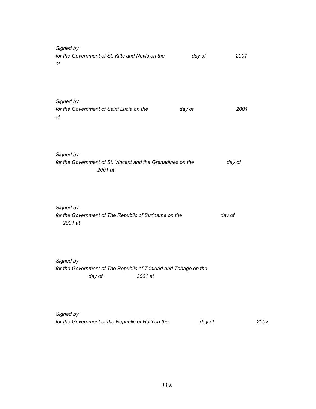| Signed by<br>at      | for the Government of St. Kitts and Nevis on the                           |         | day of | 2001   |       |
|----------------------|----------------------------------------------------------------------------|---------|--------|--------|-------|
| Signed by<br>at      | for the Government of Saint Lucia on the                                   |         | day of | 2001   |       |
| Signed by            | for the Government of St. Vincent and the Grenadines on the<br>2001 at     |         |        | day of |       |
| Signed by<br>2001 at | for the Government of The Republic of Suriname on the                      |         |        | day of |       |
| Signed by            | for the Government of The Republic of Trinidad and Tobago on the<br>day of | 2001 at |        |        |       |
| Signed by            | for the Government of the Republic of Haiti on the                         |         | day of |        | 2002. |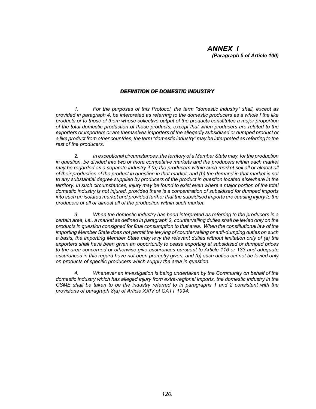#### *DEFINITION OF DOMESTIC INDUSTRY DEFINITION OF DOMESTIC INDUSTRY*

*1. For the purposes of this Protocol, the term "domestic industry" shall, except as provided in paragraph 4, be interpreted as referring to the domestic producers as a whole f the like products or to those of them whose collective output of the products constitutes a major proportion of the total domestic production of those products, except that when producers are related to the exporters or importers or are themselves importers of the allegedly subsidised or dumped product or a like product from other countries, the term "domestic industry" may be interpreted as referring to the rest of the producers.*

*2. In exceptional circumstances, the territory of a Member State may, for the production in question, be divided into two or more competitive markets and the producers within each market may be regarded as a separate industry if (a) the producers within such market sell all or almost all of their production of the product in question in that market, and (b) the demand in that market is not to any substantial degree supplied by producers of the product in question located elsewhere in the territory. In such circumstances, injury may be found to exist even where a major portion of the total domestic industry is not injured, provided there is a concentration of subsidised for dumped imports into such an isolated market and provided further that the subsidised imports are causing injury to the producers of all or almost all of the production within such market.*

*3. When the domestic industry has been interpreted as referring to the producers in a certain area, i.e., a market as defined in paragraph 2, countervailing duties shall be levied only on the products in question consigned for final consumption to that area. When the constitutional law of the importing Member State does not permit the levying of countervailing or anti-dumping duties on such a basis, the importing Member State may levy the relevant duties without limitation only of (a) the exporters shall have been given an opportunity to cease exporting at subsidised or dumped prices to the area concerned or otherwise give assurances pursuant to Article 116 or 133 and adequate assurances in this regard have not been promptly given, and (b) such duties cannot be levied only on products of specific producers which supply the area in question.*

*4. Whenever an investigation is being undertaken by the Community on behalf of the domestic industry which has alleged injury from extra-regional imports, the domestic industry in the CSME shall be taken to be the industry referred to in paragraphs 1 and 2 consistent with the provisions of paragraph 8(a) of Article XXIV of GATT 1994.*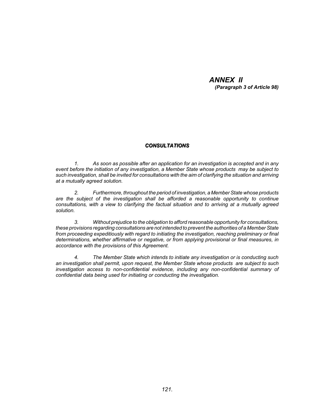### *ANNEX II (Paragraph 3 of Article 98)*

#### *CONSULTATIONS CONSULTATIONS*

*1. As soon as possible after an application for an investigation is accepted and in any event before the initiation of any investigation, a Member State whose products may be subject to such investigation, shall be invited for consultations with the aim of clarifying the situation and arriving at a mutually agreed solution.*

*2. Furthermore, throughout the period of investigation, a Member State whose products are the subject of the investigation shall be afforded a reasonable opportunity to continue consultations, with a view to clarifying the factual situation and to arriving at a mutually agreed solution.*

*3. Without prejudice to the obligation to afford reasonable opportunity for consultations, these provisions regarding consultations are not intended to prevent the authorities of a Member State from proceeding expeditiously with regard to initiating the investigation, reaching preliminary or final determinations, whether affirmative or negative, or from applying provisional or final measures, in accordance with the provisions of this Agreement.*

*4. The Member State which intends to initiate any investigation or is conducting such an investigation shall permit, upon request, the Member State whose products are subject to such investigation access to non-confidential evidence, including any non-confidential summary of confidential data being used for initiating or conducting the investigation.*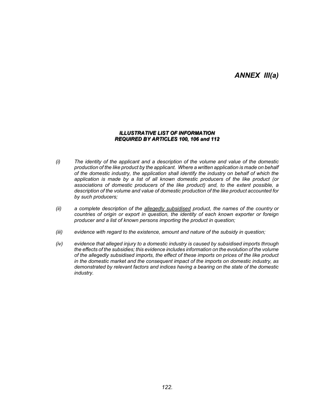## *ANNEX III(a)*

#### *ILLUSTRATIVE LIST OF INFORMATION ILLUSTRATIVE LIST OF INFORMATION REQUIRED BY ARTICLES 100, 106 and 112 REQUIRED BY ARTICLES 100, 106 and 112*

- *(i) The identity of the applicant and a description of the volume and value of the domestic production of the like product by the applicant. Where a written application is made on behalf of the domestic industry, the application shall identify the industry on behalf of which the application is made by a list of all known domestic producers of the like product (or associations of domestic producers of the like product) and, to the extent possible, a description of the volume and value of domestic production of the like product accounted for by such producers;*
- *(ii) a complete description of the allegedly subsidised product, the names of the country or countries of origin or export in question, the identity of each known exporter or foreign producer and a list of known persons importing the product in question;*
- *(iii) evidence with regard to the existence, amount and nature of the subsidy in question;*
- *(iv) evidence that alleged injury to a domestic industry is caused by subsidised imports through the effects of the subsidies; this evidence includes information on the evolution of the volume of the allegedly subsidised imports, the effect of these imports on prices of the like product in the domestic market and the consequent impact of the imports on domestic industry, as demonstrated by relevant factors and indices having a bearing on the state of the domestic industry.*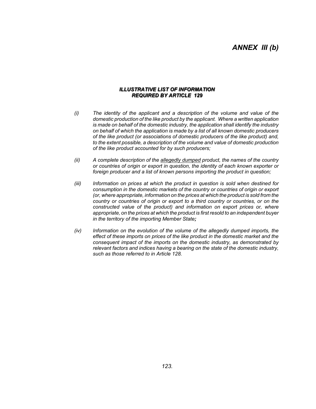## *ANNEX III (b)*

#### *ILLUSTRATIVE LIST OF INFORMATION ILLUSTRATIVE LIST OF INFORMATION REQUIRED BY ARTICLE 129 REQUIRED BY ARTICLE 129*

- *(i) The identity of the applicant and a description of the volume and value of the domestic production of the like product by the applicant. Where a written application is made on behalf of the domestic industry, the application shall identify the industry on behalf of which the application is made by a list of all known domestic producers of the like product (or associations of domestic producers of the like product) and, to the extent possible, a description of the volume and value of domestic production of the like product accounted for by such producers;*
- *(ii) A complete description of the allegedly dumped product, the names of the country or countries of origin or export in question, the identity of each known exporter or foreign producer and a list of known persons importing the product in question;*
- *(iii) Information on prices at which the product in question is sold when destined for consumption in the domestic markets of the country or countries of origin or export (or, where appropriate, information on the prices at which the product is sold from the country or countries of origin or export to a third country or countries, or on the constructed value of the product) and information on export prices or, where appropriate, on the prices at which the product is first resold to an independent buyer in the territory of the importing Member State;*
- *(iv) Information on the evolution of the volume of the allegedly dumped imports, the effect of these imports on prices of the like product in the domestic market and the consequent impact of the imports on the domestic industry, as demonstrated by relevant factors and indices having a bearing on the state of the domestic industry, such as those referred to in Article 128.*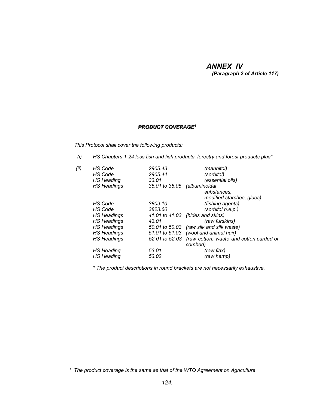# *ANNEX IV*

*(Paragraph 2 of Article 117)*

### *PRODUCT COVERAGE PRODUCT COVERAGE11*

*This Protocol shall cover the following products:*

 *(i) HS Chapters 1-24 less fish and fish products, forestry and forest products plus\*;*

| (ii) | <b>HS Code</b>     | 2905.43                      | (mannitol)                              |
|------|--------------------|------------------------------|-----------------------------------------|
|      | <b>HS Code</b>     | 2905.44                      | (sorbitol)                              |
|      | <b>HS Heading</b>  | 33.01                        | (essential oils)                        |
|      | <b>HS Headings</b> | 35.01 to 35.05 (albuminoidal |                                         |
|      |                    |                              | substances.                             |
|      |                    |                              | modified starches, glues)               |
|      | <b>HS Code</b>     | 3809.10                      | (fishing agents)                        |
|      | <b>HS Code</b>     | 3823.60                      | (sorbitol n.e.p.)                       |
|      | HS Headings        |                              | 41.01 to 41.03 (hides and skins)        |
|      | <b>HS Headings</b> | 43.01                        | (raw furskins)                          |
|      | HS Headings        | 50.01 to 50.03               | (raw silk and silk waste)               |
|      | <b>HS Headings</b> | 51.01 to 51.03               | (wool and animal hair)                  |
|      | <b>HS Headings</b> | 52.01 to 52.03               | (raw cotton, waste and cotton carded or |
|      |                    |                              | combed)                                 |
|      | <b>HS Heading</b>  | 53.01                        | (raw flax)                              |
|      | <b>HS Heading</b>  | 53.02                        | (raw hemp)                              |

*\* The product descriptions in round brackets are not necessarily exhaustive.*

*<sup>1</sup>The product coverage is the same as that of the WTO Agreement on Agriculture.*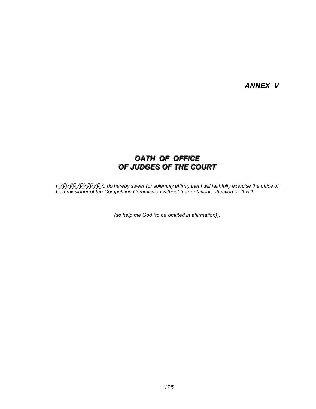*ANNEX V*

## *OATH OF OFFICE OATH OF OFFICE* **OF JUDGES OF THE COURT**

*I* ÿÿÿÿÿÿÿÿÿÿÿÿÿ*.. do hereby swear (or solemnly affirm) that I will faithfully exercise the office of Commissioner of the Competition Commission without fear or favour, affection or ill-will.*

*(so help me God (to be omitted in affirmation)).*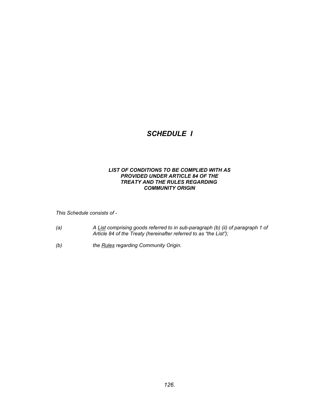## *SCHEDULE I*

#### *LIST OF CONDITIONS TO BE COMPLIED WITH AS PROVIDED UNDER ARTICLE 84 OF THE TREATY AND THE RULES REGARDING COMMUNITY ORIGIN*

*This Schedule consists of -*

- *(a) A List comprising goods referred to in sub-paragraph (b) (ii) of paragraph 1 of Article 84 of the Treaty (hereinafter referred to as "the List");*
- *(b) the Rules regarding Community Origin.*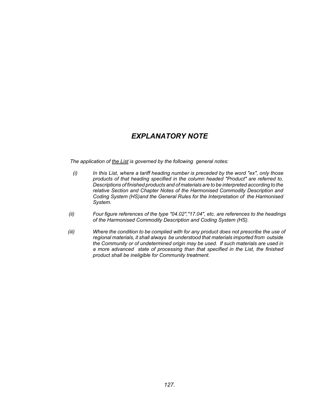## *EXPLANATORY NOTE*

 *The application of the List is governed by the following general notes:*

- *(i) In this List, where a tariff heading number is preceded by the word "ex", only those products of that heading specified in the column headed "Product" are referred to. Descriptions of finished products and of materials are to be interpreted according to the relative Section and Chapter Notes of the Harmonised Commodity Description and Coding System (HS)and the General Rules for the Interpretation of the Harmonised System.*
- *(ii) Four figure references of the type "04.02","17.04", etc. are references to the headings of the Harmonised Commodity Description and Coding System (HS).*
- *(iii) Where the condition to be complied with for any product does not prescribe the use of regional materials, it shall always be understood that materials imported from outside the Community or of undetermined origin may be used. If such materials are used in a more advanced state of processing than that specified in the List, the finished product shall be ineligible for Community treatment.*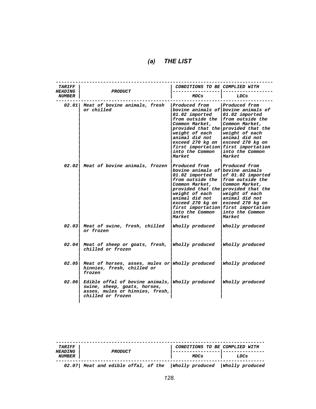*(a) THE LIST*

| <i><b>TARIFF</b></i> /<br><i>HEADING  </i> | PRODUCT                                                                                                                                                       | CONDITIONS TO BE COMPLIED WITH                                                                                                                                                                                                                                                                                                                                                                                     |                                                                                          |
|--------------------------------------------|---------------------------------------------------------------------------------------------------------------------------------------------------------------|--------------------------------------------------------------------------------------------------------------------------------------------------------------------------------------------------------------------------------------------------------------------------------------------------------------------------------------------------------------------------------------------------------------------|------------------------------------------------------------------------------------------|
| <i>NUMBER  </i>                            |                                                                                                                                                               | MDCs                                                                                                                                                                                                                                                                                                                                                                                                               | LDCS                                                                                     |
|                                            | 02.01 Meat of bovine animals, fresh<br>or chilled                                                                                                             | <i>Produced from</i><br>bovine animals of bovine animals of<br>01.02 imported 01.02 imported<br>from outside the from outside the<br>Common Market, (Common Market,<br>provided that the provided that the<br>weight of each yweight of each<br>animal did not    animal did not<br>exceed 270 kg on exceed 270 kg on<br>first importation first importation<br>into the Common (into the Common<br><i> Market</i> | <i>Produced from</i><br><i>Market</i>                                                    |
|                                            | 02.02 Meat of bovine animals, frozen Produced from                                                                                                            | bovine animals of/bovine animals<br>/01.02 imported<br>from outside the [from outside the]<br>Common Market, <i>(Common Market,</i><br>provided that the provided that the<br>weight of each<br>animal did not<br> exceed 270 kg on  exceed 270 kg on<br>first importation first importation<br>into the Common (into the Common<br><i> Market</i>                                                                 | <i>Produced from</i><br>of 01.02 imported<br>weight of each<br>animal did not<br>/Market |
|                                            | 02.03 Meat of swine, fresh, chilled<br>or frozen                                                                                                              | Wholly produced Wholly produced                                                                                                                                                                                                                                                                                                                                                                                    |                                                                                          |
|                                            | 02.04   Meat of sheep or goats, fresh, Wholly produced<br>chilled or frozen                                                                                   |                                                                                                                                                                                                                                                                                                                                                                                                                    | <i>Wholly produced</i>                                                                   |
|                                            | 02.05   Meat of horses, asses, mules or Wholly produced   Wholly produced<br>hinnies, fresh, chilled or<br>frozen                                             |                                                                                                                                                                                                                                                                                                                                                                                                                    |                                                                                          |
|                                            | 02.06 Edible offal of bovine animals, Wholly produced Wholly produced<br>swine, sheep, goats, horses,<br>asses, mules or hinnies, fresh,<br>chilled or frozen |                                                                                                                                                                                                                                                                                                                                                                                                                    |                                                                                          |

| <b><i>TARTFF</i></b>                          |                                                                         | CONDITIONS TO BE COMPLIED WITH |      |
|-----------------------------------------------|-------------------------------------------------------------------------|--------------------------------|------|
| <i><b>HEADING</b></i><br><i><b>NUMBER</b></i> | <b>PRODUCT</b>                                                          | <i>MDCs</i>                    | LDCS |
|                                               | 02.07   Meat and edible offal, of the  Wholly produced  Wholly produced |                                |      |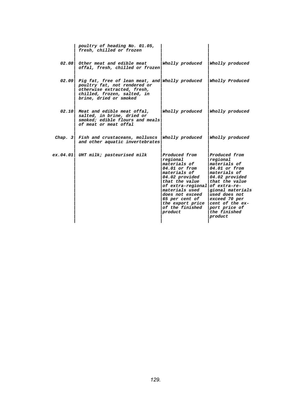| poultry of heading No. 01.05,<br>fresh, chilled or frozen                                                                                                                     |                                                                                                                                                                                                                                                                                                               |                                                                                                                                                                                                                           |
|-------------------------------------------------------------------------------------------------------------------------------------------------------------------------------|---------------------------------------------------------------------------------------------------------------------------------------------------------------------------------------------------------------------------------------------------------------------------------------------------------------|---------------------------------------------------------------------------------------------------------------------------------------------------------------------------------------------------------------------------|
| 02.08 Other meat and edible meat<br>offal, fresh, chilled or frozen                                                                                                           | Wholly produced  Wholly produced                                                                                                                                                                                                                                                                              |                                                                                                                                                                                                                           |
| 02.09 Pig fat, free of lean meat, and Wholly produced<br>poultry fat, not rendered or<br>otherwise extracted, fresh,<br>chilled, frozen, salted, in<br>brine, dried or smoked |                                                                                                                                                                                                                                                                                                               | Wholly Produced                                                                                                                                                                                                           |
| 02.10   Meat and edible meat offal,   Wholly produced   Wholly produced<br>salted, in brine, dried or<br>smoked; edible flours and meals<br>of meat or meat offal             |                                                                                                                                                                                                                                                                                                               |                                                                                                                                                                                                                           |
| Chap. 3 Fish and crustaceans, molluscs Wholly produced Wholly produced<br>and other aquatic invertebrates/                                                                    |                                                                                                                                                                                                                                                                                                               |                                                                                                                                                                                                                           |
| ex.04.01/ UHT milk; pasteurised milk                                                                                                                                          | <i>Produced from</i><br><i>regional</i><br>materials of<br>/04.01 or from<br>/materials of<br>04.02 provided<br>that the value<br>of extra-regional/of extra-re-<br>/materials used<br>does not exceed<br>/65 per cent of<br>the export price (cent of the ex-<br>of the finished  port price of<br>  product | <i>Produced from</i><br>$ $ regional<br><i>Imaterials of</i><br>104.01 or from<br>/materials of<br>$/04.02$ provided<br>that the value<br>gional materials<br>used does not<br>exceed 70 per<br>the finished<br>  product |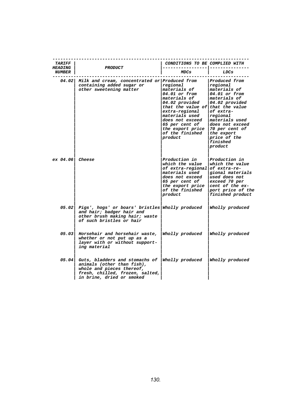| <b>TARIFF</b> /<br>HEADING | <i>PRODUCT</i>                                                                                                                                                                                  | <i>  CONDITIONS TO BE COMPLIED WITH</i>                                                                                                                                                                                                                                                                                |                                                                                                                                                                                                                     |
|----------------------------|-------------------------------------------------------------------------------------------------------------------------------------------------------------------------------------------------|------------------------------------------------------------------------------------------------------------------------------------------------------------------------------------------------------------------------------------------------------------------------------------------------------------------------|---------------------------------------------------------------------------------------------------------------------------------------------------------------------------------------------------------------------|
| <i>NUMBER  </i>            |                                                                                                                                                                                                 | MDCs                                                                                                                                                                                                                                                                                                                   | LDCs                                                                                                                                                                                                                |
|                            | 04.02/ Milk and cream, concentrated or/Produced from<br>containing added sugar or<br>other sweetening matter                                                                                    | regional/<br>/materials of<br>04.01 or from<br>/materials of<br>04.02 provided<br>that the value of/that the value)<br>extra-regional  of extra-<br>/materials used<br>does not exceed (materials used<br>/65 per cent of<br>the export price 70 per cent of<br>$\sigma$ the finished $\sigma$ the export<br>  product | Produced from<br>$\vert$ regional<br><i>materials of</i><br>$/04.01$ or from<br><i>materials of</i><br>04.02 provided<br><i>regional</i><br>does not exceed<br><i>price</i> of the<br><i>lfinished</i><br>  product |
| ex 04.06  Cheese           |                                                                                                                                                                                                 | Production in<br>which the value (which the value)<br>of extra-regional/of extra-re-<br>$\sqrt{\mathtt{m}$ aterials used $\qquad$ gional materials<br> does not exceed   used does not<br>65 per cent of lexceed 70 per<br>the export price (cent of the ex-<br>of the finished <i>port price of the</i><br>product    | <i>Production in</i><br><i>finished product</i>                                                                                                                                                                     |
|                            | 05.02 Pigs', hogs' or boars' bristles Wholly produced Wholly produced<br>and hair; badger hair and<br>other brush making hair; waste<br>of such bristles or hair                                |                                                                                                                                                                                                                                                                                                                        |                                                                                                                                                                                                                     |
|                            | $05.03$ Horsehair and horsehair waste, Wholly produced<br>whether or not put up as a<br>layer with or without support-<br>ing material                                                          |                                                                                                                                                                                                                                                                                                                        | Wholly produced                                                                                                                                                                                                     |
|                            | 05.04 Guts, bladders and stomachs of Wholly produced Wholly produced<br>animals (other than fish),<br>whole and pieces thereof,<br>fresh, chilled, frozen, salted,<br>in brine, dried or smoked |                                                                                                                                                                                                                                                                                                                        |                                                                                                                                                                                                                     |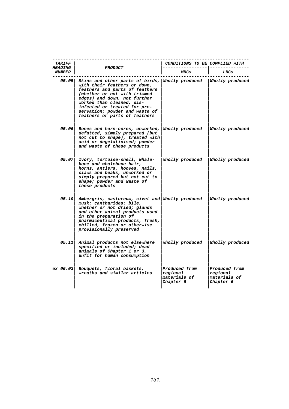| <i><b>TARIFF</b></i><br><i><b>HEADING</b></i> | <b>PRODUCT</b>                                                                                                                                                                                                                                                                                                                          | <i>  CONDITIONS TO BE COMPLIED WITH</i>                        |                                                                        |
|-----------------------------------------------|-----------------------------------------------------------------------------------------------------------------------------------------------------------------------------------------------------------------------------------------------------------------------------------------------------------------------------------------|----------------------------------------------------------------|------------------------------------------------------------------------|
| <i><b>NUMBER</b></i>                          |                                                                                                                                                                                                                                                                                                                                         | MDCs                                                           | LDCs                                                                   |
|                                               | 05.05 Skins and other parts of birds, Wholly produced Wholly produced<br>with their feathers or down,<br>feathers and parts of feathers<br>(whether or not with trimmed<br>edges) and down, not further<br>worked than cleaned, dis-<br>infected or treated for pre-<br>servation; powder and waste of<br>feathers or parts of feathers |                                                                |                                                                        |
|                                               | 05.06 Bones and horn-cores, unworked, Wholly produced Wholly produced<br>defatted, simply prepared (but<br>not cut to shape), treated with<br>acid or degelatinised; powder<br>and waste of these products                                                                                                                              |                                                                |                                                                        |
|                                               | 05.07 Ivory, tortoise-shell, whale-<br>bone and whalebone hair,<br>horns, antlers, hooves, nails,<br>claws and beaks, unworked or<br>simply prepared but not cut to<br>shape; powder and waste of<br>these products                                                                                                                     | Wholly produced                                                | <i>Wholly produced</i>                                                 |
|                                               | 05.10 Ambergris, castoreum, civet and Wholly produced<br>musk; cantharides; bile,<br>whether or not dried; glands<br>and other animal products used<br>in the preparation of<br>pharmaceutical products, fresh,<br>chilled, frozen or otherwise<br>provisionally preserved                                                              |                                                                | Wholly produced                                                        |
|                                               | 05.11 Animal products not elsewhere<br>specified or included; dead<br>animals of Chapter 1 or 3,<br>unfit for human consumption                                                                                                                                                                                                         | Wholly produced Wholly produced                                |                                                                        |
|                                               | ex 06.03 Bouquets, floral baskets,<br>wreaths and similar articles                                                                                                                                                                                                                                                                      | <i>Produced from</i><br>regional/<br>materials of<br>Chapter 6 | <i>Produced from</i><br>regional/<br><i>Imaterials of</i><br>Chapter 6 |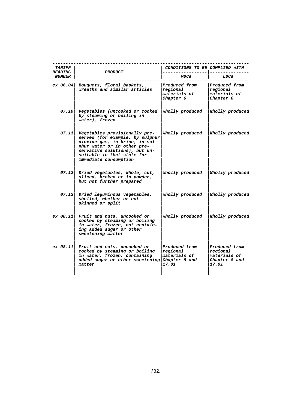| <i><b>TARIFF</b></i>                     |                                                                                                                                                                                                                                                             | <i>CONDITIONS TO BE COMPLIED WITH</i>                           |                                                                              |
|------------------------------------------|-------------------------------------------------------------------------------------------------------------------------------------------------------------------------------------------------------------------------------------------------------------|-----------------------------------------------------------------|------------------------------------------------------------------------------|
| <i><b>HEADING</b></i><br><i>NUMBER  </i> | <b>PRODUCT</b>                                                                                                                                                                                                                                              | MDCs                                                            | LDCs                                                                         |
|                                          | ex 06.04 Bouquets, floral baskets,<br>wreaths and similar articles                                                                                                                                                                                          | <i>Produced from</i><br>regional/<br>/materials of<br>Chapter 6 | <b>Produced</b> from<br>$I$ regional<br>/materials of<br>Chapter 6           |
|                                          | 07.10 Vegetables (uncooked or cooked Wholly produced<br>by steaming or boiling in<br>water), frozen                                                                                                                                                         |                                                                 | Wholly produced                                                              |
|                                          | 07.11 Vegetables provisionally pre-<br>$\acute{}\qq$ served (for example, by sulphur $\acute{}\qq$<br>dioxide gas, in brine, in sul-<br>phur water or in other pre-<br>servative solutions), but un-<br>suitable in that state for<br>immediate consumption | <i>Wholly produced</i>                                          | Wholly produced                                                              |
|                                          | 07.12 Dried vegetables, whole, cut,<br>sliced, broken or in powder,<br>but not further prepared                                                                                                                                                             | Wholly produced                                                 | Wholly produced                                                              |
|                                          | 07.13 Dried leguminous vegetables,<br>shelled, whether or not<br>skinned or split                                                                                                                                                                           | Wholly produced                                                 | Wholly produced                                                              |
|                                          | ex 08.11/ Fruit and nuts, uncooked or<br>cooked by steaming or boiling<br>in water, frozen, not contain-<br>ing added sugar or other<br>sweetening matter                                                                                                   | Wholly produced                                                 | Wholly produced                                                              |
|                                          | ex 08.11 Fruit and nuts, uncooked or<br>cooked by steaming or boiling<br>in water, frozen, containing<br>added sugar or other sweetening Chapter 8 and<br>matter                                                                                            | Produced from<br>regional/<br><i>materials of</i><br>117.01     | Produced from<br>regional/<br><i>materials of</i><br>Chapter 8 and<br>117.01 |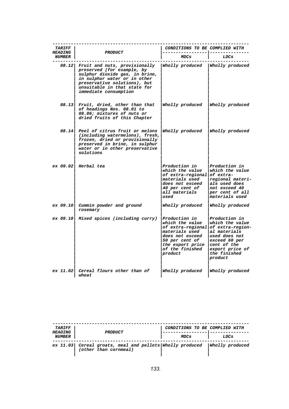| <i><b>TARIFF</b></i><br><i><b>HEADING</b></i> | <b>PRODUCT</b>                                                                                                                                                                                                                      | <i>  CONDITIONS TO BE COMPLIED WITH</i>                                                                                                                                          |                                                                                                                                            |
|-----------------------------------------------|-------------------------------------------------------------------------------------------------------------------------------------------------------------------------------------------------------------------------------------|----------------------------------------------------------------------------------------------------------------------------------------------------------------------------------|--------------------------------------------------------------------------------------------------------------------------------------------|
| <i><b>NUMBER</b></i>                          |                                                                                                                                                                                                                                     | <b>MDCs</b>                                                                                                                                                                      | LDCs                                                                                                                                       |
|                                               | 08.12 Fruit and nuts, provisionally<br><i>Preserved (for example, by</i><br>sulphur dioxide gas, in brine,<br>in sulphur water or in other<br>preservative solutions), but<br>unsuitable in that state for<br>immediate consumption | <i>Wholly produced</i>                                                                                                                                                           | <i>Wholly produced</i>                                                                                                                     |
|                                               | 08.13 Fruit, dried, other than that<br>of headings Nos. 08.01 to<br>08.06; mixtures of nuts or<br>dried fruits of this Chapter                                                                                                      | <i>Wholly produced</i>                                                                                                                                                           | <i>Wholly produced</i>                                                                                                                     |
|                                               | 08.14 Peel of citrus fruit or melons Wholly produced Wholly produced<br>(including watermelons), fresh,<br>frozen, dried or provisionally /<br>preserved in brine, in sulphur<br>water or in other preservative<br>solutions        |                                                                                                                                                                                  |                                                                                                                                            |
|                                               | $ex 09.02$ Herbal tea                                                                                                                                                                                                               | Production in<br>which the value<br>of extra-regional/of extra-<br>/materials used<br>does not exceed<br>/40 per cent of<br>all materials<br>lused.                              | <i>Production in</i><br>which the value<br>regional materi-<br>als used does<br>not exceed 40<br>per cent of all<br>/materials used        |
|                                               | ex 09.10  Cummin powder and ground<br>rosemary                                                                                                                                                                                      | <i>Wholly produced</i>                                                                                                                                                           | <i>Wholly produced</i>                                                                                                                     |
|                                               | ex 09.10 Mixed spices (including curry) Production in                                                                                                                                                                               | which the value<br>of extra-regional/of extra-region-<br>/materials used<br>does not exceed<br>50 per cent of<br>the export price /cent of the /<br>of the finished<br>  product | <i>Production in</i><br>which the value<br>al materials<br>used does not<br>exceed 60 per<br>export price of<br>the finished)<br>  product |
|                                               | ex 11.02/ Cereal flours other than of<br>wheat                                                                                                                                                                                      | Wholly produced                                                                                                                                                                  | <i>Wholly produced</i>                                                                                                                     |

| <b><i>TARIFF</i></b><br><i><b>HEADING</b></i> | <b>PRODUCT</b>                                                                                            | CONDITIONS TO BE COMPLIED WITH |      |
|-----------------------------------------------|-----------------------------------------------------------------------------------------------------------|--------------------------------|------|
| <i>NUMBER</i>                                 |                                                                                                           | <i>MDCs</i>                    | LDCs |
|                                               | ex 11.03/ Cereal groats, meal and pellets/Wholly produced /Wholly produced<br>/ (other than cornmeal) / / |                                |      |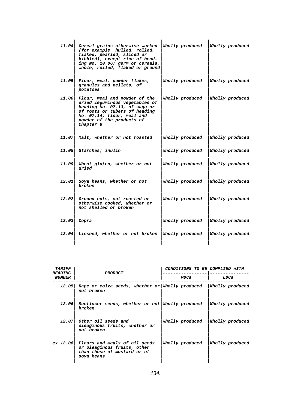|  | 11.04 Cereal grains otherwise worked Wholly produced<br>(for example, hulled, rolled,<br>flaked, pearled, sliced or<br>kibbled), except rice of head- $\sqrt{ }$<br>$'$ ing No. 10.06; germ or cereals, $/$<br>whole, rolled, flaked or ground | <i>Wholly produced</i>           |
|--|------------------------------------------------------------------------------------------------------------------------------------------------------------------------------------------------------------------------------------------------|----------------------------------|
|  | 11.05   Flour, meal, powder flakes,<br>granules and pellets, of<br>potatoes                                                                                                                                                                    | Wholly produced Wholly produced  |
|  | 11.06 Flour, meal and powder of the<br>$\sqrt{d}$ dried leguminous vegetables of<br>heading No. 07.13, of sago or<br>of roots or tubers of heading<br>No. 07.14; flour, meal and<br>powder of the products of<br>Chapter 8                     | Wholly produced Wholly produced  |
|  | 11.07   Malt, whether or not roasted                                                                                                                                                                                                           | Wholly produced Wholly produced  |
|  | 11.08 Starches; inulin                                                                                                                                                                                                                         | Wholly produced  Wholly produced |
|  | 11.09 Wheat gluten, whether or not<br>dried                                                                                                                                                                                                    | Wholly produced  Wholly produced |
|  | 12.01 Soya beans, whether or not<br>' broken                                                                                                                                                                                                   | Wholly produced  Wholly produced |
|  | 12.02 Ground-nuts, not roasted or<br>otherwise cooked, whether or<br>not shelled or broken                                                                                                                                                     | Wholly produced  Wholly produced |
|  | 12.03/Copra                                                                                                                                                                                                                                    | Wholly produced Wholly produced  |
|  | 12.04 Linseed, whether or not broken Wholly produced Wholly produced                                                                                                                                                                           |                                  |
|  |                                                                                                                                                                                                                                                |                                  |

| <b><i>TARTFF</i></b><br><b>HEADING</b> | <i>PRODUCT</i>                                                                                                      |                 | CONDITIONS TO BE COMPLIED WITH |
|----------------------------------------|---------------------------------------------------------------------------------------------------------------------|-----------------|--------------------------------|
| <i><b>NUMBER</b></i>                   |                                                                                                                     | MDCs            | LDCs                           |
|                                        | 12.05 Rape or colza seeds, whether or Wholly produced Wholly produced<br>not broken                                 |                 |                                |
|                                        | 12.06 Sunflower seeds, whether or not Wholly produced<br>broken                                                     |                 | <i>Wholly produced</i>         |
|                                        | 12.07/ Other oil seeds and<br>oleaginous fruits, whether or<br>not broken                                           | Wholly produced | <i>Wholly produced</i>         |
|                                        | ex 12.08/ Flours and meals of oil seeds<br>or oleaginous fruits, other<br>than those of mustard or of<br>soya beans | Wholly produced | <i>Wholly produced</i>         |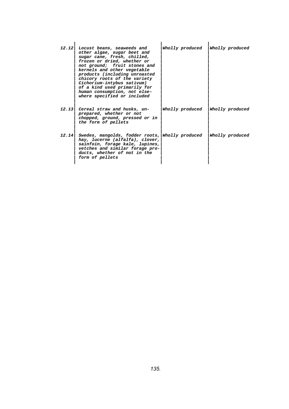| 12.12 Locust beans, seaweeds and<br>other algae, sugar beet and<br>sugar cane, fresh, chilled,<br>frozen or dried, whether or<br>not ground; fruit stones and<br>kernels and other vegetable<br>products (including unroasted<br>chicory roots of the variety<br>Cichorium-intybus sativum)<br>of a kind used primarily for<br>human consumption, not else-<br>where specified or included | Wholly produced (Wholly produced  |                        |
|--------------------------------------------------------------------------------------------------------------------------------------------------------------------------------------------------------------------------------------------------------------------------------------------------------------------------------------------------------------------------------------------|-----------------------------------|------------------------|
| 12.13/ Cereal straw and husks, un-<br>prepared, whether or not<br>chopped, ground, pressed or in<br>the form of pellets                                                                                                                                                                                                                                                                    | Wholly produced (Wholly produced) |                        |
| 12.14 Swedes, mangolds, fodder roots, Wholly produced<br>hay, lucerne (alfalfa), clover,<br>sainfoin, forage kale, lupines,<br>vetches and similar forage pro-<br>ducts, whether of not in the<br>form of pellets                                                                                                                                                                          |                                   | <i>Wholly produced</i> |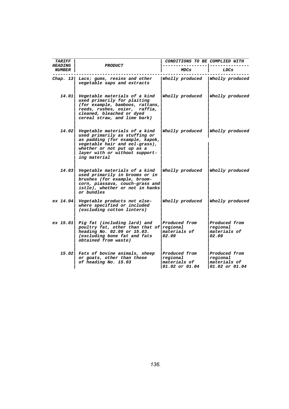| <i><b>TARIFF</b></i>            |                                                                                                                                                                                                                             | CONDITIONS TO BE COMPLIED WITH                                       |                                                                                           |  |
|---------------------------------|-----------------------------------------------------------------------------------------------------------------------------------------------------------------------------------------------------------------------------|----------------------------------------------------------------------|-------------------------------------------------------------------------------------------|--|
| <i><b>HEADING</b></i><br>NUMBER | <i><b>PRODUCT</b></i>                                                                                                                                                                                                       | MDCs                                                                 | LDCs                                                                                      |  |
|                                 | Chap. 13 Lacs; gums, resins and other<br>vegetable saps and extracts /                                                                                                                                                      | Wholly produced  Wholly produced                                     |                                                                                           |  |
|                                 | 14.01/ Vegetable materials of a kind<br>used primarily for plaiting<br>(for example, bamboos, rattans,<br>reeds, rushes, osier, raffia,<br>cleaned, bleached or dyed<br>cereal straw, and lime bark)                        | <i>Wholly produced</i>                                               | <i>Wholly produced</i>                                                                    |  |
|                                 | 14.02 Vegetable materials of a kind<br>used primarily as stuffing or<br>as padding (for example, kapok, )<br>vegetable hair and eel-grass),<br>whether or not put up as a<br>layer with or without support-<br>ing material | Wholly produced  Wholly produced                                     |                                                                                           |  |
|                                 | 14.03/ Vegetable materials of a kind /Wholly produced<br>used primarily in brooms or in<br>brushes (for example, broom-<br>corn, piassava, couch-grass and<br>istle), whether or not in hanks<br>or bundles                 |                                                                      | Wholly produced                                                                           |  |
|                                 | ex 14.04 Vegetable products not else-<br>where specified or included<br>(excluding cotton linters)                                                                                                                          | Wholly produced                                                      | <i>Wholly produced</i>                                                                    |  |
|                                 | ex 15.01/ Pig fat (including lard) and<br>poultry fat, other than that of regional<br>heading No. 02.09 or 15.03.<br>(excluding bone fat and fats<br>obtained from waste)                                                   | <i>Produced from</i><br>/materials of<br>102.09                      | <i>Produced from</i><br>regional/<br><i>Imaterials of</i><br>02.09                        |  |
|                                 | 15.02 Fats of bovine animals, sheep<br>or goats, other than those<br>of heading No. 15.03                                                                                                                                   | Produced from<br><i> regional</i><br>/materials of<br>01.02 or 01.04 | <i>Produced from</i><br><i>regional</i><br><i>Imaterials of</i><br><i> 01.02 or 01.04</i> |  |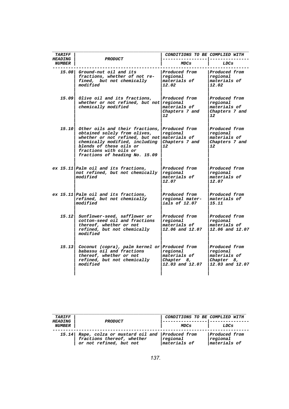| <i><b>TARIFF</b></i><br><i><b>HEADING</b></i> | <b>PRODUCT</b>                                                                                                                                                                                                                                                                                 | CONDITIONS TO BE COMPLIED WITH<br>_____/_____                                      |                                                                                     |
|-----------------------------------------------|------------------------------------------------------------------------------------------------------------------------------------------------------------------------------------------------------------------------------------------------------------------------------------------------|------------------------------------------------------------------------------------|-------------------------------------------------------------------------------------|
| <i>NUMBER</i>                                 |                                                                                                                                                                                                                                                                                                | <b>MDCs</b>                                                                        | LDCs                                                                                |
|                                               | 15.08 Ground-nut oil and its<br>fractions, whether of not re-<br>fined, but not chemically<br>modified                                                                                                                                                                                         | <i>Produced from</i><br><i>regional</i><br><i>materials of</i><br>12.02            | <i>Produced from</i><br><i>regional</i><br><i>materials</i> of<br>112.02            |
|                                               | 15.09 Olive oil and its fractions,<br>whether or not refined, but not regional<br>chemically modified                                                                                                                                                                                          | <i>Produced from</i><br>materials of<br>Chapters 7 and<br>12                       | Produced from<br>regional/<br>materials of<br>Chapters 7 and<br>112                 |
|                                               | 15.10 Other oils and their fractions, Produced from<br>  obtained solely from olives,    regional<br>whether or not refined, but not materials of<br>  chemically modified, including (Chapters 7 and<br>blends of these oils or<br>fractions with oils or "<br>fractions of heading No. 15.09 | 112                                                                                | Produced from<br>regional/<br>/materials of<br>Chapters 7 and<br>  12               |
|                                               | ex 15.11/Palm oil and its fractions,<br>not refined, but not chemically (regional<br> modified                                                                                                                                                                                                 | <i>Produced from</i><br>/materials of<br>12.07                                     | Produced from<br>regional/<br>/materials of<br>112.07                               |
|                                               | $ex$ 15.11/Palm oil and its fractions,<br>refined, but not chemically<br><i>modified</i>                                                                                                                                                                                                       | <i>Produced from</i><br>regional mater-<br>ials of 12.07)                          | <i>Produced from</i><br>/materials of<br>115.11                                     |
|                                               | 15.12 Sunflower-seed, safflower or<br>cotton-seed oil and fractions<br>thereof, whether or not<br>refined, but not chemically<br>modified                                                                                                                                                      | <i>Produced from</i><br><i>regional</i><br>$/$ materials of<br>$12.06$ and $12.07$ | Produced from<br>regional/<br><i>Imaterials of</i><br>12.06 and 12.07               |
|                                               | 15.13 Coconut (copra), palm kernel or Produced from<br>babassu oil and fractions<br>thereof, whether or not<br>refined, but not chemically<br>modified                                                                                                                                         | regional<br>/materials of<br>$/Chapter 8$ ,<br>112.03 and 12.07                    | Produced from<br><i> regional</i><br>/materials of<br>Chapter 8,<br>12.03 and 12.07 |

| TARTFF<br><i><b>HEADING</b></i> | <b>PRODUCT</b>                                                                                               | CONDITIONS TO BE COMPLIED WITH |                                                   |
|---------------------------------|--------------------------------------------------------------------------------------------------------------|--------------------------------|---------------------------------------------------|
| <i>NUMBER</i>                   |                                                                                                              | MDCs                           | LDCs                                              |
| 15.14/                          | Rape, colza or mustard oil and <i>Produced from</i><br>fractions thereof, whether<br>or not refined, but not | regional<br>materials of       | Produced from<br>regional<br><i>Imaterials of</i> |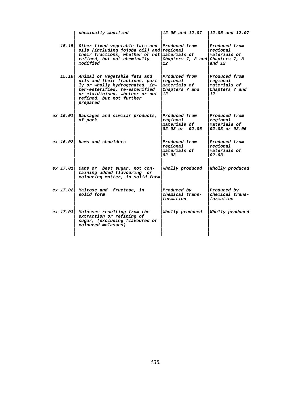|  | chemically modified                                                                                                                                                                                                                                               | $/12.05$ and $12.07$ $/12.05$ and $12.07$            |                                                                            |
|--|-------------------------------------------------------------------------------------------------------------------------------------------------------------------------------------------------------------------------------------------------------------------|------------------------------------------------------|----------------------------------------------------------------------------|
|  | 15.15 Other fixed vegetable fats and Produced from<br>oils (including jojoba oil) and regional<br>their fractions, whether or not materials of<br>refined, but not chemically (chapters 7, 8 and Chapters 7, 8<br>modified                                        | 12                                                   | <i>Produced from</i><br><i>regional</i><br>$/$ materials of<br>and 12      |
|  | 15.16 Animal or vegetable fats and<br>oils and their fractions, part-/regional<br>ly or wholly hydrogenated, in- $/$ materials of<br>ter-esterified, re-esterified (Chapters 7 and<br>or elaidinised, whether or not (12)<br>refined, but not further<br>prepared | <i>Produced from</i>                                 | Produced from<br>regional/<br><i>materials</i> of<br>Chapters 7 and<br>112 |
|  | ex 16.01 Sausages and similar products, Produced from<br>of pork                                                                                                                                                                                                  | regional/<br>/materials of<br>$02.03$ or $02.06$     | Produced from<br>regional/<br>materials of<br>$102.03$ or $02.06$          |
|  | ex $16.02$ Hams and shoulders                                                                                                                                                                                                                                     | Produced from<br>regional/<br>/materials of<br>02.03 | <i>Produced from</i><br> regional<br><i>materials</i> of<br>102.03         |
|  | ex 17.01  Cane or beet sugar, not con-<br>taining added flavouring or<br>colouring matter, in solid form                                                                                                                                                          | Wholly produced Wholly produced                      |                                                                            |
|  | ex 17.02 Maltose and fructose, in<br>solid form                                                                                                                                                                                                                   | Produced by<br>chemical trans-<br>formation          | <i>Produced</i> by<br>chemical trans-<br><i>lformation</i>                 |
|  | ex 17.03   Molasses resulting from the<br>extraction or refining of<br>sugar, (excluding flavoured or<br>coloured molasses)                                                                                                                                       | <i>Wholly produced</i>                               | Wholly produced                                                            |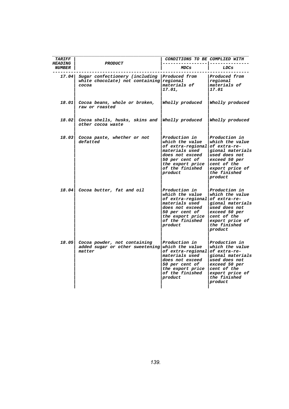| <i><b>TARIFF</b></i><br><i><b>HEADING</b></i> | <i>PRODUCT</i>                                                                                              | CONDITIONS TO BE COMPLIED WITH                                                                                                                                                                                            |                                                                                                                                                     |
|-----------------------------------------------|-------------------------------------------------------------------------------------------------------------|---------------------------------------------------------------------------------------------------------------------------------------------------------------------------------------------------------------------------|-----------------------------------------------------------------------------------------------------------------------------------------------------|
| <i>NUMBER  </i>                               |                                                                                                             | MDCs                                                                                                                                                                                                                      | LDCs                                                                                                                                                |
|                                               | 17.04 Sugar confectionery (including   Produced from<br>white chocolate) not containing regional  <br>cocoa | /materials of<br>/17.01,                                                                                                                                                                                                  | <i>Produced from</i><br>/regional<br><i>materials</i> of<br>/17.01                                                                                  |
|                                               | 18.01 Cocoa beans, whole or broken,<br>raw or roasted                                                       | <i>Wholly produced</i>                                                                                                                                                                                                    | <i>Wholly produced</i>                                                                                                                              |
|                                               | 18.02 Cocoa shells, husks, skins and Wholly produced Wholly produced<br>other cocoa waste                   |                                                                                                                                                                                                                           |                                                                                                                                                     |
|                                               | 18.03 Cocoa paste, whether or not<br>defatted                                                               | <i>Production in</i><br>which the value<br>of extra-regional/of extra-re-<br>materials used<br>does not exceed   used does not<br><i> 50 per cent of</i><br>the export price (cent of the<br>of the finished<br>  product | <i>Production in</i><br>which the value<br>gional materials<br>/exceed 50 per<br>export price of<br>the finished<br>  product                       |
|                                               | 18.04 Cocoa butter, fat and oil                                                                             | <i>Production in</i><br>which the value<br>of extra-regional/of extra-re-<br>/materials used<br>does not exceed<br>50 per cent of<br>$\sqrt{}$ the export price $\sqrt{}$ cent of the<br>of the finished<br>  product     | <i>Production in</i><br>which the value<br>gional materials<br>used does not<br>exceed 50 per<br>export price of<br>the finished<br>  product       |
|                                               | 18.05 Cocoa powder, not containing<br>added sugar or other sweetening/which the value<br>matter             | <i>Production in</i><br>of extra-regional/of extra-re-<br>/materials used<br>does not exceed<br><i>50 per cent of</i><br>the export price (cent of the)<br>of the finished<br>  product                                   | <i>Production in</i><br>which the value<br><i>dional</i> materials<br>used does not<br>exceed 50 per<br>export price of<br>the finished<br>/product |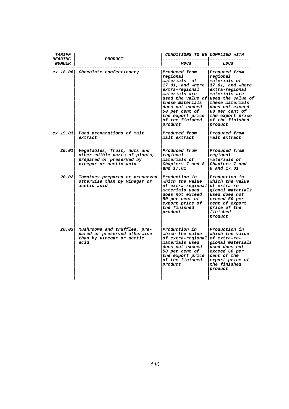| <i><b>TARIFF</b></i>                     |                                                                                                                          | CONDITIONS TO BE COMPLIED WITH                                                                                                                                                                                                                                                                    |                                                                                                                                                                                             |
|------------------------------------------|--------------------------------------------------------------------------------------------------------------------------|---------------------------------------------------------------------------------------------------------------------------------------------------------------------------------------------------------------------------------------------------------------------------------------------------|---------------------------------------------------------------------------------------------------------------------------------------------------------------------------------------------|
| <i><b>HEADING</b></i><br><i>NUMBER  </i> | <b>PRODUCT</b>                                                                                                           | <b>MDCs</b>                                                                                                                                                                                                                                                                                       | LDCs                                                                                                                                                                                        |
|                                          | ex 18.06/ Chocolate confectionery                                                                                        | <i>Produced from</i><br>regional/<br>materials of<br>17.01, and where $/17.01$ , and where<br>extra-regional<br>/materials are<br>used the value of/used the value of<br>these materials<br>does not exceed<br>50 per cent of<br>the export price (the export price<br>of the finished<br>product | <i>Produced from</i><br>regional/<br><i>materials</i> of<br>extra-regional<br>/materials are<br>these materials<br>does not exceed<br><i>60 per cent of</i><br>of the finished<br>  product |
|                                          | ex 19.01/ Food preparations of malt<br>extract                                                                           | <i>Produced from</i><br>malt extract                                                                                                                                                                                                                                                              | Produced from<br>/malt extract                                                                                                                                                              |
|                                          | 20.01 Vegetables, fruit, nuts and<br>other edible parts of plants,<br>prepared or preserved by<br>vinegar or acetic acid | <i>Produced from</i><br>regional/<br>/materials of<br>Chapters 7 and 8 <i>Chapters</i> 7 and<br>and 17.01                                                                                                                                                                                         | <i>Produced from</i><br>regional/<br><i>materials of</i><br>8 and 17.01                                                                                                                     |
|                                          | 20.02 Tomatoes prepared or preserved Production in<br>otherwise than by vinegar or<br>acetic acid                        | which the value<br>of extra-regional/of extra-re-<br>materials used<br>does not exceed<br>50 per cent of<br>export price of<br>the finished<br>product                                                                                                                                            | Production in<br>which the value<br>gional materials<br>used does not<br>exceed 60 per<br>cent of export<br><i>price of the</i><br><i>lfinished</i><br>  product                            |
|                                          | 20.03 Mushrooms and truffles, pre-<br>pared or preserved otherwise<br>than by vinegar or acetic<br>acid                  | <i>Production in</i><br>which the value<br>of extra-regional/of extra-re-<br>materials used<br>does not exceed<br>50 per cent of<br>the export price (cent of the<br>of the finished<br>product                                                                                                   | Production in<br>which the value<br><i> gional materials</i><br>used does not<br>exceed 60 per<br>export price of<br>the finished)<br>  product                                             |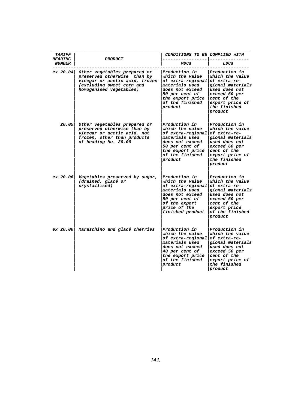| <i><b>TARIFF</b></i><br><i><b>HEADING</b></i> | <b>PRODUCT</b>                                                                                                                                                                                 | CONDITIONS TO BE COMPLIED WITH                                                                                                                                                                                           |                                                                                                                                                                |
|-----------------------------------------------|------------------------------------------------------------------------------------------------------------------------------------------------------------------------------------------------|--------------------------------------------------------------------------------------------------------------------------------------------------------------------------------------------------------------------------|----------------------------------------------------------------------------------------------------------------------------------------------------------------|
| <i><b>NUMBER</b></i>                          |                                                                                                                                                                                                | MDCs                                                                                                                                                                                                                     | LDCs                                                                                                                                                           |
|                                               | ex 20.04/ Other vegetables prepared or<br>preserved otherwise than by<br>vinegar or acetic acid, frozen of extra-regional of extra-re-<br>(excluding sweet corn and<br>homogenised vegetables) | <i>Production in</i><br>which the value<br>materials used<br>does not exceed<br>50 per cent of<br>the export price  cent of the<br>of the finished<br>  product                                                          | <i>Production in</i><br>which the value<br>gional materials<br>lused does not<br>exceed 60 per<br>export price of<br>the finished<br>  product                 |
|                                               | 20.05 Other vegetables prepared or<br>preserved otherwise than by<br>vinegar or acetic acid, not<br>frozen, other than products<br>of heading No. 20.06                                        | <i> Production in</i><br>which the value<br>of extra-regional/of extra-re-<br>/materials used<br>does not exceed<br>50 per cent of<br>the export price)<br>of the finished<br>  product                                  | <i>Production in</i><br>which the value<br> gional materials<br>used does not<br>exceed 60 per<br>cent of the<br>export price of<br>the finished)<br>  product |
|                                               | ex 20.06   Vegetables preserved by sugar,<br>(drained, glacé or<br>crystallised)                                                                                                               | <i>Production in</i><br>which the value<br>of extra-regional/of extra-re-<br>/materials used<br>does not exceed<br><i> 50 per cent of</i><br>of the export<br><i> price of the</i><br>finished product   of the finished | <i>Production in</i><br>which the value<br><i> gional materials</i><br>used does not<br>exceed 60 per/<br>cent of the<br>export price<br>  product             |
|                                               | ex 20.06   Maraschino and glacé cherries                                                                                                                                                       | Production in<br>which the value<br>of extra-regional/of extra-re-<br>materials used<br>does not exceed<br>40 per cent of<br>the export price)<br>of the finished<br>  product                                           | Production in<br>which the value<br><i> gional materials</i><br>used does not<br>exceed 50 per<br>cent of the<br>export price of<br>the finished)<br>'product  |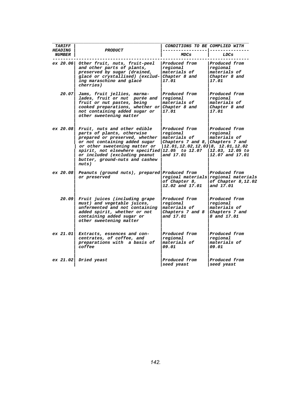| <i><b>TARIFF</b></i><br><i><b>HEADING</b></i> | <b>PRODUCT</b>                                                                                                                                                                                                                                                                                                             | CONDITIONS TO BE COMPLIED WITH                                                                                   |                                                                                                           |
|-----------------------------------------------|----------------------------------------------------------------------------------------------------------------------------------------------------------------------------------------------------------------------------------------------------------------------------------------------------------------------------|------------------------------------------------------------------------------------------------------------------|-----------------------------------------------------------------------------------------------------------|
| <i><b>NUMBER</b></i>                          |                                                                                                                                                                                                                                                                                                                            | MDCs                                                                                                             | LDCs                                                                                                      |
|                                               | ex 20.06  Other fruit, nuts, fruit-peel<br>and other parts of plants,<br>preserved by sugar (drained,<br>glacé or crystallised) (exclud- Chapter 8 and<br>ing maraschino and glacé<br>cherries)                                                                                                                            | <i>Produced from</i><br>regional/<br>materials of<br>117.01                                                      | <i>Produced from</i><br>regional<br>materials of<br>Chapter 8 and<br>/17.01                               |
|                                               | 20.07 Jams, fruit jellies, marma-<br>lades, fruit or nut purée and (regional<br>fruit or nut pastes, being<br>cooked preparations, whether or Chapter 8 and<br>not containing added sugar or<br>other sweetening matter                                                                                                    | <i>Produced from</i><br><i>materials</i> of<br>/17.01                                                            | <i>Produced from</i><br><i> regional</i><br><i>materials of</i><br><i>Chapter</i> 8 and<br>117.01         |
|                                               | ex 20.08 Fruit, nuts and other edible<br>parts of plants, otherwise<br>prepared or preserved, whether $ $ materials of<br>or not containing added sugar<br>or other sweetening matter or<br>spirit, not elsewhere specified $12.05$ to $12.07$<br>or included (excluding peanut<br>butter, ground-nuts and cashew<br>nuts) | Produced from<br>regional/<br>Chapters 7 and 8, Chapters 7 and<br> 12.01,12.02,12.03 8, 12.01,12.02<br>and 17.01 | <i>Produced from</i><br><i>regional</i><br><i>Imaterials of</i><br>$/12.03, 12.05$ to<br>112.07 and 17.01 |
|                                               | ex 20.08 Peanuts (ground nuts), prepared Produced from<br>or preserved                                                                                                                                                                                                                                                     | regioal materials/regional materials<br>of Chapter 8,<br>12.02 and 17.01                                         | <i>Produced from</i><br>$ $ of Chapter 8,12.02<br>and 17.01                                               |
|                                               | 20.09 Fruit juices (including grape<br>must) and vegetable juices,<br>unfermented and not containing<br>added spirit, whether or not<br>containing added sugar or<br>other sweetening matter                                                                                                                               | Produced from<br>regional/<br><i>materials of</i><br>Chapters 7 and 8 (Chapters 7 and<br>and 17.01               | <i>Produced from</i><br>regional/<br>/materials of<br><i>8</i> and 17.01                                  |
|                                               | ex 21.01/ Extracts, essences and con-<br>centrates, of coffee, and<br>preparations with a basis of<br>coffee                                                                                                                                                                                                               | <i>Produced from</i><br>regional/<br>materials of<br>09.01                                                       | <i>Produced from</i><br>regional/<br>/materials of<br>09.01                                               |
|                                               | ex $21.02$ Dried yeast                                                                                                                                                                                                                                                                                                     | Produced from<br> seed yeast                                                                                     | <i>Produced from</i><br> seed yeast                                                                       |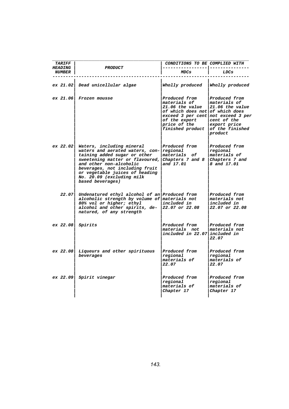| <i><b>TARIFF</b></i><br>HEADING |                                                                                                                                                                                                                                                                                                                                         | CONDITIONS TO BE COMPLIED WITH                                                                                                                                                                                                                                                                               |                                                                          |
|---------------------------------|-----------------------------------------------------------------------------------------------------------------------------------------------------------------------------------------------------------------------------------------------------------------------------------------------------------------------------------------|--------------------------------------------------------------------------------------------------------------------------------------------------------------------------------------------------------------------------------------------------------------------------------------------------------------|--------------------------------------------------------------------------|
| NUMBER                          | <b>PRODUCT</b>                                                                                                                                                                                                                                                                                                                          | <b>MDCs</b>                                                                                                                                                                                                                                                                                                  | LDCs                                                                     |
|                                 | ex 21.02 Dead unicellular algae                                                                                                                                                                                                                                                                                                         | Wholly produced  Wholly produced                                                                                                                                                                                                                                                                             |                                                                          |
|                                 | $ex$ 21.06 Frozen mousse                                                                                                                                                                                                                                                                                                                | <i>Produced from</i><br><i>materials of</i><br>$1/21.06$ the value $1/21.06$ the value<br>$\int$ of which does not $\int$ of which does<br>exceed 3 per cent not exceed 3 per <br>of the export (cent of the<br>$\it I$ price of the<br>$\sqrt{\mathit{f}}$ inished product $\sqrt{\mathit{f}}$ the finished | <i>Produced from</i><br>/materials of<br>export price<br>/product        |
|                                 | ex 22.02   Waters, including mineral<br>waters and aerated waters, con-/regional<br>taining added sugar or other<br>sweetening matter or flavoured, Chapters 7 and 8 Chapters 7 and<br>and other non-alcoholic<br>beverages, not including fruit  <br>or vegetable juices of heading /<br>No. 20.09 (excluding milk<br>based beverages) | <i>Produced from</i><br>$/materials$ of<br>and 17.01                                                                                                                                                                                                                                                         | <i>Produced from</i><br>regional<br>/materials of<br>$/8$ and $17.01$    |
|                                 | 22.07 Undenatured ethyl alcohol of an Produced from<br>alcoholic strength by volume of $ $ materials not<br>80% vol or higher; ethyl<br>80% vol or higher; ethyl $/$ included in alcohol and other spirits, de- $/22.07$ or 22.08<br>natured, of any strength                                                                           |                                                                                                                                                                                                                                                                                                              | <i>Produced from</i><br>/materials not<br>/included in<br>22.07 or 22.08 |
| $ex$ 22.08 Spirits              |                                                                                                                                                                                                                                                                                                                                         | Produced from   Produced from<br>materials not<br>included in 22.07 included in                                                                                                                                                                                                                              | <i>materials</i> not<br>122.07                                           |
|                                 | ex $22.08$ Liqueurs and other spirituous<br>beverages                                                                                                                                                                                                                                                                                   | Produced from<br>regional/<br>/materials of<br>  22.07                                                                                                                                                                                                                                                       | Produced from<br>regional/<br><i>materials</i> of<br>  22.07             |
|                                 | $ex$ 22.09 Spirit vinegar                                                                                                                                                                                                                                                                                                               | <i>Produced from</i><br>regional/<br>/materials of<br>Chapter 17                                                                                                                                                                                                                                             | <i>Produced from</i><br>regional<br><i>materials of</i><br>Chapter 17    |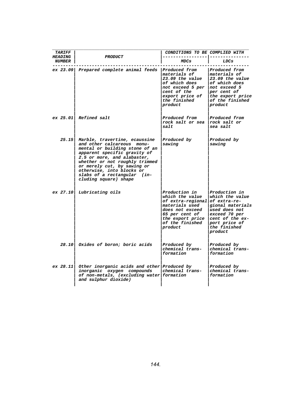| <i><b>TARIFF</b></i><br><b>HEADING</b> | <b>PRODUCT</b>                                                                                                                                                                                                                                                                                                                | CONDITIONS TO BE COMPLIED WITH                                                                                                                                                                          |                                                                                                                                                            |
|----------------------------------------|-------------------------------------------------------------------------------------------------------------------------------------------------------------------------------------------------------------------------------------------------------------------------------------------------------------------------------|---------------------------------------------------------------------------------------------------------------------------------------------------------------------------------------------------------|------------------------------------------------------------------------------------------------------------------------------------------------------------|
| <i>NUMBER  </i>                        |                                                                                                                                                                                                                                                                                                                               | <b>MDCs</b>                                                                                                                                                                                             | LDCs                                                                                                                                                       |
|                                        | ex 23.09 Prepared complete animal feeds   Produced from                                                                                                                                                                                                                                                                       | /materials of<br>23.09 the value<br>of which does<br>$ $ not exceed 5 per $ $ not exceed 5<br>cent of the<br>export price of<br>the finished)<br>  product                                              | <i>Produced from</i><br>/materials of<br>$123.09$ the value<br>of which does<br>per cent of<br>the export price<br>of the finished<br>/product             |
|                                        | ex 25.01/ Refined salt                                                                                                                                                                                                                                                                                                        | <i>Produced from</i><br> rock salt or sea  rock salt or<br>salt                                                                                                                                         | <i>Produced from</i><br> sea salt                                                                                                                          |
|                                        | 25.15 Marble, travertine, ecaussine<br>and other calcareous<br>$monu-$<br>mental or building stone of an<br>apparent specific gravity of<br>2.5 or more, and alabaster,<br>whether or not roughly trimmed<br>or merely cut, by sawing or<br>otherwise, into blocks or<br>slabs of a rectangular (in-<br>cluding square) shape | <i>Produced</i> by<br> sawing                                                                                                                                                                           | <i>Produced</i> by<br> sawing                                                                                                                              |
|                                        | ex 27.10/ Lubricating oils                                                                                                                                                                                                                                                                                                    | Production in<br>which the value<br>of extra-regional/of extra-re-<br>/materials used<br>does not exceed<br><i> 65 per cent of</i><br>the export price (cent of the ex-<br>of the finished<br>  product | <i>Production in</i><br>which the value<br><i>sional</i> materials<br>used does not<br>exceed 70 per<br><i>port price of</i><br>the finished)<br>  product |
|                                        | 28.10 Oxides of boron; boric acids                                                                                                                                                                                                                                                                                            | <i>Produced</i> by<br>chemical trans-<br><i>  formation</i>                                                                                                                                             | <i>Produced</i> by<br>chemical trans-<br><i>  formation</i>                                                                                                |
|                                        | ex 28.11 Other inorganic acids and other Produced by<br>inorganic oxygen compounds (chemical trans-<br>of non-metals, (excluding water/formation<br>and sulphur dioxide)                                                                                                                                                      |                                                                                                                                                                                                         | <i>Produced</i> by<br>chemical trans-<br><i>  formation</i>                                                                                                |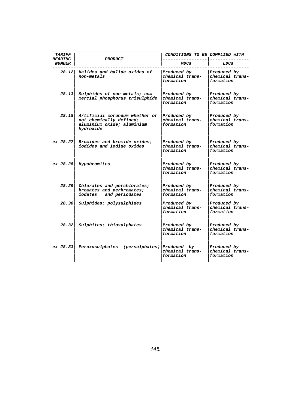| <i><b>TARIFF</b></i><br><i><b>HEADING</b></i> | <b>PRODUCT</b>                                                                                                             | CONDITIONS TO BE COMPLIED WITH                       |                                                              |
|-----------------------------------------------|----------------------------------------------------------------------------------------------------------------------------|------------------------------------------------------|--------------------------------------------------------------|
| <i>NUMBER  </i>                               |                                                                                                                            | MDCs                                                 | LDCs                                                         |
|                                               | 28.12 Halides and halide oxides of<br>non-metals                                                                           | <i>Produced</i> by<br> chemical trans-<br>formation  | <i>Produced by</i><br>  chemical trans-<br><i>lformation</i> |
|                                               | 28.13 Sulphides of non-metals; com-<br>mercial phosphorus trisulphide (chemical trans-                                     | <i>Produced</i> by<br>formation                      | Produced by<br>chemical trans-<br>formation                  |
|                                               | 28.18   Artificial corundum whether or   Produced by<br>not chemically defined;<br>aluminium oxide; aluminium<br>hvdroxide | chemical trans-<br><i>lformation</i>                 | <i>Produced</i> by<br>chemical trans-<br>lformation          |
|                                               | ex $28.27$ Bromides and bromide oxides;<br>iodides and iodide oxides                                                       | Produced by<br>chemical trans-<br><i>  formation</i> | <i>Produced</i> by<br>chemical trans-<br><i>lformation</i>   |
|                                               | $ex$ 28.28 Hypobromites                                                                                                    | Produced by<br>chemical trans-<br>formation          | <i>Produced</i> by<br>chemical trans-<br><i>lformation</i>   |
|                                               | 28.29 Chlorates and perchlorates;<br>bromates and perbromates;<br>iodates<br>and periodates                                | Produced by<br>chemical trans-<br>formation          | <i>Produced by</i><br>chemical trans-<br><i>Eormation</i>    |
|                                               | 28.30 Sulphides; polysulphides                                                                                             | Produced by<br> chemical trans-<br>formation         | Produced by<br> chemical trans-<br>lformation                |
|                                               | 28.32 Sulphites; thiosulphates                                                                                             | Produced by<br>chemical trans-<br>formation          | <i>Produced</i> by<br>chemical trans-<br><i>  formation</i>  |
|                                               | ex 28.33 Peroxosulphates (persulphates) Produced                                                                           | by<br> chemical trans-<br><i>lformation</i>          | <i>Produced</i> by<br>chemical trans-<br><i>lformation</i>   |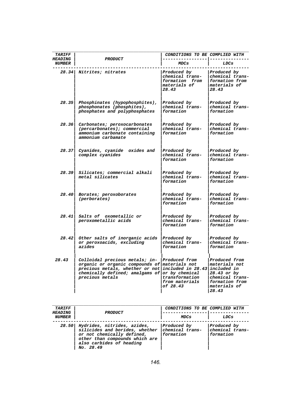| <i><b>TARIFF</b></i><br><i><b>HEADING</b></i> | <b>PRODUCT</b>                                                                                                                                                                                                                        | CONDITIONS TO BE COMPLIED WITH                                                            |                                                                                                                                      |
|-----------------------------------------------|---------------------------------------------------------------------------------------------------------------------------------------------------------------------------------------------------------------------------------------|-------------------------------------------------------------------------------------------|--------------------------------------------------------------------------------------------------------------------------------------|
| <b>NUMBER</b>                                 |                                                                                                                                                                                                                                       | <b>MDCs</b>                                                                               | LDCS                                                                                                                                 |
|                                               | 28.34   Nitrites; nitrates                                                                                                                                                                                                            | <i>Produced</i> by<br>chemical trans-<br><i>formation from</i><br>/materials of<br>128.43 | <i>Produced</i> by<br>chemical trans-<br><i>formation from</i><br><i>materials</i> of<br>128.43                                      |
|                                               | 28.35 Phosphinates (hypophosphites), Produced by<br>phosphonates (phosphites),<br>phosphates and polyphosphates                                                                                                                       | chemical trans-<br><i>lformation</i>                                                      | <i>Produced</i> by<br>chemical trans-<br><i>lformation</i>                                                                           |
|                                               | 28.36 Carbonates; peroxocarbonates<br>(percarbonates); commercial<br>ammonium carbonate containing<br>ammonium carbamate                                                                                                              | Produced by<br>chemical trans-<br><i>  formation</i>                                      | <i>Produced by</i><br>chemical trans-<br><i>  formation</i>                                                                          |
|                                               | $28.37$ Cyanides, cyanide oxides and<br>complex cyanides                                                                                                                                                                              | <i>Produced</i> by<br>chemical trans-<br>formation                                        | <i>Produced</i> by<br>chemical trans-<br><i>  formation</i>                                                                          |
|                                               | 28.39 Silicates; commercial alkali<br>metal silicates                                                                                                                                                                                 | Produced by<br>chemical trans-<br>lformation                                              | <i>Produced</i> by<br>chemical trans-<br><i>lformation</i>                                                                           |
|                                               | 28.40 Borates; peroxoborates<br>(perborates)                                                                                                                                                                                          | <i>Produced</i> by<br>chemical trans-<br><i>formation</i>                                 | <i>Produced</i> by<br>chemical trans-<br><i>lformation</i>                                                                           |
|                                               | 28.41 Salts of oxometallic or<br>peroxometallic acids                                                                                                                                                                                 | <i>Produced</i> by<br>chemical trans-<br>formation                                        | <i>Produced</i> by<br>chemical trans-<br><i>  formation</i>                                                                          |
|                                               | 28.42 Other salts of inorganic acids Produced by<br>or peroxoacids, excluding<br>azides                                                                                                                                               | chemical trans-<br><i>lformation</i>                                                      | <i>Produced</i> by<br>chemical trans-<br><i>  formation</i>                                                                          |
| 28.43                                         | Colloidal precious metals; in- Produced from<br>organic or organic compounds of materials not<br>precious metals, whether or not included in $28.43$ included in<br>chemically defined; amalgams of or by chemical<br>precious metals | transformation/<br><i>lfrom materials</i><br>of 28.43                                     | Produced from<br><i>materials not</i><br>$/28.43$ or by<br>chemical trans-<br><i>formation from</i><br><i>materials</i> of<br> 28.43 |

| <b><i>TARTFF</i></b> | <i><b>HEADING</b></i><br><i><b>PRODUCT</b></i>                                                                                                                               | CONDITIONS TO BE COMPLIED WITH              |                                             |
|----------------------|------------------------------------------------------------------------------------------------------------------------------------------------------------------------------|---------------------------------------------|---------------------------------------------|
| <i><b>NUMBER</b></i> |                                                                                                                                                                              | MDCs                                        | LDCs                                        |
|                      | 28.50 Hydrides, nitrides, azides,<br>silicides and borides, whether<br>or not chemically defined,<br>other than compounds which are<br>also carbides of heading<br>No. 28.49 | Produced by<br>chemical trans-<br>formation | Produced by<br>chemical trans-<br>formation |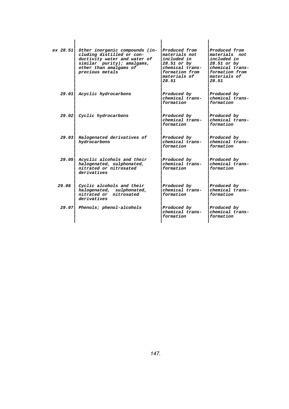| ex 28.51/ Other inorganic compounds (in-<br>cluding distilled or con-<br>ductivity water and water of<br>similar purity); amalgams,<br>other than amalgams of<br>precious metals | <i>Produced from</i><br><i>materials not</i><br>lincluded in<br>$/28.51$ or by<br>chemical trans-<br><i>formation from</i><br>/materials of<br>128.51 | Produced from<br><i>materials</i> not<br>lincluded in<br>$128.51$ or by<br>chemical trans-<br><i>formation from</i><br><i>Imaterials of</i><br>128.51 |
|----------------------------------------------------------------------------------------------------------------------------------------------------------------------------------|-------------------------------------------------------------------------------------------------------------------------------------------------------|-------------------------------------------------------------------------------------------------------------------------------------------------------|
| 29.01 Acyclic hydrocarbons                                                                                                                                                       | Produced by<br>chemical trans-<br>formation                                                                                                           | <i>Produced</i> by<br>chemical trans-<br>lformation                                                                                                   |
| 29.02   Cyclic hydrocarbons                                                                                                                                                      | Produced by<br>chemical trans-<br>lformation                                                                                                          | Produced by<br>chemical trans-<br><i>lformation</i>                                                                                                   |
| 29.03 Halogenated derivatives of<br>hydrocarbons                                                                                                                                 | <i>Produced by</i><br>chemical trans-<br>formation                                                                                                    | <i>Produced</i> by<br>chemical trans-<br>lformation                                                                                                   |
| 29.05 Acyclic alcohols and their<br>halogenated, sulphonated,<br>nitrated or nitrosated<br>derivatives                                                                           | <i>Produced</i> by<br>chemical trans-<br>lformation                                                                                                   | <i>Produced</i> by<br>chemical trans-<br><i>lformation</i>                                                                                            |
| 29.06   Cyclic alcohols and their<br>halogenated, sulphonated,<br>nitrated or nitrosated<br>derivatives                                                                          | <i>Produced</i> by<br>chemical trans-<br>lformation                                                                                                   | <i>Produced</i> by<br>chemical trans-<br>lformation                                                                                                   |
| 29.07 Phenols; phenol-alcohols                                                                                                                                                   | <i>Produced</i> by<br>chemical trans-<br>formation                                                                                                    | <i>Produced</i> by<br>chemical trans-<br>formation                                                                                                    |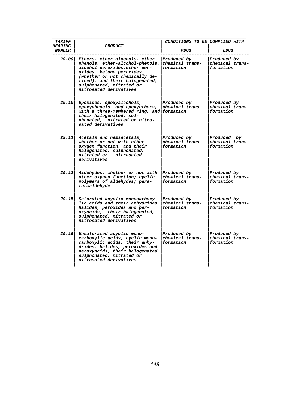| <i><b>TARIFF</b></i>            |                                                                                                                                                                                                                                                                                              | CONDITIONS TO BE COMPLIED WITH                     |                                                             |
|---------------------------------|----------------------------------------------------------------------------------------------------------------------------------------------------------------------------------------------------------------------------------------------------------------------------------------------|----------------------------------------------------|-------------------------------------------------------------|
| HEADING<br><i><b>NUMBER</b></i> | <b>PRODUCT</b>                                                                                                                                                                                                                                                                               | MDCs                                               | LDCs                                                        |
|                                 | 29.09 Ethers, ether-alcohols, ether-   Produced by<br>phenols, ether-alcohol-phenols, chemical trans-<br>alcohol peroxides, ether per-<br>oxides, ketone peroxides<br>(whether or not chemically de-<br>fined), and their halogenated,<br>sulphonated, nitrated or<br>nitrosated derivatives | <i>lformation</i>                                  | Produced by<br>chemical trans-<br>lformation                |
|                                 | 29.10 Epoxides, epoxyalcohols,<br>epoxyphenols and epoxyethers, chemical trans-<br>with a three-membered ring, and formation<br>their halogenated, sul-<br>phonated, nitrated or nitro-<br>sated derivatives                                                                                 | <i>Produced</i> by                                 | Produced by<br>chemical trans-<br><i>  formation</i>        |
|                                 | 29.11 Acetals and hemiacetals,<br>whether or not with other<br>oxygen function, and their<br>halogenated, sulphonated,<br>nitrated or nitrosated<br>derivatives                                                                                                                              | Produced by<br>chemical trans-<br><i>Eormation</i> | <i>Produced</i> by<br>chemical trans-<br>lformation         |
|                                 | 29.12 Aldehydes, whether or not with Produced by<br>other oxygen function; cyclic (chemical trans-<br>polymers of aldehydes; para-<br>formaldehyde                                                                                                                                           | <i>lformation</i>                                  | <i>Produced</i> by<br>chemical trans-<br><i>lformation</i>  |
|                                 | 29.15 Saturated acyclic monocarboxy- Produced by<br>lic acids and their anhydrides, chemical trans-<br>halides, peroxides and per-<br>oxyacids; their halogenated,<br>sulphonated, nitrated or<br>nitrosated derivatives                                                                     | <i>lformation</i>                                  | <i>Produced</i> by<br>chemical trans-<br><i>  formation</i> |
|                                 | 29.16 Unsaturated acyclic mono-<br>carboxylic acids, cyclic mono- chemical trans-<br>carboxylic acids, their anhy-<br>drides, halides, peroxides and<br>peroxyacids; their halogenated,<br>sulphonated, nitrated or<br>nitrosated derivatives                                                | <i>Produced</i> by<br><i>lformation</i>            | Produced by<br>chemical trans-<br><i>lformation</i>         |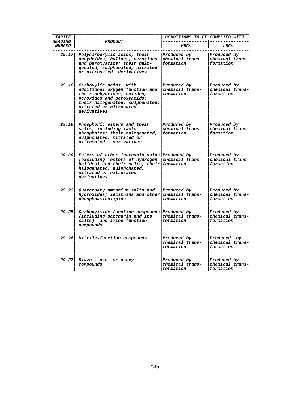| <i><b>TARIFF</b></i><br><i><b>HEADING</b></i> | <b>PRODUCT</b>                                                                                                                                                                                                           | CONDITIONS TO BE COMPLIED WITH               |                                                            |
|-----------------------------------------------|--------------------------------------------------------------------------------------------------------------------------------------------------------------------------------------------------------------------------|----------------------------------------------|------------------------------------------------------------|
| <i><b>NUMBER</b></i>                          |                                                                                                                                                                                                                          | <b>MDCs</b>                                  | LDCs                                                       |
|                                               | 29.17 Polycarboxylic acids, their<br>  anhydrides, halides, peroxides  chemical trans-   chemical trans-<br>and peroxyacids; their halo-<br>genated, sulphonated, nitrated<br>or nitrosated derivatives                  | <i>Produced by</i><br><i>lformation</i>      | <i>Produced by</i><br><i>lformation</i>                    |
|                                               | $29.18$ Carboxylic acids with<br>additional oxygen function and (chemical trans-<br>their anhydrides, halides,<br>peroxides and peroxyacids;<br>their halogenated, sulphonated,<br>nitrated or nitrosated<br>derivatives | Produced by<br><i>lformation</i>             | <i>Produced</i> by<br>chemical trans-<br><i>lformation</i> |
|                                               | $29.19$ Phosphoric esters and their<br>salts, including lacto-<br>phosphates; their halogenated, formation<br>sulphonated, nitrated or<br>nitrosated derivatives                                                         | <i>Produced</i> by<br>chemical trans-        | <i>Produced</i> by<br>chemical trans-<br>lformation        |
|                                               | 29.20 Esters of other inorganic acids Produced by<br>(excluding esters of hydrogen chemical trans-<br>halides) and their salts; their formation<br>halogenated, sulphonated,<br>nitrated or nitrosated<br>derivatives    |                                              | <i>Produced</i> by<br>chemical trans-<br><i>lformation</i> |
|                                               | 29.23 Quaternary ammonium salts and Produced by<br>hydroxides; lecithins and other/chemical trans-<br>phosphoaminolipids                                                                                                 | <i>lformation</i>                            | <i>Produced by</i><br>chemical trans-<br>lformation        |
|                                               | 29.25   Carboxyimide-function compounds   Produced by<br>(including saccharin and its   chemical trans-<br>salts) and imine-function<br>compounds                                                                        | <i>lformation</i>                            | <i>Produced</i> by<br>chemical trans-<br><i>lformation</i> |
|                                               | 29.26 Nitrile-function compounds                                                                                                                                                                                         | Produced by<br>chemical trans-<br>lformation | <i>Produced</i> by<br>chemical trans-<br><i>lformation</i> |
|                                               | 29.27 Diazo-, azo- or azoxy-<br>compounds                                                                                                                                                                                | Produced by<br>chemical trans-<br>formation  | <i>Produced</i> by<br>chemical trans-<br><i>lformation</i> |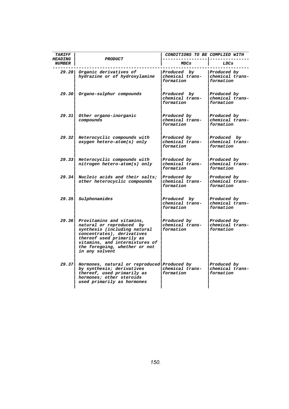| <i><b>TARIFF</b></i><br><i><b>HEADING</b></i> | <i>PRODUCT</i>                                                                                                                                                                                                                              | CONDITIONS TO BE COMPLIED WITH                      |                                                            |
|-----------------------------------------------|---------------------------------------------------------------------------------------------------------------------------------------------------------------------------------------------------------------------------------------------|-----------------------------------------------------|------------------------------------------------------------|
| NUMBER                                        |                                                                                                                                                                                                                                             | MDCs                                                | LDCS                                                       |
|                                               | 29.28 Organic derivatives of<br>hydrazine or of hydroxylamine (chemical trans- (chemical trans-                                                                                                                                             | <i> Produced by</i><br><i>  formation</i>           | <i>Produced</i> by<br><i>lformation</i>                    |
|                                               | 29.30   Organo-sulphur compounds                                                                                                                                                                                                            | Produced by<br>chemical trans-<br>formation         | <i>Produced</i> by<br>chemical trans-<br><i>lformation</i> |
|                                               | $29.31$ Other organo-inorganic<br>compounds                                                                                                                                                                                                 | <i>Produced</i> by<br>chemical trans-<br>formation  | <i>Produced</i> by<br>chemical trans-<br><i>lformation</i> |
|                                               | 29.32 Heterocyclic compounds with<br>$oxygen \text{ hetero-atom}(s) \text{ only}$                                                                                                                                                           | <i>Produced</i> by<br>chemical trans-<br>formation  | <i>Produced</i> by<br>chemical trans-<br><i>lformation</i> |
|                                               | 29.33 Heterocyclic compounds with<br>nitrogen hetero-atom(s) only                                                                                                                                                                           | Produced by<br>chemical trans-<br>formation         | <i>Produced</i> by<br>chemical trans-<br><i>lformation</i> |
|                                               | 29.34 Nucleic acids and their salts; Produced by<br>other heterocyclic compounds                                                                                                                                                            | chemical trans-<br><i>  formation</i>               | <i>Produced</i> by<br>chemical trans-<br><i>lformation</i> |
|                                               | 29.35 Sulphonamides                                                                                                                                                                                                                         | Produced by<br>chemical trans-<br>formation         | <i>Produced</i> by<br>chemical trans-<br><i>lformation</i> |
|                                               | 29.36 Provitamins and vitamins,<br>natural or reproduced by<br>synthesis (including natural<br>concentrates), derivatives<br>thereof used primarily as<br>vitamins, and intermixtures of<br>the foregoing, whether or not<br>in any solvent | Produced by<br>chemical trans-<br><i>lformation</i> | <i>Produced</i> by<br>chemical trans-<br><i>lformation</i> |
|                                               | 29.37   Hormones, natural or reproduced Produced by<br>by synthesis; derivatives<br>thereof, used primarily as<br>hormones; other steroids<br>used primarily as hormones                                                                    | chemical trans-<br><i>  formation</i>               | <i>Produced</i> by<br>chemical trans-<br><i>lformation</i> |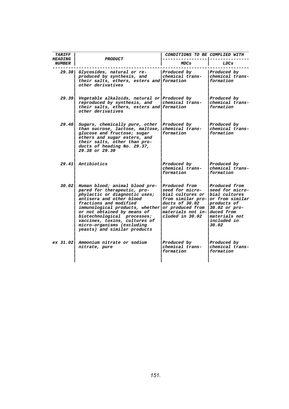| <i><b>TARIFF</b></i><br><i><b>HEADING</b></i> | <b>PRODUCT</b>                                                                                                                                                                                                                                                                                                                                                                                           | CONDITIONS TO BE COMPLIED WITH                                                                                                                                      |                                                                                                                  |
|-----------------------------------------------|----------------------------------------------------------------------------------------------------------------------------------------------------------------------------------------------------------------------------------------------------------------------------------------------------------------------------------------------------------------------------------------------------------|---------------------------------------------------------------------------------------------------------------------------------------------------------------------|------------------------------------------------------------------------------------------------------------------|
| <i><b>NUMBER</b></i>                          |                                                                                                                                                                                                                                                                                                                                                                                                          | MDCs                                                                                                                                                                | LDCs                                                                                                             |
|                                               | 29.38 Glycosides, natural or re-<br>produced by synthesis, and<br>their salts, ethers, esters and/formation<br><i>other derivatives</i>                                                                                                                                                                                                                                                                  | <i>Produced by</i><br>chemical trans-                                                                                                                               | <i>Produced</i> by<br>  chemical trans-<br><i>lformation</i>                                                     |
|                                               | 29.39 Vegetable alkaloids, natural or Produced by<br>reproduced by synthesis, and (chemical trans-<br>their salts, ethers, esters and formation<br><i>other derivatives</i>                                                                                                                                                                                                                              |                                                                                                                                                                     | <i>Produced</i> by<br>chemical trans-<br>lformation                                                              |
|                                               | 29.40 Sugars, chemically pure, other Produced by<br>than sucrose, lactose, maltose, chemical trans-<br>glucose and fructose; sugar<br>ethers and sugar esters, and<br>their salts, other than pro-<br>ducts of heading No. 29.37,<br>29.38 or 29.39                                                                                                                                                      | <i>lformation</i>                                                                                                                                                   | <i>Produced</i> by<br>chemical trans-<br>lformation                                                              |
|                                               | 29.41 Antibiotics                                                                                                                                                                                                                                                                                                                                                                                        | Produced by<br>chemical trans-<br>formation                                                                                                                         | <i>Produced</i> by<br>chemical trans-<br><i>lformation</i>                                                       |
|                                               | 30.02 Human blood; animal blood pre- Produced from<br>pared for therapeutic, pro-<br>phylactic or diagnostic uses;<br>antisera and other blood<br>fractions and modified<br>immunological products, whether/or produced from /30.02 or pro-<br>or not obtained by means of<br>biotechnological processes;<br>vaccines, toxins, cultures of<br>micro-organisms (excluding<br>yeasts) and similar products | seed for micro-<br>bial cultures or <i>bial</i> cultures<br>from similar pro-/or from similar<br>ducts of 30.02<br>materials not in-/duced from/<br>cluded in 30.02 | <i>Produced from</i><br>seed for micro-<br><i>products</i> of<br><i>Imaterials not</i><br>included in<br>  30.02 |
|                                               | ex 31.02/ Ammonium nitrate or sodium<br>nitrate, pure                                                                                                                                                                                                                                                                                                                                                    | Produced by<br>chemical trans-<br>formation                                                                                                                         | Produced by<br>chemical trans-<br><i>lformation</i>                                                              |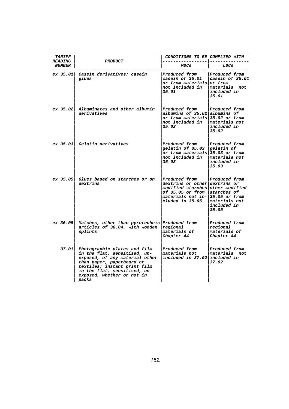| <i><b>TARIFF</b></i>                     |                                                                                                                                                                                                                                                                                 | CONDITIONS TO BE COMPLIED WITH                                                                                                                                                                                                                             |                                                                        |
|------------------------------------------|---------------------------------------------------------------------------------------------------------------------------------------------------------------------------------------------------------------------------------------------------------------------------------|------------------------------------------------------------------------------------------------------------------------------------------------------------------------------------------------------------------------------------------------------------|------------------------------------------------------------------------|
| <i><b>HEADING</b></i><br><i>NUMBER  </i> | <b>PRODUCT</b>                                                                                                                                                                                                                                                                  | <b>MDCs</b>                                                                                                                                                                                                                                                | LDCs                                                                   |
|                                          | ex 35.01/ Casein derivatives; casein<br>  alues                                                                                                                                                                                                                                 | <i>Produced from</i><br>$\sqrt{cases}$ of 35.01 $\sqrt{cases}$ of 35.01<br>or from materials/or from<br>$\sqrt{\frac{1}{1}}$ not included in $\sqrt{\frac{1}{1}}$ materials not<br>135.01                                                                  | <i>Produced from</i><br>included in<br>135.01                          |
|                                          | ex 35.02 Albuminates and other albumin<br>derivatives                                                                                                                                                                                                                           | <i>Produced from</i><br>$\sqrt{a}$ lbumins of 35.02 $\sqrt{a}$ lbumins of<br>or from materials 35.02 or from<br>not included in <i>[materials not]</i><br>  35.02                                                                                          | <i>Produced from</i><br>included in<br>  35.02                         |
|                                          | ex 35.03/ Gelatin derivatives                                                                                                                                                                                                                                                   | <i>Produced from</i><br>$\sqrt{ g}$ elatin of 35.03 $\sqrt{ g}$ elatin of<br>or from materials 35.03 or from<br>not included in   materials not<br> 35.03                                                                                                  | <i>Produced from</i><br>included in<br>  35.03                         |
|                                          | ex 35.05 Glues based on starches or on<br>dextrins                                                                                                                                                                                                                              | <i>Produced from</i><br>$\sqrt{3}$ dextrins or other $\sqrt{3}$ dextrins or<br>modified starches/other modified<br>$\int$ of 35.05 or from $\int$ starches of<br>materials not in-135.05 or from<br>$\sqrt{ c }$ luded in 35.05 $\sqrt{ c }$ materials not | <i>Produced from</i><br>included in<br>  35.05                         |
|                                          | ex 36.05   Matches, other than pyrotechnic Produced from<br>articles of 36.04, with wooden (regional<br>splints                                                                                                                                                                 | <i>materials of</i><br>Chapter 44                                                                                                                                                                                                                          | <i>Produced from</i><br>regional/<br><i>materials</i> of<br>Chapter 44 |
|                                          | 37.01 Photographic plates and film<br>in the flat, sensitised, un-<br>exposed, of any material other <i>included</i> in $37.02$ included in<br>than paper, paperboard or<br>textiles; instant print film<br>in the flat, sensitised, un-<br>exposed, whether or not in<br>packs | <i>Produced from</i><br><i>materials not</i>                                                                                                                                                                                                               | <i>Produced from</i><br>/materials not<br>  37.02                      |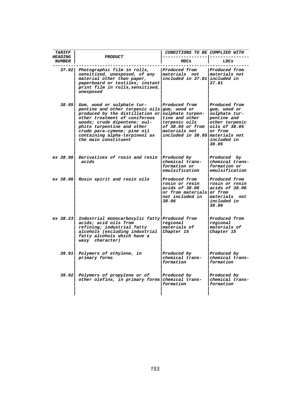| <i><b>TARIFF</b></i>              |                                                                                                                                                                                                                                                                                                                                                         | CONDITIONS TO BE COMPLIED WITH                                                                                                                                   |                                                                                                                   |
|-----------------------------------|---------------------------------------------------------------------------------------------------------------------------------------------------------------------------------------------------------------------------------------------------------------------------------------------------------------------------------------------------------|------------------------------------------------------------------------------------------------------------------------------------------------------------------|-------------------------------------------------------------------------------------------------------------------|
| <i>HEADING</i><br><i>NUMBER  </i> | <b>PRODUCT</b>                                                                                                                                                                                                                                                                                                                                          | <b>MDCs</b>                                                                                                                                                      | LDCs                                                                                                              |
|                                   | 37.02 Photographic film in rolls,<br>sensitised, unexposed, of any<br>material other than paper,<br>paperboard or textiles; instant<br>print film in rolls, sensitised,<br>unexposed                                                                                                                                                                    | <i>Produced from</i><br>/materials not<br>included in 37.01/included in                                                                                          | <i>Produced from</i><br>/materials not<br>137.01                                                                  |
|                                   | 38.05 Gum, wood or sulphate tur-<br>$\mid$ pentine and other terpenic oils $\mid$ gum, wood or<br>produced by the distillation or sulphate turpen- sulphate tur-<br>other treatment of coniferous<br>woods; crude dipentene; sul-<br>phite turpentine and other<br>crude para-cymene; pine oil<br>containing alpha-terpineol as<br>the main constituent | <i>Produced from</i><br>$\theta$ tine and other<br> terpenic oils<br>$ $ of 38.05 or from $ $ oils of 38.05<br>/materials not<br>included in 38.05 materials not | <i>Produced from</i><br>gum, wood or<br><i>pentine</i> and<br>other terpenic<br>or from<br>included in<br>  38.05 |
|                                   | ex 38.06 Derivatives of rosin and resin Produced by<br>acids                                                                                                                                                                                                                                                                                            | chemical trans-<br><i>lformation or</i><br>emulsification                                                                                                        | Produced by<br>chemical trans-<br><i>lformation or</i><br>emulsification/                                         |
|                                   | ex 38.06 Rosin spirit and rosin oils                                                                                                                                                                                                                                                                                                                    | <i>Produced from</i><br>rosin or resin<br>acids of 38.06<br>or from materials/or from<br>not included in<br> 38.06                                               | <i>Produced from</i><br>rosin or resin<br>acids of 38.06<br>/materials not<br>included in<br>38.06                |
|                                   | ex 38.23 Industrial monocarboxylic fatty Produced from<br>acids; acid oils from<br>refining; industrial fatty<br>alcohols (excluding industrial $ $ Chapter 15<br>fatty alcohols which have a<br>waxy character)                                                                                                                                        | /regional<br><i>materials of</i>                                                                                                                                 | <i>Produced from</i><br>regional/<br><i>materials of</i><br>Chapter 15                                            |
|                                   | 39.01 Polymers of ethylene, in<br>primary forms                                                                                                                                                                                                                                                                                                         | Produced by<br>chemical trans-<br>formation                                                                                                                      | <i>Produced</i> by<br>chemical trans-<br><i>  formation</i>                                                       |
|                                   | 39.02 Polymers of propylene or of<br>other olefins, in primary forms chemical trans-                                                                                                                                                                                                                                                                    | <i>Produced</i> by<br><i>  formation</i>                                                                                                                         | <i>Produced</i> by<br>chemical trans-<br><i>lformation</i>                                                        |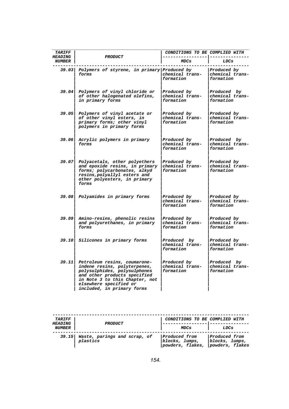| <i><b>TARIFF</b></i><br><i><b>HEADING</b></i> | <b>PRODUCT</b>                                                                                                                                                                                                               | CONDITIONS TO BE COMPLIED WITH                            |                                                            |
|-----------------------------------------------|------------------------------------------------------------------------------------------------------------------------------------------------------------------------------------------------------------------------------|-----------------------------------------------------------|------------------------------------------------------------|
| NUMBER                                        |                                                                                                                                                                                                                              | <b>MDCs</b>                                               | LDCs                                                       |
|                                               | 39.03 Polymers of styrene, in primary Produced by<br>forms                                                                                                                                                                   | chemical trans-<br>formation                              | <i>Produced</i> by<br>chemical trans-<br><i>lformation</i> |
|                                               | 39.04 Polymers of vinyl chloride or<br>of other halogenated olefins,<br>in primary forms                                                                                                                                     | <i>Produced</i> by<br>chemical trans-<br><i>Eormation</i> | Produced by<br>chemical trans-<br><i>  formation</i>       |
|                                               | 39.05 Polymers of vinyl acetate or<br>of other vinyl esters, in<br>primary forms; other vinyl<br>polymers in primary forms                                                                                                   | Produced by<br>chemical trans-<br><i>  formation</i>      | <i>Produced</i> by<br>chemical trans-<br><i>lformation</i> |
|                                               | 39.06 Acrylic polymers in primary<br>forms                                                                                                                                                                                   | Produced by<br>chemical trans-<br>formation               | <i>Produced</i> by<br>chemical trans-<br>  formation       |
|                                               | 39.07 Polyacetals, other polyethers<br>and epoxide resins, in primary<br>forms; polycarbonates, alkyd<br>resins, polyallyl esters and<br>other polyesters, in primary<br>forms                                               | Produced by<br>chemical trans-<br><i>  formation</i>      | Produced by<br>chemical trans-<br><i>lformation</i>        |
|                                               | 39.08 Polyamides in primary forms                                                                                                                                                                                            | Produced by<br>chemical trans-<br>formation               | Produced by<br>chemical trans-<br><i>formation</i>         |
|                                               | 39.09 Amino-resins, phenolic resins<br>and polyurethanes, in primary<br>forms                                                                                                                                                | Produced by<br>chemical trans-<br><i>  formation</i>      | <i>Produced</i> by<br>chemical trans-<br><i>lformation</i> |
|                                               | 39.10 Silicones in primary forms                                                                                                                                                                                             | Produced by<br>chemical trans-<br>formation               | <i>Produced</i> by<br>chemical trans-<br><i>lformation</i> |
|                                               | 39.11 Petroleum resins, coumarone-<br>indene resins, polyterpenes,<br>polysulphides, polysulphones<br>and other products specified<br>in Note 3 to this Chapter, not<br>elsewhere specified or<br>included, in primary forms | Produced by<br>chemical trans-<br><i>formation</i>        | Produced by<br>chemical trans-<br><i>  formation</i>       |

| <b><i>TARIFF</i></b><br><i><b>HEADING</b></i> | <b>PRODUCT</b>                                     | CONDITIONS TO BE COMPLIED WITH                                                           |                      |
|-----------------------------------------------|----------------------------------------------------|------------------------------------------------------------------------------------------|----------------------|
| <i>NUMBER</i>                                 |                                                    | MDCs                                                                                     | LDCs                 |
|                                               | 39.15   Waste, parings and scrap, of<br>  plastics | Produced from<br> blocks, lumps,    blocks, lumps,<br> powders, flakes,  powders, flakes | <i>Produced from</i> |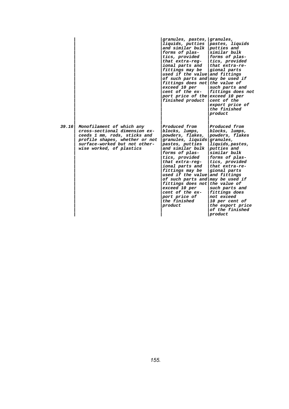|                                                                                                                                                                                                   | granules, pastes, granules,<br>liquids, putties (pastes, liquids<br>and similar bulk /putties and<br>forms of plas-<br>tics, provided<br>that extra-reg-<br>ional parts and<br>fittings may be<br>used if the value/and fittings<br>of such parts and/may be used if<br>fittings does not/the value of<br>exceed 10 per<br>cent of the ex-<br>port price of the/exceed 10 per<br>finished product (cent of the                | <i>similar</i> bulk<br>forms of plas-<br>tics, provided<br>that extra-re-<br>gional parts<br>such parts and<br> fittings does not<br>export price of<br>the finished<br>' product                                                                                                                             |
|---------------------------------------------------------------------------------------------------------------------------------------------------------------------------------------------------|-------------------------------------------------------------------------------------------------------------------------------------------------------------------------------------------------------------------------------------------------------------------------------------------------------------------------------------------------------------------------------------------------------------------------------|---------------------------------------------------------------------------------------------------------------------------------------------------------------------------------------------------------------------------------------------------------------------------------------------------------------|
| 39.16   Monofilament of which any<br>cross-sectional dimension ex-<br>ceeds 1 mm, rods, sticks and<br>profile shapes, whether or not<br>surface-worked but not other-<br>wise worked, of plastics | Produced from<br>blocks, lumps,<br> powders, flakes,<br>/granules, liquids/granules,<br>pastes, putties<br>and similar bulk /putties and<br>forms of plas-<br>tics, provided<br>that extra-reg-<br>ional parts and<br>fittings may be<br>used if the value/and fittings<br>of such parts and/may be used if<br>fittings does not/the value of<br>exceed 10 per<br>cent of the ex-<br>port price of<br>the finished<br>product | 'Produced from<br>/blocks, lumps,<br><i>powders, flakes</i><br>/liquids,pastes,<br><i>similar</i> bulk<br>forms of plas-<br>tics, provided<br>that extra-re-<br>gional parts<br>such parts and<br> fittings does<br>not exceed<br><i> 10 per cent of</i><br>the export price)<br>of the finished<br>  product |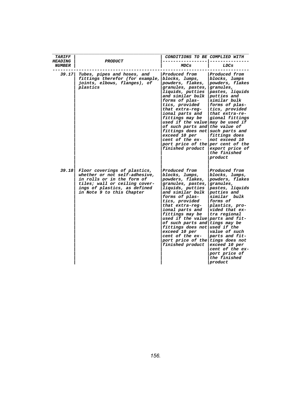| <i><b>TARIFF</b></i><br><i><b>HEADING</b></i> | <b>PRODUCT</b>                                                                                                                                                                                    | CONDITIONS TO BE COMPLIED WITH                                                                                                                                                                                                                                                                                                                                                                                                                                                                                               |                                                                                                                                                                                                                                                                   |
|-----------------------------------------------|---------------------------------------------------------------------------------------------------------------------------------------------------------------------------------------------------|------------------------------------------------------------------------------------------------------------------------------------------------------------------------------------------------------------------------------------------------------------------------------------------------------------------------------------------------------------------------------------------------------------------------------------------------------------------------------------------------------------------------------|-------------------------------------------------------------------------------------------------------------------------------------------------------------------------------------------------------------------------------------------------------------------|
| <i><b>NUMBER</b></i>                          |                                                                                                                                                                                                   | MDCs                                                                                                                                                                                                                                                                                                                                                                                                                                                                                                                         | LDCs                                                                                                                                                                                                                                                              |
|                                               | 39.17 Tubes, pipes and hoses, and<br>fittings therefor (for example, blocks, lumps,<br>joints, elbows, flanges), of<br>plastics                                                                   | <i>Produced from</i><br>powders, flakes, /powders, flakes<br>granules, pastes, granules, <br> liquids, putties  pastes, liquids<br>and similar bulk  putties and <br>forms of plas-<br>tics, provided)<br>that extra-reg-/<br>ional parts and (that extra-re-<br> fittings may be<br>$\mu$ used if the value $\mu$ may be used if<br>of such parts and the value of<br>fittings does not such parts and<br>exceed 10 per<br>cent of the ex-<br><i>port price of the per cent of the</i><br>finished product (export price of | <i>Produced from</i><br>/blocks, lumps<br>similar bulk<br>forms of plas-<br>tics, provided<br>gional fittings<br><i>fittings does</i><br>not exceed 10<br>the finished)<br>/product                                                                               |
|                                               | 39.18   Floor coverings of plastics,<br>whether or not self-adhesive,<br>in rolls or in the form of<br>tiles; wall or ceiling cover-<br>ings of plastics, as defined<br>in Note 9 to this Chapter | Produced from<br>blocks, lumps,<br>powders, flakes, <i>powders, flakes</i><br>/granules, pastes, granules,<br> liquids, putties  pastes, liquids<br>and similar bulk  putties and <br>forms of plas-<br> tics, provided<br>that extra-reg-<br> ional parts and<br>fittings may be<br>used if the value/parts and fit-<br>of such parts and/tings may be<br> fittings does not used if the<br>exceed 10 per<br>cent of the ex-<br>$ $ port price of the $ $ tings does not<br>finished product /exceed 10 per                 | <i>Produced from</i><br>blocks, lumps,<br><i>similar</i> bulk<br><i>lforms</i> of<br><i>plastics, pro-</i><br>$ $ vided that ex-<br>tra regional<br><i>value</i> of such<br>parts and fit-<br>cent of the ex-<br><i>port price of</i><br>the finished)<br>product |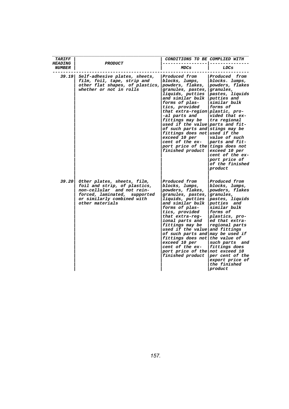| <i><b>TARIFF</b></i><br><i><b>HEADING</b></i> | <b>PRODUCT</b>                                                                                                                                                                   | CONDITIONS TO BE COMPLIED WITH                                                                                                                                                                                                                                                                                                                                                                                                                                                                                        |                                                                                                                                                                                                                             |
|-----------------------------------------------|----------------------------------------------------------------------------------------------------------------------------------------------------------------------------------|-----------------------------------------------------------------------------------------------------------------------------------------------------------------------------------------------------------------------------------------------------------------------------------------------------------------------------------------------------------------------------------------------------------------------------------------------------------------------------------------------------------------------|-----------------------------------------------------------------------------------------------------------------------------------------------------------------------------------------------------------------------------|
| NUMBER                                        |                                                                                                                                                                                  | MDCs                                                                                                                                                                                                                                                                                                                                                                                                                                                                                                                  | LDCs                                                                                                                                                                                                                        |
|                                               | 39.19 Self-adhesive plates, sheets,<br>' film, foil, tape, strip and<br>other flat shapes, of plastics, powders, flakes, powders, flakes<br>whether or not in rolls              | Produced from<br>/blocks, lumps,<br>granules, pastes, granules,<br> liquids, putties  pastes, liquids<br>and similar bulk /putties and<br>forms of plas-<br>tics, provided)<br>that extra-region/plastic, pro-<br>-al parts and<br> fittings may be<br>used if the value parts and fit-<br>of such parts and/stings may be<br>$\int f$ ittings does not $\int u$ sed if the<br>exceed 10 per<br>$/$ cent of the ex- $/$ parts and fit-<br><i>port price of the tings does not</i><br>finished product / exceed 10 per | <i>Produced from</i><br>blocks. lumps,<br><i>similar</i> bulk<br><i>forms</i> of<br>$ $ vided that ex-<br>tra regional<br><i>value</i> of such<br>cent of the ex-<br><i>port price of</i><br>of the finished<br>  product   |
|                                               | 39.20 Other plates, sheets, film,<br>foil and strip, of plastics,<br>non-cellular and not rein-<br>forced, laminated, supported<br>or similarly combined with<br>other materials | Produced from<br>/blocks, lumps,<br> powders, flakes,  powders, flakes<br>granules, pastes, granules, <br> liquids, putties  pastes, liquids<br>and similar bulk  putties and<br>forms of plas-<br>tics, provided<br>that extra-reg-/<br> ional parts and<br>fittings may be<br>used if the value/and fittings<br>of such parts and/may be used if<br>[fittings does not the value of<br>exceed 10 per <br>cent of the ex-<br>port price of the/not exceed 10<br>finished product $ per \> cent \> of \> the$         | <i>Produced from</i><br>/blocks, lumps,<br>similar bulk<br><i>forms of</i><br>plastics, pro-<br>ed that extra-<br>regional parts<br>such parts and<br><i>fittings does</i><br>export price of<br>the finished)<br>  product |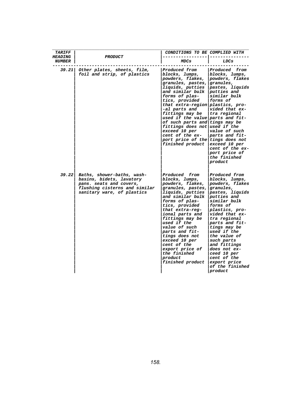| <i><b>TARIFF</b></i><br><i><b>HEADING</b></i> | <b>PRODUCT</b>                                                                                                                                         | CONDITIONS TO BE COMPLIED WITH                                                                                                                                                                                                                                                                                                                                                                                                                                                                                          |                                                                                                                                                                                                                                                                                                                        |
|-----------------------------------------------|--------------------------------------------------------------------------------------------------------------------------------------------------------|-------------------------------------------------------------------------------------------------------------------------------------------------------------------------------------------------------------------------------------------------------------------------------------------------------------------------------------------------------------------------------------------------------------------------------------------------------------------------------------------------------------------------|------------------------------------------------------------------------------------------------------------------------------------------------------------------------------------------------------------------------------------------------------------------------------------------------------------------------|
| <i><b>NUMBER</b></i>                          |                                                                                                                                                        | MDCs                                                                                                                                                                                                                                                                                                                                                                                                                                                                                                                    | LDCs                                                                                                                                                                                                                                                                                                                   |
|                                               | 39.21/ Other plates, sheets, film,<br>foil and strip, of plastics                                                                                      | <i>Produced from</i><br>blocks, lumps,<br> powders, flakes,  powders, flakes<br>/granules, pastes,/granules,<br> liquids, putties  pastes, liquids<br>and similar bulk  putties and <br>forms of plas-<br>tics, provided)<br>that extra-region/plastics, pro-<br>-al parts and<br> fittings may be<br>used if the value parts and fit-<br>of such parts and/tings may be<br> fittings does not used if the<br>exceed 10 per<br>cent of the ex-<br> port price of the tings does not<br> finished product  exceed 10 per | Produced<br>from<br>/blocks, lumps,<br><i>similar</i> bulk<br><i>forms</i> of<br>vided that ex-<br>tra regional<br><i>value of such</i><br>parts and fit-<br>cent of the ex-<br><i>port price of</i><br>the finished)<br>  product                                                                                     |
|                                               | 39.22 Baths, shower-baths, wash-<br>basins, bidets, lavatory<br>pans. seats and covers,<br>flushing cisterns and similar<br>sanitary ware, of plastics | Produced from<br>/blocks, lumps,<br>powders, flakes, /powders, flakes<br>granules, pastes, granules,<br> liquids, putties  pastes, liquids<br>and similar bulk  putties and <br>forms of plas-<br>tics, provided)<br>that extra-reg-<br>ional parts and<br> fittings may be<br>used if the<br>value of such/<br>parts and fit-<br>tings does not)<br>exceed 10 per <br>cent of the<br>export price of<br>the finished)<br>  product<br> finished product                                                                | <i>Produced from</i><br>/blocks, lumps,<br>similar bulk<br> forms of<br>plastics, pro-<br>vided that ex-<br>tra regional<br>parts and fit-<br>tings may be<br>used if the<br>the value of<br>such parts<br>and fittings<br>does not ex-<br>ceed 10 per/<br>cent of the<br>export price<br>of the finished<br>  product |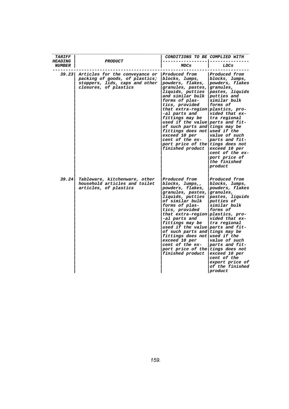| <i><b>TARIFF</b></i><br><i><b>HEADING</b></i> | <b>PRODUCT</b>                                                                                                                                                                                      | CONDITIONS TO BE COMPLIED WITH                                                                                                                                                                                                                                                                                                                                                                                                                                                                                                 |                                                                                                                                                                                                                                                            |
|-----------------------------------------------|-----------------------------------------------------------------------------------------------------------------------------------------------------------------------------------------------------|--------------------------------------------------------------------------------------------------------------------------------------------------------------------------------------------------------------------------------------------------------------------------------------------------------------------------------------------------------------------------------------------------------------------------------------------------------------------------------------------------------------------------------|------------------------------------------------------------------------------------------------------------------------------------------------------------------------------------------------------------------------------------------------------------|
| <i>NUMBER</i>                                 |                                                                                                                                                                                                     | <b>MDCs</b>                                                                                                                                                                                                                                                                                                                                                                                                                                                                                                                    | LDCs                                                                                                                                                                                                                                                       |
|                                               | 39.23/ Articles for the conveyance or /Produced from<br>packing of goods, of plastics; blocks, lumps,<br>stoppers, lids, caps and other (powders, flakes, (powders, flakes<br>closures, of plastics | /granules, pastes, granules,<br> liquids, putties  pastes, liquids<br>and similar bulk  putties and <br> forms of plas-<br>tics, provided)<br>that extra-region/plastics, pro-<br>-al parts and<br> fittings may be<br>used if the value/parts and fit-<br>of such parts and/tings may be<br> fittings does not used if the<br>exceed 10 per<br>cent of the ex-<br>port price of the tings does not<br>finished product  exceed 10 per                                                                                         | <i>Produced from</i><br>/blocks, lumps,<br>similar bulk<br><i>forms</i> of<br>$vided$ that ex-<br>tra regional<br><i>value of such</i><br>parts and fit-<br>cent of the ex-<br><i>port price of</i><br>the finished)<br>  product                          |
|                                               | 39.24 Tableware, kitchenware, other<br>household articles and toilet<br>articles, of plastics                                                                                                       | <i>Produced from</i><br>/blocks, lumps,,<br>powders, flakes, powders, flakes<br>/granules, pastes,/granules,<br> liquids, putties  pastes, liquids<br>of similar bulk<br>forms of plas-<br>tics, provided)<br>that extra-region/plastics, pro-<br>-al parts and<br> fittings may be<br>used if the value parts and fit-<br>$ $ of such parts and $ $ tings may be<br>$\int f$ ittings does not $\int u$ sed if the<br>exceed 10 per<br>cent of the ex-<br>port price of the tings does not<br> finished product  exceed 10 per | <i>Produced from</i><br>/blocks, lumps,<br><i>putties</i> of<br><i>similar</i> bulk<br>  forms of<br>$ $ vided that ex-<br>tra regional<br><i>value of such</i><br>$\sqrt{parts}$ and fit-<br>cent of the<br>export price of<br>of the finished<br>product |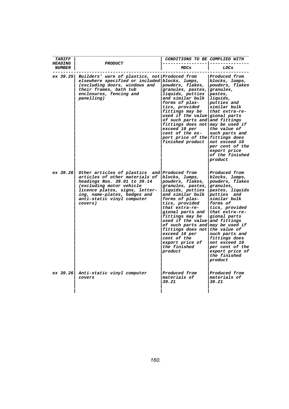| <i><b>TARIFF</b></i><br><i><b>HEADING</b></i> / | <b>PRODUCT</b>                                                                                                                                                                                                                                                                                                                      | CONDITIONS TO BE COMPLIED WITH                                                                                                                                                                                                                                                                                                                                                                                                 |                                                                                                                                                                                                                                         |
|-------------------------------------------------|-------------------------------------------------------------------------------------------------------------------------------------------------------------------------------------------------------------------------------------------------------------------------------------------------------------------------------------|--------------------------------------------------------------------------------------------------------------------------------------------------------------------------------------------------------------------------------------------------------------------------------------------------------------------------------------------------------------------------------------------------------------------------------|-----------------------------------------------------------------------------------------------------------------------------------------------------------------------------------------------------------------------------------------|
| <i>NUMBER  </i>                                 |                                                                                                                                                                                                                                                                                                                                     | <b>MDCs</b>                                                                                                                                                                                                                                                                                                                                                                                                                    | LDCs                                                                                                                                                                                                                                    |
|                                                 | ex 39.25 Builders' ware of plastics, not Produced from<br>$\dot{/}$ elsewhere specified or included $/$ blocks, lumps,<br>(excluding doors, windows and /powders, flakes, /powders, flakes<br>their frames, bath tub<br>enclosures, fencing and<br>panelling)                                                                       | /granules, pastes,/granules,<br><i>liquids, putties   pastes,</i><br>and similar bulk /liquids,<br>forms of plas-<br>tics, provided <br> fittings may be<br>used if the value/gional parts<br>of such parts and and fittings<br> fittings does not may be used if<br>exceed 10 per<br>$ cent\>$ of the ex- $ such\>parts\> and$<br>port price of the fittings does<br>finished product /not exceed 10]                         | <i>Produced from</i><br>blocks, lumps,<br>putties and<br><i>similar</i> bulk<br>that extra-re-<br>the value of<br>per cent of the<br>export price<br>of the finished<br>  product                                                       |
|                                                 | ex 39.26 Other articles of plastics and Produced from<br>$^\prime$ articles of other materials of $\prime$ blocks, lumps,<br>headings Nos. 39.01 to 39.14<br>(excluding motor vehicle<br>licence plates, signs, letter- /liquids, putties /pastes, liquids<br>ing, name-plates, badges and<br>anti-static vinyl computer<br>covers) | powders, flakes, powders, flakes<br>granules, pastes, granules,<br>and similar bulk <i>putties</i> and<br>forms of plas-<br>tics, provided)<br>that extra-re-<br> gional parts and  that extra-re-<br>[fittings may be [gional parts]<br>used if the value/and fittings<br>of such parts and/may be used if<br>fittings does not/the value of<br>exceed 10 per<br>cent of the<br>export price of<br>the finished)<br>  product | <i>Produced from</i><br>blocks, lumps,<br><i>similar bulk</i><br>  forms of<br>tics, provided<br>such parts and<br><i>fittings</i> does<br>not exceed 10<br>per cent of the<br>$\sqrt{2}$ export price of<br>the finished)<br>  product |
|                                                 | ex 39.26 Anti-static vinyl computer<br>covers                                                                                                                                                                                                                                                                                       | <i>Produced from</i><br>/materials of<br> 39.21                                                                                                                                                                                                                                                                                                                                                                                | <i>Produced from</i><br>materials of<br> 39.21                                                                                                                                                                                          |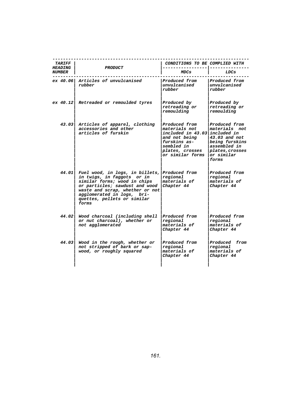| <i><b>TARIFF</b></i><br><i><b>HEADING</b></i><br><i>NUMBER</i> | <b>PRODUCT</b>                                                                                                                                                                                                                                                             | <i>CONDITIONS TO BE COMPLIED WITH</i>                                                                                                                            |                                                                                                                                                        |
|----------------------------------------------------------------|----------------------------------------------------------------------------------------------------------------------------------------------------------------------------------------------------------------------------------------------------------------------------|------------------------------------------------------------------------------------------------------------------------------------------------------------------|--------------------------------------------------------------------------------------------------------------------------------------------------------|
|                                                                |                                                                                                                                                                                                                                                                            | MDCs                                                                                                                                                             | LDCs                                                                                                                                                   |
|                                                                | ex 40.06  Articles of unvulcanised<br>rubber                                                                                                                                                                                                                               | <i>Produced from</i><br>unvulcanised/<br>rubber                                                                                                                  | Produced from<br>unvulcanised <br><i>rubber</i>                                                                                                        |
|                                                                | ex 40.12 Retreaded or remoulded tyres                                                                                                                                                                                                                                      | Produced by<br>retreading or<br>remoulding                                                                                                                       | Produced by<br>retreading or <br>remoulding                                                                                                            |
|                                                                | 43.03 Articles of apparel, clothing<br>accessories and other<br>articles of furskin                                                                                                                                                                                        | <i>Produced from</i><br>/materials not<br>included in 43.03/included in<br>and not being<br> furskins as-<br> sembled in<br>plates, crosses <br>or similar forms | Produced from<br>/materials not<br>$143.03$ and not<br>being furskins<br><i>assembled in</i><br><i> plates, crosses</i><br>or similar<br><i>lforms</i> |
|                                                                | 44.01 Fuel wood, in logs, in billets, Produced from<br>' in twigs, in faggots or in<br>similar forms; wood in chips<br>or particles; sawdust and wood (Chapter 44<br>waste and scrap, whether or not<br>agglomerated in logs, bri-<br>quettes, pellets or similar<br>forms | <i> regional</i><br><i>materials</i> of                                                                                                                          | Produced from<br><i> regional</i><br>materials of<br>Chapter 44                                                                                        |
|                                                                | 44.02   Wood charcoal (including shell   Produced from<br>or nut charcoal), whether or<br>not agglomerated                                                                                                                                                                 | <i> regional</i><br>materials of<br>Chapter 44                                                                                                                   | Produced from<br>regional<br>materials of<br>Chapter 44                                                                                                |
|                                                                | 44.03 Wood in the rough, whether or<br>not stripped of bark or sap-<br>wood, or roughly squared                                                                                                                                                                            | Produced from<br>regional<br>materials of<br>Chapter 44                                                                                                          | Produced from<br><i>regional</i><br>materials of<br>Chapter 44                                                                                         |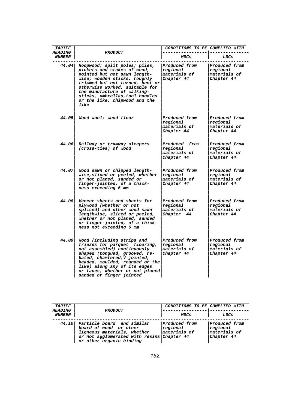| <i><b>TARIFF</b></i><br><i><b>HEADING</b></i> | <b>PRODUCT</b>                                                                                                                                                                                                                                                                                                     | CONDITIONS TO BE COMPLIED WITH                                  |                                                                  |
|-----------------------------------------------|--------------------------------------------------------------------------------------------------------------------------------------------------------------------------------------------------------------------------------------------------------------------------------------------------------------------|-----------------------------------------------------------------|------------------------------------------------------------------|
| <i><b>NUMBER</b></i>                          |                                                                                                                                                                                                                                                                                                                    | <b>MDCS</b>                                                     | LDCs                                                             |
|                                               | 44.04 Hoopwood; split poles; piles,<br>pickets and stakes of wood,<br>pointed but not sawn length-<br>wise; wooden sticks, roughly<br>trimmed but not turned, bent or<br>otherwise worked, suitable for<br>the manufacture of walking-<br>sticks, umbrellas, tool handles<br>or the like; chipwood and the<br>like | <i>Produced from</i><br>regional/<br>materials of<br>Chapter 44 | Produced from<br>regional/<br>materials of<br>Chapter 44         |
|                                               | 44.05   Wood wool; wood flour                                                                                                                                                                                                                                                                                      | Produced from<br>'regional<br>materials of<br>Chapter 44        | Produced from<br>regional<br>materials of<br>Chapter 44          |
|                                               | 44.06 Railway or tramway sleepers<br>(cross-ties) of wood                                                                                                                                                                                                                                                          | Produced from<br><i> regional</i><br>materials of<br>Chapter 44 | Produced from<br><i> regional</i><br>/materials of<br>Chapter 44 |
|                                               | 44.07 Wood sawn or chipped length-<br>$\,$ wise,sliced or peeled, whether $\,$ regional<br>or not planed, sanded or<br>finger-jointed, of a thick-<br>ness exceeding 6 mm                                                                                                                                          | <i>Produced from</i><br>/materials of<br>Chapter 44             | Produced from<br>regional/<br>/materials of<br>Chapter 44        |
|                                               | 44.08 Veneer sheets and sheets for<br>plywood (whether or not<br>spliced) and other wood sawn<br>lengthwise, sliced or peeled,<br>whether or not planed, sanded<br>or finger-jointed, of a thick-<br>ness not exceeding 6 mm                                                                                       | Produced from<br>regional/<br>/materials of<br>Chapter 44       | Produced from<br>regional/<br>materials of<br>Chapter 44         |
|                                               | 44.09 Wood (including strips and<br>friezes for parquet flooring,<br>not assembled) continuously<br>shaped (tongued, grooved, re-<br>bated, chamfered, V-jointed,<br>beaded, moulded, rounded or the<br>like) along any of its edges<br>or faces, whether or not planed<br>sanded or finger jointed                | <i>Produced from</i><br>regional/<br>materials of<br>Chapter 44 | Produced from<br>regional/<br>materials of<br>Chapter 44         |

| <b><i>TARIFF</i></b><br><i><b>HEADING</b></i> | <i><b>PRODUCT</b></i>                                                                                                                                               | CONDITIONS TO BE COMPLIED WITH                      |                                                         |
|-----------------------------------------------|---------------------------------------------------------------------------------------------------------------------------------------------------------------------|-----------------------------------------------------|---------------------------------------------------------|
| <i><b>NUMBER</b></i>                          |                                                                                                                                                                     | MDCs                                                | LDCs                                                    |
|                                               | 44.10 Particle board and similar<br>board of wood or other<br>ligneous materials, whether<br>or not agglomerated with resins/Chapter 44<br>or other organic binding | Produced from<br>regional<br>$^\prime$ materials of | Produced from<br>regional<br>materials of<br>Chapter 44 |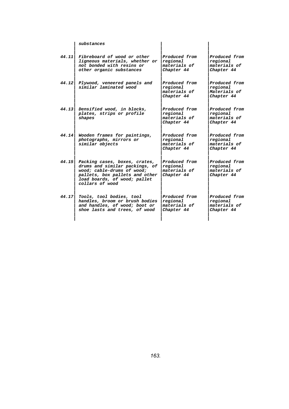| substances                                                                                                                                                                                           |                                                                 |                                                                  |
|------------------------------------------------------------------------------------------------------------------------------------------------------------------------------------------------------|-----------------------------------------------------------------|------------------------------------------------------------------|
| 44.11 Fibreboard of wood or other<br>ligneous materials, whether or<br>not bonded with resins or<br>other organic substances                                                                         | Produced from<br>regional<br>materials of<br>Chapter 44         | Produced from<br>'regional<br>lmaterials of<br>Chapter 44        |
| 44.12 Plywood, veneered panels and<br>similar laminated wood                                                                                                                                         | Produced from<br>regional<br>materials of<br>Chapter 44         | Produced from<br>'regional<br><i> Materials of</i><br>Chapter 44 |
| 44.13 Densified wood, in blocks,<br>plates, strips or profile<br>shapes                                                                                                                              | Produced from<br>regional<br>materials of<br>Chapter 44         | Produced from<br>regional<br><i>Imaterials of</i><br>Chapter 44  |
| 44.14 Wooden frames for paintings,<br>photographs, mirrors or<br>similar objects                                                                                                                     | Produced from<br>regional<br>materials of<br>Chapter 44         | Produced from<br>regional<br>/materials of<br>Chapter 44         |
| 44.15 Packing cases, boxes, crates,<br>drums and similar packings, of<br>wood; cable-drums of wood;<br>pallets, box pallets and other (Chapter 44<br>load boards, of wood; pallet<br>collars of wood | <i>Produced from</i><br> regional<br><i>materials of</i>        | Produced from<br>regional/<br>/materials of<br>Chapter 44        |
| 44.17 Tools, tool bodies, tool<br>handles, broom or brush bodies<br>and handles, of wood; boot or<br>shoe lasts and trees, of wood                                                                   | Produced from<br><i>regional</i><br>/materials of<br>Chapter 44 | Produced from<br>regional/<br>'materials of<br>Chapter 44        |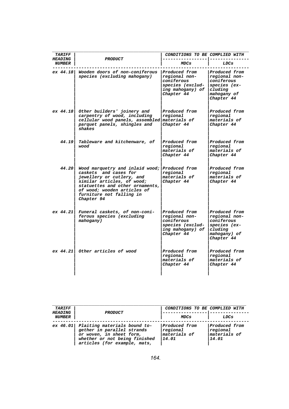| <i><b>TARIFF</b></i><br><i><b>HEADING</b></i> | <b>PRODUCT</b>                                                                                                                                                                                                                                        | CONDITIONS TO BE COMPLIED WITH                                                                                                   |                                                                                                                   |
|-----------------------------------------------|-------------------------------------------------------------------------------------------------------------------------------------------------------------------------------------------------------------------------------------------------------|----------------------------------------------------------------------------------------------------------------------------------|-------------------------------------------------------------------------------------------------------------------|
| <i><b>NUMBER</b></i>                          |                                                                                                                                                                                                                                                       | <b>MDCs</b>                                                                                                                      | LDCs                                                                                                              |
|                                               | ex 44.18/ Wooden doors of non-coniferous /Produced from<br>species (excluding mahogany)                                                                                                                                                               | regional non-<br><i> coniferous</i><br> species (exclud-<br>ing mahogany) of <i>cluding</i><br>Chapter 44                        | <i>Produced from</i><br>regional non-<br><i>coniferous</i><br>$ species (ex-$<br>mahogany of<br>Chapter 44        |
|                                               | ex 44.18 Other builders' joinery and<br>carpentry of wood, including<br>cellular wood panels, assembled/materials of<br>parquet panels, shingles and<br>shakes                                                                                        | Produced from<br><i> regional</i><br>Chapter 44                                                                                  | Produced from<br>regional/<br>/materials of<br>Chapter 44                                                         |
|                                               | 44.19 Tableware and kitchenware, of<br>wood                                                                                                                                                                                                           | <i>Produced from</i><br>regional<br>materials of<br>Chapter 44                                                                   | Produced from<br>regional/<br>/materials of<br>Chapter 44                                                         |
|                                               | 44.20   Wood marquetry and inlaid wood; Produced from<br>caskets and cases for<br>jewellery or cutlery, and<br>similar articles, of wood;<br>statuettes and other ornaments,<br>of wood: wooden articles of<br>furniture not falling in<br>Chapter 94 | regional/<br>/materials of<br>Chapter 44                                                                                         | Produced from<br><i>regional</i><br>/materials of<br>Chapter 44                                                   |
|                                               | ex 44.21/ Funeral caskets, of non-coni-<br>ferous species (excluding<br>mahogany)                                                                                                                                                                     | <i>Produced from</i><br>regional non-<br><i> coniferous</i><br>species (exclud-<br>ing mahogany) of <i>cluding</i><br>Chapter 44 | <i>Produced from</i><br>regional non-<br><i> coniferous</i><br><i>species</i> (ex-<br>/mahogany) of<br>Chapter 44 |
|                                               | ex 44.21/ Other articles of wood                                                                                                                                                                                                                      | <i>Produced from</i><br><i> regional</i><br>/materials of<br>Chapter 44                                                          | Produced from<br><i> regional</i><br>/materials of<br>Chapter 44                                                  |

| <b><i>TARIFF</i></b><br><i><b>HEADING</b></i> | <b>PRODUCT</b>                                                                                                                                                    | CONDITIONS TO BE COMPLIED WITH                               |                                                                     |
|-----------------------------------------------|-------------------------------------------------------------------------------------------------------------------------------------------------------------------|--------------------------------------------------------------|---------------------------------------------------------------------|
| <i><b>NUMBER</b></i>                          |                                                                                                                                                                   | MDCs                                                         | LDCs                                                                |
|                                               | ex 46.01/ Plaiting materials bound to-<br>gether in parallel strands<br>or woven, in sheet form,<br>whether or not being finished<br>articles (for example, mats, | Produced from<br>regional<br>$^\prime$ materials of<br>14.01 | <i>Produced from</i><br>regional<br>$^\prime$ materials of<br>14.01 |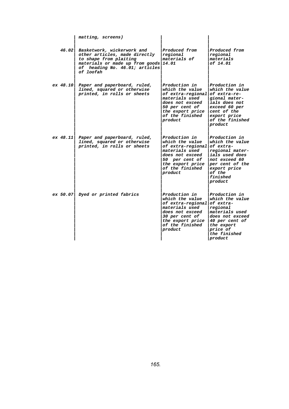| matting, screens)                                                                                                                                                                   |                                                                                                                                                                                                      |                                                                                                                                                                         |
|-------------------------------------------------------------------------------------------------------------------------------------------------------------------------------------|------------------------------------------------------------------------------------------------------------------------------------------------------------------------------------------------------|-------------------------------------------------------------------------------------------------------------------------------------------------------------------------|
| 46.02 Basketwork, wickerwork and<br>other articles, made directly<br>to shape from plaiting<br>materials or made up from goods/14.01<br>of heading No. 46.01; articles<br>of loofah | <i>Produced from</i><br><i>regional</i><br><i>materials of</i>                                                                                                                                       | <i>Produced from</i><br><i> regional</i><br><i>Imaterials</i><br>of 14.01                                                                                               |
| ex 48.10 Paper and paperboard, ruled,<br>lined, squared or otherwise<br>printed, in rolls or sheets                                                                                 | <i>Production in</i><br>which the value<br>of extra-regional/of extra-re-<br>/materials used<br>does not exceed<br>50 per cent of<br>the export price (cent of the<br>of the finished<br>  product   | <i>Production in</i><br>which the value<br>$\sigma$ ional mater-<br><i>lials does not</i><br>/exceed 60 per<br>export price<br>of the finished<br>  product             |
| ex 48.11/ Paper and paperboard, ruled,<br>lined, squared or otherwise<br>printed, in rolls or sheets                                                                                | <i> Production in</i><br>which the value<br>of extra-regional/of extra-<br>/materials used<br>ldoes not exceed<br>50 per cent of<br>the export price (per cent of the)<br>of the finished<br>product | <i>Production in</i><br>which the value<br>regional mater-<br>ials used does<br>not exceed 60<br>export price<br>of the<br><i>lfinished</i><br>  product                |
| ex 50.07 Dyed or printed fabrics                                                                                                                                                    | <i>Production in</i><br>which the value<br>of extra-regional/of extra-<br>/materials used<br>does not exceed<br>30 per cent of<br>the export price /40 per cent of<br>of the finished<br>  product   | <i>Production in</i><br>which the value<br><i> regional</i><br><i>materials</i> used<br>does not exceed<br>the export<br><i>\price of</i><br>the finished)<br>  product |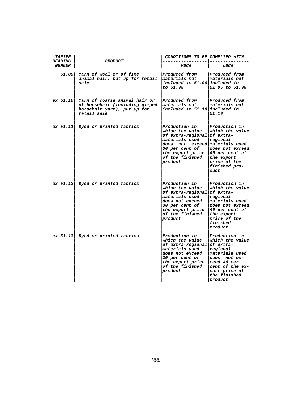| <i><b>TARIFF</b></i>                     |                                                                                                                                        | CONDITIONS TO BE COMPLIED WITH                                                                                                                                                                                    |                                                                                                                                                                        |
|------------------------------------------|----------------------------------------------------------------------------------------------------------------------------------------|-------------------------------------------------------------------------------------------------------------------------------------------------------------------------------------------------------------------|------------------------------------------------------------------------------------------------------------------------------------------------------------------------|
| <i><b>HEADING</b></i><br><i>NUMBER  </i> | <b>PRODUCT</b>                                                                                                                         | <b>MDCs</b>                                                                                                                                                                                                       | LDCs                                                                                                                                                                   |
|                                          | 51.09/ Yarn of wool or of fine<br>animal hair, put up for retail  materials not  <br>sale                                              | <i>Produced from</i><br>included in 51.06 included in<br>to 51.08                                                                                                                                                 | <i>Produced from</i><br>/materials not<br>151.06 to 51.08                                                                                                              |
|                                          | ex 51.10/ Yarn of coarse animal hair or<br>of horsehair (including gimped  materials not<br>horsehair yarn), put up for<br>retail sale | <i>Produced from</i><br>included in 51.10 included in                                                                                                                                                             | <i>Produced from</i><br><i>materials not</i><br><i>151.10</i>                                                                                                          |
|                                          | ex 51.11 Dyed or printed fabrics                                                                                                       | <i>Production in</i><br>which the value<br>of extra-regional/of extra-<br>/materials used<br>does not exceed/materials used<br>30 per cent of<br>the export price /40 per cent of<br>of the finished<br>  product | <i>Production in</i><br>which the value<br>regional<br>does not exceed<br>the export<br><i>price</i> of the<br>finished pro-<br> duct                                  |
|                                          | ex 51.12 Dyed or printed fabrics                                                                                                       | <i>Production in</i><br>which the value<br>of extra-regional/of extra-<br>/materials used<br>does not exceed<br>30 per cent of<br>the export price /40 per cent of<br>of the finished<br>  product                | <i>Production in</i><br>which the value<br>regional/<br><i>materials used</i><br>does not exceed<br>the export<br><i>price of the</i><br><i>lfinished</i><br>  product |
|                                          | ex $51.13$ Dyed or printed fabrics                                                                                                     | <i>Production in</i><br>which the value<br>of extra-regional/of extra-<br>/materials used<br>does not exceed<br>30 per cent of<br>the export price (ceed 40 per<br>of the finished<br>  product                   | <i>Production in</i><br>which the value<br>regional/<br><i>materials used</i><br>does not ex-<br>cent of the ex-<br><i>port price of</i><br>the finished)<br>product   |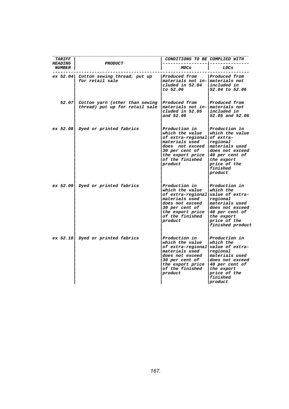| <b><i>TARIFF</i></b><br><i><b>HEADING</b></i> | <i>PRODUCT</i>                                                                                                                | CONDITIONS TO BE COMPLIED WITH                                                                                                                                                                                                                 |                                                                                                                                                                  |
|-----------------------------------------------|-------------------------------------------------------------------------------------------------------------------------------|------------------------------------------------------------------------------------------------------------------------------------------------------------------------------------------------------------------------------------------------|------------------------------------------------------------------------------------------------------------------------------------------------------------------|
| NUMBER                                        |                                                                                                                               | <b>MDCs</b>                                                                                                                                                                                                                                    | LDCS                                                                                                                                                             |
|                                               | ex 52.04/ Cotton sewing thread, put up<br>for retail sale                                                                     | <i>Produced from</i><br>/materials not in-/materials not<br>cluded in 52.04/<br>to 52.06                                                                                                                                                       | <i>Produced from</i><br>included in<br>$/52.04$ to $52.06$                                                                                                       |
|                                               | 52.07 Cotton yarn (other than sewing   Produced from<br>thread) put up for retail sale <i>materials</i> not in-/materials not | cluded in 52.05 /included in<br>and 52.06                                                                                                                                                                                                      | <i>Produced from</i><br>$152.05$ and $52.06$                                                                                                                     |
|                                               | ex 52.08 Dyed or printed fabrics                                                                                              | <i>Production in</i><br>which the value<br>of extra-regional/of extra-<br>/materials used<br>does not exceed /materials used<br>30 per cent of<br>the export price /40 per cent of<br>$\sqrt{\int_{0}^{t} f(t) dt}$ of the export<br>  product | <i>Production in</i><br>which the value<br>regional<br>does not exceed<br><i>price</i> of the<br><i>lfinished</i><br>  product                                   |
|                                               | ex 52.09 Dyed or printed fabrics                                                                                              | <i>Production in</i><br>which the value<br>of extra-regional/value of extra-<br>/materials used<br>does not exceed<br>30 per cent of<br>the export price /40 per cent of<br>of the finished<br>  product                                       | <i>Production in</i><br>which the<br>regional/<br>materials used<br>does not exceed<br>the export<br><i>price of the</i><br><i>finished product</i>              |
|                                               | ex 52.10 Dyed or printed fabrics                                                                                              | <i>Production in</i><br>which the value<br>of extra-regional/value of extra-<br>/materials used<br>does not exceed<br>30 per cent of<br>the export price /40 per cent of/<br>of the finished<br>  product                                      | <i>Production in</i><br>which the<br>regional/<br><i>materials used</i><br>does not exceed<br>the export<br><i>price</i> of the<br><i>lfinished</i><br>  product |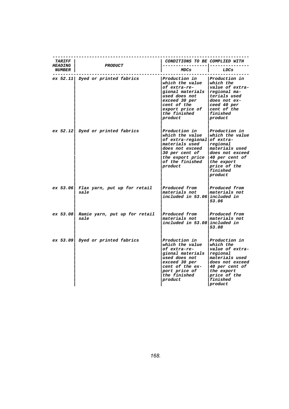| <i>TARIFF  </i><br><i><b>HEADING</b></i> | <b>PRODUCT</b>                                  | <i>  CONDITIONS TO BE COMPLIED WITH</i>                                                                                                                                                             |                                                                                                                                                                                    |
|------------------------------------------|-------------------------------------------------|-----------------------------------------------------------------------------------------------------------------------------------------------------------------------------------------------------|------------------------------------------------------------------------------------------------------------------------------------------------------------------------------------|
| NUMBER                                   |                                                 | MDCs                                                                                                                                                                                                | LDCs                                                                                                                                                                               |
|                                          | ex 52.11/ Dyed or printed fabrics               | <i>Production in</i><br>which the value<br>of extra-re-<br>gional materials <i>regional</i> ma-<br>used does not<br>exceed 30 per<br>cent of the<br>export price of<br>the finished)<br>  product   | <i>Production in</i><br>which the<br>value of extra-<br>terials used<br> does not ex-<br>ceed 40 per<br>cent of the<br><i>lfinished</i><br>  product                               |
|                                          | ex 52.12 Dyed or printed fabrics                | <i>Production in</i><br>which the value<br>of extra-regional/of extra-<br>/materials used<br>ldoes not exceed<br>30 per cent of<br>the export price /40 per cent of<br>of the finished<br>  product | <i>Production in</i><br>which the value<br><i>regional</i><br>/materials used<br>does not exceed<br>the export<br><i>price of the</i><br><i>lfinished</i><br><i>product</i>        |
|                                          | ex 53.06 Flax yarn, put up for retail<br>sale   | <i>Produced from</i><br>materials not<br>included in 53.06/included in                                                                                                                              | <i>Produced from</i><br><i>materials not</i><br>153.06                                                                                                                             |
|                                          | ex 53.08/ Ramie yarn, put up for retail<br>sale | <i>Produced from</i><br>/materials not<br>included in 53.08/included in                                                                                                                             | <i>Produced from</i><br>/materials not<br>153.08                                                                                                                                   |
|                                          | ex 53.09 Dyed or printed fabrics                | <i>Production in</i><br>which the value<br>lof extra-re-<br> gional materials  regional<br>used does not<br>exceed 30 per/<br>cent of the ex-<br><i>port price of</i><br>the finished)<br>  product | Production in<br>which the<br>value of extra-<br>materials used<br>does not exceed<br><i> 40 per cent of</i><br>the export<br><i>price of the</i><br><i>lfinished</i><br>  product |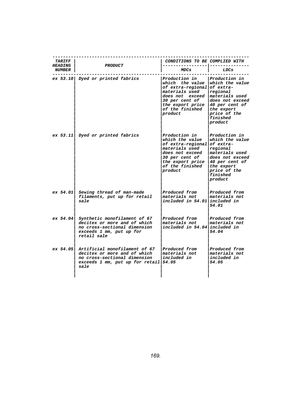| <i>TARIFF</i> /<br>HEADING | <b>PRODUCT</b>                                                                                                                                                | CONDITIONS TO BE COMPLIED WITH                                                                                                                                                                                                                                                                                                        |                                                                                                 |
|----------------------------|---------------------------------------------------------------------------------------------------------------------------------------------------------------|---------------------------------------------------------------------------------------------------------------------------------------------------------------------------------------------------------------------------------------------------------------------------------------------------------------------------------------|-------------------------------------------------------------------------------------------------|
| <i>NUMBER  </i>            |                                                                                                                                                               | <b>MDCs</b>                                                                                                                                                                                                                                                                                                                           | LDCs                                                                                            |
|                            | ex $53.10/$ Dyed or printed fabrics                                                                                                                           | Production in Production in<br>which the value which the value<br>of extra-regional of extra-<br> materials used   regional<br>does not exceed /materials used<br>$\sqrt{30}$ per cent of $\sqrt{30}$ does not exceed<br>the export price /40 per cent of<br>$\sqrt{\int_{0}^{t} f(t) dt}$ of the export<br>  product                 | <i>price</i> of the<br><i>lfinished</i><br>  product                                            |
|                            | ex $53.11$ Dyed or printed fabrics                                                                                                                            | <i>Production in</i><br>which the value<br>of extra-regional/of extra-<br>$\hspace{0.1em}/$ materials used $\hspace{0.1em}/$ regional<br>does not exceed   /materials used<br>$\sqrt{30}$ per cent of $\sqrt{30}$ does not exceed<br>the export price /40 per cent of/<br>$\sqrt{$ of the finished $\sqrt{ }$ the export<br>  product | <i>Production in</i><br>which the value<br><i>price</i> of the<br><i>lfinished</i><br>  product |
|                            | ex 54.01/ Sewing thread of man-made<br>filaments, put up for retail<br>sale                                                                                   | <i>Produced from</i><br><i>I</i> materials not<br>included in 54.01/included in                                                                                                                                                                                                                                                       | <i>Produced from</i><br>/materials not<br>154.01                                                |
|                            | ex $54.04$ Synthetic monofilament of 67<br>decitex or more and of which<br>no cross-sectional dimension<br>exceeds 1 mm, put up for<br>retail sale            | <i>Produced from</i><br><i>materials not</i><br>included in 54.04/included in                                                                                                                                                                                                                                                         | <i>Produced from</i><br>/materials not<br>154.04                                                |
|                            | ex 54.05/ Artificial monofilament of 67<br>decitex or more and of which<br>no cross-sectional dimension<br>exceeds $1$ mm, put up for retail $/54.05$<br>sale | <i>Produced from</i><br><i>Imaterials not</i><br>included in                                                                                                                                                                                                                                                                          | <i>Produced from</i><br><i>materials</i> not<br>included in<br>154.05                           |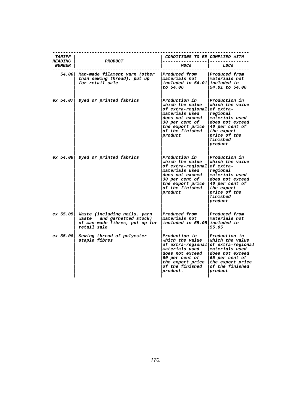| <i><b>TARIFF</b></i> /<br><i><b>HEADING</b></i><br><i>NUMBER  </i> | <b>PRODUCT</b>                                                                                                                                              | CONDITIONS TO BE COMPLIED WITH                                                                                                                                                                      |                                                                                                                                                                               |
|--------------------------------------------------------------------|-------------------------------------------------------------------------------------------------------------------------------------------------------------|-----------------------------------------------------------------------------------------------------------------------------------------------------------------------------------------------------|-------------------------------------------------------------------------------------------------------------------------------------------------------------------------------|
|                                                                    |                                                                                                                                                             | MDCs                                                                                                                                                                                                | LDCs                                                                                                                                                                          |
|                                                                    | 54.06   Man-made filament yarn (other<br>than sewing thread), put up !<br>for retail sale                                                                   | <i>Produced from</i><br>/materials not<br>included in 54.01/included in/<br>lto 54.06                                                                                                               | <i>Produced from</i><br>/materials not<br>$154.01$ to $54.06$                                                                                                                 |
|                                                                    | ex 54.07 Dyed or printed fabrics                                                                                                                            | <i>Production in</i><br>which the value<br>of extra-regional/of extra-<br>/materials used<br>does not exceed<br>30 per cent of<br>the export price /40 per cent of/<br>of the finished<br>  product | <i>Production in</i><br>which the value<br><i>regional</i><br><i>Imaterials used</i><br>does not exceed<br>the export<br><i>price</i> of the<br><i>lfinished</i><br>  product |
|                                                                    | ex 54.08 Dyed or printed fabrics                                                                                                                            | <i>Production in</i><br>which the value<br>of extra-regional/of extra-<br>/materials used<br>does not exceed<br>30 per cent of<br>the export price /40 per cent of<br>of the finished<br>  product  | <i>Production in</i><br>which the value<br>regional/<br><i>materials</i> used<br>does not exceed<br>the export<br><i>price of the</i><br><i>lfinished</i><br>  product        |
|                                                                    | ex 55.05   Waste (including noils, yarn<br>waste and garnetted stock)<br>of man-made fibres, put up for <i>included</i> in 55.05/included in<br>retail sale | <i>Produced from</i><br>/materials not                                                                                                                                                              | <b>Produced</b> from<br><i>Imaterials not</i><br>155.05                                                                                                                       |
|                                                                    | ex 55.08 Sewing thread of polyester<br>staple fibres                                                                                                        | <i>Production in</i><br>which the value<br>of extra-regional/of extra-regional/<br>/materials used<br>does not exceed<br> 60 per cent of<br>the export price)<br>of the finished<br>  product.      | <i>Production in</i><br>which the value<br><i>materials used</i><br>does not exceed<br>65 per cent of<br>the export price<br>of the finished<br>  product                     |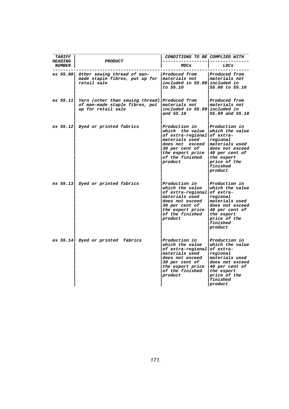| <i><b>TARIFF</b></i><br><i>HEADING  </i> | <i><b>PRODUCT</b></i>                                                                                                                                 | <i>CONDITIONS TO BE COMPLIED WITH</i>                                                                                                                                                                                                                                 |                                                                                                                                                                 |
|------------------------------------------|-------------------------------------------------------------------------------------------------------------------------------------------------------|-----------------------------------------------------------------------------------------------------------------------------------------------------------------------------------------------------------------------------------------------------------------------|-----------------------------------------------------------------------------------------------------------------------------------------------------------------|
| <i>NUMBER  </i>                          |                                                                                                                                                       | <b>MDCs</b>                                                                                                                                                                                                                                                           | LDCs                                                                                                                                                            |
|                                          | ex 55.08 Other sewing thread of man- Produced from<br>$\hspace{0.1mm}/$ made staple fibres, put up for $\hspace{0.1mm}/$ materials not<br>retail sale | included in 55.08 included in<br>to 55.10                                                                                                                                                                                                                             | <i>Produced from</i><br>/materials not<br>$/55.08$ to $55.10$                                                                                                   |
|                                          | ex 55.11 Yarn (other than sewing thread) Produced from<br>of man-made staple fibres, put $/$ materials not<br>up for retail sale                      | included in 55.09/included in<br>and 55.10                                                                                                                                                                                                                            | <i>Produced from</i><br>/materials not<br>$155.09$ and $55.10$                                                                                                  |
|                                          | ex 55.12/ Dyed or printed fabrics                                                                                                                     | /Production in<br>which the value which the value<br>of extra-regional/of extra-<br>materials used /regional<br>does not exceed /materials used<br>30 per cent of (does not exceed<br>the export price $/40$ per cent of<br>of the finished (the export)<br>  product | <i>Production in</i><br><i>price</i> of the<br><i>finished</i><br>  product                                                                                     |
|                                          | ex 55.13/ Dyed or printed fabrics                                                                                                                     | <i>Production in</i><br>which the value<br>of extra-regional/of extra-<br>/materials used<br>does not exceed<br>30 per cent of<br>the export price /40 per cent of<br>of the finished<br>product                                                                      | <i>Production in</i><br>which the value<br>regional/<br>materials used<br>does not exceed<br>the export<br><i>price</i> of the<br><i>lfinished</i><br>  product |
|                                          | ex $55.14$ Dyed or printed fabrics                                                                                                                    | <i>Production in</i><br>which the value<br>of extra-regional/of extra-<br>/materials used<br>does not exceed<br>30 per cent of<br>the export price /40 per cent of/<br>of the finished<br>  product                                                                   | <i>Production in</i><br>which the value<br>regional/<br>materials used<br>does not exceed<br>the export<br><i>price of the</i><br><i>lfinished</i><br>  product |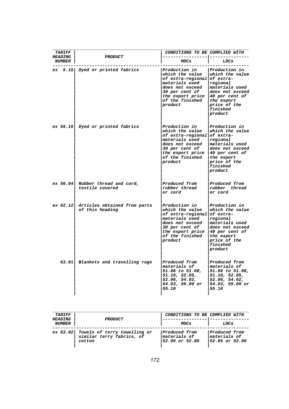| <i><b>TARIFF</b></i>     |                                                            | CONDITIONS TO BE COMPLIED WITH                                                                                                                                                                                                        |                                                                                                                                                         |
|--------------------------|------------------------------------------------------------|---------------------------------------------------------------------------------------------------------------------------------------------------------------------------------------------------------------------------------------|---------------------------------------------------------------------------------------------------------------------------------------------------------|
| HEADING<br><b>NUMBER</b> | <b>PRODUCT</b>                                             | MDCs                                                                                                                                                                                                                                  | LDCs                                                                                                                                                    |
|                          | ex 5.15/ Dyed or printed fabrics                           | <i>Production in</i><br>which the value<br>  of extra-regional of extra-<br>/materials used<br>does not exceed<br>30 per cent of<br>$t$ the export price $/40$ per cent of<br>$\sqrt{\int_{0}^{t} f(t) dt}$ of the export<br>/product | <i>Production in</i><br>which the value<br>regional<br><i>materials used</i><br>does not exceed<br><i>price</i> of the<br><i>lfinished</i><br>  product |
|                          | ex 55.16 Dyed or printed fabrics                           | <i>Production in</i><br>which the value<br>of extra-regional/of extra-<br>materials used<br>does not exceed<br>30 per cent of<br>the export price /40 per cent of/<br>$ $ of the finished $ $ the export<br>  product                 | <i>Production in</i><br>which the value<br>regional/<br>materials used<br>does not exceed<br>$ price\ of\ the$<br><i> finished</i><br>  product         |
|                          | ex $56.04$ Rubber thread and cord,<br>textile covered      | <i>Produced from</i><br>rubber thread<br>lor cord                                                                                                                                                                                     | <i>Produced from</i><br>rubber thread<br>lor cord                                                                                                       |
|                          | ex $62.12$ Articles obtained from parts<br>of this heading | <i>Production in</i><br>which the value<br>of extra-regional/of extra-<br>/materials used<br>does not exceed<br>30 per cent of<br>$t$ the export price $/40$ per cent of<br>$\sqrt{\int_{0}^{t} f(t) dt}$ of the export<br>  product  | <i>Production in</i><br>which the value<br><i>regional</i><br>materials used<br>does not exceed<br><i>price of the</i><br><i> finished</i><br>  product |
|                          | 63.01 Blankets and travelling rugs                         | <i>Produced from</i><br>/materials of<br>51.06 to 51.08,<br>,<br> 51.10, 52.05,<br><i> 52.06, 54.02,</i><br>154.03, 55.09 or<br><i>155.10</i>                                                                                         | <i>Produced from</i><br>materials of<br>51.06 to 51.08,<br>151.10, 52.05,<br> 52.06, 54.02,<br>$154.03, 55.09$ or<br><i>155.10</i>                      |

| <b><i>TARIFF</i></b><br><i><b>HEADING</b></i><br><b>PRODUCT</b> |                                                                               | CONDITIONS TO BE COMPLIED WITH                       |                                                        |
|-----------------------------------------------------------------|-------------------------------------------------------------------------------|------------------------------------------------------|--------------------------------------------------------|
| <i><b>NUMBER</b></i>                                            |                                                                               | MDCs                                                 | LDCs                                                   |
|                                                                 | ex 63.02/ Towels of terry towelling or<br>similar terry fabrics, of<br>cotton | Produced from<br>materials of<br>$152.05$ or $52.06$ | <i>Produced from</i><br>materials of<br>52.05 or 52.06 |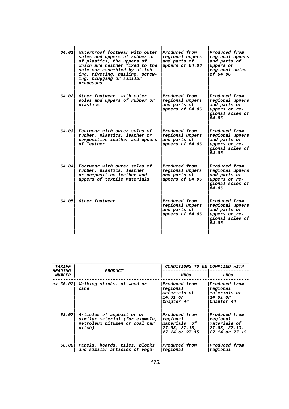| 64.01   Waterproof footwear with outer   Produced from<br>soles and uppers of rubber or<br>of plastics, the uppers of<br>which are neither fixed to the<br>sole nor assembled by stitch-<br>ing, riveting, nailing, screw-<br>ing, plugging or similar<br>processes | regional uppers<br>and parts of<br> uppers of $64.06$               | Produced from<br>regional uppers<br>and parts of<br>uppers or<br>regional soles<br>of 64.06   |
|---------------------------------------------------------------------------------------------------------------------------------------------------------------------------------------------------------------------------------------------------------------------|---------------------------------------------------------------------|-----------------------------------------------------------------------------------------------|
| 64.02 Other footwear with outer<br>soles and uppers of rubber or<br>plastics                                                                                                                                                                                        | Produced from<br>regional uppers<br>and parts of<br>uppers of 64.06 | Produced from<br>regional uppers<br>and parts of<br>uppers or re-<br>gional soles of<br>64.06 |
| 64.03 Footwear with outer soles of<br>rubber, plastics, leather or<br>composition leather and uppers<br>of leather                                                                                                                                                  | Produced from<br>regional uppers<br>and parts of<br>uppers of 64.06 | Produced from<br>regional uppers<br>and parts of<br>uppers or re-<br>gional soles of<br>64.06 |
| 64.04 Footwear with outer soles of<br>rubber, plastics, leather<br>or composition leather and<br>uppers of textile materials                                                                                                                                        | Produced from<br>regional uppers<br>and parts of<br>uppers of 64.06 | Produced from<br>regional uppers<br>and parts of<br>uppers or re-<br>gional soles of<br>64.06 |
| 64.05 Other footwear                                                                                                                                                                                                                                                | Produced from<br>regional uppers<br>and parts of<br>uppers of 64.06 | Produced from<br>regional uppers<br>and parts of<br>uppers or re-<br>gional soles of<br>64.06 |

| <i><b>TARIFF</b></i><br><i><b>HEADING</b></i> | <b>PRODUCT</b>                                                                                               | CONDITIONS TO BE COMPLIED WITH                                                      |                                                                               |
|-----------------------------------------------|--------------------------------------------------------------------------------------------------------------|-------------------------------------------------------------------------------------|-------------------------------------------------------------------------------|
| <i><b>NUMBER</b></i>                          |                                                                                                              | MDCs                                                                                | LDCs                                                                          |
| ex 66.02/                                     | Walking-sticks, of wood or<br>cane                                                                           | Produced from<br>regional<br>materials of<br>14.01 or<br>Chapter 44                 | Produced from<br>regional<br>materials of<br>/14.01 or<br>Chapter 44          |
|                                               | 68.07 Articles of asphalt or of<br>similar material (for example,<br>petroleum bitumen or coal tar<br>pitch) | <i>Produced from</i><br>regional<br>materials of<br>27.08, 27.13,<br>27.14 or 27.15 | 'Produced from<br>regional<br>materials of<br>27.08, 27.13,<br>27.14 or 27.15 |
|                                               | 68.08  Panels, boards, tiles, blocks<br>and similar articles of vege-                                        | <i>Produced from</i><br>regional                                                    | 'Produced from<br>regional                                                    |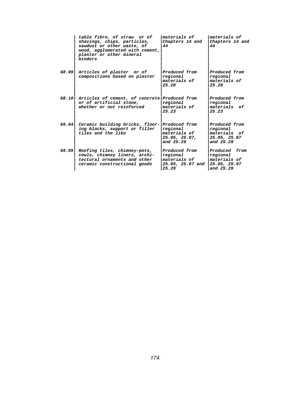| table fibre, of straw or of<br>shavings, chips, particles,<br>sawdust or other waste, of<br>wood, agglomerated with cement,<br>plaster or other mineral<br>binders | /materials of<br>Chapters 14 and<br>44                                                         | <i>Imaterials of</i><br>Chapters 14 and<br>44                                 |
|--------------------------------------------------------------------------------------------------------------------------------------------------------------------|------------------------------------------------------------------------------------------------|-------------------------------------------------------------------------------|
| 68.09 Articles of plaster or of<br>compositions based on plaster                                                                                                   | Produced from<br>regional<br>materials of<br>25.20                                             | Produced from<br>regional<br>materials of<br>25.20                            |
| 68.10   Articles of cement, of concrete Produced from<br>or of artificial stone,<br>whether or not reinforced                                                      | regional<br>materials of<br>25.23                                                              | Produced from<br>regional<br>materials of<br>25.23                            |
| 69.04 Ceramic building bricks, floor- Produced from<br>ing blocks, support or filler<br>tiles and the like                                                         | 'regional<br>materials of<br>25.05, 25.07,<br>and 25.29                                        | <i>Produced from</i><br>regional<br>materials of<br>25.05, 25.07<br>and 25.29 |
| 69.05 Roofing tiles, chimney-pots,<br>cowls, chimney liners, archi-<br>tectural ornaments and other<br>ceramic constructional goods                                | Produced from<br>regional<br>materials of<br>$25.05$ , $25.07$ and $/25.05$ , $25.07$<br>25.29 | Produced from<br>regional<br>materials of<br>and 25.29                        |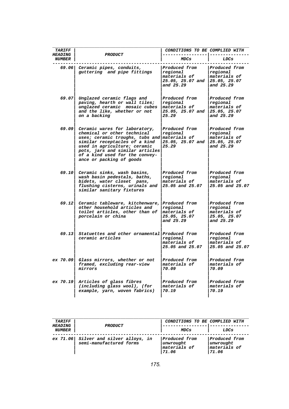| <i><b>TARIFF</b></i><br><i><b>HEADING</b></i> | <b>PRODUCT</b>                                                                                                                                                                                                                                                                       | CONDITIONS TO BE COMPLIED WITH                                                                                             |                                                                                        |
|-----------------------------------------------|--------------------------------------------------------------------------------------------------------------------------------------------------------------------------------------------------------------------------------------------------------------------------------------|----------------------------------------------------------------------------------------------------------------------------|----------------------------------------------------------------------------------------|
| <i><b>NUMBER</b></i>                          |                                                                                                                                                                                                                                                                                      | MDCs                                                                                                                       | LDCs                                                                                   |
|                                               | 69.06 Ceramic pipes, conduits,<br>guttering and pipe fittings                                                                                                                                                                                                                        | <i>Produced from</i><br>regional/<br>/materials of<br>$\frac{1}{25.05}$ , 25.07 and $\frac{1}{25.05}$ , 25.07<br>and 25.29 | <i>Produced from</i><br> regional<br><i>materials of</i><br>and 25.29                  |
|                                               | 69.07 Unglazed ceramic flags and<br>paving, hearth or wall tiles;<br>unglazed ceramic mosaic cubes /materials of<br>and the like, whether or not<br>on a backing                                                                                                                     | <i>Produced from</i><br><i> regional</i><br>$\left(25.05, 25.07 \right.$ and $\left(25.05, 25.07\right)$<br>125.29         | <i>Produced from</i><br><i> regional</i><br>/materials of<br>and 25.29                 |
|                                               | 69.09 Ceramic wares for laboratory,<br>chemical or other technical<br>uses; ceramic troughs, tubs and/materials of<br>similar receptacles of a kind<br>used in agriculture; ceramic<br>pots, jars and similar articles<br>of a kind used for the convey-<br>ance or packing of goods | <i>Produced from</i><br>regional/<br>$\{25.05, 25.07, \text{ and } 25.05, 25.07\}$<br>125.29                               | <i>Produced from</i><br>regional/<br>/materials of<br>and 25.29                        |
|                                               | 69.10 Ceramic sinks, wash basins,<br>wash basin pedestals, baths,<br>bidets, water closet pans,<br>flushing cisterns, urinals and (25.05 and 25.07<br>similar sanitary fixtures                                                                                                      | <i>Produced from</i><br>regional/<br><i>materials of</i>                                                                   | <i>Produced from</i><br>regional/<br><i>materials</i> of<br>25.05 and 25.07            |
|                                               | 69.12 Ceramic tableware, kitchenware, Produced from<br>other household articles and<br>toilet articles, other than of <i> materials</i> of<br>porcelain or china                                                                                                                     | regional<br><i>25.05, 25.07</i><br>and 25.29                                                                               | <i>Produced from</i><br>regional/<br><i>materials of</i><br> 25.05, 25.07<br>and 25.29 |
|                                               | 69.13 Statuettes and other ornamental Produced from<br>ceramic articles                                                                                                                                                                                                              | regional<br><i>materials of</i><br>25.05 and 25.07                                                                         | <i>Produced from</i><br><i>regional</i><br><i>materials of</i><br>25.05 and 25.07      |
|                                               | ex 70.09 Glass mirrors, whether or not<br>framed, excluding rear-view<br>mirrors                                                                                                                                                                                                     | <i>Produced from</i><br>materials of<br>170.09                                                                             | Produced from<br>materials of<br>170.09                                                |
|                                               | ex 70.19 Articles of glass fibres<br>(including glass wool), (for<br>example, yarn, woven fabrics)                                                                                                                                                                                   | <i>Produced from</i><br><i>Imaterials of</i><br>170.19                                                                     | <i>Produced from</i><br><i>Imaterials of</i><br>70.19                                  |

| <b><i>TARIFF</i></b>                          |                                                                  | CONDITIONS TO BE COMPLIED WITH                      |                                                      |
|-----------------------------------------------|------------------------------------------------------------------|-----------------------------------------------------|------------------------------------------------------|
| <i><b>HEADING</b></i><br><i><b>NUMBER</b></i> | <b>PRODUCT</b>                                                   | <i>MDCs</i>                                         | LDCs                                                 |
|                                               | ex 71.06 Silver and silver alloys, in<br>semi-manufactured forms | Produced from<br>unwrought<br>materials of<br>71.06 | 'Produced from<br>unwrought<br>materials of<br>71.06 |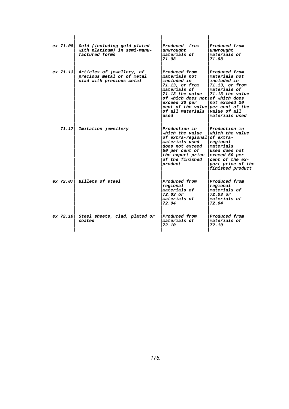| ex 71.08 Gold (including gold plated<br>with platinum) in semi-manu-<br>factured forms        | <i>Produced from</i><br>unwrought/<br>/materials of<br>71.08                                                                                                                                                                                                                 | <i>Produced from</i><br>unwrought<br>/materials of<br>171.08                                                                                                               |
|-----------------------------------------------------------------------------------------------|------------------------------------------------------------------------------------------------------------------------------------------------------------------------------------------------------------------------------------------------------------------------------|----------------------------------------------------------------------------------------------------------------------------------------------------------------------------|
| ex 71.13/ Articles of jewellery, of<br>precious metal or of metal<br>clad with precious metal | <i>Produced from</i><br><i>materials not</i><br> included in<br>/71.13, or from<br>/materials of<br>$/71.13$ the value $/71.13$ the value<br>of which does not/of which does<br>exceed 20 per<br>cent of the value/per cent of the<br>of all materials (value of all<br>used | <i>Produced from</i><br><i>Imaterials not</i><br>/included in<br>/71.13, or from<br><i>Imaterials of</i><br>not exceed 20<br><i>materials</i> used                         |
| 71.17  Imitation jewellery                                                                    | <i>Production in</i><br>which the value<br>lof extra-regional of extra-<br>/materials used<br>does not exceed<br>50 per cent of<br>the export price (exceed 60 per)<br>of the finished<br>  product                                                                          | <i>Production in</i><br>which the value<br><i>regional</i><br><i>Imaterials</i><br>used does not<br>cent of the ex-<br><i>port price of the</i><br><i>finished product</i> |
| ex $72.07$ Billets of steel                                                                   | <i>Produced from</i><br>regional<br>materials of<br>172.03 or<br>materials of<br>72.04                                                                                                                                                                                       | <i>Produced from</i><br>regional<br><i>materials of</i><br>172.03 or<br>/materials of<br>172.04                                                                            |
| ex 72.10 Steel sheets, clad, plated or<br>coated                                              | <i>Produced from</i><br>/materials of<br>72.10                                                                                                                                                                                                                               | <i>Produced from</i><br><i>materials of</i><br><i>172.10</i>                                                                                                               |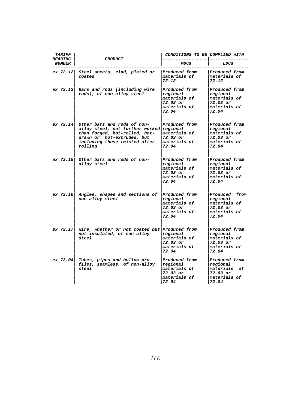| <i><b>TARIFF</b></i>            |                                                                                                                                                                                              | CONDITIONS TO BE COMPLIED WITH<br>- - - - - 1 - - -                                               |                                                                                                         |
|---------------------------------|----------------------------------------------------------------------------------------------------------------------------------------------------------------------------------------------|---------------------------------------------------------------------------------------------------|---------------------------------------------------------------------------------------------------------|
| <i><b>HEADING</b></i><br>NUMBER | <b>PRODUCT</b>                                                                                                                                                                               | <b>MDCs</b>                                                                                       | <b>LDCs</b>                                                                                             |
|                                 | ex 72.12  Steel sheets, clad, plated or<br>' coated                                                                                                                                          | <b>Produced</b> from<br>/materials of<br>172.12                                                   | <i>Produced from</i><br>/materials of<br>172.12                                                         |
|                                 | $ex$ 72.13 Bars and rods (including wire<br>rods), of non-alloy steel                                                                                                                        | <i>Produced from</i><br>regional/<br>/materials of<br>172.03 or<br>/materials of<br>172.04        | Produced from<br>regional/<br><i>Imaterials of</i><br>172.03 or<br>/materials of<br>172.04              |
|                                 | ex 72.14/ Other bars and rods of non-<br>alloy steel, not further worked regional<br>than forged, hot-rolled, hot-<br>drawn or hot-extruded, but<br>including those twisted after<br>rolling | <i>Produced from</i><br><i>Imaterials of</i><br>172.03 or<br>/materials of<br>172.04              | Produced from<br>regional/<br><i>Imaterials of</i><br>172.03 or<br>/materials of<br>172.04              |
|                                 | ex 72.15 Other bars and rods of non-<br>alloy steel                                                                                                                                          | <i>Produced from</i><br><i> regional</i><br>/materials of<br>172.03 or<br>/materials of<br>172.04 | Produced from<br>regional/<br>/materials of<br>172.03 or<br>/materials of<br>172.04                     |
|                                 | ex 72.16   Angles, shapes and sections of Produced from<br>non-alloy steel                                                                                                                   | <i>regional</i><br>/materials of<br>172.03 or<br>/materials of<br>172.04                          | Produced<br>from<br><i> regional</i><br>/materials of<br>172.03 or<br>/materials of<br>172.04           |
|                                 | ex $72.17$ Wire, whether or not coated but Produced from<br>not insulated, of non-alloy<br>steel                                                                                             | <i>regional</i><br>/materials of<br>172.03 or<br>/materials of<br>72.04                           | Produced from<br><i> regional</i><br>/materials of<br>/72.03 or<br>/materials of<br>72.04               |
|                                 | ex 73.04/ Tubes, pipes and hollow pro-<br>files, seamless, of non-alloy<br>steel                                                                                                             | <i>Produced from</i><br>regional/<br>/materials of<br>172.03 or<br>/materials of<br>172.04        | <i>Produced from</i><br><i> regional</i><br><i>materials of</i><br>/72.03 or<br>/materials of<br>/72.04 |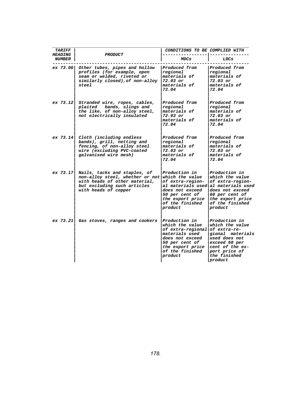| <i><b>TARIFF</b></i><br><i><b>HEADING</b></i><br><i>NUMBER</i> | <b>PRODUCT</b>                                                                                                                                                                    | CONDITIONS TO BE COMPLIED WITH                                                                                                                                                                                 |                                                                                                                                                                  |
|----------------------------------------------------------------|-----------------------------------------------------------------------------------------------------------------------------------------------------------------------------------|----------------------------------------------------------------------------------------------------------------------------------------------------------------------------------------------------------------|------------------------------------------------------------------------------------------------------------------------------------------------------------------|
|                                                                |                                                                                                                                                                                   | MDCs                                                                                                                                                                                                           | LDCs                                                                                                                                                             |
|                                                                | ex 73.06 Other tubes, pipes and hollow<br>profiles (for example, open<br>seam or welded, riveted or<br>similarly closed),of non-alloy /72.03 or<br>steel                          | <i>Produced from</i><br><i> regional</i><br>materials of<br>/materials of<br>72.04                                                                                                                             | <i>Produced from</i><br><i> regional</i><br>/materials of<br>172.03 or<br>/materials of<br>172.04                                                                |
|                                                                | ex 73.12 Stranded wire, ropes, cables,<br>plaited bands, slings and<br>the like, of non-alloy steel,<br>not electrically insulated                                                | Produced from<br>regional/<br>/materials of<br>172.03 or<br>materials of<br>72.04                                                                                                                              | Produced from<br>regional/<br>/materials of<br>172.03 or<br>/materials of<br>172.04                                                                              |
|                                                                | ex 73.14 Cloth (including endless<br>bands), grill, netting and<br>fencing, of non-alloy steel<br>wire (excluding PVC-coated<br>galvanised wire mesh)                             | Produced from<br>regional/<br>/materials of<br>172.03 or<br>/materials of<br>72.04                                                                                                                             | Produced from<br>regional/<br>/materials of<br>172.03 or<br>/materials of<br>172.04                                                                              |
|                                                                | ex 73.17/ Nails, tacks and staples, of<br>non-alloy steel, whether or not/which the value<br>with heads of other material,<br>but excluding such articles<br>with heads of copper | Production in<br>of extra-region- (of extra-region-<br>al materials used/al materials used<br>does not exceed<br><i> 50 per cent of</i><br>the export price (the export price)<br>of the finished<br>  product | <i>Production in</i><br>which the value<br>does not exceed<br>60 per cent of<br>of the finished<br>  product                                                     |
|                                                                | ex 73.21/ Gas stoves, ranges and cookers / Production in                                                                                                                          | which the value<br>of extra-regional/of extra-re-<br>materials used<br>does not exceed<br><i> 50 per cent of</i><br>the export price)<br>of the finished<br>  product                                          | Production in<br>which the value<br> gional materials<br>used does not<br>exceed 60 per <br>cent of the ex-<br><i>port price of</i><br>the finished<br>  product |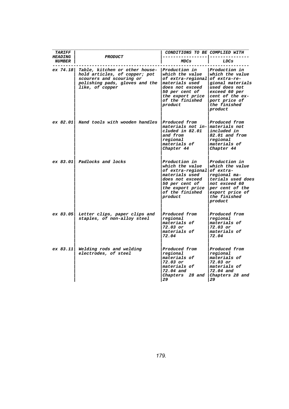| <i><b>TARIFF</b></i><br><b>HEADING</b> | <b>PRODUCT</b>                                                                                                                                                                   | CONDITIONS TO BE COMPLIED WITH                                                                                                                                                                              |                                                                                                                                                            |
|----------------------------------------|----------------------------------------------------------------------------------------------------------------------------------------------------------------------------------|-------------------------------------------------------------------------------------------------------------------------------------------------------------------------------------------------------------|------------------------------------------------------------------------------------------------------------------------------------------------------------|
| NUMBER                                 |                                                                                                                                                                                  | <b>MDCs</b>                                                                                                                                                                                                 | LDCs                                                                                                                                                       |
|                                        | ex 74.18 Table, kitchen or other house-<br>hold articles, of copper; pot<br>scourers and scouring or<br>polishing pads, gloves and the <i> materials</i> used<br>like, of copper | <i>Production in</i><br>which the value<br>of extra-regional/of extra-re-<br>does not exceed<br>50 per cent of<br>the export price (cent of the ex-<br>of the finished<br>  product                         | <i>Production in</i><br>which the value<br><i>sional</i> materials<br>used does not<br>exceed 60 per<br><i>port price of</i><br>the finished)<br>  product |
|                                        | ex 82.01/ Hand tools with wooden handles /Produced from                                                                                                                          | materials not in-/materials not<br>cluded in 82.01  included in <br>and from<br><i>regional</i><br>materials of<br>Chapter 44                                                                               | <i>Produced from</i><br>$/82.01$ and from<br>regional/<br><i>materials of</i><br>Chapter 44                                                                |
|                                        | ex 83.01/ Padlocks and locks                                                                                                                                                     | <i>Production in</i><br>which the value<br>of extra-regional/of extra-<br>/materials used<br>ldoes not exceed<br>50 per cent of<br>the export price $ per\>cent\> of\> the$<br>of the finished<br>  product | <i>Production in</i><br>which the value<br>/regional ma-<br>terials used does  <br>not exceed 60<br>export price of<br>the finished)<br>  product          |
|                                        | ex 83.05 Letter clips, paper clips and<br>staples, of non-alloy steel                                                                                                            | Produced from<br>regional/<br>/materials of<br>172.03 or<br>/materials of<br>72.04                                                                                                                          | <i>Produced from</i><br>regional/<br>/materials of<br>/72.03 or<br><i>materials of</i><br>172.04                                                           |
|                                        | ex 83.11/ Welding rods and welding<br>electrodes, of steel                                                                                                                       | <i>Produced from</i><br>regional/<br>/materials of<br>172.03 or<br>/materials of<br>/72.04 and<br>Chapters 28 and /Chapters 28 and<br> 29                                                                   | <i>Produced from</i><br>regional/<br>/materials of<br>172.03 or<br><i>materials of</i><br>/72.04 and<br> 29                                                |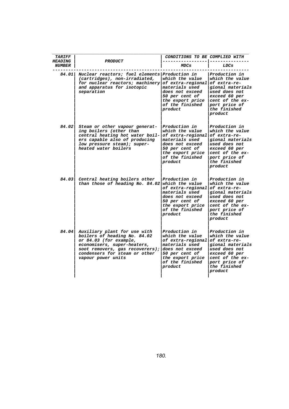| <i><b>TARIFF</b></i><br><i><b>HEADING</b></i> | <b>PRODUCT</b>                                                                                                                                                                                                                          | CONDITIONS TO BE COMPLIED WITH                                                                                                                                                              |                                                                                                                                                                           |
|-----------------------------------------------|-----------------------------------------------------------------------------------------------------------------------------------------------------------------------------------------------------------------------------------------|---------------------------------------------------------------------------------------------------------------------------------------------------------------------------------------------|---------------------------------------------------------------------------------------------------------------------------------------------------------------------------|
| <i><b>NUMBER</b></i>                          |                                                                                                                                                                                                                                         | MDCs                                                                                                                                                                                        | LDCs                                                                                                                                                                      |
|                                               | 84.01 Nuclear reactors; fuel elements Production in<br>(cartridges), non-irradiated,<br>for nuclear reactors; machinery/of extra-regional/of extra-re-<br>and apparatus for isotopic<br>separation                                      | which the value<br>materials used<br>does not exceed<br>50 per cent of<br>the export price)<br>of the finished<br>  product                                                                 | <i>Production in</i><br>which the value<br> gional materials<br>used does not<br>exceed 60 per<br>$/cent$ of the ex-<br><i>port price of</i><br>the finished<br>  product |
|                                               | 84.02 Steam or other vapour generat- Production in<br>ing boilers (other than<br>central heating hot water boil- of extra-regional of extra-re-<br>ers capable also of producing<br>low pressure steam); super-<br>heated water boilers | which the value<br>/materials used<br>does not exceed<br><i>50 per cent of</i><br>the export price)<br>of the finished<br>  product                                                         | Production in<br>which the value<br> gional materials<br>lused does not<br>exceed 60 per/<br>$/cent$ of the ex-<br><i>port price of</i><br>the finished)<br>  product     |
|                                               | 84.03 Central heating boilers other<br>than those of heading No. 84.02 which the value                                                                                                                                                  | <i>Production in</i><br>of extra-regional/of extra-re-<br>/materials used<br>does not exceed<br><i> 50 per cent of</i><br>the export price (cent of the ex-<br>of the finished<br>  product | Production in<br>which the value<br><i>dional materials</i><br>used does not<br>exceed 60 per<br><i>port price of</i><br>the finished)<br>  product                       |
|                                               | 84.04 Auxiliary plant for use with<br>boilers of heading No. 84.02<br>or 84.03 (for example,<br>economisers, super-heaters,<br>soot removers, gas recoverers); does not exceed<br>condensers for steam or other<br>vapour power units   | <i>Production in</i><br>which the value<br>of extra-regional/of extra-re-<br>materials used<br>50 per cent of<br>the export price)<br>of the finished<br>  product                          | Production in<br>which the value<br> gional materials<br>used does not<br>exceed 60 per <br>$/cent$ of the ex-<br><i>port price of</i><br>the finished)<br>  product      |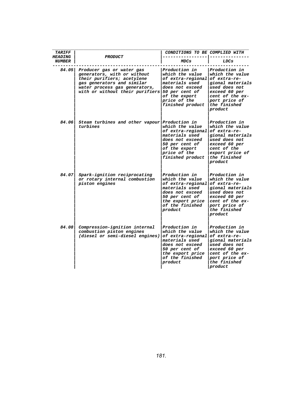| <i><b>TARIFF</b></i>                          |                                                                                                                                                                                                               | CONDITIONS TO BE COMPLIED WITH                                                                                                                                                                                      |                                                                                                                                                                 |
|-----------------------------------------------|---------------------------------------------------------------------------------------------------------------------------------------------------------------------------------------------------------------|---------------------------------------------------------------------------------------------------------------------------------------------------------------------------------------------------------------------|-----------------------------------------------------------------------------------------------------------------------------------------------------------------|
| <i><b>HEADING</b></i><br><i><b>NUMBER</b></i> | <b>PRODUCT</b>                                                                                                                                                                                                | MDCs                                                                                                                                                                                                                | LDCs                                                                                                                                                            |
|                                               | 84.05 Producer gas or water gas<br>generators, with or without<br>their purifiers; acetylene<br>gas generators and similar<br>water process gas generators,<br>with or without their purifiers 50 per cent of | <i> Production in</i><br>which the value<br>of extra-regional/of extra-re-<br>materials used<br>does not exceed<br>of the export<br><i> price of the</i><br>finished product (the finished                          | <i>Production in</i><br>which the value<br>gional materials<br>used does not<br>exceed 60 per<br>cent of the ex-<br><i>port price of</i><br>  product           |
|                                               | 84.06 Steam turbines and other vapour Production in<br>turbines                                                                                                                                               | which the value<br>of extra-regional/of extra-re-<br>materials used<br>ldoes not exceed<br>50 per cent of<br>of the export<br><i>\price of the</i><br>finished product the finished                                 | Production in<br>which the value<br>gional materials<br>used does not<br>exceed 60 per<br>cent of the<br>export price of<br>  product                           |
|                                               | 84.07 Spark-ignition reciprocating<br>or rotary internal combustion<br>piston engines                                                                                                                         | <i>Production in</i><br>which the value<br>of extra-regional/of extra-re-<br>materials used<br>does not exceed<br>50 per cent of<br>$t$ the export price $\sqrt{t}$ cent of the ex-<br>of the finished<br>  product | <i>Production in</i><br>which the value<br>gional materials<br>used does not<br>exceed 60 per<br><i>port price of</i><br>the finished)<br>  product             |
|                                               | 84.08 Compression-ignition internal<br>combustion piston engines<br>(diesel or semi-diesel engines) of extra-regional of extra-re-                                                                            | Production in<br>which the value<br>/materials used<br>does not exceed<br>50 per cent of<br>the export price)<br>of the finished<br>  product                                                                       | Production in<br>which the value<br> gional materials<br>lused does not<br>exceed 60 per<br>cent of the ex-<br><i>port price of</i><br>the finished)<br>product |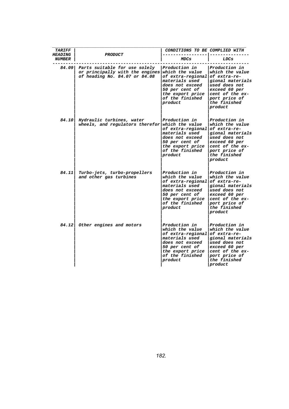| <i><b>TARIFF</b></i><br><i><b>HEADING</b></i> | <b>PRODUCT</b>                                                                                                              | CONDITIONS TO BE COMPLIED WITH                                                                                                                                                                                 |                                                                                                                                                                               |
|-----------------------------------------------|-----------------------------------------------------------------------------------------------------------------------------|----------------------------------------------------------------------------------------------------------------------------------------------------------------------------------------------------------------|-------------------------------------------------------------------------------------------------------------------------------------------------------------------------------|
| <b>NUMBER</b>                                 |                                                                                                                             | MDCs                                                                                                                                                                                                           | LDCs                                                                                                                                                                          |
|                                               | 84.09 Parts suitable for use solely<br>or principally with the engines/which the value<br>of heading No. $84.07$ or $84.08$ | <i>Production in</i><br>of extra-regional/of extra-re-<br>/materials used<br>does not exceed<br><i> 50 per cent of</i><br>the export price  cent of the ex-<br>of the finished<br>  product                    | <i>Production in</i><br>which the value<br><i> gional materials</i><br>used does not<br>exceed 60 per<br><i>port price of</i><br>the finished)<br>  product                   |
|                                               | 84.10 Hydraulic turbines, water<br>wheels, and regulators therefor which the value                                          | <i>Production in</i><br>of extra-regional/of extra-re-<br>materials used<br>does not exceed<br>50 per cent of<br>$ $ the export price $ $ cent of the ex-<br>of the finished<br>  product                      | <i>Production in</i><br>which the value<br>gional materials<br>used does not<br>exceed 60 per<br><i>port price of</i><br>the finished)<br>  product                           |
|                                               | 84.11/ Turbo-jets, turbo-propellers<br>and other gas turbines                                                               | <i>Production in</i><br>which the value<br>of extra-regional/of extra-re-<br>/materials used<br>does not exceed<br><i> 50 per cent of</i><br>the export price (cent of the ex-<br>of the finished<br>  product | Production in<br>which the value<br><i> gional materials</i><br>used does not<br>exceed 60 per/<br><i>port price of</i><br>the finished)<br><i>product</i>                    |
|                                               | 84.12 Other engines and motors                                                                                              | <i>Production in</i><br>which the value<br>of extra-regional/of extra-re-<br>/materials used<br>does not exceed<br><i> 50 per cent of</i><br>the export price)<br>of the finished<br>  product                 | <i>Production in</i><br>which the value<br><i> gional materials</i><br>used does not<br>exceed 60 per/<br>cent of the ex-<br><i>port price of</i><br>the finished)<br>product |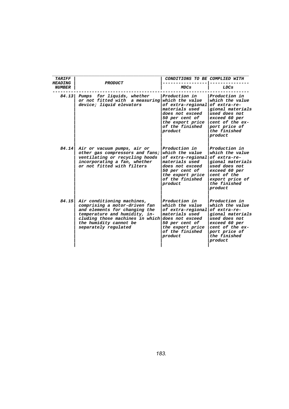| <i><b>TARIFF</b></i><br><b>HEADING</b> | <b>PRODUCT</b>                                                                                                                                                                                                                             | CONDITIONS TO BE COMPLIED WITH                                                                                                                                            |                                                                                                                                                                                |
|----------------------------------------|--------------------------------------------------------------------------------------------------------------------------------------------------------------------------------------------------------------------------------------------|---------------------------------------------------------------------------------------------------------------------------------------------------------------------------|--------------------------------------------------------------------------------------------------------------------------------------------------------------------------------|
| <i><b>NUMBER</b></i>                   |                                                                                                                                                                                                                                            | MDCs                                                                                                                                                                      | LDCs                                                                                                                                                                           |
|                                        | 84.13 Pumps for liquids, whether<br>or not fitted with a measuring/which the value<br>device; liquid elevators                                                                                                                             | <i>Production in</i><br>of extra-regional/of extra-re-<br>materials used<br>does not exceed<br><i>150 per cent of</i><br>the export price)<br>of the finished<br>'product | <i>Production in</i><br>which the value<br><i> gional materials</i><br>used does not<br>exceed 60 per<br>cent of the ex-<br><i>port price of</i><br>the finished)<br>  product |
|                                        | 84.14 Air or vacuum pumps, air or<br>other gas compressors and fans; which the value<br>ventilating or recycling hoods<br>incorporating a fan, whether<br>or not fitted with filters                                                       | Production in<br>of extra-regional/of extra-re-<br>materials used<br>does not exceed<br>/50 per cent of<br>the export price)<br>of the finished<br>  product              | <i>Production in</i><br>which the value<br> gional materials<br>used does not<br>exceed 60 per<br>cent of the<br>export price of<br>the finished<br>' product                  |
|                                        | 84.15   Air conditioning machines,<br>comprising a motor-driven fan<br>and elements for changing the<br>temperature and humidity, in-<br>cluding those machines in which does not exceed<br>the humidity cannot be<br>separately regulated | <i>Production</i> in<br>which the value<br>of extra-regional/of extra-re-<br>materials used<br><i>150 per cent of</i><br>the export price<br>of the finished<br>product   | Production in<br>which the value<br><i> gional materials</i><br>used does not<br>exceed 60 per<br>cent of the ex-<br>port price of<br>the finished<br>' product                |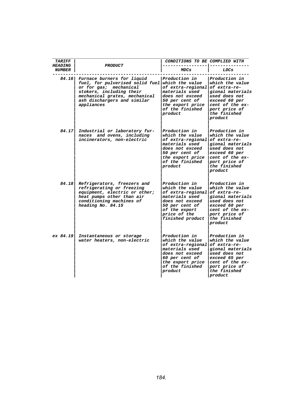| <i><b>TARIFF</b></i><br><i><b>HEADING</b></i> | <b>PRODUCT</b>                                                                                                                                                                                                          | CONDITIONS TO BE COMPLIED WITH                                                                                                                                                                       |                                                                                                                                                                    |
|-----------------------------------------------|-------------------------------------------------------------------------------------------------------------------------------------------------------------------------------------------------------------------------|------------------------------------------------------------------------------------------------------------------------------------------------------------------------------------------------------|--------------------------------------------------------------------------------------------------------------------------------------------------------------------|
| <i><b>NUMBER</b></i>                          |                                                                                                                                                                                                                         | MDCs                                                                                                                                                                                                 | LDCs                                                                                                                                                               |
|                                               | 84.16 Furnace burners for liquid<br>fuel, for pulverised solid fuel/which the value<br>or for gas; mechanical<br>stokers, including their<br>mechanical grates, mechanical<br>ash dischargers and similar<br>appliances | Production in<br>of extra-regional/of extra-re-<br>/materials used<br>does not exceed<br>50 per cent of<br>the export price $ $ cent of the ex-<br>of the finished<br>  product                      | <i>Production</i> in<br>which the value<br> gional materials<br>used does not<br>exceed 60 per <br><i>port price of</i><br>the finished)<br>  product              |
|                                               | 84.17 Industrial or laboratory fur-<br>naces and ovens, including<br>incinerators, non-electric                                                                                                                         | Production in<br>which the value<br>of extra-regional/of extra-re-<br>materials used<br>does not exceed<br><i>50 per cent of</i><br>the export price (cent of the ex-<br>of the finished<br>product  | Production in<br>which the value<br><i> gional materials</i><br>used does not<br>exceed 60 per/<br><i>port price of</i><br>the finished)<br>  product              |
|                                               | 84.18 Refrigerators, freezers and<br>refrigerating or freezing<br>equipment, electric or other;<br>heat pumps other than air<br>conditioning machines of<br>heading No. 84.15                                           | Production in<br>which the value<br>of extra-regional/of extra-re-<br>/materials used<br>does not exceed<br>50 per cent of<br>of the export<br><i>price of the</i><br>finished product /the finished | Production in<br>which the value<br><i> gional materials</i><br>used does not<br>exceed 60 per<br>cent of the ex-<br><i>port price of</i><br>  product             |
|                                               | ex 84.19 Instantaneous or storage<br>water heaters, non-electric                                                                                                                                                        | Production in<br>which the value<br>of extra-regional/of extra-re-<br>materials used<br>does not exceed<br>60 per cent of<br>the export price<br>of the finished<br>product                          | Production in<br>which the value<br> gional materials<br>lused does not<br>exceed 65 per/<br>cent of the ex-<br><i>port price of</i><br>the finished)<br>  product |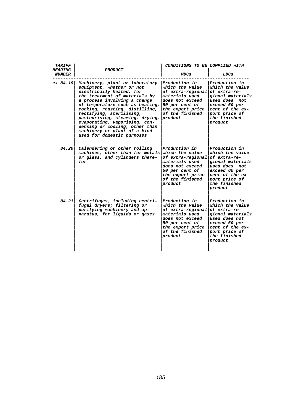| <i><b>TARIFF</b></i><br><i><b>HEADING</b></i> | <b>PRODUCT</b>                                                                                                                                                                                                                                                                                                                                                                                                                                                                | CONDITIONS TO BE COMPLIED WITH                                                                                                                                                       |                                                                                                                                                                                |
|-----------------------------------------------|-------------------------------------------------------------------------------------------------------------------------------------------------------------------------------------------------------------------------------------------------------------------------------------------------------------------------------------------------------------------------------------------------------------------------------------------------------------------------------|--------------------------------------------------------------------------------------------------------------------------------------------------------------------------------------|--------------------------------------------------------------------------------------------------------------------------------------------------------------------------------|
| <i><b>NUMBER</b></i>                          |                                                                                                                                                                                                                                                                                                                                                                                                                                                                               | <b>MDCs</b>                                                                                                                                                                          | LDCs                                                                                                                                                                           |
|                                               | ex 84.19  Machinery, plant or laboratory  Production in<br>equipment, whether or not<br>electrically heated, for<br>the treatment of materials by<br>a process involving a change<br>of temperature such as heating, 50 per cent of<br>cooking, roasting, distilling,<br>rectifying, sterilising,<br>pasteurising, steaming, drying, product<br>evaporating, vaporising, con-<br>densing or cooling, other than<br>machinery or plant of a kind<br>used for domestic purposes | which the value<br>of extra-regional/of extra-re-<br>/materials used<br>does not exceed<br>the export price)<br>of the finished                                                      | Production in<br>which the value<br> gional materials<br>lused does<br>not<br>exceed 60 per<br>cent of the ex-<br><i>port price of</i><br>the finished)<br>  product           |
|                                               | 84.20 Calendering or other rolling<br>machines, other than for metals/which the value<br>or glass, and cylinders there-<br>for                                                                                                                                                                                                                                                                                                                                                | <i>Production in</i><br>of extra-regional/of extra-re-<br>'materials used<br>does not exceed<br>50 per cent of<br>the export price<br>of the finished<br>product                     | Production in<br>which the value<br><i> gional materials</i><br>lused does<br>not<br>exceed 60 per <br>$/$ cent of the ex-<br><i>port price of</i><br>the finished)<br>product |
|                                               | 84.21 Centrifuges, including centri-<br>fugal dryers; filtering or<br>purifying machinery and ap-<br>paratus, for liquids or gases                                                                                                                                                                                                                                                                                                                                            | <i>Production in</i><br>which the value<br>of extra-regional/of extra-re-<br>materials used<br>does not exceed<br>50 per cent of<br>the export price<br>of the finished<br>  product | Production in<br>which the value<br> gional materials<br>lused does not<br>exceed 60 per <br>cent of the ex-<br><i>port price of</i><br>the finished)<br>'product              |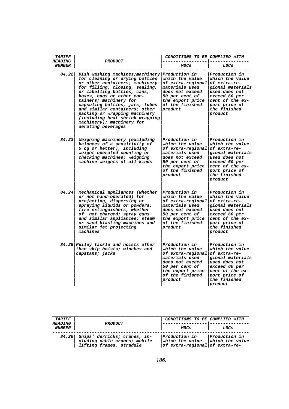| <i><b>TARIFF</b></i><br><i><b>HEADING</b></i> | <b>PRODUCT</b>                                                                                                                                                                                                                                                                                                                                                                                                                                                                                                   | <i>CONDITIONS TO BE COMPLIED WITH</i>                                                                                                                                                          |                                                                                                                                                                          |
|-----------------------------------------------|------------------------------------------------------------------------------------------------------------------------------------------------------------------------------------------------------------------------------------------------------------------------------------------------------------------------------------------------------------------------------------------------------------------------------------------------------------------------------------------------------------------|------------------------------------------------------------------------------------------------------------------------------------------------------------------------------------------------|--------------------------------------------------------------------------------------------------------------------------------------------------------------------------|
| <i><b>NUMBER</b></i>                          |                                                                                                                                                                                                                                                                                                                                                                                                                                                                                                                  | MDCs                                                                                                                                                                                           | LDCs                                                                                                                                                                     |
|                                               | 84.22 Dish washing machines; machinery Production in<br>  for cleaning or drying bottles /which the value<br>or other containers; machinery (of extra-regional(of extra-re-<br>for filling, closing, sealing,<br>or labelling bottles, cans,<br>boxes, bags or other con-<br>tainers; machinery for<br>capsuling bottles, jars, tubes of the finished<br>and similar containers; other<br>packing or wrapping machinery<br>$(including heat-shrink wrapping)$<br>machinery); machinery for<br>aerating beverages | <i>materials</i> used<br>does not exceed<br>50 per cent of<br>the export price<br>  product                                                                                                    | Production in<br>which the value<br><i> gional materials</i><br>used does not<br>exceed 60 per/<br>cent of the ex-<br><i>port price of</i><br>the finished)<br>  product |
|                                               | 84.23 Weighing machinery (excluding<br>balances of a sensitivity of<br>5 cg or better), including<br>weight operated counting or<br>checking machines; weighing<br>machine weights of all kinds                                                                                                                                                                                                                                                                                                                  | 'Production in<br>which the value<br>of extra-regional/of extra-re-<br>materials used<br>does not exceed<br>50 per cent of<br>the export price / cent of the ex-<br>of the finished<br>product | Production in<br>which the value<br> gional materials<br>used does not<br>exceed 60 per/<br><i>port price of</i><br>the finished)<br>  product                           |
|                                               | 84.24   Mechanical appliances (whether   Production in<br>or not hand-operated) for<br>projecting, dispersing or<br>spraying liquids or powders;<br>fire extinguishers, whether<br>of not charged; spray guns<br>and similar appliances; steam<br>or sand blasting machines and<br>similar jet projecting<br>machines                                                                                                                                                                                            | which the value<br>'of extra-regional/of extra-re-<br>/materials used<br>does not exceed<br>50 per cent of<br>the export price  cent of the ex-<br>of the finished<br>  product                | Production in<br>which the value<br> gional materials<br>used does not<br>exceed 60 per/<br><i>port price of</i><br>the finished)<br>  product                           |
|                                               | 84.25 Pulley tackle and hoists other<br>than skip hoists; winches and<br>capstans; jacks                                                                                                                                                                                                                                                                                                                                                                                                                         | Production in<br>which the value<br>of extra-regional/of extra-re-<br>materials used<br>does not exceed<br>50 per cent of<br>the export price<br>of the finished<br>product                    | Production in<br>which the value<br> gional materials<br>used does not<br>exceed 60 per <br>$/cent$ of the ex-<br><i>port price of</i><br>the finished)<br>  product     |

| <b><i>TARIFF</i></b><br><i><b>HEADING</b></i> | <b>PRODUCT</b>                                                                                 | CONDITIONS TO BE COMPLIED WITH                                                       |                      |
|-----------------------------------------------|------------------------------------------------------------------------------------------------|--------------------------------------------------------------------------------------|----------------------|
| <i>NUMBER</i>                                 |                                                                                                | <i>MDCs</i>                                                                          | LDCs                 |
|                                               | 84.26 Ships' derricks; cranes, in-<br>cluding cable cranes; mobile<br>lifting frames, straddle | Production in<br>which the value (which the value)<br>of extra-regional/of extra-re- | <i>Production in</i> |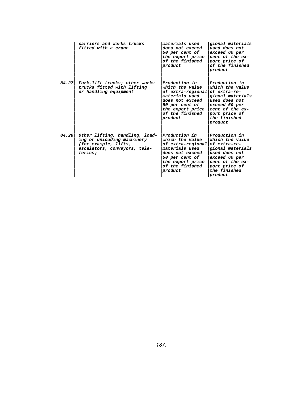| carriers and works trucks<br>fitted with a crane                                                                                                    | /materials used<br>does not exceed<br><i>50 per cent of</i><br>the export price (cent of the ex-<br>of the finished<br>product                                                               | gional materials<br>used does not<br>exceed 60 per<br><i>port price of</i><br>of the finished<br>product                                            |
|-----------------------------------------------------------------------------------------------------------------------------------------------------|----------------------------------------------------------------------------------------------------------------------------------------------------------------------------------------------|-----------------------------------------------------------------------------------------------------------------------------------------------------|
| 84.27   Fork-lift trucks; other works<br>trucks fitted with lifting<br>or handling equipment                                                        | Production in<br>which the value<br>of extra-regional/of extra-re-<br>materials used<br>does not exceed<br>50 per cent of<br>the export price (cent of the ex-<br>of the finished<br>product | <i>Production in</i><br>which the value<br><i>gional materials</i><br>lused does not<br>exceed 60 per<br>port price of<br>the finished<br>product   |
| 84.28 Other lifting, handling, load- Production in<br>ing or unloading machinery<br>(for example, lifts,<br>escalators, conveyors, tele-<br>ferics) | which the value<br>of extra-regional/of extra-re-<br>materials used<br>does not exceed<br>50 per cent of<br>the export price (cent of the ex-<br>of the finished<br>product                  | <i>Production in</i><br>which the value<br><i> qional materials</i><br>used does not<br>exceed 60 per<br>port price of<br>the finished<br>  product |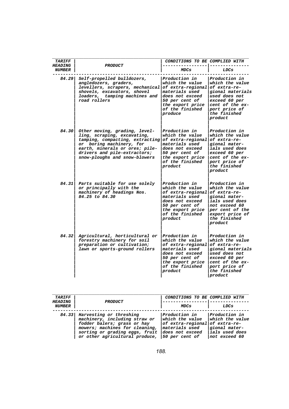| <b><i>TARIFF</i></b><br><i><b>HEADING</b></i> | <b>PRODUCT</b>                                                                                                                                                                                                                                                      | CONDITIONS TO BE COMPLIED WITH                                                                                                                                                                         |                                                                                                                                                      |
|-----------------------------------------------|---------------------------------------------------------------------------------------------------------------------------------------------------------------------------------------------------------------------------------------------------------------------|--------------------------------------------------------------------------------------------------------------------------------------------------------------------------------------------------------|------------------------------------------------------------------------------------------------------------------------------------------------------|
| <i><b>NUMBER</b></i>                          |                                                                                                                                                                                                                                                                     | MDCs                                                                                                                                                                                                   | LDCs                                                                                                                                                 |
|                                               | 84.29 Self-propelled bulldozers,<br>angledozers, graders,<br>levellers, scrapers, mechanical/of extra-regional/of extra-re-<br>shovels, excavators, shovel<br>loaders, tamping machines and does not exceed<br>road rollers                                         | <i>Production in</i><br>which the value<br>materials used<br><i> 50 per cent of</i><br>$t$ the export price $\overline{t}$ cent of the ex-<br>of the finished<br>  produce                             | <i>Production in</i><br>which the value<br> gional materials<br>used does not<br>exceed 60 per<br><i>port price of</i><br>the finished)<br>  product |
|                                               | 84.30 Other moving, grading, level-<br>ling, scraping, excavating,<br>tamping, compacting, extracting of extra-regional of extra-re-<br>or boring machinery, for<br>earth, minerals or ores; pile-<br>drivers and pile-extractors;<br>snow-ploughs and snow-blowers | Production in<br>which the value<br>/materials used<br>does not exceed<br>50 per cent of<br>the export price (cent of the ex-<br>of the finished<br>  product                                          | Production in<br>which the value<br>  qional mater-<br>ials used does<br>exceed 60 per <br><i>port price of</i><br>the finished)<br>  product        |
|                                               | 84.31 Parts suitable for use solely<br>or principally with the<br>machinery of headings Nos.<br>84.25 to 84.30                                                                                                                                                      | Production in<br>which the value<br>of extra-regional/of extra-re-<br>/materials used<br>does not exceed<br>50 per cent of<br>the export price (per cent of the)<br>of the finished<br>  product       | <i>Production in</i><br>which the value<br>gional mater-<br>ials used does<br>not exceed 60<br>export price of<br>the finished)<br>  product         |
|                                               | 84.32 Agricultural, horticultural or<br>forestry machinery for soil<br>preparation or cultivation;<br>lawn or sports-ground rollers                                                                                                                                 | <i>Production in</i><br>which the value<br>of extra-regional/of extra-re-<br>/materials used<br>does not exceed<br>50 per cent of<br>the export price (cent of the ex-<br>of the finished<br>  product | Production in<br>which the value<br> gional materials<br>used does not<br>exceed 60 per<br><i>port price of</i><br>the finished)<br>  product        |

| TARTFF<br><b>HEADING</b> | <b>PRODUCT</b>                                                                                                                                                                                      | CONDITIONS TO BE COMPLIED WITH                                                                                                      |                                                                                                |
|--------------------------|-----------------------------------------------------------------------------------------------------------------------------------------------------------------------------------------------------|-------------------------------------------------------------------------------------------------------------------------------------|------------------------------------------------------------------------------------------------|
| <i>NUMBER</i>            |                                                                                                                                                                                                     | MDCs                                                                                                                                | LDCs                                                                                           |
|                          | 84.33 Harvesting or threshing<br>machinery, including straw or<br>fodder balers; grass or hay<br>mowers; machines for cleaning,<br>sorting or grading eggs, fruit<br>or other agricultural produce, | 'Production in<br>which the value<br>of extra-regional/of extra-re-<br>materials used<br>'does not exceed<br><i>150 per cent of</i> | <i>Production in</i><br>which the value<br>'qional mater-<br>lials used does<br>'not exceed 60 |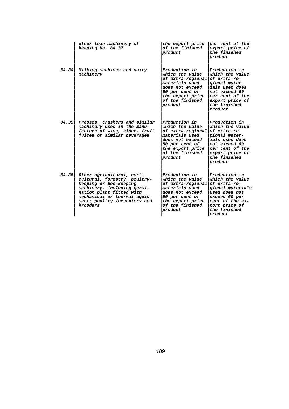| other than machinery of<br>heading No. 84.37                                                                                                                                                                                      | the export price (per cent of the)<br>of the finished<br>  product                                                                                                                             | export price of<br>the finished)<br>  product                                                                                                                       |
|-----------------------------------------------------------------------------------------------------------------------------------------------------------------------------------------------------------------------------------|------------------------------------------------------------------------------------------------------------------------------------------------------------------------------------------------|---------------------------------------------------------------------------------------------------------------------------------------------------------------------|
| 84.34   Milking machines and dairy<br>machinery                                                                                                                                                                                   | Production in<br>which the value<br>of extra-regional/of extra-re-<br>materials used<br>does not exceed<br><i> 50 per cent of</i><br>the export price<br>of the finished<br><i>product</i>     | Production in<br>which the value<br> gional mater-<br>lials used does<br>not exceed 60<br>per cent of the<br>export price of<br>the finished)<br>  product          |
| 84.35 Presses, crushers and similar<br>machinery used in the manu-<br>facture of wine, cider, fruit<br>juices or similar beverages                                                                                                | Production in<br>which the value<br>of extra-regional/of extra-re-<br>materials used<br>does not exceed<br>50 per cent of<br>the export price (per cent of the<br>of the finished<br>  product | Production in<br>which the value<br> gional mater-<br>lials used does<br>not exceed 60<br>export price of<br>the finished)<br>  product                             |
| 84.36 Other agricultural, horti-<br>cultural, forestry, poultry-<br>keeping or bee-keeping<br>machinery, including germi-<br>nation plant fitted with<br>mechanical or thermal equip-<br>ment; poultry incubators and<br>brooders | Production in<br>which the value<br>of extra-regional/of extra-re-<br>'materials used<br>does not exceed<br><i>50 per cent of</i><br>the export price<br>of the finished<br>product            | $'$ Production in<br>which the value<br> gional materials<br>used does not<br>exceed 60 per<br>cent of the ex-<br><i> port price of</i><br>the finished<br>'product |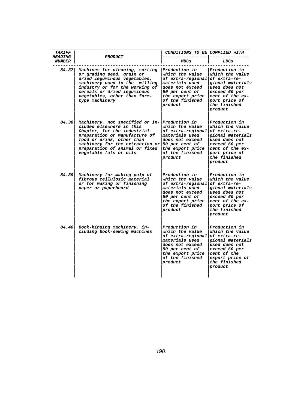| <i><b>TARIFF</b></i><br><i><b>HEADING</b></i> |                                                                                                                                                                                                                                                                                                                                     | CONDITIONS TO BE COMPLIED WITH                                                                                                                                                                          | __________                                                                                                                                                          |
|-----------------------------------------------|-------------------------------------------------------------------------------------------------------------------------------------------------------------------------------------------------------------------------------------------------------------------------------------------------------------------------------------|---------------------------------------------------------------------------------------------------------------------------------------------------------------------------------------------------------|---------------------------------------------------------------------------------------------------------------------------------------------------------------------|
| <i><b>NUMBER</b></i>                          | <b>PRODUCT</b>                                                                                                                                                                                                                                                                                                                      | <b>MDCs</b>                                                                                                                                                                                             | LDCS                                                                                                                                                                |
|                                               | 84.37   Machines for cleaning, sorting   Production in<br>$\sqrt{\phantom{a}}$ or grading seed, grain or<br>dried leguminous vegetables;<br>machinery used in the milling <i>materials</i> used<br>industry or for the working of (does not exceed<br>cereals or dried leguminous<br>vegetables, other than farm-<br>type machinery | which the value<br>of extra-regional/of extra-re-<br>50 per cent of<br>$t$ the export price $\sqrt{\ }$ cent of the ex-<br>of the finished<br>  product                                                 | <i>Production in</i><br>which the value<br>gional materials<br>used does not<br>exceed 60 per<br><i>port price of</i><br>the finished)<br>product                   |
|                                               | 84.38   Machinery, not specified or in- Production in<br>cluded elsewhere in this<br>Chapter, for the industrial<br>preparation or manufacture of<br>food or drink, other than<br>machinery for the extraction or $/50$ per cent of<br>preparation of animal or fixed (the export price<br>vegetable fats or oils                   | which the value<br>of extra-regional/of extra-re-<br>/materials used<br>does not exceed<br>of the finished<br>  product                                                                                 | Production in<br>which the value<br> gional materials<br>used does not<br>exceed 60 per<br>$/cent$ of the ex-<br><i>port price of</i><br>the finished)<br>  product |
|                                               | 84.39   Machinery for making pulp of<br>fibrous cellulosic material<br>or for making or finishing<br>paper or paperboard                                                                                                                                                                                                            | Production in<br>which the value<br>of extra-regional/of extra-re-<br>/materials used<br>does not exceed<br><i> 50 per cent of</i><br>the export price (cent of the ex-<br>of the finished<br>  product | <i>Production in</i><br>which the value<br>gional materials<br>used does not<br>exceed 60 per<br>port price of<br>the finished)<br>  product                        |
|                                               | 84.40 Book-binding machinery, in-<br>cluding book-sewing machines                                                                                                                                                                                                                                                                   | Production in<br>which the value<br>of extra-regional/of extra-re-<br>/materials used<br>does not exceed<br>50 per cent of<br>the export price)<br>of the finished<br>  product                         | <i>Production in</i><br>which the value<br>gional materials<br>used does not<br>exceed 60 per/<br>cent of the<br>export price of<br>the finished)<br>  product      |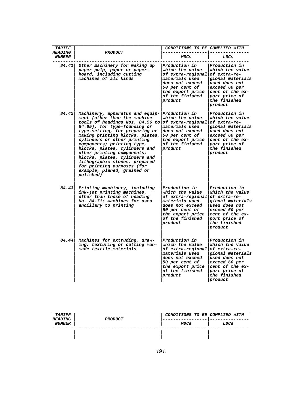| <i><b>TARIFF</b></i><br><i><b>HEADING</b></i> | <b>PRODUCT</b>                                                                                                                                                                                                                                                                                                                                                                                                                                                                                                                                                            | CONDITIONS TO BE COMPLIED WITH                                                                                                                                                                     |                                                                                                                                                                           |
|-----------------------------------------------|---------------------------------------------------------------------------------------------------------------------------------------------------------------------------------------------------------------------------------------------------------------------------------------------------------------------------------------------------------------------------------------------------------------------------------------------------------------------------------------------------------------------------------------------------------------------------|----------------------------------------------------------------------------------------------------------------------------------------------------------------------------------------------------|---------------------------------------------------------------------------------------------------------------------------------------------------------------------------|
| <i>NUMBER  </i>                               |                                                                                                                                                                                                                                                                                                                                                                                                                                                                                                                                                                           | <b>MDCs</b>                                                                                                                                                                                        | LDCs                                                                                                                                                                      |
|                                               | 84.41 Other machinery for making up<br>paper pulp, paper or paper-<br>L<br>board, including cutting<br>machines of all kinds                                                                                                                                                                                                                                                                                                                                                                                                                                              | Production in<br>which the value<br>of extra-regional/of extra-re-<br>materials used<br>does not exceed<br>50 per cent of<br>the export price $\int$ cent of the ex-<br>of the finished<br>product | Production in<br>which the value<br><i> gional materials</i><br>used does not<br>exceed 60 per <br><i>port price of</i><br>the finished)<br>  product                     |
|                                               | 84.42 Machinery, apparatus and equip- Production in<br>ment (other than the machine-<br>tools of headings Nos. 84.56 to of extra-regional of extra-re-<br>84.65), for type-founding or<br>type-setting, for preparing or <i>does</i> not exceed<br>making printing blocks, plates, 50 per cent of<br>cylinders or other printing<br>components; printing type,<br>blocks, plates, cylinders and<br>other printing components;<br>blocks, plates, cylinders and<br>lithographic stones, prepared<br>for printing purposes (for<br>example, planed, grained or<br>polished) | which the value<br>/materials used<br>the export price<br>of the finished<br>  product                                                                                                             | Production in<br>which the value<br><i>sional</i> materials<br>used does not<br>exceed 60 per<br>$/cent$ of the ex-<br><i>port price of</i><br>the finished)<br>  product |
|                                               | 84.43 Printing machinery, including<br>ink-jet printing machines,<br>other than those of heading<br>No. 84.71; machines for uses<br>ancillary to printing                                                                                                                                                                                                                                                                                                                                                                                                                 | Production in<br>which the value<br>of extra-regional/of extra-re-<br>/materials used<br>does not exceed<br>50 per cent of<br>the export price (cent of the ex-<br>of the finished<br>product      | Production in<br>which the value<br> gional materials<br>used does not<br>exceed 60 per<br><i>port price of</i><br>the finished)<br>  product                             |
|                                               | 84.44 Machines for extruding, draw-<br>ing, texturing or cutting man-<br>made textile materials                                                                                                                                                                                                                                                                                                                                                                                                                                                                           | Production in<br>which the value<br>'of extra-regional/of extra-re-<br>materials used<br>does not exceed<br>50 per cent of<br>the export price / cent of the ex-<br>of the finished<br>'product    | Production in<br>which the value<br><i> gional materials</i><br>used does not<br>exceed 60 per<br><i>port price of</i><br>the finished)<br>  product                      |

| <b><i>TARIFF</i></b><br><i><b>HEADING</b></i> | CONDITIONS TO BE COMPLIED WITH |      |      |
|-----------------------------------------------|--------------------------------|------|------|
| <i><b>NUMBER</b></i>                          | <i>PRODUCT</i>                 | MDCs | LDCs |
|                                               |                                |      |      |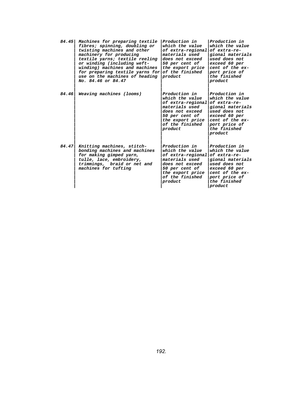| 84.45   Machines for preparing textile   Production in<br>fibres; spinning, doubling or<br>twisting machines and other<br>machinery for producing<br>textile yarns; textile reeling does not exceed<br>or winding (including weft-<br>winding) machines and machines (the export price<br>for preparing textile yarns for of the finished<br>use on the machines of heading (product<br>No. 84.46 or 84.47 | which the value<br>of extra-regional/of extra-re-<br>/materials used<br>50 per cent of                                                                                                        | <i>Production in</i><br>which the value<br><i> gional materials</i><br>used does not<br>exceed 60 per<br>cent of the ex-<br><i>port price of</i><br>the finished)<br>'product |
|------------------------------------------------------------------------------------------------------------------------------------------------------------------------------------------------------------------------------------------------------------------------------------------------------------------------------------------------------------------------------------------------------------|-----------------------------------------------------------------------------------------------------------------------------------------------------------------------------------------------|-------------------------------------------------------------------------------------------------------------------------------------------------------------------------------|
| 84.46   Weaving machines (looms)                                                                                                                                                                                                                                                                                                                                                                           | Production in<br>which the value<br>of extra-regional/of extra-re-<br>materials used<br>'does not exceed<br>50 per cent of<br>the export price (cent of the ex-<br>of the finished<br>product | Production in<br>which the value<br><i> gional materials</i><br>used does not<br>exceed 60 per<br><i>port price of</i><br>the finished<br>'product                            |
| 84.47   Knitting machines, stitch-<br>bonding machines and machines<br>for making gimped yarn,<br>tulle, lace, embroidery,<br>trimmings, braid or net and<br>machines for tufting                                                                                                                                                                                                                          | Production in<br>which the value<br>of extra-regional/of extra-re-<br>/materials used<br>does not exceed<br>50 per cent of<br>the export price<br>of the finished<br>'product                 | Production in<br>which the value<br>gional materials<br>used does not<br>exceed 60 per<br>cent of the ex-<br><i>port price of</i><br>the finished)<br>/product                |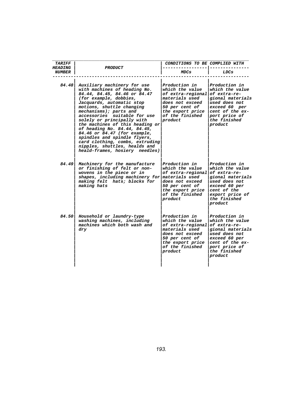| <i><b>TARIFF</b></i>                   |                                                                                                                                                                                                                                                                                                                                                                                                                                                                                                                        | CONDITIONS TO BE COMPLIED WITH                                                                                                                                                        |                                                                                                                                                                                   |
|----------------------------------------|------------------------------------------------------------------------------------------------------------------------------------------------------------------------------------------------------------------------------------------------------------------------------------------------------------------------------------------------------------------------------------------------------------------------------------------------------------------------------------------------------------------------|---------------------------------------------------------------------------------------------------------------------------------------------------------------------------------------|-----------------------------------------------------------------------------------------------------------------------------------------------------------------------------------|
| <i><b>HEADING</b></i><br><b>NUMBER</b> | <b>PRODUCT</b>                                                                                                                                                                                                                                                                                                                                                                                                                                                                                                         | MDCs                                                                                                                                                                                  | LDCs                                                                                                                                                                              |
|                                        | 84.48 Auxiliary machinery for use<br>with machines of heading No.<br>84.44, 84.45, 84.46 or 84.47<br>(for example, dobbies,<br>Jacquards, automatic stop<br>motions, shuttle changing<br>mechanisms); parts and<br>accessories suitable for use<br>solely or principally with<br>the machines of this heading or<br>of heading No. 84.44, 84.45,<br>84.46 or 84.47 (for example,<br>spindles and spindle flyers,<br>card clothing, combs, extruding<br>nipples, shuttles, healds and<br>heald-frames, hosiery needles) | <i>Production in</i><br>which the value<br>of extra-regional/of extra-re-<br>/materials used<br>does not exceed<br>50 per cent of<br>the export price<br>of the finished<br>  product | Production in<br>which the value<br> gional materials<br>lused does not<br>exceed 60 per<br>cent of the ex-<br><i>port price of</i><br>the finished)<br>  product                 |
|                                        | 84.49 Machinery for the manufacture<br>or finishing of felt or non-<br>wovens in the piece or in<br>shapes, including machinery for materials used<br>making felt hats; blocks for<br>making hats                                                                                                                                                                                                                                                                                                                      | Production in<br>which the value<br>of extra-regional/of extra-re-<br>does not exceed<br>50 per cent of<br>the export price<br>of the finished<br>  product                           | Production in<br>which the value<br> gional materials<br>lused does not<br>exceed 60 per<br>cent of the<br>export price of<br>the finished)<br>product                            |
|                                        | 84.50 Household or laundry-type<br>washing machines, including<br>machines which both wash and<br>dry                                                                                                                                                                                                                                                                                                                                                                                                                  | Production in<br>which the value<br>of extra-regional/of extra-re-<br>materials used<br>does not exceed<br>50 per cent of<br>the export price<br>of the finished<br>  product         | <i>Production in</i><br>which the value<br><i> gional materials</i><br>used does not<br>exceed 60 per/<br>$/cent$ of the ex-<br><i>port price of</i><br>the finished<br>' product |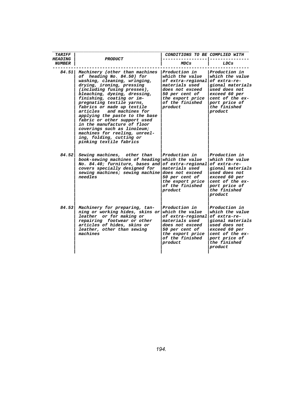| <i><b>TARIFF</b></i><br><i><b>HEADING</b></i><br><i><b>NUMBER</b></i> | <b>PRODUCT</b>                                                                                                                                                                                                                                                                                                                                                                                                                                                                                                                                                     | CONDITIONS TO BE COMPLIED WITH                                                                                                                                      |                                                                                                                                                                             |
|-----------------------------------------------------------------------|--------------------------------------------------------------------------------------------------------------------------------------------------------------------------------------------------------------------------------------------------------------------------------------------------------------------------------------------------------------------------------------------------------------------------------------------------------------------------------------------------------------------------------------------------------------------|---------------------------------------------------------------------------------------------------------------------------------------------------------------------|-----------------------------------------------------------------------------------------------------------------------------------------------------------------------------|
|                                                                       |                                                                                                                                                                                                                                                                                                                                                                                                                                                                                                                                                                    | MDCs                                                                                                                                                                | LDCs                                                                                                                                                                        |
|                                                                       | 84.51   Machinery (other than machines   Production in<br>heading No. 84.50) for<br>of<br>washing, cleaning, wringing,<br>drying, ironing, pressing<br>(including fusing presses),<br>bleaching, dyeing, dressing,<br>finishing, coating or im-<br>pregnating textile yarns,<br>fabrics or made up textile<br>articles<br>and machines for<br>applying the paste to the base<br>fabric or other support used<br>in the manufacture of floor<br>coverings such as linoleum;<br>machines for reeling, unreel-<br>ing, folding, cutting or<br>pinking textile fabrics | which the value<br>of extra-regional/of extra-re-<br>materials used<br>does not exceed<br><i>150 per cent of</i><br>the export price<br>of the finished<br>'product | <i>Production in</i><br>which the value<br> gional materials<br>used does not<br>exceed 60 per<br>cent of the ex-<br><i>port price of</i><br>the finished)<br>  product     |
|                                                                       | 84.52 Sewing machines, other than<br>book-sewing machines of heading which the value<br>No. 84.40; furniture, bases and of extra-regional of extra-re-<br>covers specially designed for<br>sewing machines; sewing machine does not exceed<br>needles                                                                                                                                                                                                                                                                                                              | <i>Production in</i><br>materials used<br>50 per cent of<br>the export price<br>of the finished<br>  product                                                        | Production in<br>which the value<br><i>dional materials</i><br>lused does not<br>exceed 60 per<br>$/cent$ of the ex-<br><i>port price of</i><br>the finished)<br>product    |
|                                                                       | 84.53 Machinery for preparing, tan-<br>ning or working hides, skins or which the value<br>leather or for making or<br>repairing footwear or other<br>articles of hides, skins or<br>leather, other than sewing<br>machines                                                                                                                                                                                                                                                                                                                                         | Production in<br>lof extra-regionallof extra-re-<br>/materials used<br>does not exceed<br>50 per cent of<br>the export price<br>of the finished<br>  product        | <i>Production in</i><br>which the value<br> gional materials<br>lused does not<br>exceed 60 per<br>$/cent$ of the ex-<br><i>port price of</i><br>the finished)<br>  product |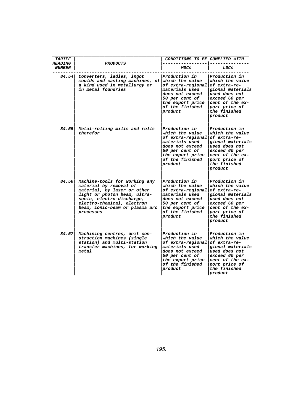| <i><b>TARIFF</b></i><br><i><b>HEADING</b></i> | <b>PRODUCTS</b>                                                                                                                                                                                                                                                           | CONDITIONS TO BE COMPLIED WITH                                                                                                                                                                         |                                                                                                                                                                   |
|-----------------------------------------------|---------------------------------------------------------------------------------------------------------------------------------------------------------------------------------------------------------------------------------------------------------------------------|--------------------------------------------------------------------------------------------------------------------------------------------------------------------------------------------------------|-------------------------------------------------------------------------------------------------------------------------------------------------------------------|
| <i><b>NUMBER</b></i>                          |                                                                                                                                                                                                                                                                           | MDCs                                                                                                                                                                                                   | LDCs                                                                                                                                                              |
|                                               | 84.54 Converters, ladles, ingot<br>moulds and casting machines, of/which the value<br>a kind used in metallurgy or<br>in metal foundries                                                                                                                                  | <i>Production in</i><br>of extra-regional/of extra-re-<br>materials used<br>does not exceed<br>50 per cent of<br>the export price (cent of the ex-<br>of the finished<br>  product                     | <i>Production in</i><br>which the value<br><i> gional materials</i><br>used does not<br>exceed 60 per<br><i>port price of</i><br>the finished)<br>  product       |
|                                               | 84.55   Metal-rolling mills and rolls<br>therefor                                                                                                                                                                                                                         | Production in<br>which the value<br>of extra-regional/of extra-re-<br>materials used<br>does not exceed<br><i> 50 per cent of</i><br>the export price (cent of the ex-<br>of the finished<br>  product | Production in<br>which the value<br>gional materials<br>lused does not<br>exceed 60 per/<br><i>port price of</i><br>the finished)<br>  product                    |
|                                               | 84.56 Machine-tools for working any<br>material by removal of<br>material, by laser or other<br>light or photon beam, ultra-<br>sonic, electro-discharge,<br>electro-chemical, electron<br>beam, ionic-beam or plasma arc (the export price (cent of the ex-<br>processes | <i>Production in</i><br>which the value<br>of extra-regional/of extra-re-<br>/materials used<br>does not exceed<br>50 per cent of<br>of the finished<br>product                                        | Production in<br>which the value<br>gional materials<br>used does not<br>exceed 60 per<br><i>port price of</i><br>the finished)<br>  product                      |
|                                               | 84.57   Machining centres, unit con-<br>struction machines (single<br>station) and multi-station<br>transfer machines, for working<br>metal                                                                                                                               | Production in<br>which the value<br>of extra-regional/of extra-re-<br><i>Imaterials used</i><br>does not exceed<br>50 per cent of<br>the export price)<br>of the finished<br>  product                 | Production in<br>which the value<br> gional materials<br>lused does not<br>exceed 60 per<br>cent of the ex-<br><i>port price of</i><br>the finished)<br>  product |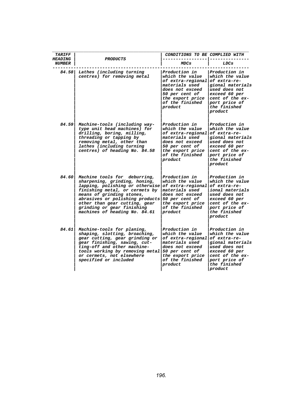| <i><b>TARIFF</b></i>                          |                                                                                                                                                                                                                                                                                                                                                                        | CONDITIONS TO BE COMPLIED WITH                                                                                                                                                                         |                                                                                                                                                                      |
|-----------------------------------------------|------------------------------------------------------------------------------------------------------------------------------------------------------------------------------------------------------------------------------------------------------------------------------------------------------------------------------------------------------------------------|--------------------------------------------------------------------------------------------------------------------------------------------------------------------------------------------------------|----------------------------------------------------------------------------------------------------------------------------------------------------------------------|
| <i><b>HEADING</b></i><br><i><b>NUMBER</b></i> | <b>PRODUCTS</b>                                                                                                                                                                                                                                                                                                                                                        | MDCs                                                                                                                                                                                                   | LDCs                                                                                                                                                                 |
|                                               | 84.58 Lathes (including turning<br>centres) for removing metal                                                                                                                                                                                                                                                                                                         | <i>Production in</i><br>which the value<br>of extra-regional/of extra-re-<br>/materials used<br>does not exceed<br>50 per cent of<br>the export price  cent of the ex-<br>of the finished<br>  product | <i>Production in</i><br>which the value<br> gional materials<br>lused does not<br>exceed 60 per/<br><i>port price of</i><br>the finished)<br>  product               |
|                                               | 84.59 Machine-tools (including way-<br>type unit head machines) for<br>drilling, boring, milling,<br>threading or tapping by<br>removing metal, other than<br>lathes (including turning<br>centres) of heading No. 84.58                                                                                                                                               | Production in<br>which the value<br>of extra-regional/of extra-re-<br>/materials used<br>does not exceed<br>50 per cent of<br>the export price)<br>of the finished<br>  product                        | Production in<br>which the value<br> gional materials<br>used does not<br>exceed 60 per/<br>cent of the ex-<br><i>port price of</i><br>the finished)<br>  product    |
|                                               | 84.60 Machine tools for deburring,<br>sharpening, grinding, honing,<br>lapping, polishing or otherwise/of extra-regional/of extra-re-<br>finishing metal, or cermets by /materials used<br>means of grinding stones,<br>abrasives or polishing products 50 per cent of<br>other than gear cutting, gear<br>grinding or gear finishing<br>machines of heading No. 84.61 | Production in<br>which the value<br>does not exceed<br>the export price<br>of the finished<br>  product                                                                                                | Production in<br>which the value<br> ional materials<br>lused does not<br>exceed 60 per<br>$/cent$ of the ex-<br><i> port price of</i><br>the finished)<br>  product |
|                                               | 84.61 Machine-tools for planing,<br>shaping, slotting, broaching,<br>gear cutting, gear grinding or<br>gear finishing, sawing, cut-<br>ting-off and other machine-<br>tools working by removing metal/50 per cent of<br>or cermets, not elsewhere<br>specified or included                                                                                             | Production in<br>which the value<br>of extra-regional/of extra-re-<br>/materials used<br>does not exceed<br>the export price)<br>of the finished<br>  product                                          | Production in<br>which the value<br> gional materials<br>used does not<br>exceed 60 per/<br>cent of the ex-<br><i> port price of</i><br>the finished)<br>product     |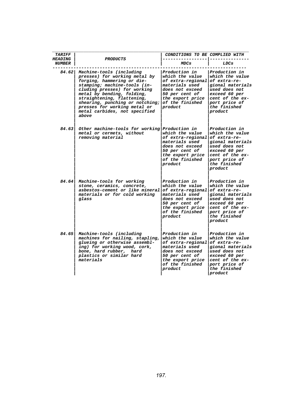| <i><b>TARIFF</b></i>                          |                                                                                                                                                                                                                                                                                                                                                        | CONDITIONS TO BE COMPLIED WITH                                                                                                                                                      |                                                                                                                                                                   |
|-----------------------------------------------|--------------------------------------------------------------------------------------------------------------------------------------------------------------------------------------------------------------------------------------------------------------------------------------------------------------------------------------------------------|-------------------------------------------------------------------------------------------------------------------------------------------------------------------------------------|-------------------------------------------------------------------------------------------------------------------------------------------------------------------|
| <i><b>HEADING</b></i><br><i><b>NUMBER</b></i> | <b>PRODUCTS</b>                                                                                                                                                                                                                                                                                                                                        | <b>MDCs</b>                                                                                                                                                                         | LDCs                                                                                                                                                              |
|                                               | 84.62 Machine-tools (including<br>presses) for working metal by<br>forging, hammering or die-<br>stamping; machine-tools (in-<br>cluding presses) for working<br>metal by bending, folding,<br>straightening, flattening,<br>shearing, punching or notching; of the finished<br>presses for working metal or<br>metal carbides, not specified<br>above | Production in<br>which the value<br>of extra-regional/of extra-re-<br>/materials used<br>does not exceed<br>50 per cent of<br>the export price (cent of the ex-<br>  product        | <i>Production in</i><br>which the value<br> gional materials<br>used does not<br>exceed 60 per<br><i>port price of</i><br>the finished<br>  product               |
|                                               | 84.63 Other machine-tools for working Production in<br>metal or cermets, without<br>removing material                                                                                                                                                                                                                                                  | which the value<br>of extra-regional/of extra-re-<br>/materials used<br>does not exceed<br><i>50 per cent of</i><br>the export price (cent of the ex-<br>of the finished<br>product | Production in<br>which the value<br> gional materials<br>lused does not<br>exceed 60 per/<br><i>port price of</i><br>the finished)<br>  product                   |
|                                               | 84.64 Machine-tools for working<br>stone, ceramics, concrete,<br>asbestos-cement or like mineral/of extra-regional/of extra-re-<br>materials or for cold working<br>qlass                                                                                                                                                                              | Production in<br>which the value<br>/materials used<br>does not exceed<br>50 per cent of<br>the export price (cent of the ex-<br>of the finished<br>product                         | Production in<br>which the value<br><i> gional materials</i><br>lused does not<br>exceed 60 per<br><i>port price of</i><br>the finished)<br>  product             |
|                                               | 84.65 Machine-tools (including<br>machines for nailing, stapling, which the value<br>glueing or otherwise assembl-<br>ing) for working wood, cork,<br>bone, hard rubber, hard<br>plastics or similar hard<br>materials                                                                                                                                 | Production in<br>of extra-regional/of extra-re-<br>/materials used<br>does not exceed<br>50 per cent of<br>the export price<br>of the finished<br>product                           | Production in<br>which the value<br> gional materials<br>lused does not<br>exceed 60 per<br>cent of the ex-<br><i>port price of</i><br>the finished)<br>  product |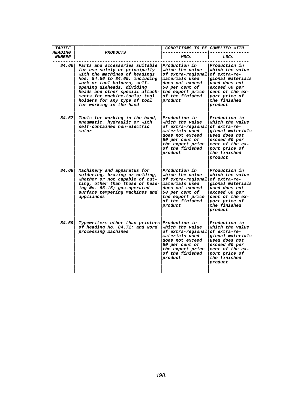| <i><b>TARIFF</b></i>                          |                                                                                                                                                                                                                                                                                                                                                                                          | CONDITIONS TO BE COMPLIED WITH                                                                                                                                                                        |                                                                                                                                                                             |
|-----------------------------------------------|------------------------------------------------------------------------------------------------------------------------------------------------------------------------------------------------------------------------------------------------------------------------------------------------------------------------------------------------------------------------------------------|-------------------------------------------------------------------------------------------------------------------------------------------------------------------------------------------------------|-----------------------------------------------------------------------------------------------------------------------------------------------------------------------------|
| <i><b>HEADING</b></i><br><i><b>NUMBER</b></i> | <b>PRODUCTS</b>                                                                                                                                                                                                                                                                                                                                                                          | MDCs                                                                                                                                                                                                  | LDCs                                                                                                                                                                        |
|                                               | 84.66   Parts and accessories suitable   Production in<br>for use solely or principally<br>with the machines of headings<br>Nos. 84.56 to 84.65, including<br>work or tool holders, self-<br>opening dieheads, dividing<br>heads and other special attach-/the export price /cent of the ex-<br>ments for machine-tools; tool<br>holders for any type of tool<br>for working in the hand | which the value<br>of extra-regional/of extra-re-<br><i>materials used</i><br>does not exceed<br><i> 50 per cent of</i><br>of the finished<br>  product                                               | <i>Production in</i><br>which the value<br>gional materials<br>used does not<br>exceed 60 per<br><i>port price of</i><br>the finished)<br>  product                         |
|                                               | 84.67 Tools for working in the hand,<br>pneumatic, hydraulic or with<br>self-contained non-electric<br>motor                                                                                                                                                                                                                                                                             | <i>Production in</i><br>which the value<br>of extra-regional/of extra-re-<br>materials used<br>does not exceed<br>50 per cent of<br>the export price (cent of the ex-<br>of the finished<br>  product | Production in<br>which the value<br><i> gional materials</i><br>lused does not<br>exceed 60 per<br><i>port price of</i><br>the finished)<br>  product                       |
|                                               | 84.68 Machinery and apparatus for<br>soldering, brazing or welding, which the value<br>whether or not capable of cut- $ $ of extra-regional $ $ of extra-re-<br>ting, other than those of head-   materials used<br>ing No. 85.15; gas-operated<br>surface tempering machines and 150 per cent of<br>appliances                                                                          | <i>Production in</i><br>does not exceed<br>the export price)<br>of the finished<br>'product                                                                                                           | <i>Production in</i><br>which the value<br>gional materials<br>lused does not<br>exceed 60 per/<br>$/cent$ of the ex-<br><i>port price of</i><br>the finished)<br>  product |
| 84.69/                                        | Typewriters other than printers Production in<br>of heading No. $84.71$ ; and word /which the value<br>processing machines                                                                                                                                                                                                                                                               | of extra-regional/of extra-re-<br>/materials used<br>does not exceed<br>50 per cent of<br>the export price)<br>of the finished<br>  product                                                           | Production in<br>which the value<br> gional materials<br>used does not<br>exceed 60 per<br>$/cent$ of the ex-<br><i>port price of</i><br>the finished)<br>  product         |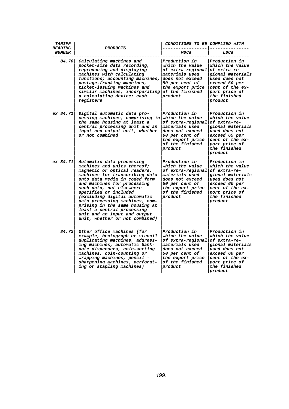| <i><b>TARIFF</b></i>                          |                                                                                                                                                                                                                                                                                                                                                                                                                                                               | CONDITIONS TO BE COMPLIED WITH                                                                                                                                                              |                                                                                                                                                                               |
|-----------------------------------------------|---------------------------------------------------------------------------------------------------------------------------------------------------------------------------------------------------------------------------------------------------------------------------------------------------------------------------------------------------------------------------------------------------------------------------------------------------------------|---------------------------------------------------------------------------------------------------------------------------------------------------------------------------------------------|-------------------------------------------------------------------------------------------------------------------------------------------------------------------------------|
| <i><b>HEADING</b></i><br><i><b>NUMBER</b></i> | <b>PRODUCTS</b>                                                                                                                                                                                                                                                                                                                                                                                                                                               | MDCs                                                                                                                                                                                        | LDCs                                                                                                                                                                          |
|                                               | 84.70 Calculating machines and<br>pocket-size data recording,<br>reproducing and displaying<br>machines with calculating<br>functions; accounting machines, does not exceed<br>postage-franking machines,<br>ticket-issuing machines and<br>similar machines, incorporating of the finished<br>a calculating device; cash<br>registers                                                                                                                        | <i>Production in</i><br>which the value<br>of extra-regional/of extra-re-<br>materials used<br>50 per cent of<br>the export price<br>  product                                              | Production in<br>which the value<br><i> gional materials</i><br>used does not<br>exceed 60 per <br>cent of the ex-<br><i>port price of</i><br>the finished)<br><i>product</i> |
|                                               | ex 84.71/ Digital automatic data pro-<br>cessing machines, comprising in/which the value<br>the same housing at least a<br>central processing unit and an <i>[materials used</i><br>input and output unit, whether<br>or not combined                                                                                                                                                                                                                         | Production in<br>of extra-regional/of extra-re-<br>does not exceed<br>60 per cent of<br>the export price<br>of the finished<br>  product                                                    | Production in<br>which the value<br> gional materials<br>used does not<br>exceed 65 per/<br>cent of the ex-<br><i>port price of</i><br>the finished)<br>'product              |
|                                               | ex 84.71/ Automatic data processing<br>machines and units thereof;<br>magnetic or optical readers,<br>machines for transcribing data<br>onto data media in coded form<br>and machines for processing<br>such data, not elsewhere<br>specified or included<br>(excluding digital automatic<br>data processing machines, com-<br>prising in the same housing at<br>least a central processing<br>unit and an input and output<br>unit, whether or not combined) | Production in<br>which the value<br>of extra-regional/of extra-re-<br><i>materials used</i><br>does not exceed<br><i>50 per cent of</i><br>the export price)<br>of the finished<br>/product | Production in<br>which the value<br><i> gional materials</i><br>used does not<br>exceed 60 per/<br>cent of the ex-<br><i>port price of</i><br>the finished)<br>  product      |
|                                               | 84.72 Other office machines (for<br>example, hectograph or stencil<br>duplicating machines, address-<br>ing machines, automatic bank-<br>note dispensers, coin-sorting<br>machines, coin-counting or<br>wrapping machines, pencil -<br>sharpening machines, perforat-<br>ing or stapling machines)                                                                                                                                                            | Production in<br>which the value<br>of extra-regional/of extra-re-<br>/materials used<br>does not exceed<br><i>50 per cent of</i><br>the export price)<br>of the finished<br>  product      | $'$ Production in<br>which the value<br> gional materials<br>lused does not<br>exceed 60 per<br>cent of the ex-<br>$\it $ port price of<br>the finished)<br>  product         |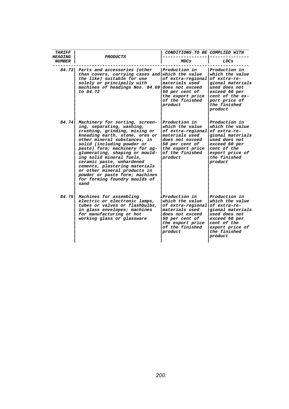| <i><b>TARIFF</b></i><br><i><b>HEADING</b></i> | <b>PRODUCTS</b>                                                                                                                                                                                                                                                                                                                                                                                                                                                             | CONDITIONS TO BE COMPLIED WITH                                                                                                                                                       |                                                                                                                                                          |
|-----------------------------------------------|-----------------------------------------------------------------------------------------------------------------------------------------------------------------------------------------------------------------------------------------------------------------------------------------------------------------------------------------------------------------------------------------------------------------------------------------------------------------------------|--------------------------------------------------------------------------------------------------------------------------------------------------------------------------------------|----------------------------------------------------------------------------------------------------------------------------------------------------------|
| <b>NUMBER</b>                                 |                                                                                                                                                                                                                                                                                                                                                                                                                                                                             | MDCs                                                                                                                                                                                 | LDCs                                                                                                                                                     |
|                                               | 84.73 Parts and accessories (other<br>than covers, carrying cases and/which the value<br>the like) suitable for use<br>solely or principally with<br>machines of headings Nos. 84.69 does not exceed<br>to 84.72                                                                                                                                                                                                                                                            | <i>Production in</i><br>of extra-regional/of extra-re-<br>materials used<br>50 per cent of<br>the export price / cent of the ex-<br>of the finished<br>product                       | <i>Production in</i><br>which the value<br> qional materials<br>lused does not<br>exceed 60 per <br><i>port price of</i><br>the finished)<br>  product   |
|                                               | 84.74 Machinery for sorting, screen-<br>ing, separating, washing,<br>crushing, grinding, mixing or<br>kneading earth, stone, ores or<br>other mineral substances, in<br>solid (including powder or<br>paste) form; machinery for ag-<br>glomerating, shaping or mould-<br>ing solid mineral fuels,<br>ceramic paste, unhardened<br>cements, plastering materials<br>or other mineral products in<br>powder or paste form; machines<br>for forming foundry moulds of<br>sand | <i>Production in</i><br>which the value<br>of extra-regional/of extra-re-<br>/materials used<br>does not exceed<br>50 per cent of<br>the export price<br>of the finished<br>'product | Production in<br>which the value<br> gional materials<br>lused does not<br>exceed 60 per/<br>cent of the<br>export price of<br>the finished<br>  product |
|                                               | 84.75   Machines for assembling<br>electric or electronic lamps,<br>tubes or valves or flashbulbs,<br>in glass envelopes; machines<br>for manufacturing or hot<br>working glass or glassware                                                                                                                                                                                                                                                                                | iProduction in<br>which the value<br>of extra-regional/of extra-re-<br>materials used<br>does not exceed<br>50 per cent of<br>the export price<br>of the finished<br>product         | Production in<br>which the value<br> gional materials<br>lused does not<br>exceed 60 per/<br>cent of the<br>export price of<br>the finished<br>  product |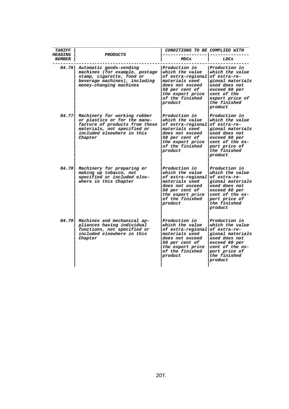| <i><b>TARIFF</b></i><br><i><b>HEADING</b></i> | <b>PRODUCTS</b>                                                                                                                                                              | CONDITIONS TO BE COMPLIED WITH                                                                                                                                                                              |                                                                                                                                                                          |
|-----------------------------------------------|------------------------------------------------------------------------------------------------------------------------------------------------------------------------------|-------------------------------------------------------------------------------------------------------------------------------------------------------------------------------------------------------------|--------------------------------------------------------------------------------------------------------------------------------------------------------------------------|
| <i><b>NUMBER</b></i>                          |                                                                                                                                                                              | MDCs                                                                                                                                                                                                        | LDCs                                                                                                                                                                     |
|                                               | 84.76 Automatic goods-vending<br>machines (for example, postage<br>stamp, cigarette, food or<br>beverage machines), including<br>money-changing machines                     | <i>Production in</i><br>which the value<br>of extra-regional/of extra-re-<br>materials used<br>does not exceed<br>50 per cent of<br>$t$ the export price $\int$ cent of the<br>of the finished<br>  product | <i>Production in</i><br>which the value<br> gional materials<br>lused does not<br>exceed 60 per/<br>export price of<br>the finished)<br>  product                        |
|                                               | 84.77 Machinery for working rubber<br>or plastics or for the manu-<br>facture of products from these<br>materials, not specified or<br>included elsewhere in this<br>Chapter | Production in<br>which the value<br>lof extra-regional of extra-re-<br>materials used<br>does not exceed<br>50 per cent of<br>the export price<br>of the finished<br>  product                              | Production in<br>which the value<br> gional materials<br>lused does not<br>exceed 60 per <br>cent of the ex-<br><i>port price of</i><br>the finished)<br>  product       |
|                                               | 84.78 Machinery for preparing or<br>making up tobacco, not<br>specified or included else-<br>where in this Chapter                                                           | Production in<br>which the value<br>of extra-regional/of extra-re-<br>/materials used<br>does not exceed<br>50 per cent of<br>the export price)<br>of the finished<br>  product                             | Production in<br>which the value<br> gional materials<br>lused does not<br>exceed 60 per<br>cent of the ex-<br><i>port price of</i><br>the finished)<br>  product        |
|                                               | 84.79 Machines and mechanical ap-<br>pliances having individual<br>functions, not specified or<br>included elsewhere in this<br>Chapter                                      | Production in<br>which the value<br>of extra-regional/of extra-re-<br>/materials used<br>does not exceed<br>50 per cent of<br>the export price<br>of the finished<br>  product                              | Production in<br>which the value<br><i> gional materials</i><br>used does not<br>exceed 60 per/<br>cent of the ex-<br><i>port price of</i><br>the finished)<br>  product |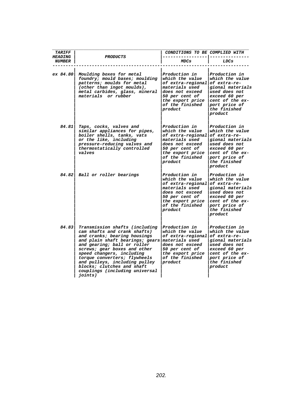| <i><b>TARIFF</b></i><br><i><b>HEADING</b></i> | <b>PRODUCTS</b>                                                                                                                                                                                                                                                                                                                                                                                 | CONDITIONS TO BE COMPLIED WITH                                                                                                                                                                          |                                                                                                                                                                                 |
|-----------------------------------------------|-------------------------------------------------------------------------------------------------------------------------------------------------------------------------------------------------------------------------------------------------------------------------------------------------------------------------------------------------------------------------------------------------|---------------------------------------------------------------------------------------------------------------------------------------------------------------------------------------------------------|---------------------------------------------------------------------------------------------------------------------------------------------------------------------------------|
| <i><b>NUMBER</b></i>                          |                                                                                                                                                                                                                                                                                                                                                                                                 | MDCs                                                                                                                                                                                                    | LDCS                                                                                                                                                                            |
|                                               | ex 84.80/ Moulding boxes for metal<br>foundry; mould bases; moulding<br>patterns; moulds for metal<br>(other than ingot moulds),<br>metal carbides, glass, mineral does not exceed<br>materials or rubber                                                                                                                                                                                       | Production in<br>which the value<br>of extra-regional/of extra-re-<br>/materials used<br><i> 50 per cent of</i><br>the export price)<br>of the finished<br>  product                                    | <i>Production in</i><br>which the value<br><i> gional materials</i><br>lused does not<br>exceed 60 per<br>cent of the ex-<br><i>port price of</i><br>the finished)<br>  product |
| 84.81/                                        | Taps, cocks, valves and<br>similar appliances for pipes,<br>boiler shells, tanks, vats<br>or the like, including<br>pressure-reducing valves and<br>thermostatically controlled<br>valves                                                                                                                                                                                                       | Production in<br>which the value<br>of extra-regional/of extra-re-<br>/materials used<br>does not exceed<br><i> 50 per cent of</i><br>the export price)<br>of the finished<br>  product                 | <i>Production in</i><br>which the value<br> gional materials<br>lused does not<br>exceed 60 per<br>$/cent$ of the ex-<br>port price of<br>the finished)<br>/product             |
|                                               | 84.82 Ball or roller bearings                                                                                                                                                                                                                                                                                                                                                                   | Production in<br>which the value<br>of extra-regional/of extra-re-<br>/materials used<br>does not exceed<br><i> 50 per cent of</i><br>the export price (cent of the ex-<br>of the finished<br>  product | Production in<br>which the value<br><i>sional</i> materials<br>used does not<br>exceed 60 per<br><i>port price of</i><br>the finished)<br>  product                             |
| 84.83/                                        | Transmission shafts (including<br>cam shafts and crank shafts)<br>and cranks; bearing housings<br>and plain shaft bearings; gears/materials used<br>and gearing; ball or roller<br>screws; gear boxes and other<br>speed changers, including<br>torque converters; flywheels<br>and pulleys, including pulley<br>blocks; clutches and shaft<br>couplings (including universal<br><i>joints)</i> | <i>Production in</i><br>which the value<br>of extra-regional/of extra-re-<br>does not exceed<br>50 per cent of<br>the export price (cent of the ex-<br>of the finished<br>  product                     | Production in<br>which the value<br> gional materials<br>lused does not<br>exceed 60 per <br><i>port price of</i><br>the finished)<br>  product                                 |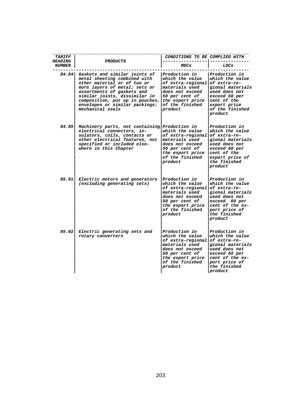| <i><b>TARIFF</b></i><br><i><b>HEADING</b></i> | <b>PRODUCTS</b>                                                                                                                                                                                                                                                                                                                              | CONDITIONS TO BE COMPLIED WITH                                                                                                                                                                 |                                                                                                                                                                               |
|-----------------------------------------------|----------------------------------------------------------------------------------------------------------------------------------------------------------------------------------------------------------------------------------------------------------------------------------------------------------------------------------------------|------------------------------------------------------------------------------------------------------------------------------------------------------------------------------------------------|-------------------------------------------------------------------------------------------------------------------------------------------------------------------------------|
| <i><b>NUMBER</b></i>                          |                                                                                                                                                                                                                                                                                                                                              | MDCs                                                                                                                                                                                           | LDCs                                                                                                                                                                          |
|                                               | 84.84 Gaskets and similar joints of<br>metal sheeting combined with<br>other material or of two or<br>more layers of metal; sets or<br>assortments of gaskets and<br>similar joints, dissimilar in<br>composition, put up in pouches, the export price $ $ cent of the<br>envelopes or similar packings; of the finished<br>mechanical seals | <i>Production in</i><br>which the value<br>of extra-regional/of extra-re-<br>/materials used<br>does not exceed<br><i>150 per cent of</i><br>  product                                         | <i>Production in</i><br>which the value<br><i> gional materials</i><br>used does not<br>exceed 60 per/<br>export price<br>of the finished<br>'product                         |
|                                               | 84.85 Machinery parts, not containing Production in<br>electrical connectors, in-<br>sulators, coils, contacts or<br>other electrical features, not <i> materials</i> used<br>specified or included else-<br>where in this Chapter                                                                                                           | which the value<br>of extra-regional/of extra-re-<br>does not exceed<br>50 per cent of<br>the export price  cent of the <br>of the finished<br>  product                                       | <i>Production in</i><br>which the value<br>gional materials<br>lused does not<br>exceed 60 per<br>export price of<br>the finished<br>  product                                |
|                                               | 85.01 Electric motors and generators Production in<br>(excluding generating sets)                                                                                                                                                                                                                                                            | which the value<br>of extra-regional/of extra-re-<br>/materials used<br>does not exceed<br>50 per cent of<br>the export price<br>of the finished<br>  product                                  | <i>Production in</i><br>which the value<br><i> gional materials</i><br>used does not<br>exceed 60 per <br>cent of the ex-<br><i>port price of</i><br>the finished)<br>product |
|                                               | 85.02 Electric generating sets and<br>rotary converters                                                                                                                                                                                                                                                                                      | <i>Production in</i><br>which the value<br>of extra-regional/of extra-re-<br>/materials used<br>does not exceed <br><i>50 per cent of</i><br>the export price)<br>of the finished<br>  product | Production in<br>which the value<br><i> gional materials</i><br>used does not<br>exceed 60 per/<br>cent of the ex-<br><i> port price of</i><br>the finished)<br>product       |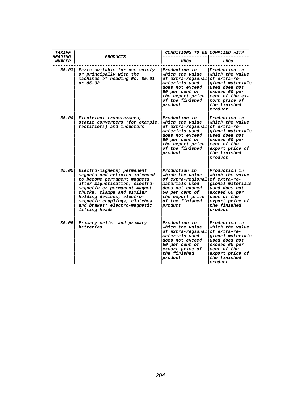| <i><b>TARIFF</b></i>                   |                                                                                                                                                                                                                                                                                                               | CONDITIONS TO BE COMPLIED WITH                                                                                                                                                                                             |                                                                                                                                                             |
|----------------------------------------|---------------------------------------------------------------------------------------------------------------------------------------------------------------------------------------------------------------------------------------------------------------------------------------------------------------|----------------------------------------------------------------------------------------------------------------------------------------------------------------------------------------------------------------------------|-------------------------------------------------------------------------------------------------------------------------------------------------------------|
| <i><b>HEADING</b></i><br><b>NUMBER</b> | <b>PRODUCTS</b>                                                                                                                                                                                                                                                                                               | MDCs                                                                                                                                                                                                                       | LDCs                                                                                                                                                        |
|                                        | 85.03 Parts suitable for use solely<br>or principally with the<br>machines of heading No. 85.01<br>or 85.02                                                                                                                                                                                                   | <i>Production in</i><br>which the value<br>of extra-regional/of extra-re-<br>/materials used<br>does not exceed<br><i>50 per cent of</i><br>$t$ the export price $\sqrt{\ }$ cent of the ex-<br>of the finished<br>product | <i>Production in</i><br>which the value<br><i> gional materials</i><br>used does not<br>exceed 60 per<br><i>port price of</i><br>the finished)<br>  product |
|                                        | 85.04 Electrical transformers,<br>static converters (for example, which the value<br>rectifiers) and inductors                                                                                                                                                                                                | <i>Production in</i><br>of extra-regional/of extra-re-<br>/materials used<br>does not exceed<br><i>50 per cent of</i><br>the export price<br>of the finished<br>  product                                                  | Production in<br>which the value<br> gional materials<br>lused does not<br>exceed 60 per<br>cent of the<br>export price of<br>the finished)<br>  product    |
|                                        | 85.05 Electro-magnets; permanent<br>magnets and articles intended<br>to become permanent magnets<br>after magnetisation; electro-<br>magnetic or permanent magnet<br>chucks, clamps and similar<br>holding devices; electro-<br>magnetic couplings, clutches<br>and brakes; electro-magnetic<br>lifting heads | Production in<br>which the value<br>of extra-regional/of extra-re-<br>materials used<br>does not exceed<br><i>50 per cent of</i><br>the export price<br>of the finished<br>  product                                       | Production in<br>which the value<br> gional materials<br>lused does not<br>exceed 60 per<br>cent of the<br>export price of<br>the finished)<br>' product    |
|                                        | 85.06 Primary cells<br>and primary<br>batteries                                                                                                                                                                                                                                                               | Production in<br>which the value<br>of extra-regional/of extra-re-<br>materials used<br>does not exceed<br>50 per cent of<br>export price of<br>the finished)<br>  product                                                 | Production in<br>which the value<br> gional materials<br>used does not<br>exceed 60 per<br>cent of the<br>export price of<br>the finished)<br>  product     |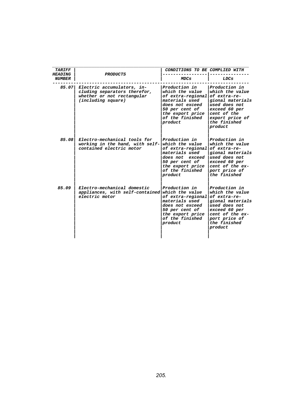| <i><b>TARIFF</b></i><br><b>HEADING</b> | <b>PRODUCTS</b>                                                                                                      | CONDITIONS TO BE COMPLIED WITH                                                                                                                                                                               |                                                                                                                                                        |
|----------------------------------------|----------------------------------------------------------------------------------------------------------------------|--------------------------------------------------------------------------------------------------------------------------------------------------------------------------------------------------------------|--------------------------------------------------------------------------------------------------------------------------------------------------------|
| <i><b>NUMBER</b></i>                   |                                                                                                                      | MDCs                                                                                                                                                                                                         | LDCs                                                                                                                                                   |
|                                        | 85.07 Electric accumulators, in-<br>cluding separators therefor,<br>whether or not rectangular<br>(including square) | <i>Production in</i><br>which the value<br>'of extra-regional/of extra-re-<br>/materials used<br>ldoes not exceed<br><i>50 per cent of</i><br>the export price  cent of the <br>of the finished<br>' product | <i>Production in</i><br>which the value<br><i> gional materials</i><br>used does not<br>exceed 60 per<br>export price of<br>the finished)<br>  product |
|                                        | 85.08 Electro-mechanical tools for<br>working in the hand, with self-/which the value<br>contained electric motor    | Production in<br>of extra-regional/of extra-re-<br>materials used<br>does not exceed lused does not<br>50 per cent of<br>the export price /cent of the ex-<br>of the finished<br>'product                    | <i>Production in</i><br>which the value<br> gional materials<br>exceed 60 per<br><i>port price of</i><br>the finished)                                 |
| 85.09                                  | Electro-mechanical domestic<br>appliances, with self-contained/which the value<br>electric motor                     | Production in<br>'of extra-regional of extra-re-<br>'materials used<br>does not exceed<br><i>50 per cent of</i><br>the export price (cent of the ex-<br>of the finished<br>product                           | Production in<br>which the value<br><i> gional materials</i><br>used does not<br>exceed 60 per<br><i> port price of</i><br>the finished<br>' product   |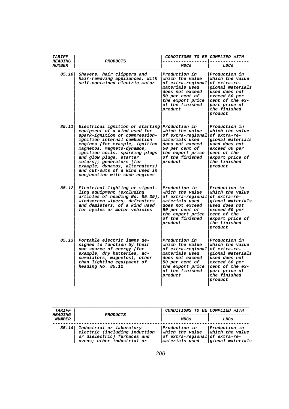| <i><b>TARIFF</b></i><br><i><b>HEADING</b></i><br><i><b>NUMBER</b></i> | <b>PRODUCTS</b>                                                                                                                                                                                                                                                                                                                                                                                                                     | CONDITIONS TO BE COMPLIED WITH<br>MDCs                                                                                                                                                 | LDCs                                                                                                                                                                               |
|-----------------------------------------------------------------------|-------------------------------------------------------------------------------------------------------------------------------------------------------------------------------------------------------------------------------------------------------------------------------------------------------------------------------------------------------------------------------------------------------------------------------------|----------------------------------------------------------------------------------------------------------------------------------------------------------------------------------------|------------------------------------------------------------------------------------------------------------------------------------------------------------------------------------|
|                                                                       | 85.10 Shavers, hair clippers and<br>hair-removing appliances, with $\,$<br>self-contained electric motor                                                                                                                                                                                                                                                                                                                            | <i>Production in</i><br>which the value<br>of extra-regional/of extra-re-<br>/materials used<br>does not exceed<br>50 per cent of<br>the export price)<br>of the finished<br>  product | <i>Production in</i><br>which the value<br><i> gional materials</i><br>used does not<br>exceed 60 per/<br>$/cent$ of the ex-<br><i>port</i> price of<br>the finished)<br>  product |
|                                                                       | 85.11 Electrical ignition or starting Production in<br>equipment of a kind used for<br>spark-ignition or compression-<br>ignition internal combustion<br>engines (for example, ignition does not exceed<br>magnetos, magneto-dynamos,<br>ignition coils, sparking plugs<br>and glow plugs, starter<br>motors); generators (for<br>example, dynamos, alternators)<br>and cut-outs of a kind used in<br>conjunction with such engines | which the value<br>of extra-regional/of extra-re-<br>/materials used<br>50 per cent of<br>the export price)<br>of the finished<br>  product                                            | Production in<br>which the value<br><i> gional materials</i><br>used does not<br>exceed 60 per <br>cent of the<br>$ $ export price of<br>the finished)<br>  product                |
|                                                                       | 85.12 Electrical lighting or signal-<br>ling equipment (excluding<br>articles of heading No. 85.39), of extra-regional of extra-re-<br>windscreen wipers, defrosters<br>and demisters, of a kind used<br>for cycles or motor vehicles                                                                                                                                                                                               | <i>Production in</i><br>which the value<br>materials used<br>does not exceed<br>50 per cent of<br>the export price)<br>of the finished<br>  product                                    | Production in<br>which the value<br><i> gional materials</i><br>lused does not<br>exceed 60 per/<br>cent of the<br>export price of<br>the finished)<br>  product                   |
|                                                                       | 85.13 Portable electric lamps de-<br>signed to function by their<br>own source of energy (for<br>example, dry batteries, ac-<br>cumulators, magnetos), other<br>than lighting equipment of<br>heading No. 85.12                                                                                                                                                                                                                     | Production in<br>which the value<br>of extra-regional/of extra-re-<br>/materials used<br>does not exceed<br>50 per cent of<br>the export price)<br>of the finished<br>product          | Production in<br>which the value<br> gional materials<br>used does not<br>exceed 60 per/<br>cent of the ex-<br><i>port price of</i><br>the finished)<br>  product                  |

| <b><i>TARIFF</i></b><br><b>HEADING</b> | <b>PRODUCTS</b>                                                                                                              | CONDITIONS TO BE COMPLIED WITH                                                                                          |                                          |
|----------------------------------------|------------------------------------------------------------------------------------------------------------------------------|-------------------------------------------------------------------------------------------------------------------------|------------------------------------------|
| <i>NUMBER</i>                          |                                                                                                                              | <i>MDCs</i>                                                                                                             | LDCs                                     |
|                                        | 85.14 Industrial or laboratory<br>electric (including induction<br>or dielectric) furnaces and<br>ovens; other industrial or | <i>Production in</i><br>which the value (which the value)<br>of extra-regional/of extra-re-<br>$^\prime$ materials used | <i>Production in</i><br>gional materials |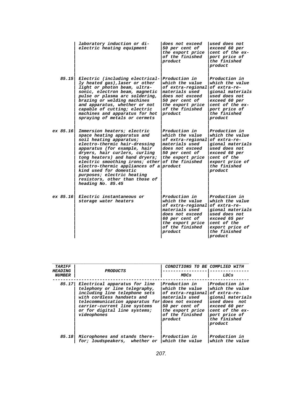| laboratory induction or di-<br>electric heating equipment                                                                                                                                                                                                                                                                                                                                                                                                         | does not exceed<br>50 per cent of<br>the export price<br>of the finished<br>product                                                                                         | used does not<br>exceed 60 per<br>cent of the ex-<br><i>port price of</i><br>the finished)<br>  product                                                               |
|-------------------------------------------------------------------------------------------------------------------------------------------------------------------------------------------------------------------------------------------------------------------------------------------------------------------------------------------------------------------------------------------------------------------------------------------------------------------|-----------------------------------------------------------------------------------------------------------------------------------------------------------------------------|-----------------------------------------------------------------------------------------------------------------------------------------------------------------------|
| 85.15   Electric (including electrical-   Production in<br>ly heated gas), laser or other<br>light or photon beam, ultra-<br>sonic, electron beam, magnetic<br>pulse or plasma arc soldering,<br>brazing or welding machines<br>and apparatus, whether or not<br>capable of cutting; electric<br>machines and apparatus for hot<br>spraying of metals or cermets                                                                                                  | which the value<br>of extra-regional/of extra-re-<br>materials used<br>does not exceed<br>50 per cent of<br>the export price<br>of the finished<br>  product                | $'$ Production in<br>which the value<br>gional materials<br>lused does not<br>exceed 60 per<br>$/cent$ of the ex-<br><i>port price of</i><br>the finished)<br>product |
| ex 85.16  Immersion heaters; electric<br>space heating apparatus and<br>soil heating apparatus;<br>electro-thermic hair-dressing<br>apparatus (for example, hair<br>dryers, hair curlers, curling<br>tong heaters) and hand dryers; the export price<br>electric smoothing irons; other of the finished<br>electro-thermic appliances of a/product<br>kind used for domestic<br>purposes; electric heating<br>resistors, other than those of<br>heading No. 85.45 | Production in<br>which the value<br>of extra-regional/of extra-re-<br>/materials used<br>does not exceed<br>50 per cent of                                                  | Production in<br>which the value<br><i> gional materials</i><br>used does not<br>exceed 60 per<br>cent of the<br>export price of<br>the finished)<br>product          |
| ex 85.16/ Electric instantaneous or<br>storage water heaters                                                                                                                                                                                                                                                                                                                                                                                                      | Production in<br>which the value<br>of extra-regional/of extra-re-<br>materials used<br>does not exceed<br>60 per cent of<br>the export price<br>of the finished<br>product | Production in<br>which the value<br><i> gional materials</i><br>lused does not<br>exceed 65 per<br>cent of the<br>export price of<br>the finished)<br>product         |

| <i><b>TARIFF</b></i><br><i><b>HEADING</b></i> | <i><b>PRODUCTS</b></i>                                                                                                                                                                                                                                                | CONDITIONS TO BE COMPLIED WITH                                                                                                                            |                                                                                                                                                          |
|-----------------------------------------------|-----------------------------------------------------------------------------------------------------------------------------------------------------------------------------------------------------------------------------------------------------------------------|-----------------------------------------------------------------------------------------------------------------------------------------------------------|----------------------------------------------------------------------------------------------------------------------------------------------------------|
| <i><b>NUMBER</b></i>                          |                                                                                                                                                                                                                                                                       | MDCs                                                                                                                                                      | LDCs                                                                                                                                                     |
|                                               | 85.17 Electrical apparatus for line<br>telephony or line telegraphy,<br>including line telephone sets<br>with cordless handsets and<br>telecommunication apparatus for does not exceed<br>carrier-current line systems<br>or for digital line systems;<br>videophones | Production in<br>which the value<br>'of extra-regional/of extra-re-<br>materials used<br>50 per cent of<br>the export price<br>of the finished<br>product | Production in<br>which the value<br> gional materials<br>'used does  not<br>exceed 60 per<br>cent of the ex-<br>port price of<br>the finished<br>product |
|                                               | 85.18   Microphones and stands there-<br>for; loudspeakers, whether or /which the value                                                                                                                                                                               | <i>Production in</i>                                                                                                                                      | 'Production in<br>which the value                                                                                                                        |

*207.*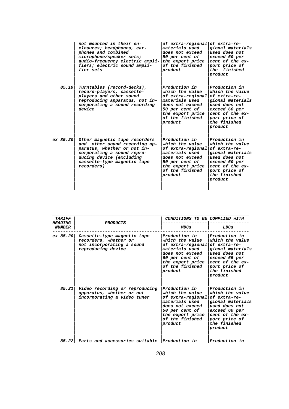|                   | not mounted in their en-<br>closures; headphones, ear-<br>phones and combined<br>microphone/speaker sets;<br>audio-frequency electric ampli-/the export price /cent of the ex-<br>fiers; electric sound ampli-<br>fier sets | of extra-regional/of extra-re-<br>materials used<br>does not exceed<br><i>150 per cent of</i><br>of the finished<br>product                                                  | gional materials<br>used does not<br>exceed 60 per<br><i> port price of</i><br>the finished<br>product                                                |
|-------------------|-----------------------------------------------------------------------------------------------------------------------------------------------------------------------------------------------------------------------------|------------------------------------------------------------------------------------------------------------------------------------------------------------------------------|-------------------------------------------------------------------------------------------------------------------------------------------------------|
| 85.19             | Turntables (record-decks),<br>record-players, cassette-<br>players and other sound<br>reproducing apparatus, not in-<br>corporating a sound recording<br>device                                                             | Production in<br>which the value<br>of extra-regional/of extra-re-<br>/materials used<br>does not exceed<br>50 per cent of<br>the export price<br>of the finished<br>product | Production in<br>which the value<br>gional materials<br>used does not<br>exceed 60 per<br>cent of the ex-<br>port price of<br>the finished<br>product |
| <b>ex 85.20</b> 1 | Other magnetic tape recorders<br>and other sound recording ap-<br>paratus, whether or not in-<br>corporating a sound repro-<br>ducing device (excluding<br>cassette-type magnetic tape<br>recorders)                        | Production in<br>which the value<br>of extra-regional/of extra-re-<br>materials used<br>does not exceed<br>50 per cent of<br>the export price<br>of the finished<br>product  | Production in<br>which the value<br>gional materials<br>used does not<br>exceed 60 per<br>cent of the ex-<br>port price of<br>the finished<br>product |

| <i><b>TARIFF</b></i><br><i><b>HEADING</b></i> | <b>PRODUCTS</b>                                                                                                   | CONDITIONS TO BE COMPLIED WITH                                                                                                                                                     |                                                                                                                                                                         |
|-----------------------------------------------|-------------------------------------------------------------------------------------------------------------------|------------------------------------------------------------------------------------------------------------------------------------------------------------------------------------|-------------------------------------------------------------------------------------------------------------------------------------------------------------------------|
| <b>NUMBER</b>                                 |                                                                                                                   | <b>MDCs</b>                                                                                                                                                                        | <b>LDCs</b>                                                                                                                                                             |
|                                               | ex 85.20  Cassette-type magnetic tape<br>recorders, whether or<br>not incorporating a sound<br>reproducing device | Production in<br>which the value<br>of extra-regional/of extra-re-<br>materials used<br>does not exceed<br><i>60 per cent of</i><br>the export price<br>of the finished<br>product | <i>Production in</i><br>which the value<br> qional materials<br>lused does not<br>exceed 65 per/<br>cent of the ex-<br><i> port price of</i><br>the finished<br>product |
|                                               | 85.21/ Video recording or reproducing /Production in<br>apparatus, whether or not<br>incorporating a video tuner  | which the value<br>of extra-regional/of extra-re-<br>materials used<br>does not exceed<br><i>50 per cent of</i><br>the export price<br>of the finished<br>product                  | Production in<br>which the value<br>'qional materials<br>lused does not<br>exceed 60 per<br>cent of the ex-<br>port price of<br>the finished)<br>product                |
|                                               | 85.22 Parts and accessories suitable Production in                                                                |                                                                                                                                                                                    | Production in                                                                                                                                                           |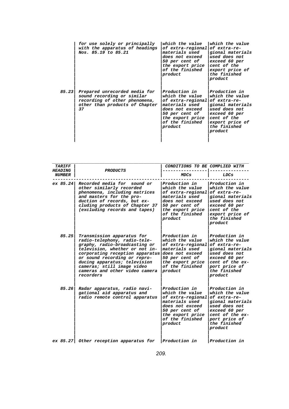| for use solely or principally<br>with the apparatus of headings<br>Nos. 85.19 to 85.21                                                      | which the value<br>  of extra-regional of extra-re-<br>materials used<br>does not exceed<br><i>50 per cent of</i><br>the export price (cent of the<br>of the finished<br>product                 | which the value<br>gional materials<br>used does not<br>exceed 60 per<br>export price of<br>the finished<br>product                          |
|---------------------------------------------------------------------------------------------------------------------------------------------|--------------------------------------------------------------------------------------------------------------------------------------------------------------------------------------------------|----------------------------------------------------------------------------------------------------------------------------------------------|
| 85.23/ Prepared unrecorded media for<br>sound recording or similar<br>recording of other phenomena,<br>other than products of Chapter<br>37 | Production in<br>which the value<br>of extra-regional/of extra-re-<br>/materials used<br>does not exceed<br><i>50 per cent of</i><br>the export price (cent of the<br>of the finished<br>product | Production in<br>which the value<br><i> gional materials</i><br>used does not<br>exceed 60 per<br>export price of<br>the finished<br>product |

| <i><b>TARIFF</b></i><br><b>HEADING</b> | <b>PRODUCTS</b>                                                                                                                                                                                                                                                                                                               | CONDITIONS TO BE COMPLIED WITH                                                                                                                                                       |                                                                                                                                                                     |
|----------------------------------------|-------------------------------------------------------------------------------------------------------------------------------------------------------------------------------------------------------------------------------------------------------------------------------------------------------------------------------|--------------------------------------------------------------------------------------------------------------------------------------------------------------------------------------|---------------------------------------------------------------------------------------------------------------------------------------------------------------------|
| <i><b>NUMBER</b></i>                   |                                                                                                                                                                                                                                                                                                                               | MDCs                                                                                                                                                                                 | LDCs                                                                                                                                                                |
| ex 85.241                              | Recorded media for<br>sound or<br>other similarly recorded<br>phenomena, including matrices<br>and masters for the pro-<br>duction of records, but ex-<br>cluding products of Chapter 37<br>(excluding records and tapes)                                                                                                     | Production in<br>which the value<br>of extra-regional/of extra-re-<br>materials used<br>does not exceed<br><i> 50 per cent of</i><br>the export price)<br>of the finished<br>product | <i>Production in</i><br>which the value<br> gional materials<br>used does not<br>exceed 60 per<br>cent of the<br>export price of<br>the finished)<br>  product      |
| 85.25/                                 | Transmission apparatus for<br>radio-telephony, radio-tele-<br>graphy, radio-broadcasting or<br>television, whether or not in-<br>corporating reception apparatus does not exceed<br>or sound recording or repro-<br>ducing apparatus; television<br>cameras; still image video<br>cameras and other video camera<br>recorders | Production in<br>which the value<br>of extra-regional/of extra-re-<br>materials used<br>50 per cent of<br>the export price)<br>of the finished<br><i>  product</i>                   | Production in<br>which the value<br> gional materials<br>lused does not<br>exceed 60 per <br>cent of the ex-<br><i> port price of</i><br>the finished)<br>  product |
|                                        | 85.26 Radar apparatus, radio navi-<br>gational aid apparatus and<br>radio remote control apparatus                                                                                                                                                                                                                            | Production in<br>which the value<br>of extra-regional/of extra-re-<br>materials used<br>does not exceed<br>50 per cent of<br>the export price<br>of the finished<br>product          | Production in<br>which the value<br> gional materials<br>lused does not<br>exceed 60 per<br>cent of the ex-<br><i>port price of</i><br>the finished)<br>'product    |
|                                        | ex 85.27/ Other reception apparatus for                                                                                                                                                                                                                                                                                       | <i>Production in</i>                                                                                                                                                                 | Production in                                                                                                                                                       |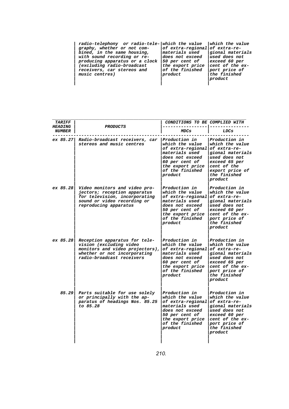| radio-telephony or radio-tele-/which the value<br>graphy, whether or not com-<br>bined, in the same housing,<br>with sound recording or re-<br>producing apparatus or a clock<br>(excluding radio-broadcast<br>receivers, car stereos and<br>music centres) | lof extra-regional of extra-re-<br>/materials used<br>ldoes not exceed<br><i>150 per cent of</i><br>the export price<br>of the finished<br>product | which the value<br> gional materials<br>used does not<br>exceed 60 per <br>cent of the ex-<br><i> port price of</i><br>the finished<br>'product |
|-------------------------------------------------------------------------------------------------------------------------------------------------------------------------------------------------------------------------------------------------------------|----------------------------------------------------------------------------------------------------------------------------------------------------|-------------------------------------------------------------------------------------------------------------------------------------------------|
|                                                                                                                                                                                                                                                             |                                                                                                                                                    |                                                                                                                                                 |

| <i><b>TARIFF</b></i><br><i><b>HEADING</b></i> | <b>PRODUCTS</b>                                                                                                                                                                                  | CONDITIONS TO BE COMPLIED WITH                                                                                                                                                                                 | . _ _ _ _ <i>  _ _ _</i> _.                                                                                                                                   |
|-----------------------------------------------|--------------------------------------------------------------------------------------------------------------------------------------------------------------------------------------------------|----------------------------------------------------------------------------------------------------------------------------------------------------------------------------------------------------------------|---------------------------------------------------------------------------------------------------------------------------------------------------------------|
| <i><b>NUMBER</b></i>                          |                                                                                                                                                                                                  | <b>MDCs</b>                                                                                                                                                                                                    | LDCs                                                                                                                                                          |
|                                               | ex 85.27/ Radio-broadcast receivers, car /Production in<br>stereos and music centres                                                                                                             | which the value<br>lof extra-regional of extra-re-<br>/materials used<br>does not exceed<br><i> 60 per cent of</i><br>the export price (cent of the)<br>of the finished<br>  product                           | <i>Production in</i><br>which the value<br><i> gional materials</i><br>used does not<br>exceed 65 per<br>export price of<br>the finished)<br>  product        |
|                                               | ex 85.28   Video monitors and video pro-<br>jectors; reception apparatus<br>for television, incorporating<br>sound or video recording or<br>reproducing apparatus                                | Production in<br>which the value<br>of extra-regional/of extra-re-<br>/materials used<br>does not exceed<br>50 per cent of<br>the export price (cent of the ex-<br>of the finished<br>'product                 | Production in<br>which the value<br>gional materials<br>used does not<br>exceed 60 per <br><i>port price of</i><br>the finished)<br>  product                 |
|                                               | ex 85.28 Reception apparatus for tele-<br>vision (excluding video<br>monitors and video projectors), of extra-regional of extra-re-<br>whether or not incorporating<br>radio-broadcast receivers | <i>Production in</i><br>which the value<br>/materials used<br>does not exceed<br><i> 60 per cent of</i><br>the export price (cent of the ex-<br>of the finished<br>product                                     | <i>Production in</i><br>which the value<br><i> gional materials</i><br>lused does not<br>exceed 65 per/<br><i>port price of</i><br>the finished)<br>  product |
|                                               | 85.29 Parts suitable for use solely<br>or principally with the ap-<br>paratus of headings Nos. 85.25<br>to 85.28                                                                                 | <i>Production in</i><br>which the value<br>lof extra-regionallof extra-re-<br>/materials used<br>does not exceed<br>50 per cent of<br>$ $ the export price $ $ cent of the ex-<br>of the finished<br>  product | Production in<br>which the value<br><i> gional materials</i><br>used does not<br>exceed 60 per<br><i>port price of</i><br>the finished)<br>/product           |

*210.*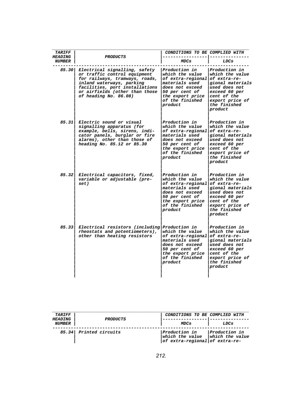| <i><b>TARIFF</b></i>                          |                                                                                                                                                                                                                                                                 | CONDITIONS TO BE COMPLIED WITH                                                                                                                                                                            |                                                                                                                                                         |
|-----------------------------------------------|-----------------------------------------------------------------------------------------------------------------------------------------------------------------------------------------------------------------------------------------------------------------|-----------------------------------------------------------------------------------------------------------------------------------------------------------------------------------------------------------|---------------------------------------------------------------------------------------------------------------------------------------------------------|
| <i><b>HEADING</b></i><br><i><b>NUMBER</b></i> | <b>PRODUCTS</b>                                                                                                                                                                                                                                                 | <b>MDCs</b>                                                                                                                                                                                               | LDCs                                                                                                                                                    |
|                                               | 85.30 Electrical signalling, safety<br>or traffic control equipment<br>for railways, tramways, roads,<br>inland waterways, parking<br>facilities, port installations does not exceed<br>or airfields (other than those 150 per cent of<br>of heading No. 86.08) | <i>Production in</i><br>which the value<br>of extra-regional/of extra-re-<br>materials used<br>the export price (cent of the)<br>of the finished<br>  product                                             | <i>Production in</i><br>which the value<br>gional materials<br>used does not<br>exceed 60 per<br>export price of<br>the finished)<br>  product          |
|                                               | 85.31 Electric sound or visual<br>signalling apparatus (for<br>example, bells, sirens, indi-<br>cator panels, burglar or fire<br>alarms), other than those of<br>heading No. 85.12 or 85.30                                                                     | Production in<br>which the value<br>of extra-regional/of extra-re-<br>materials used<br>does not exceed<br>50 per cent of<br>$t$ the export price $\sqrt{\ }$ cent of the<br>of the finished<br>  product | Production in<br>which the value<br>gional materials<br>used does not<br>exceed 60 per<br>export price of<br>the finished)<br>  product                 |
|                                               | 85.32 Electrical capacitors, fixed,<br>variable or adjustable (pre-<br>set)                                                                                                                                                                                     | Production in<br>which the value<br>of extra-regional/of extra-re-<br>/materials used<br>does not exceed<br>50 per cent of<br>the export price  cent of the <br>of the finished<br>  product              | Production in<br>which the value<br><i> gional materials</i><br>used does not<br>exceed 60 per<br>export price of<br>the finished<br>  product          |
|                                               | 85.33 Electrical resistors (including Production in<br>rheostats and potentiometers),<br>other than heating resistors                                                                                                                                           | which the value<br>of extra-regional/of extra-re-<br>materials used<br>does not exceed <br><i> 50 per cent of</i><br>the export price)<br>of the finished<br>  product                                    | Production in<br>which the value<br> gional materials<br>used does not<br>exceed 60 per<br>cent of the<br>export price of<br>the finished)<br>  product |

| <b><i>TARIFF</i></b><br><i><b>HEADING</b></i> | PRODUCTS               | CONDITIONS TO BE COMPLIED WITH                                                        |                      |
|-----------------------------------------------|------------------------|---------------------------------------------------------------------------------------|----------------------|
| <i>NUMBER</i>                                 |                        | MDCs                                                                                  | LDCs                 |
|                                               | 85.34 Printed circuits | 'Production in<br>which the value (which the value)<br>of extra-regional/of extra-re- | <i>Production in</i> |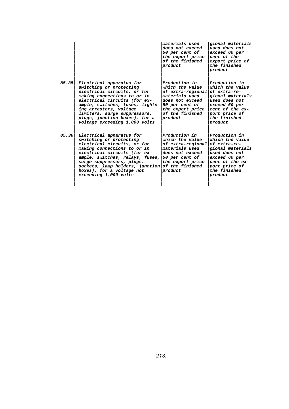|                                                                                                                                                                                                                                                                                                                                                 | 'materials used<br>does not exceed<br>50 per cent of<br>the export price (cent of the<br>of the finished<br>' product                                                                  | <i> gional materials</i><br>used does not<br>exceed 60 per<br>export price of<br>the finished)<br>'product                                          |
|-------------------------------------------------------------------------------------------------------------------------------------------------------------------------------------------------------------------------------------------------------------------------------------------------------------------------------------------------|----------------------------------------------------------------------------------------------------------------------------------------------------------------------------------------|-----------------------------------------------------------------------------------------------------------------------------------------------------|
| 85.35 Electrical apparatus for<br>switching or protecting<br>electrical circuits, or for<br>making connections to or in<br>electrical circuits (for ex-<br>ample, switches, fuses, lightn-/50 per cent of<br>ing arrestors, voltage<br>limiters, surge suppressors,<br>plugs, junction boxes), for a<br>voltage exceeding 1,000 volts           | <i>Production in</i><br>which the value<br>'of extra-regional/of extra-re-<br>/materials used<br>ldoes not exceed<br>the export price (cent of the ex-<br>of the finished<br>  product | <i>Production in</i><br>which the value<br> gional materials<br>used does not<br>exceed 60 per<br><i>port price of</i><br>the finished)<br>'product |
| 85.36 Electrical apparatus for<br>switching or protecting<br>electrical circuits, or for<br>making connections to or in<br>electrical circuits (for ex-<br>ample, switches, relays, fuses, 50 per cent of<br>surge suppressors, plugs,<br>sockets, lamp holders, junction/of the finished<br>boxes), for a voltage not<br>exceeding 1,000 volts | Production in<br>which the value<br>of extra-regional/of extra-re-<br><i>materials used</i><br>does not exceed<br>the export price (cent of the ex-<br>  product                       | <i>Production in</i><br>which the value<br>qional materials<br>used does not<br>exceed 60 per<br><i>port price of</i><br>the finished<br>'product   |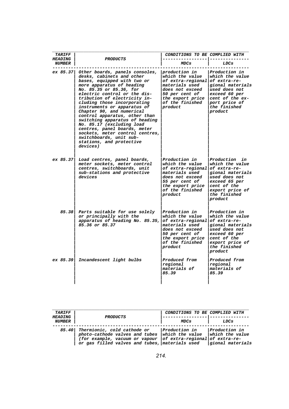| <i><b>TARIFF</b></i><br><b>HEADING</b> |                                                                                                                                                                                                                                                                                                                                                                                                                                                                                                                                                                                | CONDITIONS TO BE COMPLIED WITH                                                                                                                                                                                    |                                                                                                                                                            |
|----------------------------------------|--------------------------------------------------------------------------------------------------------------------------------------------------------------------------------------------------------------------------------------------------------------------------------------------------------------------------------------------------------------------------------------------------------------------------------------------------------------------------------------------------------------------------------------------------------------------------------|-------------------------------------------------------------------------------------------------------------------------------------------------------------------------------------------------------------------|------------------------------------------------------------------------------------------------------------------------------------------------------------|
| <i><b>NUMBER</b></i>                   | <b>PRODUCTS</b>                                                                                                                                                                                                                                                                                                                                                                                                                                                                                                                                                                | <b>MDCs</b>                                                                                                                                                                                                       | LDCS                                                                                                                                                       |
|                                        | ex 85.37/ Other boards, panels consoles, /production in<br>desks, cabinets and other<br>bases, equipped with two or<br>more apparatus of heading<br>No. 85.35 or 85.36, for<br>electric control or the dis-<br>tribution of electricity in-<br>cluding those incorporating<br>instruments or apparatus of<br>Chapter 90, and numerical<br>control apparatus, other than<br>switching apparatus of heading /<br>No. 85.17 (excluding load<br>centres, panel boards, meter<br>sockets, meter control centres,<br>switchboards, unit sub-<br>stations, and protective<br>devices) | which the value<br>of extra-regional/of extra-re-<br>materials used<br>does not exceed<br>50 per cent of<br>the export price (cent of the ex-<br>of the finished<br>  product                                     | <i>Production in</i><br>which the value<br><i> gional materials</i><br>used does not<br>exceed 60 per<br><i>port price of</i><br>the finished)<br>/product |
|                                        | ex 85.37  Load centres, panel boards,<br>meter sockets, meter control<br>centres, switchboards, unit<br>sub-stations and protective<br>devices                                                                                                                                                                                                                                                                                                                                                                                                                                 | <i>Production in</i><br>which the value<br>of extra-regional/of extra-re-<br><i>materials used</i><br>does not exceed<br><i> 55 per cent of</i><br>the export price (cent of the)<br>of the finished<br>  product | Production in<br>which the value<br><i> gional materials</i><br>used does not<br>exceed 65 per<br>$\sqrt{2}$ export price of<br>the finished)<br>  product |
|                                        | 85.38 Parts suitable for use solely<br>or principally with the<br>apparatus of heading No. 85.35, of extra-regional of extra-re-<br>85.36 or 85.37                                                                                                                                                                                                                                                                                                                                                                                                                             | <i>Production in</i><br>which the value<br>/materials used<br>does not exceed<br><i>150 per cent of</i><br>the export price (cent of the)<br>of the finished<br>  product                                         | Production in<br>which the value<br> gional materials<br>lused does not<br>exceed 60 per/<br>export price of<br>the finished)<br><i>product</i>            |
|                                        | ex 85.39  Incandescent light bulbs                                                                                                                                                                                                                                                                                                                                                                                                                                                                                                                                             | <i>Produced from</i><br><i> regional</i><br>/materials of<br>85.39                                                                                                                                                | Produced from<br><i> regional</i><br>/materials of<br>185.39                                                                                               |

| <i><b>TARIFF</b></i><br><b>HEADING</b> | <b>PRODUCTS</b>                                                                                                                                                                                                                   | CONDITIONS TO BE COMPLIED WITH |                                                 |
|----------------------------------------|-----------------------------------------------------------------------------------------------------------------------------------------------------------------------------------------------------------------------------------|--------------------------------|-------------------------------------------------|
| <i><b>NUMBER</b></i>                   |                                                                                                                                                                                                                                   | <i>MDCs</i>                    | LDCs                                            |
|                                        | 85.40 Thermionic, cold cathode or<br>photo-cathode valves and tubes $ $ which the value $ $ which the value<br>(for example, vacuum or vapour   of extra-regional  of extra-re-<br>or gas filled valves and tubes, materials used | <i>Production in</i>           | <i>Production in</i><br><i>dional</i> materials |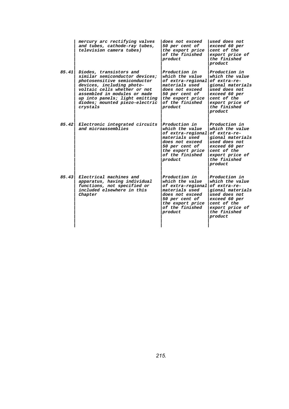|                                                                                                                                                                                                                                             | of the finished<br>product                                                                                                                                                  | the export price (cent of the<br>export price of<br>the finished)<br>  product                                                                            |
|---------------------------------------------------------------------------------------------------------------------------------------------------------------------------------------------------------------------------------------------|-----------------------------------------------------------------------------------------------------------------------------------------------------------------------------|-----------------------------------------------------------------------------------------------------------------------------------------------------------|
| similar semiconductor devices;<br>photosensitive semiconductor<br>devices, including photo-<br>voltaic cells whether or not<br>assembled in modules or made<br>up into panels; light emitting<br>diodes; mounted piezo-electric<br>crystals | Production in<br>of extra-regional/of extra-re-<br>materials used<br>does not exceed<br><i> 50 per cent of</i><br>product                                                   | Production in<br>which the value<br> gional materials<br>lused does not<br>exceed 60 per<br>cent of the<br>export price of<br>the finished<br>  product   |
| and microassemblies                                                                                                                                                                                                                         | which the value<br>of extra-regional/of extra-re-<br>materials used<br>does not exceed<br>50 per cent of<br>the export price (cent of the<br>of the finished<br>product     | Production in<br>which the value<br> gional materials<br>lused does not<br>exceed 60 per<br>export price of<br>the finished)<br>  product                 |
| apparatus, having individual<br>functions, not specified or<br>included elsewhere in this<br>Chapter                                                                                                                                        | Production in<br>which the value<br>of extra-regional/of extra-re-<br>materials used<br>does not exceed<br>50 per cent of<br>the export price<br>of the finished<br>product | Production in<br>which the value<br> gional materials<br>lused does not<br>exceed 60 per <br>cent of the<br>export price of<br>the finished)<br>  product |
|                                                                                                                                                                                                                                             | 85.41 Diodes, transistors and<br>85.42 Electronic integrated circuits<br>85.43 Electrical machines and                                                                      | which the value<br>the export price<br>of the finished<br><i>Production in</i>                                                                            |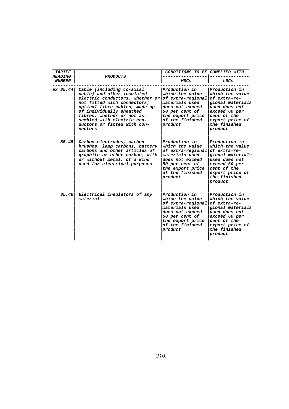| <i><b>TARIFF</b></i><br><i><b>HEADING</b></i> | <i><b>PRODUCTS</b></i>                                                                                                                                                                                                                                                                                                                | CONDITIONS TO BE COMPLIED WITH                                                                                                                                                              |                                                                                                                                                                 |
|-----------------------------------------------|---------------------------------------------------------------------------------------------------------------------------------------------------------------------------------------------------------------------------------------------------------------------------------------------------------------------------------------|---------------------------------------------------------------------------------------------------------------------------------------------------------------------------------------------|-----------------------------------------------------------------------------------------------------------------------------------------------------------------|
| <i><b>NUMBER</b></i>                          |                                                                                                                                                                                                                                                                                                                                       | MDCs                                                                                                                                                                                        | LDCS                                                                                                                                                            |
|                                               | ex 85.44/ Cable (including co-axial<br>cable) and other insulated<br>electric conductors, whether or of extra-regional of extra-re-<br>not fitted with connectors;<br>optical fibre cables, made up<br>of individually sheathed<br>fibres, whether or not as-<br>sembled with electric con-<br>ductors or fitted with con-<br>nectors | Production in<br>which the value<br>materials used<br>does not exceed<br><i>150 per cent of</i><br>the export price<br>of the finished<br>  product                                         | <i>Production in</i><br>which the value<br> gional materials<br>lused does not<br>exceed 60 per<br>cent of the<br>export price of<br>the finished)<br>  product |
|                                               | 85.45 Carbon electrodes, carbon<br>brushes, lamp carbons, battery<br>carbons and other articles of<br>graphite or other carbon, with<br>or without metal, of a kind<br>used for electrical purposes                                                                                                                                   | <i>Production in</i><br>which the value<br>of extra-regional/of extra-re-<br>/materials used<br>does not exceed<br><i> 50 per cent of</i><br>the export price<br>of the finished<br>product | Production in<br>which the value<br> gional materials<br>lused does not<br>exceed 60 per<br>cent of the<br>export price of<br>the finished<br>  product         |
|                                               | 85.46 Electrical insulators of any<br>material                                                                                                                                                                                                                                                                                        | Production in<br>which the value<br>of extra-regional/of extra-re-<br>materials used<br>does not exceed<br>50 per cent of<br>the export price<br>of the finished<br>'product                | Production in<br>which the value<br> gional materials<br>lused does not<br>exceed 60 per<br>cent of the<br>export price of<br>the finished)<br>  product        |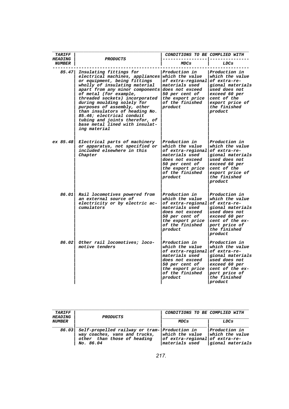| <i><b>TARIFF</b></i>                          |                                                                                                                                                                                                                                                                                                                                                                                                                                                                                                                   | CONDITIONS TO BE COMPLIED WITH                                                                                                                                                                          |                                                                                                                                                             |
|-----------------------------------------------|-------------------------------------------------------------------------------------------------------------------------------------------------------------------------------------------------------------------------------------------------------------------------------------------------------------------------------------------------------------------------------------------------------------------------------------------------------------------------------------------------------------------|---------------------------------------------------------------------------------------------------------------------------------------------------------------------------------------------------------|-------------------------------------------------------------------------------------------------------------------------------------------------------------|
| <i><b>HEADING</b></i><br><i><b>NUMBER</b></i> | <b>PRODUCTS</b>                                                                                                                                                                                                                                                                                                                                                                                                                                                                                                   | <b>MDCs</b>                                                                                                                                                                                             | LDCs                                                                                                                                                        |
|                                               | 85.47 Insulating fittings for<br>  electrical machines, appliances/which the value<br>or equipment, being fittings<br>wholly of insulating material<br>apart from any minor components/does not exceed<br>of metal (for example,<br>threaded sockets) incorporated (the export price (cent of the<br>during moulding solely for<br>purposes of assembly, other<br>than insulators of heading No.<br>85.46; electrical conduit<br>tubing and joints therefor, of<br>base metal lined with insulat-<br>ing material | <i>Production in</i><br>of extra-regional/of extra-re-<br>/materials used<br><i> 50 per cent of</i><br>of the finished<br>  product                                                                     | Production in<br>which the value<br><i> gional materials</i><br>used does not<br>exceed 60 per<br>export price of<br>the finished<br>  product              |
|                                               | ex 85.48 Electrical parts of machinery<br>or apparatus, not specified or /which the value<br>included elsewhere in this<br>Chapter                                                                                                                                                                                                                                                                                                                                                                                | <i>Production in</i><br>of extra-regional/of extra-re-<br>/materials used<br>does not exceed<br><i> 50 per cent of</i><br>$t$ the export price $\sqrt{2}$ cent of the<br>of the finished<br>  product   | <i>Production in</i><br>which the value<br>gional materials<br>used does not<br>exceed 60 per/<br>export price of<br>the finished)<br>  product             |
|                                               | 86.01 Rail locomotives powered from<br>an external source of<br>electricity or by electric ac-<br>cumulators                                                                                                                                                                                                                                                                                                                                                                                                      | Production in<br>which the value<br>of extra-regional/of extra-re-<br>/materials used<br>does not exceed<br><i> 50 per cent of</i><br>the export price (cent of the ex-<br>of the finished<br>  product | <i>Production in</i><br>which the value<br><i> gional materials</i><br>used does not<br>exceed 60 per<br><i>port price of</i><br>the finished)<br>  product |
|                                               | 86.02 Other rail locomotives; loco-<br>motive tenders                                                                                                                                                                                                                                                                                                                                                                                                                                                             | Production in<br>which the value<br>of extra-regional/of extra-re-<br>/materials used<br>does not exceed<br><i> 50 per cent of</i><br>the export price (cent of the ex-<br>of the finished<br>  product | Production in<br>which the value<br>gional materials<br>used does not<br>exceed 60 per<br><i>port price of</i><br>the finished)<br>product                  |

| <b><i>TARIFF</i></b><br><b>HEADING</b> | <b>PRODUCTS</b>                                                                                                            | CONDITIONS TO BE COMPLIED WITH                                      |                                                             |
|----------------------------------------|----------------------------------------------------------------------------------------------------------------------------|---------------------------------------------------------------------|-------------------------------------------------------------|
| <b>NUMBER</b>                          |                                                                                                                            | MDCs                                                                | LDCs                                                        |
| 86.031                                 | Self-propelled railway or tram-/Production in<br>way coaches, vans and trucks,<br>other than those of heading<br>No. 86.04 | which the value<br>of extra-regional/of extra-re-<br>materials used | <i>Production in</i><br>which the value<br>gional materials |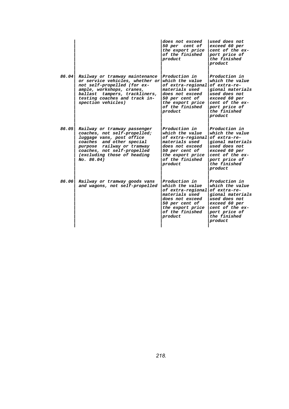|  |                                                                                                                                                                                                                                                               | does not exceed<br>50 per cent of<br>the export price<br>of the finished<br>'product                                                                                                                | used does not<br>exceed 60 per<br>cent of the ex-<br><i>port price of</i><br>the finished)<br>' product                                                                     |
|--|---------------------------------------------------------------------------------------------------------------------------------------------------------------------------------------------------------------------------------------------------------------|-----------------------------------------------------------------------------------------------------------------------------------------------------------------------------------------------------|-----------------------------------------------------------------------------------------------------------------------------------------------------------------------------|
|  | 86.04   Railway or tramway maintenance   Production in<br>or service vehicles, whether or which the value<br>not self-propelled (for ex-<br>ample, workshops, cranes,<br>ballast tampers, trackliners,<br>testing coaches and track in-<br>spection vehicles) | of extra-regional/of extra-re-<br>materials used<br>does not exceed<br><i>150 per cent of</i><br>the export price<br>of the finished<br>  product                                                   | <i>Production in</i><br>which the value<br><i> gional materials</i><br>used does not<br>exceed 60 per<br>$/cent$ of the ex-<br>port price of<br>the finished<br>product     |
|  | 86.05   Railway or tramway passenger<br>coaches, not self-propelled;<br>luggage vans, post office<br>coaches and other special<br>purpose railway or tramway<br>coaches, not self-propelled<br>(excluding those of heading<br>No. 86.04)                      | Production in<br>which the value<br>of extra-regional/of extra-re-<br>/materials used<br>does not exceed<br>50 per cent of<br>the export price)<br>of the finished<br>'product                      | <i>Production in</i><br>which the value<br><i>dional materials</i><br>used does not<br>exceed 60 per<br>cent of the ex-<br><i>port</i> price of<br>the finished)<br>product |
|  | 86.06 Railway or tramway goods vans<br>and wagons, not self-propelled                                                                                                                                                                                         | <i>Production in</i><br>which the value<br>of extra-regional/of extra-re-<br>materials used<br>does not exceed<br>50 per cent of<br>the export price (cent of the ex-<br>of the finished<br>product | <i>Production in</i><br>which the value<br><i> gional materials</i><br>used does not<br>exceed 60 per<br><i>port</i> price of<br>the finished)<br>product                   |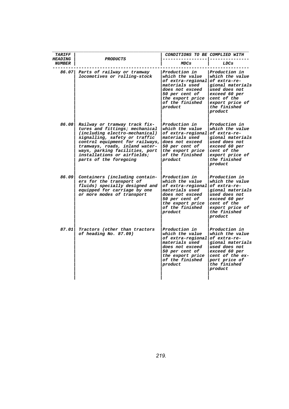| <i><b>TARIFF</b></i>                          |                                                                                                                                                                                                                                                                                                                                                                                                                                        | CONDITIONS TO BE COMPLIED WITH                                                                                                                                                                                |                                                                                                                                                      |
|-----------------------------------------------|----------------------------------------------------------------------------------------------------------------------------------------------------------------------------------------------------------------------------------------------------------------------------------------------------------------------------------------------------------------------------------------------------------------------------------------|---------------------------------------------------------------------------------------------------------------------------------------------------------------------------------------------------------------|------------------------------------------------------------------------------------------------------------------------------------------------------|
| <i><b>HEADING</b></i><br><i><b>NUMBER</b></i> | <b>PRODUCTS</b>                                                                                                                                                                                                                                                                                                                                                                                                                        | <b>MDCs</b>                                                                                                                                                                                                   | LDCS                                                                                                                                                 |
|                                               | 86.07 Parts of railway or tramway<br>  locomotives or rolling-stock                                                                                                                                                                                                                                                                                                                                                                    | <i>Production in</i><br>which the value<br>of extra-regional/of extra-re-<br>materials used<br>does not exceed<br>50 per cent of<br>the export price (cent of the<br>of the finished<br>  product             | <i>Production in</i><br>which the value<br>gional materials<br>used does not<br>exceed 60 per<br>export price of<br>the finished)<br>  product       |
|                                               | 86.08 Railway or tramway track fix- Production in<br>tures and fittings; mechanical which the value<br>(including electro-mechanical) / of extra-regional/of extra-re-<br>signalling, safety or traffic<br>control equipment for railways, does not exceed<br>tramways, roads, inland water- 150 per cent of<br>ways, parking facilities, port (the export price (cent of the<br>installations or airfields;<br>parts of the foregoing | materials used<br>of the finished<br>  product                                                                                                                                                                | Production in<br>which the value<br>gional materials<br>used does not<br>exceed 60 per<br>export price of<br>the finished)<br>  product              |
|                                               | 86.09 Containers (including contain- Production in<br>ers for the transport of<br>fluids) specially designed and (of extra-regional(of extra-re-<br>equipped for carriage by one<br>or more modes of transport                                                                                                                                                                                                                         | which the value<br>materials used<br>does not exceed<br>50 per cent of<br>the export price  cent of the <br>of the finished<br>  product                                                                      | Production in<br>which the value<br>gional materials<br>used does not<br>exceed 60 per<br>export price of<br>the finished)<br>  product              |
|                                               | 87.01 Tractors (other than tractors<br>of heading No. 87.09)                                                                                                                                                                                                                                                                                                                                                                           | <i>Production in</i><br>which the value<br>of extra-regional/of extra-re-<br>materials used<br>does not exceed<br><i> 50 per cent of</i><br>the export price (cent of the ex-<br>of the finished<br>  product | Production in<br>which the value<br><i> gional materials</i><br>used does not<br>exceed 60 per<br><i>port price of</i><br>the finished)<br>  product |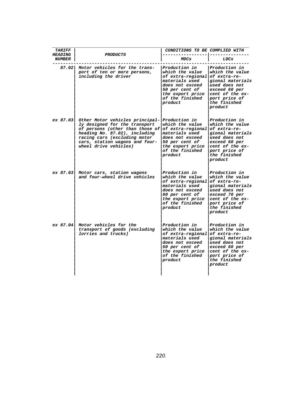| <i><b>TARIFF</b></i>                          |                                                                                                                                                                                                                                                                                                                                             | CONDITIONS TO BE COMPLIED WITH                                                                                                                                                                                |                                                                                                                                                     |
|-----------------------------------------------|---------------------------------------------------------------------------------------------------------------------------------------------------------------------------------------------------------------------------------------------------------------------------------------------------------------------------------------------|---------------------------------------------------------------------------------------------------------------------------------------------------------------------------------------------------------------|-----------------------------------------------------------------------------------------------------------------------------------------------------|
| <i><b>HEADING</b></i><br><i><b>NUMBER</b></i> | <b>PRODUCTS</b>                                                                                                                                                                                                                                                                                                                             | <b>MDCs</b>                                                                                                                                                                                                   | LDCs                                                                                                                                                |
|                                               | 87.02 Motor vehicles for the trans-<br>port of ten or more persons,<br>including the driver                                                                                                                                                                                                                                                 | <i>Production in</i><br>which the value<br>of extra-regional/of extra-re-<br>materials used<br>does not exceed<br><i> 50 per cent of</i><br>the export price (cent of the ex-<br>of the finished<br>  product | <i>Production in</i><br>which the value<br>gional materials<br>used does not<br>exceed 60 per<br><i>port price of</i><br>the finished<br>  product  |
|                                               | ex 87.03 Other Motor vehicles principal- Production in<br>ly designed for the transport /which the value<br>of persons (other than those of   of extra-regional   of extra-re-<br>heading No. 87.02), including   materials used<br>racing cars (excluding motor<br>cars, station wagons and four- /50 per cent of<br>wheel drive vehicles) | does not exceed<br>the export price (cent of the ex-<br>of the finished<br>  product                                                                                                                          | <i>Production in</i><br>which the value<br>gional materials<br>used does not<br>exceed 60 per<br>port price of<br>the finished)<br>  product        |
|                                               | ex 87.03/ Motor cars, station wagons<br>and four-wheel drive vehicles                                                                                                                                                                                                                                                                       | <i>Production in</i><br>which the value<br>of extra-regional/of extra-re-<br>/materials used<br>does not exceed<br>60 per cent of<br>the export price (cent of the ex-<br>of the finished<br>  product        | <i>Production in</i><br>which the value<br>gional materials<br>used does not<br>exceed 70 per<br><i>port price of</i><br>the finished)<br>  product |
|                                               | ex 87.04/ Motor vehicles for the<br>transport of goods (excluding<br><i>lorries and trucks)</i>                                                                                                                                                                                                                                             | Production in<br>which the value<br>of extra-regional/of extra-re-<br>/materials used<br>does not exceed<br>50 per cent of<br>$t$ the export price $\sqrt{t}$ cent of the ex-<br>of the finished<br>  product | <i>Production in</i><br>which the value<br>gional materials<br>used does not<br>exceed 60 per<br><i>port price of</i><br>the finished)<br>  product |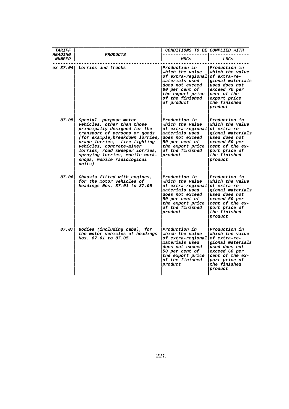| <i><b>TARIFF</b></i><br><i><b>HEADING</b></i> | <b>PRODUCTS</b>                                                                                                                                                                                                                                                                                                                                                         | CONDITIONS TO BE COMPLIED WITH                                                                                                                                                                     |                                                                                                                                                      |
|-----------------------------------------------|-------------------------------------------------------------------------------------------------------------------------------------------------------------------------------------------------------------------------------------------------------------------------------------------------------------------------------------------------------------------------|----------------------------------------------------------------------------------------------------------------------------------------------------------------------------------------------------|------------------------------------------------------------------------------------------------------------------------------------------------------|
| <i><b>NUMBER</b></i>                          |                                                                                                                                                                                                                                                                                                                                                                         | <b>MDCs</b>                                                                                                                                                                                        | LDCs                                                                                                                                                 |
|                                               | ex 87.04/ Lorries and trucks                                                                                                                                                                                                                                                                                                                                            | Production in<br>which the value<br>of extra-regional/of extra-re-<br>materials used<br>does not exceed<br><b>60 per cent of</b><br>the export price  cent of the<br>of the finished<br>of product | <i>Production in</i><br>which the value<br><i> gional materials</i><br>used does not<br>exceed 70 per/<br>export price<br>the finished)<br>  product |
|                                               | 87.05 Special purpose motor<br>vehicles, other than those<br>principally designed for the<br>transport of persons or goods<br>(for example, breakdown lorries, does not exceed<br>crane lorries, fire fighting<br>vehicles, concrete-mixer<br>lorries, road sweeper lorries,  of the finished<br>spraying lorries, mobile work-<br>shops, mobile radiological<br>units) | <i>Production in</i><br>which the value<br>of extra-regional/of extra-re-<br>/materials used<br><i> 50 per cent of</i><br>the export price (cent of the ex-<br>/product                            | Production in<br>which the value<br><i> gional materials</i><br>lused does not<br>exceed 60 per<br>port price of<br>the finished)<br>  product       |
|                                               | 87.06 Chassis fitted with engines,<br>for the motor vehicles of<br>headings Nos. 87.01 to 87.05                                                                                                                                                                                                                                                                         | Production in<br>which the value<br>of extra-regional/of extra-re-<br>materials used<br>does not exceed<br>50 per cent of<br>the export price (cent of the ex-<br>of the finished<br>product       | Production in<br>which the value<br> gional materials<br>used does not<br>exceed 60 per<br><i>port price of</i><br>the finished)<br>  product        |
|                                               | 87.07 Bodies (including cabs), for<br>the motor vehicles of headings<br>Nos. 87.01 to 87.05                                                                                                                                                                                                                                                                             | Production in<br>which the value<br>lof extra-regional of extra-re-<br>materials used<br>does not exceed<br>50 per cent of<br>the export price (cent of the ex-<br>of the finished<br>product      | Production in<br>which the value<br>gional materials<br>used does not<br>exceed 60 per<br><i>port price of</i><br>the finished)<br>  product         |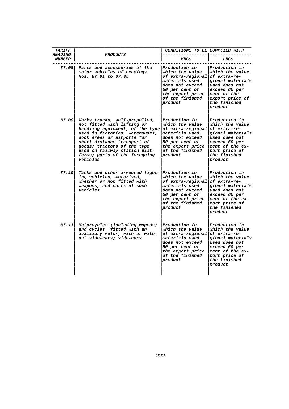| <i><b>TARIFF</b></i>            |                                                                                                                                                                                                                                                                                                                                                                       | CONDITIONS TO BE COMPLIED WITH                                                                                                                                                                            |                                                                                                                                                                    |
|---------------------------------|-----------------------------------------------------------------------------------------------------------------------------------------------------------------------------------------------------------------------------------------------------------------------------------------------------------------------------------------------------------------------|-----------------------------------------------------------------------------------------------------------------------------------------------------------------------------------------------------------|--------------------------------------------------------------------------------------------------------------------------------------------------------------------|
| <i><b>HEADING</b></i><br>NUMBER | <b>PRODUCTS</b>                                                                                                                                                                                                                                                                                                                                                       | <b>MDCs</b>                                                                                                                                                                                               | LDCs                                                                                                                                                               |
|                                 | 87.08   Parts and accessories of the<br>motor vehicles of headings<br>Nos. 87.01 to 87.05                                                                                                                                                                                                                                                                             | <i>Production in</i><br>which the value<br>of extra-regional/of extra-re-<br>materials used<br>does not exceed<br><i>150 per cent of</i><br>the export price (cent of the<br>of the finished<br>  product | <i>Production in</i><br>which the value<br>gional materials<br>used does not<br>exceed 60 per<br>export price of<br>the finished)<br>'product                      |
|                                 | 87.09 Works trucks, self-propelled,<br>not fitted with lifting or<br>handling equipment, of the type/of extra-regional/of extra-re-<br>used in factories, warehouses, <i>materials</i> used<br>dock areas or airports for<br>short distance transport of<br>goods; tractors of the type<br>used on railway station plat-<br>forms; parts of the foregoing<br>vehicles | <i>Production in</i><br>which the value<br>does not exceed<br>50 per cent of<br>$t$ the export price $t$ cent of the ex-<br>of the finished<br><i>  product</i>                                           | Production in<br>which the value<br>gional materials<br>used does not<br>exceed 60 per<br><i>port price of</i><br>the finished)<br>  product                       |
|                                 | 87.10 Tanks and other armoured fight- Production in<br>ing vehicles, motorised,<br>whether or not fitted with<br>weapons, and parts of such<br>vehicles                                                                                                                                                                                                               | which the value<br>of extra-regional/of extra-re-<br>materials used<br>does not exceed<br>50 per cent of<br>the export price (cent of the ex-<br>of the finished<br>  product                             | <i>Production in</i><br><i>Which the value</i><br><i>dional materials</i><br>used does not<br>exceed 60 per<br><i>port</i> price of<br>the finished<br>'product    |
|                                 | 87.11/ Motorcycles (including mopeds)<br>and cycles fitted with an<br>auxiliary motor, with or with-<br>out side-cars; side-cars                                                                                                                                                                                                                                      | <i>Production in</i><br>which the value<br>of extra-regional/of extra-re-<br>materials used<br>does not exceed<br>50 per cent of<br>the export price<br>of the finished<br>  product                      | Production in<br>which the value<br>gional materials<br>used does not<br>exceed 60 per<br>$/cent$ of the ex-<br><i>port price of</i><br>the finished)<br>  product |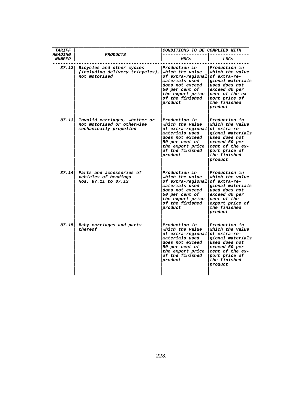| <i><b>TARIFF</b></i>            |                                                                                                     | CONDITIONS TO BE COMPLIED WITH                                                                                                                                                                                             |                                                                                                                                                            |
|---------------------------------|-----------------------------------------------------------------------------------------------------|----------------------------------------------------------------------------------------------------------------------------------------------------------------------------------------------------------------------------|------------------------------------------------------------------------------------------------------------------------------------------------------------|
| <i><b>HEADING</b></i><br>NUMBER | <b>PRODUCTS</b>                                                                                     | <b>MDCs</b>                                                                                                                                                                                                                | LDCS                                                                                                                                                       |
|                                 | 87.12 Bicycles and other cycles<br>(including delivery tricycles), which the value<br>not motorised | <i>Production in</i><br>of extra-regional/of extra-re-<br>/materials used<br>does not exceed<br><i>50 per cent of</i><br>$ $ the export price $ $ cent of the ex- $ $<br>of the finished<br>  product                      | <i>Production in</i><br>which the value<br>gional materials<br>used does not<br>/exceed 60 per<br><i>port price of</i><br>the finished<br>  product        |
|                                 | 87.13 Invalid carriages, whether or<br>not motorised or otherwise<br>mechanically propelled         | <i>Production in</i><br>which the value<br>of extra-regional/of extra-re-<br>/materials used<br>does not exceed<br><i> </i> 50 per cent of<br>the export price (cent of the ex-<br>of the finished<br>  product            | <i>Production in</i><br>which the value<br>gional materials<br>used does not<br>exceed 60 per<br><i>port price of</i><br>the finished)<br>  product        |
|                                 | 87.14 Parts and accessories of<br>vehicles of headings<br>Nos. 87.11 to 87.13                       | <i>Production in</i><br>which the value<br>of extra-regional/of extra-re-<br>/materials used<br>ldoes not exceed<br><i> </i> 50 per cent of<br>$t$ the export price $\sqrt{t}$ cent of the<br>of the finished<br>  product | <i>Production in</i><br>which the value<br>gional materials<br>used does not<br>exceed 60 per<br>export price of<br>the finished)<br>  product             |
|                                 | 87.15 Baby carriages and parts<br>thereof                                                           | <i>Production in</i><br>which the value<br>of extra-regional/of extra-re-<br>/materials used<br>does not exceed<br> 50 per cent of<br>the export price (cent of the ex-<br>of the finished<br>  product                    | <i>Production in</i><br>which the value<br><i>dional</i> materials<br>used does not<br>exceed 60 per<br><i>port price of</i><br>the finished)<br>  product |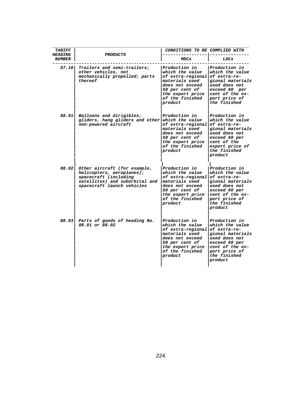| <i><b>TARIFF</b></i>                   |                                                                                                                                                                          | CONDITIONS TO BE COMPLIED WITH                                                                                                                                                                          |                                                                                                                                                     |
|----------------------------------------|--------------------------------------------------------------------------------------------------------------------------------------------------------------------------|---------------------------------------------------------------------------------------------------------------------------------------------------------------------------------------------------------|-----------------------------------------------------------------------------------------------------------------------------------------------------|
| <i><b>HEADING</b></i><br><b>NUMBER</b> | <b>PRODUCTS</b>                                                                                                                                                          | MDCs                                                                                                                                                                                                    | LDCs                                                                                                                                                |
|                                        | 87.16 Trailers and semi-trailers;<br>other vehicles, not<br>mechanically propelled; parts<br>thereof                                                                     | <i>Production in</i><br>which the value<br>of extra-regional/of extra-re-<br>/materials used<br>ldoes not exceed<br>50 per cent of<br>the export price (cent of the ex-<br>of the finished<br>  product | <i>Production in</i><br>which the value<br>gional materials<br>used does not<br>exceed 60 per<br><i>port price of</i><br>the finished)              |
|                                        | 88.01 Balloons and dirigibles;<br>gliders, hang gliders and other/which the value<br>non-powered aircraft                                                                | <i>Production in</i><br>of extra-regional/of extra-re-<br>materials used<br>does not exceed<br>50 per cent of<br>the export price (cent of the<br>of the finished<br>  product                          | <i>Production in</i><br>which the value<br>gional materials<br>used does not<br>exceed 60 per<br>export price of<br>the finished)<br>  product      |
|                                        | 88.02 Other aircraft (for example,<br>helicopters, aeroplanes);<br>spacecraft (including<br>satellites) and suborbital and /materials used<br>spacecraft launch vehicles | <i>Production in</i><br>which the value<br>of extra-regional/of extra-re-<br>does not exceed<br>50 per cent of<br>the export price (cent of the ex-<br>of the finished<br>  product                     | <i>Production in</i><br>which the value<br>gional materials<br>used does not<br>exceed 60 per<br><i>port price of</i><br>the finished)<br>  product |
|                                        | 88.03 Parts of goods of heading No.<br>88.01 or 88.02                                                                                                                    | Production in<br>which the value<br>of extra-regional/of extra-re-<br>materials used<br>does not exceed<br>50 per cent of<br>the export price (cent of the ex-<br>of the finished<br>  product          | <i>Production in</i><br>which the value<br>gional materials<br>used does not<br>exceed 60 per<br><i>port price of</i><br>the finished)<br>  product |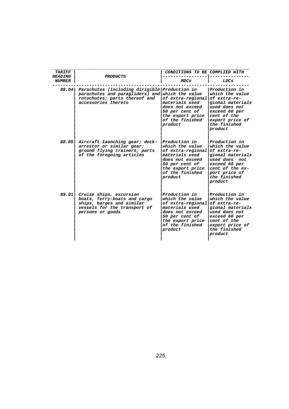| <i><b>TARIFF</b></i><br><b>HEADING</b> | <b>PRODUCTS</b>                                                                                                                                                | CONDITIONS TO BE COMPLIED WITH                                                                                                                                                            |                                                                                                                                                                       |
|----------------------------------------|----------------------------------------------------------------------------------------------------------------------------------------------------------------|-------------------------------------------------------------------------------------------------------------------------------------------------------------------------------------------|-----------------------------------------------------------------------------------------------------------------------------------------------------------------------|
| <b>NUMBER</b>                          |                                                                                                                                                                | <b>MDCs</b>                                                                                                                                                                               | <b>LDCs</b>                                                                                                                                                           |
|                                        | 88.04 Parachutes (including dirigible Production in<br>parachutes and paragliders) and which the value<br>rotochutes; parts thereof and<br>accessories thereto | of extra-regional/of extra-re-<br>/materials used<br>does not exceed<br><i>50 per cent of</i><br>the export price<br>of the finished<br>' product                                         | <i>Production in</i><br>which the value<br> gional materials<br>used does not<br>exceed 60 per<br>cent of the<br>export price of<br>the finished)<br>  product        |
|                                        | 88.05 Aircraft launching gear; deck-<br>arrestor or similar gear;<br>ground flying trainers; parts<br>of the foregoing articles                                | <i>Production in</i><br>which the value<br>of extra-regional/of extra-re-<br>materials used<br>does not exceed<br><i>50 per cent of</i><br>the export price<br>of the finished<br>product | Production in<br>which the value<br> gional materials<br>lused does<br>not<br>exceed 60 per<br>cent of the ex-<br><i> port price of</i><br>the finished)<br>  product |
|                                        | 89.01 Cruise ships, excursion<br>boats, ferry-boats and cargo<br>ships, barges and similar<br>vessels for the transport of<br>persons or goods                 | Production in<br>which the value<br>of extra-regional/of extra-re-<br>materials used<br>does not exceed<br>50 per cent of<br>the export price<br>of the finished<br>'product              | Production in<br>which the value<br> gional materials<br>lused does not<br>exceed 60 per/<br>cent of the<br>export price of<br>the finished)<br>  product             |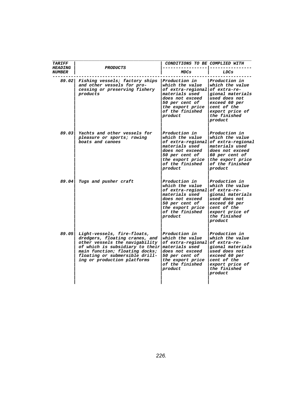| <i><b>TARIFF</b></i><br><i><b>HEADING</b></i><br><i><b>NUMBER</b></i> | <b>PRODUCTS</b>                                                                                                                                                                                                                                                                                                           | CONDITIONS TO BE COMPLIED WITH<br>MDCs                                                                                                                                                   | LDCs                                                                                                                                                |
|-----------------------------------------------------------------------|---------------------------------------------------------------------------------------------------------------------------------------------------------------------------------------------------------------------------------------------------------------------------------------------------------------------------|------------------------------------------------------------------------------------------------------------------------------------------------------------------------------------------|-----------------------------------------------------------------------------------------------------------------------------------------------------|
|                                                                       | 89.02 Fishing vessels; factory ships   Production in<br>and other vessels for pro-<br>cessing or preserving fishery<br>products                                                                                                                                                                                           | which the value<br>of extra-regional/of extra-re-<br>/materials used<br>does not exceed<br>50 per cent of<br>the export price / cent of the<br>of the finished<br>product                | <i>Production in</i><br>which the value<br> gional materials<br>used does not<br>exceed 60 per<br>export price of<br>the finished)<br>  product     |
|                                                                       | 89.03 Yachts and other vessels for<br>pleasure or sports; rowing<br>boats and canoes                                                                                                                                                                                                                                      | Production in<br>which the value<br>of extra-regional/of extra-regional<br>materials used<br>does not exceed<br>50 per cent of<br>the export price<br>of the finished<br>product         | Production in<br>which the value<br>/materials used<br>does not exceed<br><i>60 per cent of</i><br>the export price<br>of the finished<br>  product |
|                                                                       | 89.04 Tugs and pusher craft                                                                                                                                                                                                                                                                                               | Production in<br>which the value<br>of extra-regional/of extra-re-<br>materials used<br>does not exceed<br>50 per cent of<br>the export price (cent of the<br>of the finished<br>product | Production in<br>which the value<br> gional materials<br>lused does not<br>exceed 60 per/<br>export price of<br>the finished)<br>  product          |
|                                                                       | 89.05 Light-vessels, fire-floats,<br>dredgers, floating cranes, and which the value<br>other vessels the navigability of extra-regional of extra-re-<br>of which is subsidiary to their materials used<br>main function; floating docks; does not exceed<br>floating or submersible drill-<br>ing or production platforms | Production in<br>50 per cent of<br>$t$ the export price $\sqrt{2}$ cent of the<br>of the finished<br>product                                                                             | Production in<br>which the value<br> gional materials<br>used does not<br>exceed 60 per <br>export price of<br>the finished)<br>  product           |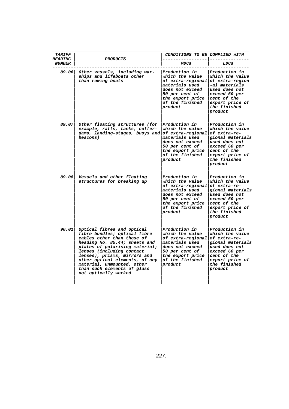| <i><b>TARIFF</b></i>                          |                                                                                                                                                                                                                                                                                                                                                       | CONDITIONS TO BE COMPLIED WITH                                                                                                                                                                                        |                                                                                                                                                      |
|-----------------------------------------------|-------------------------------------------------------------------------------------------------------------------------------------------------------------------------------------------------------------------------------------------------------------------------------------------------------------------------------------------------------|-----------------------------------------------------------------------------------------------------------------------------------------------------------------------------------------------------------------------|------------------------------------------------------------------------------------------------------------------------------------------------------|
| <i><b>HEADING</b></i><br><i><b>NUMBER</b></i> | <b>PRODUCTS</b>                                                                                                                                                                                                                                                                                                                                       | <b>MDCs</b>                                                                                                                                                                                                           | LDCs                                                                                                                                                 |
|                                               | 89.06   Other vessels, including war-<br>ships and lifeboats other<br>than rowing boats                                                                                                                                                                                                                                                               | <i>Production in</i><br>which the value<br>of extra-regional/of extra-region/<br>/materials used<br>does not exceed<br>50 per cent of<br>$t$ the export price $\sqrt{\ }$ cent of the<br>of the finished<br>  product | <i>Production in</i><br>which the value<br>-al materials<br>used does not<br>exceed 60 per<br>export price of<br>the finished)<br>product            |
|                                               | 89.07 Other floating structures (for /Production in<br>example, rafts, tanks, coffer- /which the value<br>dams, landing-stages, buoys and of extra-regional of extra-re-<br>beacons)                                                                                                                                                                  | /materials used<br>does not exceed<br><i> 50 per cent of</i><br>the export price (cent of the)<br>of the finished<br>  product                                                                                        | Production in<br>which the value<br> gional materials<br>used does not<br>exceed 60 per/<br>$\sqrt{2}$ export price of<br>the finished)<br>  product |
|                                               | 89.08 Vessels and other floating<br>structures for breaking up                                                                                                                                                                                                                                                                                        | Production in<br>which the value<br>of extra-regional/of extra-re-<br>/materials used<br>does not exceed<br>50 per cent of<br>the export price  cent of the <br>of the finished<br>  product                          | Production in<br>which the value<br> gional materials<br>used does not<br>exceed 60 per<br>export price of<br>the finished)<br>  product             |
|                                               | 90.01 Optical fibres and optical<br>fibre bundles; optical fibre<br>cables other than those of<br>heading No. 85.44; sheets and<br>plates of polarising material;<br>lenses (including contact<br>lenses), prisms, mirrors and<br>other optical elements, of any<br>material, unmounted, other<br>than such elements of glass<br>not optically worked | Production in<br>which the value<br>of extra-regional/of extra-re-<br>materials used<br>does not exceed<br><i> 50 per cent of</i><br>$t$ the export price $\sqrt{\ }$ cent of the<br>of the finished<br>  product     | Production in<br>which the value<br> gional materials<br>used does not<br>exceed 60 per/<br>export price of<br>the finished)<br>  product            |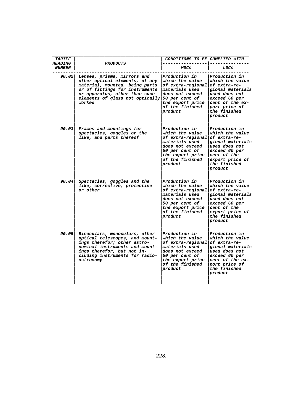| <i><b>TARIFF</b></i>                          |                                                                                                                                                                                                                                                                                                     | CONDITIONS TO BE COMPLIED WITH                                                                                                                                                                                   |                                                                                                                                                      |
|-----------------------------------------------|-----------------------------------------------------------------------------------------------------------------------------------------------------------------------------------------------------------------------------------------------------------------------------------------------------|------------------------------------------------------------------------------------------------------------------------------------------------------------------------------------------------------------------|------------------------------------------------------------------------------------------------------------------------------------------------------|
| <i><b>HEADING</b></i><br><i><b>NUMBER</b></i> | <b>PRODUCTS</b>                                                                                                                                                                                                                                                                                     | MDCs                                                                                                                                                                                                             | LDCs                                                                                                                                                 |
|                                               | 90.02 Lenses, prisms, mirrors and<br>other optical elements, of any which the value<br>material, mounted, being parts of extra-regional of extra-re-<br>or of fittings for instruments /materials used<br>or apparatus, other than such<br>elements of glass not optically 50 per cent of<br>worked | <i>Production in</i><br>does not exceed<br>the export price (cent of the ex-<br>of the finished<br>  product                                                                                                     | <i>Production in</i><br>which the value<br>gional materials<br>used does not<br>exceed 60 per<br><i>port price of</i><br>the finished)<br>  product  |
|                                               | 90.03 Frames and mountings for<br>spectacles, goggles or the<br>like, and parts thereof                                                                                                                                                                                                             | <i>Production in</i><br>which the value<br>of extra-regional/of extra-re-<br>materials used<br>does not exceed<br><i> 50 per cent of</i><br>the export price  cent of the <br>of the finished<br>' product       | Production in<br>which the value<br><i> gional materials</i><br>lused does not<br>exceed 60 per<br>export price of<br>the finished)<br>  product     |
|                                               | 90.04 Spectacles, goggles and the<br>like, corrective, protective<br>or other                                                                                                                                                                                                                       | <i>Production in</i><br>which the value<br>of extra-regional/of extra-re-<br>/materials used<br>does not exceed<br>50 per cent of<br>$t$ the export price $\sqrt{t}$ cent of the<br>of the finished<br>  product | <i>Production in</i><br>which the value<br>gional materials<br>lused does not<br>exceed 60 per/<br>export price of<br>the finished)<br>  product     |
|                                               | 90.05   Binoculars, monoculars, other<br>optical telescopes, and mount-<br>ings therefor; other astro-<br>nomical instruments and mount-<br>ings therefor, but not in-<br>cluding instruments for radio-<br>astronomy                                                                               | Production in<br>which the value<br>of extra-regional/of extra-re-<br><i>materials used</i><br>does not exceed<br>50 per cent of<br>the export price (cent of the ex-<br>of the finished<br>  product            | Production in<br>which the value<br><i> gional materials</i><br>used does not<br>exceed 60 per<br><i>port price of</i><br>the finished)<br>  product |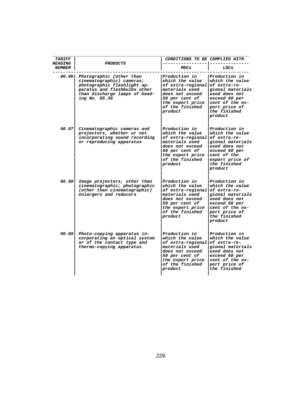| <i><b>TARIFF</b></i>                          |                                                                                                                                                                              | CONDITIONS TO BE COMPLIED WITH                                                                                                                                                                          |                                                                                                                                                         |
|-----------------------------------------------|------------------------------------------------------------------------------------------------------------------------------------------------------------------------------|---------------------------------------------------------------------------------------------------------------------------------------------------------------------------------------------------------|---------------------------------------------------------------------------------------------------------------------------------------------------------|
| <i><b>HEADING</b></i><br><i><b>NUMBER</b></i> | <b>PRODUCTS</b>                                                                                                                                                              | MDCs                                                                                                                                                                                                    | LDCs                                                                                                                                                    |
|                                               | 90.06 Photographic (other than<br>cinematographic) cameras;<br>photographic flashlight ap-<br>paratus and flashbulbs other<br>than discharge lamps of head-<br>ing No. 85.39 | Production in<br>which the value<br>of extra-regional/of extra-re-<br>materials used<br>does not exceed<br>50 per cent of<br>the export price  cent of the ex-<br>of the finished<br>  product          | <i>Production in</i><br>which the value<br> gional materials<br>lused does not<br>exceed 60 per<br><i>port price of</i><br>the finished)<br>  product   |
|                                               | 90.07   Cinematographic cameras and<br>projectors, whether or not<br>incorporating sound recording<br>or reproducing apparatus                                               | Production in<br>which the value<br>of extra-regional/of extra-re-<br>/materials used<br>does not exceed<br><i>50 per cent of</i><br>the export price)<br>of the finished<br>  product                  | Production in<br>which the value<br> gional materials<br>used does not<br>exceed 60 per<br>cent of the<br>export price of<br>the finished)<br>  product |
|                                               | 90.08   Image projectors, other than<br>cinematographic; photographic<br>(other than cinematographic)<br>enlargers and reducers                                              | Production in<br>which the value<br>of extra-regional/of extra-re-<br>/materials used<br>does not exceed<br><i> 50 per cent of</i><br>the export price (cent of the ex-<br>of the finished<br>  product | Production in<br>which the value<br> gional materials<br>lused does not<br>exceed 60 per/<br><i> port price of</i><br>the finished)<br>  product        |
|                                               | 90.09 Photo-copying apparatus in-<br>corporating an optical system<br>or of the contact type and<br>thermo-copying apparatus                                                 | Production in<br>which the value<br>of extra-regional/of extra-re-<br>materials used<br>does not exceed<br>50 per cent of<br>the export price)<br>of the finished<br>  product                          | Production in<br>which the value<br> gional materials<br>used does not<br>exceed 60 per/<br>cent of the ex-<br><i> port price of</i><br>the finished)   |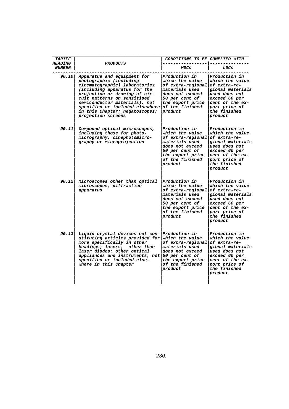| <i><b>TARIFF</b></i>                          |                                                                                                                                                                                                                                                                                                                                                    | CONDITIONS TO BE COMPLIED WITH                                                                                                                                                                              |                                                                                                                                                                             |
|-----------------------------------------------|----------------------------------------------------------------------------------------------------------------------------------------------------------------------------------------------------------------------------------------------------------------------------------------------------------------------------------------------------|-------------------------------------------------------------------------------------------------------------------------------------------------------------------------------------------------------------|-----------------------------------------------------------------------------------------------------------------------------------------------------------------------------|
| <i><b>HEADING</b></i><br><i><b>NUMBER</b></i> | <b>PRODUCTS</b>                                                                                                                                                                                                                                                                                                                                    | MDCs                                                                                                                                                                                                        | _____/_____<br>LDCs                                                                                                                                                         |
|                                               | 90.10 Apparatus and equipment for<br>photographic (including)<br>cinematographic) laboratories<br>(including apparatus for the<br>projection or drawing of cir-<br>cuit patterns on sensitised<br>semiconductor materials), not<br>specified or included elsewhere/of the finished<br>in this Chapter; negatoscopes; product<br>projection screens | <i>Production</i> in<br>which the value<br>  of extra-regional of extra-re-<br>/materials used<br>does not exceed<br><i> 50 per cent of</i><br>the export price (cent of the ex-                            | <i>Production in</i><br>which the value<br>gional materials<br>used does not<br>exceed 60 per<br><i>port price of</i><br>the finished)<br>  product                         |
|                                               | 90.11 Compound optical microscopes,<br>including those for photo-<br>micrography, cinephotomicro-<br>graphy or microprojection                                                                                                                                                                                                                     | Production in<br>which the value<br>of extra-regional/of extra-re-<br>materials used<br>does not exceed<br><i> 50 per cent of</i><br>the export price (cent of the ex-<br>of the finished<br><i>product</i> | Production in<br>which the value<br><i> gional materials</i><br>lused does not<br>exceed 60 per<br><i>port price of</i><br>the finished)<br>  product                       |
|                                               | 90.12 Microscopes other than optical Production in<br>microscopes; diffraction<br>apparatus                                                                                                                                                                                                                                                        | which the value<br>of extra-regional/of extra-re-<br>/materials used<br>does not exceed<br>50 per cent of<br>the export price<br>of the finished<br>  product                                               | <i>Production in</i><br>which the value<br>gional materials<br>lused does not<br>exceed 60 per/<br>$/cent$ of the ex-<br><i>port price of</i><br>the finished)<br>  product |
|                                               | 90.13 Liquid crystal devices not con- Production in<br>stituting articles provided for/which the value<br>more specifically in other<br>headings; lasers, other than<br>laser diodes; other optical<br>appliances and instruments, not 50 per cent of<br>specified or included else-<br>where in this Chapter                                      | of extra-regional/of extra-re-<br>materials used<br>does not exceed<br>the export price<br>of the finished<br>  product                                                                                     | Production in<br>which the value<br> gional materials<br>used does not<br>exceed 60 per/<br>$/cent$ of the ex-<br><i>port price of</i><br>the finished)<br>  product        |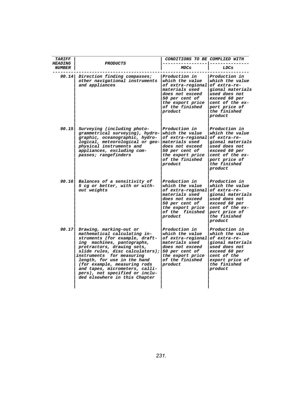| <i><b>TARIFF</b></i><br><i><b>HEADING</b></i> | <b>PRODUCTS</b>                                                                                                                                                                                                                                                                                                                                                                                                | CONDITIONS TO BE COMPLIED WITH                                                                                                                                                                                              |                                                                                                                                                                     |
|-----------------------------------------------|----------------------------------------------------------------------------------------------------------------------------------------------------------------------------------------------------------------------------------------------------------------------------------------------------------------------------------------------------------------------------------------------------------------|-----------------------------------------------------------------------------------------------------------------------------------------------------------------------------------------------------------------------------|---------------------------------------------------------------------------------------------------------------------------------------------------------------------|
| <i><b>NUMBER</b></i>                          |                                                                                                                                                                                                                                                                                                                                                                                                                | <b>MDCs</b>                                                                                                                                                                                                                 | LDCs                                                                                                                                                                |
|                                               | 90.14 Direction finding compasses;<br>other navigational instruments /which the value<br>and appliances                                                                                                                                                                                                                                                                                                        | Production in<br>of extra-regional/of extra-re-<br>/materials used<br>does not exceed<br>50 per cent of<br>the export price (cent of the ex-<br>of the finished<br>  product                                                | <i>Production in</i><br>which the value<br>gional materials<br>used does not<br>exceed 60 per<br><i>port price of</i><br>the finished)<br>  product                 |
|                                               | 90.15 Surveying (including photo-<br>grammetrical surveying), hydro-/which the value<br>graphic, oceanographic, hydro- of extra-regional of extra-re-<br>logical, meteorological or geo-/materials used<br>physical instruments and<br>appliances, excluding com-<br>passes; rangefinders                                                                                                                      | <i>Production in</i><br>does not exceed<br><i>150 per cent of</i><br>the export price<br>of the finished<br>  product                                                                                                       | Production in<br>which the value<br> gional materials<br>used does not<br>exceed 60 per<br>$/cent$ of the ex-<br><i>port price of</i><br>the finished)<br>  product |
|                                               | 90.16 Balances of a sensitivity of<br>5 cg or better, with or with-<br>out weights                                                                                                                                                                                                                                                                                                                             | <i>Production in</i><br>which the value<br>of extra-regional/of extra-re-<br>/materials used<br>does not exceed<br>50 per cent of<br>the export price (cent of the ex-<br>of the finished <i>port price</i> of<br>  product | <i>Production in</i><br>which the value<br><i> gional materials</i><br>lused does not<br>exceed 60 per<br>the finished)<br>  product                                |
|                                               | 90.17 Drawing, marking-out or<br>mathematical calculating in-<br>struments (for example, draft-<br>ing machines, pantographs,<br>protractors, drawing sets,<br>slide rules, disc calculators); 50 per cent of<br>instruments for measuring<br>length, for use in the hand<br>(for example, measuring rods<br>and tapes, micrometers, calli-<br>pers), not specified or inclu-<br>ded elsewhere in this Chapter | Production in<br>which the value<br>of extra-regional/of extra-re-<br>/materials used<br>does not exceed<br>the export price)<br>of the finished<br>  product                                                               | Production in<br>which the value<br> gional materials<br>used does not<br>exceed 60 per<br>$/cent$ of the<br>export price of<br>the finished)<br>  product          |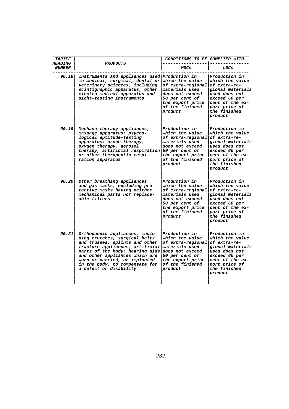| <i><b>TARIFF</b></i>                          |                                                                                                                                                                                                                                                                                                                                                                                                                                    | CONDITIONS TO BE COMPLIED WITH                                                                                                                                                        |                                                                                                                                                                              |
|-----------------------------------------------|------------------------------------------------------------------------------------------------------------------------------------------------------------------------------------------------------------------------------------------------------------------------------------------------------------------------------------------------------------------------------------------------------------------------------------|---------------------------------------------------------------------------------------------------------------------------------------------------------------------------------------|------------------------------------------------------------------------------------------------------------------------------------------------------------------------------|
| <i><b>HEADING</b></i><br><i><b>NUMBER</b></i> | <b>PRODUCTS</b>                                                                                                                                                                                                                                                                                                                                                                                                                    | MDCs                                                                                                                                                                                  | LDCs                                                                                                                                                                         |
|                                               | 90.18   Instruments and appliances used Production in<br>in medical, surgical, dental or/which the value<br>veterinary sciences, including of extra-regional of extra-re-<br>scintigraphic apparatus, other <i> materials used</i><br>electro-medical apparatus and<br>sight-testing instruments                                                                                                                                   | does not exceed<br><i> 50 per cent of</i><br>the export price)<br>of the finished<br>  product                                                                                        | <i>Production in</i><br>which the value<br>gional materials<br>used does not<br>exceed 60 per<br>cent of the ex-<br><i>port price of</i><br>the finished)<br>  product       |
|                                               | 90.19 Mechano-therapy appliances;<br>massage apparatus; psycho-<br>logical aptitude-testing<br>apparatus; ozone therapy,<br>oxygen therapy, aerosol<br>therapy, artificial respiration/50 per cent of<br>or other therapeutic respi-<br>ration apparatus                                                                                                                                                                           | Production in<br>which the value<br>of extra-regional/of extra-re-<br>materials used<br>does not exceed<br>the export price)<br>of the finished<br>product                            | Production in<br>which the value<br><i> gional materials</i><br>lused does not<br>exceed 60 per <br>cent of the ex-<br><i>port price of</i><br>the finished)<br>  product    |
|                                               | 90.20 Other breathing appliances<br>and gas masks, excluding pro-<br>tective masks having neither<br>mechanical parts nor replace-<br>able filters                                                                                                                                                                                                                                                                                 | <i>Production in</i><br>which the value<br>of extra-regional/of extra-re-<br>/materials used<br>does not exceed<br>50 per cent of<br>the export price<br>of the finished<br>  product | <i>Production in</i><br>which the value<br> gional materials<br>lused does not<br>exceed 60 per/<br>$/cent$ of the ex-<br><i>port price of</i><br>the finished)<br>  product |
|                                               | 90.21 Orthopaedic appliances, inclu- Production in<br>ding crutches, surgical belts<br>and trusses; splints and other $ $ of extra-regional $ $ of extra-re-<br>fracture appliances; artificial/materials used<br>parts of the body; hearing aids does not exceed<br>and other appliances which are $/50$ per cent of<br>worn or carried, or implanted<br>in the body, to compensate for of the finished<br>a defect or disability | which the value<br>the export price<br>/product                                                                                                                                       | Production in<br>which the value<br> gional materials<br>used does not<br>exceed 60 per/<br>cent of the ex-<br><i>port price of</i><br>the finished)<br>  product            |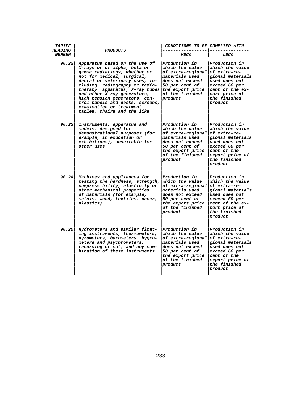| <i><b>TARIFF</b></i>                          |                                                                                                                                                                                                                                                                                                                                                                                                                                                                         | CONDITIONS TO BE COMPLIED WITH                                                                                                                                                                |                                                                                                                                                         |
|-----------------------------------------------|-------------------------------------------------------------------------------------------------------------------------------------------------------------------------------------------------------------------------------------------------------------------------------------------------------------------------------------------------------------------------------------------------------------------------------------------------------------------------|-----------------------------------------------------------------------------------------------------------------------------------------------------------------------------------------------|---------------------------------------------------------------------------------------------------------------------------------------------------------|
| <i><b>HEADING</b></i><br><i><b>NUMBER</b></i> | <b>PRODUCTS</b>                                                                                                                                                                                                                                                                                                                                                                                                                                                         | <b>MDCs</b>                                                                                                                                                                                   | LDCs                                                                                                                                                    |
|                                               | 90.22 Apparatus based on the use of<br>X-rays or of alpha, beta or<br>gamma radiations, whether or<br>not for medical, surgical,<br>dental or veterinary uses, in- (does not exceed<br>cluding radiography or radio- (50 per cent of<br>therapy apparatus, X-ray tubes/the export price / cent of the ex-<br>and other X-ray generators,<br>high tension generators, con-<br>trol panels and desks, screens,<br>examination or treatment<br>tables, chairs and the like | <i>Production in</i><br>which the value<br>of extra-regional/of extra-re-<br><i>materials used</i><br>of the finished<br>  product                                                            | Production in<br>which the value<br>gional materials<br>used does not<br>exceed 60 per<br><i>port price of</i><br>the finished)<br>  product            |
|                                               | 90.23 Instruments, apparatus and<br>models, designed for<br>demonstrational purposes (for<br>example, in education or<br>exhibitions), unsuitable for<br>other uses                                                                                                                                                                                                                                                                                                     | Production in<br>which the value<br>of extra-regional/of extra-re-<br>materials used<br>does not exceed<br>50 per cent of<br>the export price)<br>of the finished<br>'product                 | Production in<br>which the value<br> gional materials<br>used does not<br>exceed 60 per<br>cent of the<br>export price of<br>the finished)<br>  product |
|                                               | 90.24 Machines and appliances for<br>testing the hardness, strength, which the value<br>compressibility, elasticity or (of extra-regional(of extra-re-<br>other mechanical properties<br>of materials (for example,<br>metals, wood, textiles, paper, (50 per cent of<br>plastics)                                                                                                                                                                                      | <i>Production in</i><br>materials used<br>does not exceed<br>the export price (cent of the ex-<br>of the finished<br>  product                                                                | <i>Production in</i><br>which the value<br>gional materials<br>used does not<br>exceed 60 per<br><i>port price of</i><br>the finished)<br>  product     |
|                                               | 90.25 Hydrometers and similar float-<br>ing instruments, thermometers,<br>pyrometers, barometers, hygro-<br>meters and psychrometers,<br>recording or not, and any com-<br>bination of these instruments                                                                                                                                                                                                                                                                | <i>Production in</i><br>which the value<br>of extra-regional/of extra-re-<br>materials used<br>does not exceed<br><i> 50 per cent of</i><br>the export price)<br>of the finished<br>  product | Production in<br>which the value<br>gional materials<br>used does not<br>exceed 60 per/<br>cent of the<br>export price of<br>the finished)<br>  product |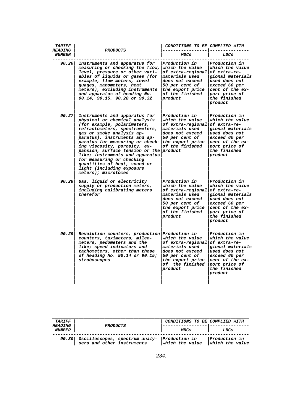| <i><b>TARIFF</b></i>                          |                                                                                                                                                                                                                                                                                                                                                                                                                                                                                                          | CONDITIONS TO BE COMPLIED WITH                                                                                                                                                                  |                                                                                                                                                      |
|-----------------------------------------------|----------------------------------------------------------------------------------------------------------------------------------------------------------------------------------------------------------------------------------------------------------------------------------------------------------------------------------------------------------------------------------------------------------------------------------------------------------------------------------------------------------|-------------------------------------------------------------------------------------------------------------------------------------------------------------------------------------------------|------------------------------------------------------------------------------------------------------------------------------------------------------|
| <i><b>HEADING</b></i><br><i><b>NUMBER</b></i> | <b>PRODUCTS</b>                                                                                                                                                                                                                                                                                                                                                                                                                                                                                          | <b>MDCs</b>                                                                                                                                                                                     | LDCs                                                                                                                                                 |
|                                               | 90.26   Instruments and apparatus for   Production in<br>measuring or checking the flow, which the value<br>level, pressure or other vari- of extra-regional of extra-re-<br>ables of liquids or gases (for /materials used<br>example, flow meters, level<br>guages, manometers, heat<br>meters), excluding instruments (the export price (cent of the ex-<br>and apparatus of heading No.<br>90.14, 90.15, 90.28 or 90.32                                                                              | does not exceed<br>50 per cent of<br>of the finished<br>  product                                                                                                                               | Production in<br>which the value<br><i> gional materials</i><br>used does not<br>exceed 60 per<br><i>port price of</i><br>the finished)<br>  product |
|                                               | 90.27 Instruments and apparatus for<br>physical or chemical analysis<br>(for example, polarimeters,<br>refractometers, spectrometers,<br>gas or smoke analysis ap-<br>paratus), instruments and ap-<br>paratus for measuring or check-/the export price /cent of the ex-<br>ing viscosity, porosity, ex-<br>pansion, surface tension or the product<br>like; instruments and apparatus/<br>for measuring or checking<br>quantities of heat, sound or<br>light (including exposure<br>meters); microtomes | <i>Production in</i><br>which the value<br>of extra-regional/of extra-re-<br>/materials used<br>does not exceed<br>50 per cent of<br>of the finished                                            | Production in<br>which the value<br>gional materials<br>lused does not<br>exceed 60 per <br><i>port</i> price of<br>the finished)<br>  product       |
|                                               | 90.28 Gas, liquid or electricity<br>supply or production meters,<br>including calibrating meters<br>therefor                                                                                                                                                                                                                                                                                                                                                                                             | Production in<br>which the value<br>of extra-regional/of extra-re-<br>/materials used<br>does not exceed<br>50 per cent of<br>the export price (cent of the ex-<br>of the finished<br>  product | <i>Production in</i><br>which the value<br> gional materials<br>used does not<br>exceed 60 per<br><i>port</i> price of<br>the finished<br>  product  |
|                                               | 90.29   Revolution counters, production Production in<br>counters, taximeters, mileo-<br>meters, pedometers and the<br>like; speed indicators and<br>tachometers, other than those<br>of heading No. 90.14 or 90.15;<br>stroboscopes                                                                                                                                                                                                                                                                     | which the value<br>of extra-regional/of extra-re-<br>/materials used<br>does not exceed<br>50 per cent of<br>the export price)<br>of the finished <i>\port price</i> of<br>  product            | <i>Production in</i><br>which the value<br>gional materials<br>used does not<br>exceed 60 per/<br>$/cent$ of the ex-<br>the finished)<br>  product   |

| TARTFF                                 |                                                                                                         | CONDITIONS TO BE COMPLIED WITH |                                         |
|----------------------------------------|---------------------------------------------------------------------------------------------------------|--------------------------------|-----------------------------------------|
| <i><b>HEADING</b></i><br><i>NUMBER</i> | <b>PRODUCTS</b>                                                                                         | <i>MDCs</i>                    | LDCs                                    |
|                                        | 90.30   Oscilloscopes, spectrum analy-   Production in<br>  sers and other instruments   which the valu | which the value                | <i>Production in</i><br>which the value |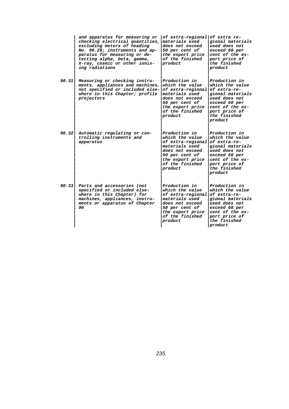|  | and apparatus for measuring or $ $ of extra-regional $ $ of extra re-<br>checking electrical quantities, materials used<br>excluding meters of heading<br>No. 90.28; instruments and ap-<br>paratus for measuring or de-<br>tecting alpha, beta, gamma,<br>X-ray, cosmic or other ionis-<br>ing radiations | does not exceed<br>50 per cent of<br>the export price (cent of the ex-<br>of the finished<br><i>l</i> product                                                                                                  | gional materials<br>used does not<br>/exceed 60 per<br><i>port price of</i><br>the finished<br>'product                                                                  |
|--|------------------------------------------------------------------------------------------------------------------------------------------------------------------------------------------------------------------------------------------------------------------------------------------------------------|----------------------------------------------------------------------------------------------------------------------------------------------------------------------------------------------------------------|--------------------------------------------------------------------------------------------------------------------------------------------------------------------------|
|  | 90.31 Measuring or checking instru-<br>ments, appliances and machines, which the value<br>not specified or included else- of extra-regional of extra-re-<br>where in this Chapter; profile <i>materials</i> used<br>projectors                                                                             | <i>Production in</i><br>does not exceed<br><i> 50 per cent of</i><br>the export price<br>of the finished<br>  product                                                                                          | Production in<br>which the value<br><i> gional materials</i><br>used does not<br>exceed 60 per<br>$/cent$ of the ex-<br><i>port price of</i><br>the finished)<br>product |
|  | 90.32 Automatic regulating or con-<br>trolling instruments and<br>apparatus                                                                                                                                                                                                                                | <i>Production in</i><br>which the value<br>of extra-regional/of extra-re-<br>materials used<br>does not exceed<br>50 per cent of<br>the export price<br>of the finished<br>  product                           | Production in<br>which the value<br> gional materials<br>used does not<br>exceed 60 per<br>$/cent$ of the ex-<br><i> port price of</i><br>the finished)<br>'product      |
|  | 90.33 Parts and accessories (not<br>specified or included else-<br>where in this Chapter) for<br>machines, appliances, instru-<br>ments or apparatus of Chapter<br>90                                                                                                                                      | <i>Production in</i><br>which the value<br>of extra-regional/of extra-re-<br>/materials used<br>does not exceed<br><i> </i> 50 per cent of<br>the export price (cent of the ex-<br>of the finished<br>'product | <i>Production in</i><br>which the value<br> gional materials<br>used does not<br>exceed 60 per<br><i>port price of</i><br>the finished<br>product                        |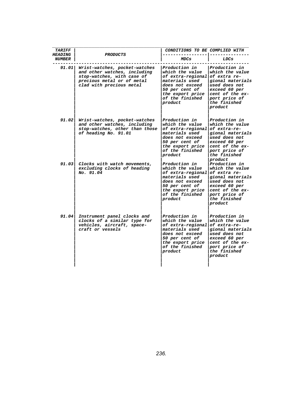| <b><i>TARIFF</i></b><br><i><b>HEADING</b></i> | <b>PRODUCTS</b>                                                                                                                                             | CONDITIONS TO BE COMPLIED WITH                                                                                                                                                                                       |                                                                                                                                                                   |
|-----------------------------------------------|-------------------------------------------------------------------------------------------------------------------------------------------------------------|----------------------------------------------------------------------------------------------------------------------------------------------------------------------------------------------------------------------|-------------------------------------------------------------------------------------------------------------------------------------------------------------------|
| <i><b>NUMBER</b></i>                          |                                                                                                                                                             | MDCs                                                                                                                                                                                                                 | LDCs                                                                                                                                                              |
|                                               | 91.01 Wrist-watches, pocket-watches<br>and other watches, including<br>stop-watches, with case of<br>precious metal or of metal<br>clad with precious metal | <i>Production in</i><br>which the value<br>of extra-regional/of extra re-<br>materials used<br>does not exceed<br><i>50 per cent of</i><br>the export price $ $ cent of the ex-<br>of the finished<br>  product      | <i>Production in</i><br>which the value<br>gional materials<br>used does not<br>exceed 60 per/<br><i>port price of</i><br>the finished)<br>  product              |
|                                               | 91.02 Wrist-watches, pocket-watches<br>and other watches, including<br>stop-watches, other than those<br>of heading No. 91.01                               | Production in<br>which the value<br>of extra-regional/of extra-re-<br>/materials used<br>does not exceed<br><i> 50 per cent of</i><br>the export price $ $ cent of the ex-<br>of the finished<br>  product           | <i>Production in</i><br>which the value<br>gional materials<br>used does not<br>exceed 60 per/<br><i>port price of</i><br>the finished)<br>  product              |
|                                               | 91.03   Clocks with watch movements,<br>excluding clocks of heading<br>No. 91.04                                                                            | <i>Production in</i><br>which the value<br>of extra-regional/of extra re-<br>materials used<br>does not exceed<br>50 per cent of<br>$t$ the export price $\sqrt{\ }$ cent of the ex-<br>of the finished<br>  product | <i>Production in</i><br>which the value<br><i> gional materials</i><br>used does not<br>/exceed 60 per<br><i>port price of</i><br>the finished)<br>  product      |
|                                               | 91.04 Instrument panel clocks and<br>clocks of a similar type for<br>vehicles, aircraft, space-<br>craft or vessels                                         | <i>Production in</i><br>which the value<br>of extra-regional/of extra-re-<br>/materials used<br>does not exceed<br>50 per cent of<br>the export price<br>of the finished<br>  product                                | Production in<br>which the value<br> gional materials<br>used does not<br>exceed 60 per/<br>cent of the ex-<br><i>port price of</i><br>the finished)<br>  product |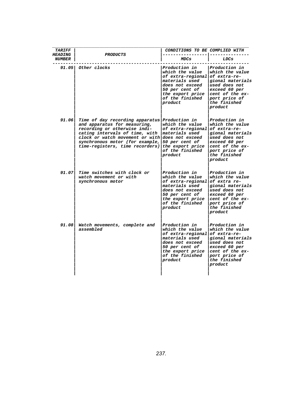| <i><b>TARIFF</b></i>                   |                                                                                                                                                                                                                                                                                                                                                                                   | CONDITIONS TO BE COMPLIED WITH                                                                                                                                                                         |                                                                                                                                                                    |
|----------------------------------------|-----------------------------------------------------------------------------------------------------------------------------------------------------------------------------------------------------------------------------------------------------------------------------------------------------------------------------------------------------------------------------------|--------------------------------------------------------------------------------------------------------------------------------------------------------------------------------------------------------|--------------------------------------------------------------------------------------------------------------------------------------------------------------------|
| <i><b>HEADING</b></i><br><b>NUMBER</b> | <b>PRODUCTS</b>                                                                                                                                                                                                                                                                                                                                                                   | <b>MDCs</b>                                                                                                                                                                                            | LDCS                                                                                                                                                               |
|                                        | 91.05 Other clocks                                                                                                                                                                                                                                                                                                                                                                | <i>Production in</i><br>which the value<br>of extra-regional/of extra-re-<br>/materials used<br>does not exceed<br>50 per cent of<br>the export price (cent of the ex-<br>of the finished<br>  product | <i>Production in</i><br>which the value<br>gional materials<br>used does not<br>/exceed 60 per<br><i>port price of</i><br>the finished)<br>  product               |
|                                        | 91.06   Time of day recording apparatus Production in<br>and apparatus for measuring,<br>recording or otherwise indi-   of extra-regional of extra-re-<br>cating intervals of time, with /materials used<br>clock or watch movement or with/does not exceed<br>synchronous motor (for example, 50 per cent of<br>time-registers, time recorders) the export price cent of the ex- | which the value<br>of the finished<br>  product                                                                                                                                                        | <i>Production in</i><br>which the value<br>gional materials<br>used does not<br>exceed 60 per<br><i>port price of</i><br>the finished)<br>  product                |
|                                        | 91.07 Time switches with clock or<br>watch movement or with<br>synchronous motor                                                                                                                                                                                                                                                                                                  | <i>Production in</i><br>which the value<br>of extra-regional/of extra re-<br>/materials used<br>does not exceed<br>50 per cent of<br>the export price (cent of the ex-<br>of the finished<br>  product | <i>Production in</i><br>which the value<br><i>dional materials</i><br>used does not<br>exceed 60 per<br><i>port price of</i><br>the finished)<br>  product         |
|                                        | 91.08   Watch movements, complete and<br>assembled                                                                                                                                                                                                                                                                                                                                | <i>Production in</i><br>which the value<br>of extra-regional/of extra-re-<br>/materials used<br>does not exceed<br>50 per cent of<br>the export price)<br>of the finished<br>  product                 | Production in<br>which the value<br><i>sional</i> materials<br>used does not<br>exceed 60 per<br>$/cent$ of the ex-<br>port price of<br>the finished)<br>  product |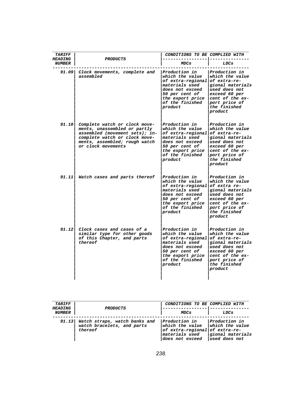| <i><b>TARIFF</b></i><br><i><b>HEADING</b></i> |                                                                                                                                                                                               | CONDITIONS TO BE COMPLIED WITH                                                                                                                                                                                |                                                                                                                                                             |
|-----------------------------------------------|-----------------------------------------------------------------------------------------------------------------------------------------------------------------------------------------------|---------------------------------------------------------------------------------------------------------------------------------------------------------------------------------------------------------------|-------------------------------------------------------------------------------------------------------------------------------------------------------------|
| <i><b>NUMBER</b></i>                          | <b>PRODUCTS</b>                                                                                                                                                                               | <b>MDCs</b>                                                                                                                                                                                                   | LDCS                                                                                                                                                        |
|                                               | 91.09  Clock movements, complete and<br>assembled                                                                                                                                             | <i>Production in</i><br>which the value<br>of extra-regional/of extra-re-<br>/materials used<br>does not exceed<br>50 per cent of<br>the export price $ $ cent of the ex-<br>of the finished<br>  product     | <i>Production in</i><br>which the value<br>gional materials<br>used does not<br>exceed 60 per<br><i>port price of</i><br>the finished<br>  product          |
|                                               | 91.10 Complete watch or clock move-<br>ments, unassembled or partly<br>assembled (movement sets); in-<br>complete watch or clock move-<br>ments, assembled; rough watch<br>or clock movements | <i>Production in</i><br>which the value<br>of extra-regional/of extra-re-<br>/materials used<br>does not exceed<br>50 per cent of<br>the export price (cent of the ex-<br>of the finished<br>  product        | Production in<br>which the value<br>gional materials<br>used does not<br>exceed 60 per<br>port price of<br>the finished)<br>product                         |
|                                               | 91.11 Watch cases and parts thereof                                                                                                                                                           | <i>Production in</i><br>which the value<br>lof extra-regional of extra re-<br>materials used<br>does not exceed<br>50 per cent of<br>$ $ the export price $ $ cent of the ex-<br>of the finished<br>  product | <i>Production in</i><br>which the value<br>gional materials<br>used does not<br>exceed 60 per<br><i>port price of</i><br>the finished)<br>  product         |
|                                               | 91.12 Clock cases and cases of a<br>similar type for other goods<br>of this Chapter, and parts<br>thereof                                                                                     | <i>Production in</i><br>which the value<br>of extra-regional/of extra-re-<br>materials used<br>does not exceed<br><i> 50 per cent of</i><br>the export price (cent of the ex-<br>of the finished<br>  product | <i>Production in</i><br>which the value<br><i> gional materials</i><br>used does not<br>exceed 60 per<br><i>port price of</i><br>the finished)<br>  product |

| <b><i>TARIFF</i></b><br><i><b>HEADING</b></i> | <b>PRODUCTS</b>                                                              | CONDITIONS TO BE COMPLIED WITH                                                                                                   |                                                            |
|-----------------------------------------------|------------------------------------------------------------------------------|----------------------------------------------------------------------------------------------------------------------------------|------------------------------------------------------------|
| <i>NUMBER</i>                                 |                                                                              | <i>MDCs</i>                                                                                                                      | LDCs                                                       |
|                                               | 91.13 Watch straps, watch banks and<br>watch bracelets, and parts<br>thereof | <i>Production in</i><br>which the value (which the value)<br>of extra-regional/of extra-re-<br>materials used<br>does not exceed | <i>Production in</i><br>gional materials <br>used does not |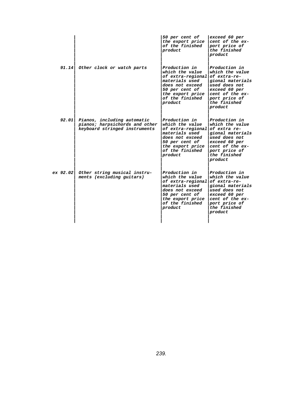|  |                                                                                                      | 50 per cent of<br>the export price<br>of the finished<br>'product                                                                                                                              | /exceed 60 per<br>$/cent$ of the ex-<br><i>port price of</i><br>the finished<br>  product                                                                                |
|--|------------------------------------------------------------------------------------------------------|------------------------------------------------------------------------------------------------------------------------------------------------------------------------------------------------|--------------------------------------------------------------------------------------------------------------------------------------------------------------------------|
|  | 91.14 Other clock or watch parts                                                                     | Production in<br>which the value<br>of extra-regional/of extra-re-<br>materials used<br>does not exceed<br><i> 50 per cent of</i><br>the export price<br>of the finished<br>  product          | Production in<br>which the value<br> gional materials<br>used does not<br>exceed 60 per<br>cent of the ex-<br>port price of<br>the finished)<br>product                  |
|  | 92.01 Pianos, including automatic<br>pianos; harpsichords and other<br>keyboard stringed instruments | <i>Production</i> in<br>which the value<br>of extra-regional/of extra re-<br>/materials used<br>does not exceed<br><i> 50 per cent of</i><br>the export price)<br>of the finished<br>  product | <i>Production in</i><br>which the value<br>gional materials<br>used does not<br>exceed 60 per<br>$/cent$ of the ex-<br><i>port price of</i><br>the finished<br>'product  |
|  | ex 92.02/ Other string musical instru-<br>ments (excluding guitars)                                  | Production in<br>which the value<br>of extra-regional/of extra-re-<br>/materials used<br>does not exceed<br><i> 50 per cent of</i><br>the export price<br>of the finished<br>  product         | <i>Production in</i><br>which the value<br> gional materials<br>used does not<br>exceed 60 per<br>$/cent$ of the ex-<br><i>port price of</i><br>the finished)<br>product |
|  |                                                                                                      |                                                                                                                                                                                                |                                                                                                                                                                          |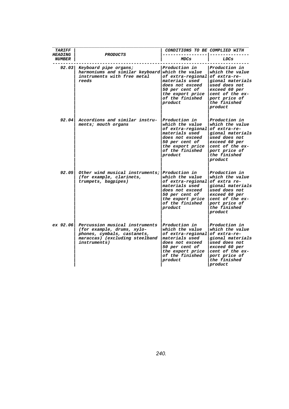| <i><b>TARIFF</b></i>                          |                                                                                                                                                                                               | CONDITIONS TO BE COMPLIED WITH                                                                                                                                                              |                                                                                                                                                              |
|-----------------------------------------------|-----------------------------------------------------------------------------------------------------------------------------------------------------------------------------------------------|---------------------------------------------------------------------------------------------------------------------------------------------------------------------------------------------|--------------------------------------------------------------------------------------------------------------------------------------------------------------|
| <i><b>HEADING</b></i><br><i><b>NUMBER</b></i> | <b>PRODUCTS</b>                                                                                                                                                                               | MDCs                                                                                                                                                                                        | LDCs                                                                                                                                                         |
|                                               | 92.03   Keyboard pipe organs;<br>harmoniums and similar keyboard/which the value<br>instruments with free metal<br>reeds                                                                      | <i>Production in</i><br>of extra-regional/of extra-re-<br>/materials used<br>does not exceed<br><i> 50 per cent of</i><br>the export price (cent of the ex-<br>of the finished<br>  product | <i>Production in</i><br>which the value<br>gional materials<br>used does not<br>exceed 60 per<br><i>port price of</i><br>the finished)<br>  product          |
|                                               | 92.04 Accordions and similar instru- Production in<br>ments; mouth organs                                                                                                                     | which the value<br>of extra-regional/of extra-re-<br>/materials used<br>does not exceed<br><i> 50 per cent of</i><br>the export price (cent of the ex-<br>of the finished<br>  product      | Production in<br>which the value<br><i> gional materials</i><br>used does not<br>exceed 60 per<br><i>port price of</i><br>the finished)<br>  product         |
|                                               | 92.05 Other wind musical instruments: Production in<br>(for example, clarinets,<br>trumpets, bagpipes)                                                                                        | which the value<br>of extra-regional/of extra re-<br>/materials used<br>does not exceed<br><i> 50 per cent of</i><br>the export price (cent of the ex-<br>of the finished<br>  product      | <i>Production in</i><br>which the value<br><i>dional materials</i><br>lused does not<br>exceed 60 per/<br><i>port price of</i><br>the finished)<br>  product |
|                                               | ex 92.06 Percussion musical instruments   Production in<br>(for example, drums, xylo-<br>phones, cymbals, castanets,<br>maraccas) (excluding steelband /materials used<br><i>instruments)</i> | which the value<br>of extra-regional/of extra-re-<br>does not exceed<br><i> 50 per cent of</i><br>the export price (cent of the ex-<br>of the finished<br>  product                         | Production in<br>which the value<br> gional materials<br>used does not<br>exceed 60 per<br><i>port price of</i><br>the finished)<br>  product                |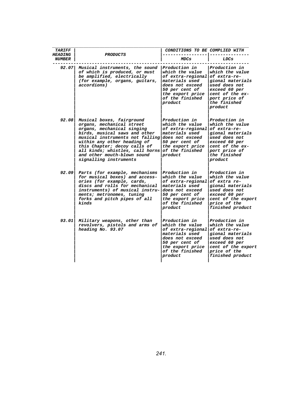| <i><b>TARIFF</b></i>                          |                                                                                                                                                                                                                                                                                                                                                           | CONDITIONS TO BE COMPLIED WITH                                                                                                                                                       |                                                                                                                                                                                      |
|-----------------------------------------------|-----------------------------------------------------------------------------------------------------------------------------------------------------------------------------------------------------------------------------------------------------------------------------------------------------------------------------------------------------------|--------------------------------------------------------------------------------------------------------------------------------------------------------------------------------------|--------------------------------------------------------------------------------------------------------------------------------------------------------------------------------------|
| <i><b>HEADING</b></i><br><i><b>NUMBER</b></i> | <b>PRODUCTS</b>                                                                                                                                                                                                                                                                                                                                           | <b>MDCs</b>                                                                                                                                                                          | LDCs                                                                                                                                                                                 |
|                                               | 92.07   Musical instruments, the sound   Production in<br>of which is produced, or must<br>be amplified, electrically<br>(for example, organs, guitars,<br>accordions)                                                                                                                                                                                    | which the value<br>of extra-regional/of extra-re-<br>materials used<br>does not exceed<br><i>50 per cent of</i><br>the export price (cent of the ex-<br>of the finished<br>  product | <i>Production in</i><br>which the value<br><i> gional materials</i><br>lused does not<br>exceed 60 per<br><i>port price of</i><br>the finished)<br>  product                         |
|                                               | 92.08 Musical boxes, fairground<br>organs, mechanical street<br>organs, mechanical singing<br>birds, musical saws and other<br>musical instruments not falling does not exceed<br>within any other heading of<br>this Chapter; decoy calls of<br>all kinds; whistles, call horns of the finished<br>and other mouth-blown sound<br>signalling instruments | Production in<br>which the value<br>of extra-regional/of extra-re-<br>/materials used<br>50 per cent of<br>the export price (cent of the ex-<br>  product                            | <i>Production in</i><br>which the value<br> gional materials<br>used does not<br>exceed 60 per<br><i>port price of</i><br>the finished)<br>  product                                 |
|                                               | 92.09 Parts (for example, mechanisms<br>for musical boxes) and access-<br>ories (for example, cards,<br>discs and rolls for mechanical (materials used<br>instruments) of musical instru- does not exceed<br>ments; metronomes, tuning<br>forks and pitch pipes of all<br>kinds                                                                           | <i>Production in</i><br>which the value<br>of extra-regional/of extra re-<br><i>50 per cent of</i><br>of the finished<br>  product                                                   | <i>Production in</i><br>which the value<br>gional materials<br>lused does not<br>exceed 60 per<br>the export price (cent of the export)<br><i>price of the</i><br>  finished product |
|                                               | 93.01 Military weapons, other than<br>revolvers, pistols and arms of<br>heading No. 93.07                                                                                                                                                                                                                                                                 | Production in<br>which the value<br>of extra-regional/of extra-re-<br>materials used<br>does not exceed<br><i>50 per cent of</i><br>of the finished<br>  product                     | Production in<br>which the value<br> gional materials<br>used does not<br>exceed 60 per <br>the export price (cent of the export)<br><i>price of the</i><br>  finished product       |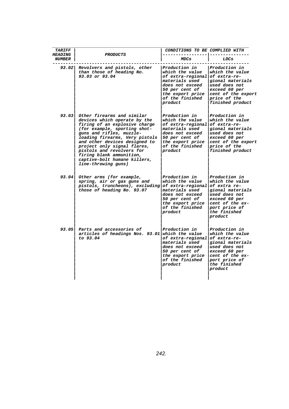| <i><b>TARIFF</b></i><br><i><b>HEADING</b></i> | <b>PRODUCTS</b>                                                                                                                                                                                                                                                                                                                                                                                 | CONDITIONS TO BE COMPLIED WITH                                                                                                                                                                                               | . <i>.</i> .                                                                                                                                         |
|-----------------------------------------------|-------------------------------------------------------------------------------------------------------------------------------------------------------------------------------------------------------------------------------------------------------------------------------------------------------------------------------------------------------------------------------------------------|------------------------------------------------------------------------------------------------------------------------------------------------------------------------------------------------------------------------------|------------------------------------------------------------------------------------------------------------------------------------------------------|
| <i><b>NUMBER</b></i>                          |                                                                                                                                                                                                                                                                                                                                                                                                 | <b>MDCs</b>                                                                                                                                                                                                                  | LDCS                                                                                                                                                 |
|                                               | 93.02 Revolvers and pistols, other<br>$\sqrt{}$ than those of heading No.<br>93.03 or 93.04                                                                                                                                                                                                                                                                                                     | <i>Production in</i><br>which the value<br>of extra-regional/of extra-re-<br>/materials used<br>does not exceed<br>50 per cent of<br>$\sqrt{}$ the export price $\sqrt{}$ cent of the export<br>of the finished<br>  product | <i>Production in</i><br>which the value<br>gional materials<br>used does not<br>exceed 60 per<br><i>price</i> of the<br><i>finished product</i>      |
|                                               | 93.03 Other firearms and similar<br>devices which operate by the<br>firing of an explosive charge<br>(for example, sporting shot-<br>guns and rifles, muzzle-<br>loading firearms, Very pistols  50 per cent of<br>and other devices designed to<br>project only signal flares,<br>pistols and revolvers for<br>firing blank ammunition,<br>captive-bolt humane killers,<br>line-throwing guns) | Production in<br>which the value<br>of extra-regional/of extra-re-<br>materials used<br>does not exceed<br>the export price (cent of the export)<br>of the finished<br>  product                                             | <i>Production in</i><br>which the value<br>gional materials<br>lused does not<br>exceed 60 per<br><i>price</i> of the<br>finished product            |
|                                               | 93.04 Other arms (for example,<br>spring, air or gas guns and<br>pistols, truncheons), excluding of extra-regional of extra re-<br>those of heading No. 93.07                                                                                                                                                                                                                                   | Production in<br>which the value<br>materials used<br>does not exceed<br><i>50 per cent of</i><br>the export price (cent of the ex-<br>of the finished<br>  product                                                          | <i>Production in</i><br>which the value<br>gional materials<br>lused does not<br>exceed 60 per<br><i>port price of</i><br>the finished)<br>  product |
|                                               | 93.05 Parts and accessories of<br>articles of headings Nos. 93.01/which the value<br>to 93.04                                                                                                                                                                                                                                                                                                   | <i>Production in</i><br>of extra-regional/of extra-re-<br>/materials used<br>does not exceed<br>50 per cent of<br>the export price (cent of the ex-<br>of the finished<br>  product                                          | <i>Production in</i><br>which the value<br> gional materials<br>used does not<br>exceed 60 per<br><i>port</i> price of<br>the finished)<br>  product |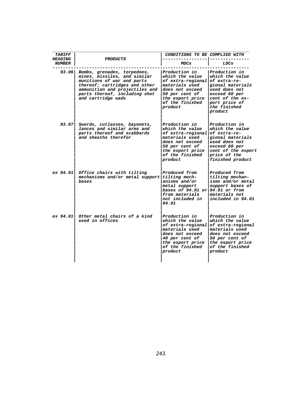| <b><i>TARIFF</i></b><br><i><b>HEADING</b></i> | <b>PRODUCTS</b>                                                                                                                                                                                                                           | CONDITIONS TO BE COMPLIED WITH                                                                                                                                                       |                                                                                                                                                                                 |
|-----------------------------------------------|-------------------------------------------------------------------------------------------------------------------------------------------------------------------------------------------------------------------------------------------|--------------------------------------------------------------------------------------------------------------------------------------------------------------------------------------|---------------------------------------------------------------------------------------------------------------------------------------------------------------------------------|
| <i><b>NUMBER</b></i>                          |                                                                                                                                                                                                                                           | MDCs                                                                                                                                                                                 | LDCs                                                                                                                                                                            |
|                                               | 93.06 Bombs, grenades, torpedoes,<br>mines, missiles, and similar<br>munitions of war and parts<br>thereof; cartridges and other<br>ammunition and projectiles and does not exceed<br>parts thereof, including shot<br>and cartridge wads | <i>Production in</i><br>which the value<br>of extra-regional/of extra-re-<br>/materials used<br>50 per cent of<br>the export price<br>of the finished<br>  product                   | <i>Production in</i><br>which the value<br><i> gional materials</i><br>lused does not<br>exceed 60 per<br>cent of the ex-<br><i>port price of</i><br>the finished)<br>  product |
|                                               | 93.07 Swords, cutlasses, bayonets,<br>lances and similar arms and<br>parts thereof and scabbards<br>and sheaths therefor                                                                                                                  | Production in<br>which the value<br>of extra-regional of extra-re-<br>/materials used<br> does not exceed<br>50 per cent of<br>the export price<br>of the finished<br><i>product</i> | <i>Production in</i><br>which the value<br> gional materials<br>used does not<br>exceed 60 per<br>cent of the export<br><i>price of the</i><br><i>finished product</i>          |
|                                               | ex 94.01/ Office chairs with tilting<br>mechanisms and/or metal support/tilting mech-<br>bases                                                                                                                                            | Produced from<br>anisms and/or/<br>metal support<br>bases of $94.01$ or $94.01$ or from<br>from materials<br>not included in<br>94.01                                                | <i>Produced from</i><br>tilting mechan-<br>lisms and/or metal<br>support bases of<br>/materials not<br>included in 94.01                                                        |
|                                               | ex 94.01/ Other metal chairs of a kind<br>used in offices                                                                                                                                                                                 | Production in<br>which the value<br>of extra-regional/of extra-regional/<br>materials used<br>does not exceed<br>/40 per cent of<br>the export price<br>of the finished<br>  product | <i>Production in</i><br>which the value<br>/materials used<br>does not exceed<br>50 per cent of<br>the export price<br>of the finished<br>  product                             |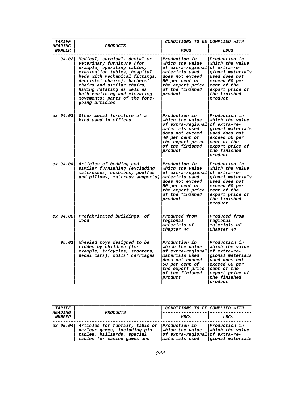| <i><b>TARIFF</b></i><br>HEADING | <b>PRODUCTS</b>                                                                                                                                                                                                                                                                                                                                | CONDITIONS TO BE COMPLIED WITH                                                                                                                                                                        |                                                                                                                                                                 |
|---------------------------------|------------------------------------------------------------------------------------------------------------------------------------------------------------------------------------------------------------------------------------------------------------------------------------------------------------------------------------------------|-------------------------------------------------------------------------------------------------------------------------------------------------------------------------------------------------------|-----------------------------------------------------------------------------------------------------------------------------------------------------------------|
| <i>NUMBER  </i>                 |                                                                                                                                                                                                                                                                                                                                                | <b>MDCs</b>                                                                                                                                                                                           | LDCs                                                                                                                                                            |
|                                 | 94.02/ Medical, surgical, dental or<br>veterinary furniture (for<br>example, operating tables,<br>examination tables, hospital<br>beds with mechanical fittings,<br>dentists' chairs); barbers'<br>chairs and similar chairs,<br>having rotating as well as<br>both reclining and elevating<br>movements; parts of the fore-<br>going articles | <i>Production in</i><br>which the value<br> of extra-regional of extra-re-<br>/materials used<br>does not exceed<br> 50 per cent of<br>the export price  cent of the <br>of the finished<br>  product | <i>Production in</i><br>which the value<br><i> gional materials</i><br>used does not<br>exceed 60 per<br>export price of<br>the finished<br>  product           |
|                                 | ex 94.03/ Other metal furniture of a<br>kind used in offices                                                                                                                                                                                                                                                                                   | Production in<br>which the value<br>of extra-regional/of extra-re-<br>/materials used<br>does not exceed<br><i> 40 per cent of</i><br>the export price (cent of the)<br>of the finished<br>  product  | <i>Production in</i><br>which the value<br>gional materials<br>used does not<br>exceed 50 per/<br>export price of<br>the finished)<br>  product                 |
|                                 | ex 94.04 Articles of bedding and<br>similar furnishing (excluding<br>mattresses, cushions, pouffes<br>and pillows; mattress supports)   materials used                                                                                                                                                                                         | Production in<br>which the value<br>of extra-regional/of extra-re-<br>does not exceed<br><i> 50 per cent of</i><br>the export price<br>of the finished<br>  product                                   | Production in<br>which the value<br><i> gional materials</i><br>used does not<br>exceed 60 per/<br>cent of the<br>export price of<br>the finished)<br>  product |
|                                 | ex 94.06 Prefabricated buildings, of<br>wood                                                                                                                                                                                                                                                                                                   | <i>Produced from</i><br>regional/<br>materials of<br>Chapter 44                                                                                                                                       | Produced from<br>regional/<br>/materials of<br>Chapter 44)                                                                                                      |
|                                 | 95.01/ Wheeled toys designed to be<br>ridden by children (for<br>example, tricycles, scooters,<br>pedal cars); dolls' carriages                                                                                                                                                                                                                | Production in<br>which the value<br>of extra-regional/of extra-re-<br>/materials used<br>does not exceed<br>50 per cent of<br>the export price (cent of the)<br>of the finished<br>  product          | Production in<br>which the value<br>gional materials<br>used does not<br>exceed 60 per <br>export price of<br>the finished)<br>  product                        |

| <b><i>TARIFF</i></b><br><b>HEADING</b> | <b>PRODUCTS</b>                                                                                                                       | CONDITIONS TO BE COMPLIED WITH                                                                               |                                                 |
|----------------------------------------|---------------------------------------------------------------------------------------------------------------------------------------|--------------------------------------------------------------------------------------------------------------|-------------------------------------------------|
| <i><b>NUMBER</b></i>                   |                                                                                                                                       | MDCs                                                                                                         | LDCs                                            |
|                                        | ex 95.04 Articles for funfair, table or<br>parlour games, including pin-<br>tables, billiards, special<br>tables for casino games and | <i>Production in</i><br>which the value (which the value<br>of extra-regional/of extra-re-<br>materials used | <i>Production in</i><br><i>dional</i> materials |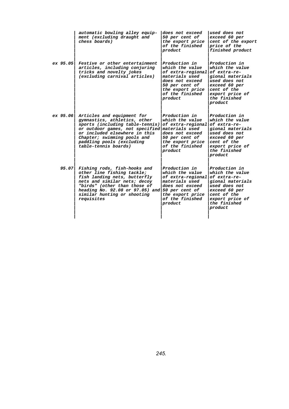| automatic bowling alley equip-<br>ment (excluding draught and<br>chess boards)                                                                                                                                                                                                                               | does not exceed<br>50 per cent of<br>the export price<br>of the finished<br>  product                                                                                        | used does not<br>exceed 60 per<br>cent of the export<br><i>price</i> of the<br>  finished product                                                                   |
|--------------------------------------------------------------------------------------------------------------------------------------------------------------------------------------------------------------------------------------------------------------------------------------------------------------|------------------------------------------------------------------------------------------------------------------------------------------------------------------------------|---------------------------------------------------------------------------------------------------------------------------------------------------------------------|
| ex 95.05 Festive or other entertainment<br>articles, including conjuring<br>tricks and novelty jokes<br>(excluding carnival articles)                                                                                                                                                                        | Production in<br>which the value<br>of extra-regional/of extra-re-<br>materials used<br>does not exceed<br>50 per cent of<br>the export price<br>of the finished<br>'product | <i>Production in</i><br>which the value<br>gional materials<br>used does not<br>exceed 60 per<br>cent of the<br>export price of<br>the finished)<br>  product       |
| ex 95.06 Articles and equipment for<br>gymnastics, athletics, other<br>sports (including table-tennis) of extra-regional of extra-re-<br>or outdoor games, not specified/materials used<br>or included elsewhere in this<br>Chapter; swimming pools and<br>paddling pools (excluding<br>table-tennis boards) | Production in<br>which the value<br>does not exceed<br><i>150 per cent of</i><br>the export price<br>of the finished<br>'product                                             | <i>Production in</i><br>which the value<br><i>dional materials</i><br>used does not<br>exceed 60 per<br>cent of the<br>export price of<br>the finished)<br>'product |
| 95.07 Fishing rods, fish-hooks and<br>other line fishing tackle;<br>fish landing nets, butterfly<br>nets and similar nets; decoy<br>"birds" (other than those of<br>heading No. 92.08 or 97.05) and 50 per cent of<br>similar hunting or shooting<br>requisites                                              | Production in<br>which the value<br>of extra-regional/of extra-re-<br>materials used<br>does not exceed<br>the export price<br>of the finished<br>product                    | Production in<br>which the value<br>gional materials<br>lused does not<br>exceed 60 per<br>cent of the<br>export price of<br>the finished<br>  product              |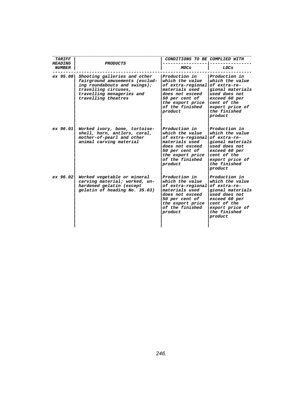| <i><b>TARIFF</b></i><br><b>HEADING</b> | <b>PRODUCTS</b>                                                                                                                                                                     | CONDITIONS TO BE COMPLIED WITH                                                                                                                                                             |                                                                                                                                                                       |
|----------------------------------------|-------------------------------------------------------------------------------------------------------------------------------------------------------------------------------------|--------------------------------------------------------------------------------------------------------------------------------------------------------------------------------------------|-----------------------------------------------------------------------------------------------------------------------------------------------------------------------|
| <i><b>NUMBER</b></i>                   |                                                                                                                                                                                     | <b>MDCs</b>                                                                                                                                                                                | LDCs                                                                                                                                                                  |
|                                        | ex 95.08 Shooting galleries and other<br>fairground amusements (exclud-<br>ing roundabouts and swings);<br>travelling circuses,<br>travelling menageries and<br>travelling theatres | <i>Production in</i><br>which the value<br>of extra-regional/of extra-re-<br>materials used<br>does not exceed<br><i> 50 per cent of</i><br>the export price<br>of the finished<br>product | <i>Production in</i><br>which the value<br><i> gional materials</i><br>used does not<br>exceed 60 per<br>cent of the<br>export price of<br>the finished)<br>  product |
|                                        | ex 96.01/ Worked ivory, bone, tortoise-<br>shell, horn, antlers, coral,<br>mother-of-pearl and other<br>animal carving material                                                     | Production in<br>which the value<br>of extra-regional/of extra-re-<br>materials used<br>does not exceed<br>50 per cent of<br>the export price<br>of the finished<br>product                | <i>Production in</i><br>which the value<br> gional materials<br>used does not<br>exceed 60 per<br>cent of the<br>export price of<br>the finished)<br>  product        |
|                                        | ex 96.02 Worked vegetable or mineral<br>carving material; worked, un-<br>hardened gelatin (except<br>gelatin of heading No. 35.03)                                                  | Production in<br>which the value<br>lof extra-regional of extra-re-<br>/materials used<br>does not exceed<br>50 per cent of<br>the export price<br>of the finished<br>product              | <i>Production in</i><br>which the value<br> gional materials<br>used does not<br>exceed 60 per<br>cent of the<br>export price of<br>the finished)<br>  product        |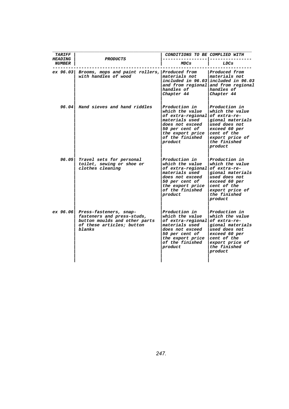| <i><b>TARIFF</b></i>                                      |                                                                                                                                       | CONDITIONS TO BE COMPLIED WITH                                                                                                                                                                                 |                                                                                                                                                         |
|-----------------------------------------------------------|---------------------------------------------------------------------------------------------------------------------------------------|----------------------------------------------------------------------------------------------------------------------------------------------------------------------------------------------------------------|---------------------------------------------------------------------------------------------------------------------------------------------------------|
| <i><b>HEADING</b></i><br><b>PRODUCTS</b><br><b>NUMBER</b> |                                                                                                                                       | MDCs                                                                                                                                                                                                           | LDCs                                                                                                                                                    |
|                                                           | ex 96.03 Brooms, mops and paint rollers, Produced from<br>with handles of wood                                                        | /materials not<br>included in 96.03/included in 96.03<br>and from regional/and from regional<br>handles of<br>Chapter 44                                                                                       | <i>Produced from</i><br><i>materials not</i><br>/handles of<br>Chapter 44                                                                               |
|                                                           | 96.04 Hand sieves and hand riddles                                                                                                    | <i>Production in</i><br>which the value<br>of extra-regional/of extra-re-<br>materials used<br>does not exceed<br>50 per cent of<br>the export price (cent of the<br>of the finished<br>'product               | Production in<br>which the value<br> gional materials<br>used does not<br>exceed 60 per<br>export price of<br>the finished)<br>  product                |
|                                                           | 96.05 Travel sets for personal<br>toilet, sewing or shoe or<br>clothes cleaning                                                       | <i>Production in</i><br>which the value<br>of extra-regional/of extra-re-<br>materials used<br>does not exceed<br>50 per cent of<br>$'$ the export price $ $ cent of the<br>of the finished<br>product         | <i>Production in</i><br>which the value<br><i> gional materials</i><br>used does not<br>/exceed 60 per<br>export price of<br>the finished)<br>  product |
|                                                           | ex 96.06 Press-fasteners, snap-<br>fasteners and press-studs,<br>button moulds and other parts<br>of these articles; button<br>blanks | Production in<br>which the value<br>of extra-regional/of extra-re-<br>/materials used<br>does not exceed<br>50 per cent of<br>$\sqrt{t}$ the export price $\sqrt{t}$ cent of the<br>of the finished<br>product | Production in<br>which the value<br>gional materials<br>used does not<br>exceed 60 per<br>export price of<br>the finished)<br>  product                 |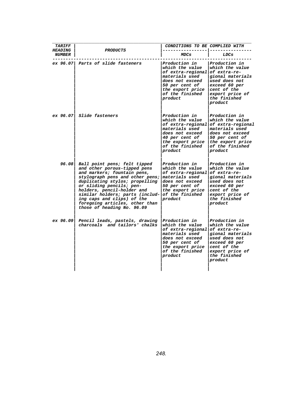| <i><b>TARIFF</b></i>                          |                                                                                                                                                                                                                                                                                                                                                                                                                     | CONDITIONS TO BE COMPLIED WITH                                                                                                                                                                                 |                                                                                                                                                         |
|-----------------------------------------------|---------------------------------------------------------------------------------------------------------------------------------------------------------------------------------------------------------------------------------------------------------------------------------------------------------------------------------------------------------------------------------------------------------------------|----------------------------------------------------------------------------------------------------------------------------------------------------------------------------------------------------------------|---------------------------------------------------------------------------------------------------------------------------------------------------------|
| <i><b>HEADING</b></i><br><i><b>NUMBER</b></i> | <b>PRODUCTS</b>                                                                                                                                                                                                                                                                                                                                                                                                     | <b>MDCs</b>                                                                                                                                                                                                    | LDCs                                                                                                                                                    |
|                                               | ex 96.07  Parts of slide fasteners                                                                                                                                                                                                                                                                                                                                                                                  | <i>Production in</i><br>which the value<br>of extra-regional/of extra-re-<br>materials used<br>does not exceed<br><i> 50 per cent of</i><br>the export price  cent of the <br>of the finished<br>  product     | <i>Production in</i><br>which the value<br>gional materials<br>used does not<br>exceed 60 per<br>export price of<br>the finished)<br>  product          |
|                                               | ex 96.07 Slide fasteners                                                                                                                                                                                                                                                                                                                                                                                            | Production in<br>which the value<br>of extra-regional/of extra-regional/<br>/materials used<br>does not exceed<br><i>A0 per cent of</i><br>the export price (the export price)<br>of the finished<br>  product | Production in<br>which the value<br><i>materials used</i><br>does not exceed<br>50 per cent of<br>of the finished<br>  product                          |
|                                               | 96.08   Ball point pens; felt tipped<br>and other porous-tipped pens<br>and markers; fountain pens,<br>stylograph pens and other pens; materials used<br>duplicating stylos; propelling (does not exceed<br>or sliding pencils; pen-<br>holders, pencil-holder and<br>similar holders; parts (includ- of the finished<br>ing caps and clips) of the<br>foregoing articles, other than<br>those of heading No. 96.09 | <i>Production in</i><br>which the value<br>of extra-regional of extra-re-<br>50 per cent of<br>(the export price (cent of the<br>/product                                                                      | Production in<br>which the value<br><i> gional materials</i><br>used does not<br>exceed 60 per<br>export price of<br>the finished)<br>  product         |
|                                               | ex 96.09 Pencil leads, pastels, drawing Production in<br>charcoals and tailors' chalks which the value                                                                                                                                                                                                                                                                                                              | of extra-regional/of extra-re-<br>/materials used<br>does not exceed<br>50 per cent of<br>the export price  cent of the <br>of the finished<br>  product                                                       | <i>Production in</i><br>which the value<br><i> gional materials</i><br>lused does not<br>exceed 60 per<br>export price of<br>the finished)<br>  product |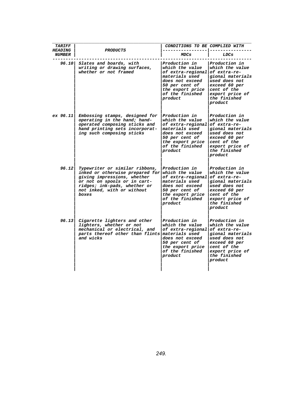| <i><b>TARIFF</b></i>                          |                                                                                                                                                                                                                                        | CONDITIONS TO BE COMPLIED WITH                                                                                                                                                                     |                                                                                                                                                  |
|-----------------------------------------------|----------------------------------------------------------------------------------------------------------------------------------------------------------------------------------------------------------------------------------------|----------------------------------------------------------------------------------------------------------------------------------------------------------------------------------------------------|--------------------------------------------------------------------------------------------------------------------------------------------------|
| <i><b>HEADING</b></i><br><i><b>NUMBER</b></i> | <b>PRODUCTS</b>                                                                                                                                                                                                                        | <b>MDCs</b>                                                                                                                                                                                        | LDCs                                                                                                                                             |
|                                               | 96.10 Slates and boards, with<br>writing or drawing surfaces,<br>whether or not framed                                                                                                                                                 | <i>Production</i> in<br>which the value<br>of extra-regional/of extra-re-<br>materials used<br>does not exceed<br>50 per cent of<br>the export price  cent of the <br>of the finished<br>' product | <i>Production in</i><br>which the value<br>gional materials<br>used does not<br>exceed 60 per<br>export price of<br>the finished)<br>  product   |
|                                               | ex 96.11  Embossing stamps, designed for  Production in<br>operating in the hand; hand-<br>operated composing sticks and<br>hand printing sets incorporat-<br>ing such composing sticks                                                | which the value<br>of extra-regional/of extra-re-<br><i>materials used</i><br>ldoes not exceed<br>50 per cent of<br>the export price  cent of the <br>of the finished<br>'product                  | Production in<br>which the value<br><i> gional materials</i><br>lused does not<br>exceed 60 per<br>export price of<br>the finished)<br>  product |
| 96.12                                         | Typewriter or similar ribbons, (Production in<br>inked or otherwise prepared for which the value<br>giving impressions, whether<br>or not on spools or in cart-<br>ridges; ink-pads, whether or<br>not inked, with or without<br>boxes | of extra-regional/of extra-re-<br>/materials used<br>does not exceed<br>50 per cent of<br>the export price  cent of the <br>of the finished<br>'product                                            | Production in<br>which the value<br>gional materials<br>used does not<br>exceed 60 per<br>export price of<br>the finished)<br>' product          |
|                                               | 96.13 Cigarette lighters and other<br>lighters, whether or not<br>mechanical or electrical, and<br>parts thereof other than flints/materials used<br>and wicks                                                                         | <i>Production in</i><br>which the value<br>of extra-regional/of extra-re-<br>does not exceed<br>50 per cent of<br>the export price  cent of the <br>of the finished<br>'product                    | Production in<br>which the value<br><i> gional materials</i><br>used does not<br>exceed 60 per <br>export price of<br>the finished)<br>  product |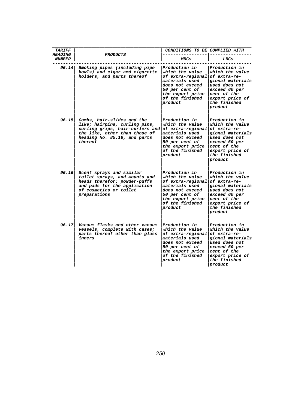| <i><b>TARIFF</b></i><br><i><b>HEADING</b></i> | <b>PRODUCTS</b>                                                                                                                                                                                                 | CONDITIONS TO BE COMPLIED WITH                                                                                                                                                                              |                                                                                                                                                        |
|-----------------------------------------------|-----------------------------------------------------------------------------------------------------------------------------------------------------------------------------------------------------------------|-------------------------------------------------------------------------------------------------------------------------------------------------------------------------------------------------------------|--------------------------------------------------------------------------------------------------------------------------------------------------------|
| <i><b>NUMBER</b></i>                          |                                                                                                                                                                                                                 | <b>MDCs</b>                                                                                                                                                                                                 | LDCs                                                                                                                                                   |
|                                               | 96.14 Smoking pipes (including pipe<br>  bowls) and cigar amd cigarette<br>holders, and parts thereof                                                                                                           | <i>Production in</i><br>which the value<br>lof extra-regional of extra-re-<br>/materials used<br>does not exceed<br><i>50 per cent of</i><br>the export price  cent of the <br>of the finished<br>  product | <i>Production in</i><br>which the value<br>gional materials<br>lused does not<br>exceed 60 per/<br>export price of<br>the finished)<br>'product        |
|                                               | 96.15 Combs, hair-slides and the<br>like; hairpins, curling pins,<br>curling grips, hair-curlers and of extra-regional of extra-re-<br>the like, other than those of<br>heading No. 85.16, and parts<br>thereof | Production in<br>which the value<br>/materials used<br>does not exceed<br>50 per cent of<br>the export price (cent of the<br>of the finished<br>  product                                                   | Production in<br>which the value<br>gional materials<br>used does not<br>exceed 60 per<br>export price of<br>the finished)<br>'product                 |
|                                               | 96.16 Scent sprays and similar<br>toilet sprays, and mounts and<br>heads therefor; powder-puffs<br>and pads for the application<br>of cosmetics or toilet<br>preparations                                       | Production in<br>which the value<br>of extra-regional/of extra-re-<br>/materials used<br>does not exceed<br><i> 50 per cent of</i><br>the export price  cent of the <br>of the finished<br>'product         | Production in<br>which the value<br> gional materials<br>used does not<br>exceed 60 per/<br>export price of<br>the finished)<br>product                |
|                                               | 96.17   Vacuum flasks and other vacuum   Production in<br>vessels, complete with cases;<br>parts thereof other than glass (of extra-regional(of extra-re-<br>inners                                             | which the value<br>/materials used<br>does not exceed<br><i>50 per cent of</i><br>the export price)<br>of the finished<br>  product                                                                         | Production in<br>which the value<br> gional materials<br>used does not<br>exceed 60 per <br>cent of the<br>export price of<br>the finished)<br>product |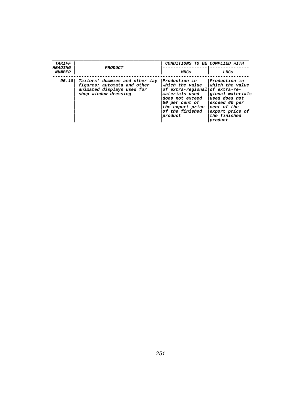| <b><i>TARIFF</i></b><br><i><b>HEADING</b></i><br><i><b>NUMBER</b></i> | <i>PRODUCT</i>                                                                                                            | CONDITIONS TO BE COMPLIED WITH<br>MDCs                                                                                                                                        | LDCs                                                                                                                                                |
|-----------------------------------------------------------------------|---------------------------------------------------------------------------------------------------------------------------|-------------------------------------------------------------------------------------------------------------------------------------------------------------------------------|-----------------------------------------------------------------------------------------------------------------------------------------------------|
|                                                                       | 96.18 Tailors' dummies and other lay<br>figures; automata and other<br>animated displays used for<br>shop window dressing | Production in<br>which the value<br>of extra-regional/of extra-re-<br>materials used<br>does not exceed<br>50 per cent of<br>the export price<br>of the finished<br>' product | Production in<br>which the value<br>qional materials<br>used does not<br>exceed 60 per<br>cent of the<br>export price of<br>the finished<br>product |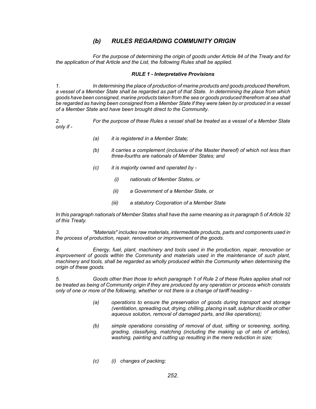### *(b) RULES REGARDING COMMUNITY ORIGIN*

*For the purpose of determining the origin of goods under Article 84 of the Treaty and for the application of that Article and the List, the following Rules shall be applied.*

#### *RULE 1 - Interpretative Provisions*

*1. In determining the place of production of marine products and goods produced therefrom, a vessel of a Member State shall be regarded as part of that State. In determining the place from which goods have been consigned, marine products taken from the sea or goods produced therefrom at sea shall be regarded as having been consigned from a Member State if they were taken by or produced in a vessel of a Member State and have been brought direct to the Community.* 

*2. For the purpose of these Rules a vessel shall be treated as a vessel of a Member State only if -*

- *(a) it is registered in a Member State;*
- *(b) it carries a complement (inclusive of the Master thereof) of which not less than three-fourths are nationals of Member States; and*
- *(c) it is majority owned and operated by -*
	- *(i) nationals of Member States, or*
	- *(ii) a Government of a Member State, or*
	- *(iii) a statutory Corporation of a Member State*

*In this paragraph nationals of Member States shall have the same meaning as in paragraph 5 of Article 32 of this Treaty.*

*3. "Materials" includes raw materials, intermediate products, parts and components used in the process of production, repair, renovation or improvement of the goods.*

*4. Energy, fuel, plant, machinery and tools used in the production, repair, renovation or improvement of goods within the Community and materials used in the maintenance of such plant, machinery and tools, shall be regarded as wholly produced within the Community when determining the origin of these goods.*

*5. Goods other than those to which paragraph 1 of Rule 2 of these Rules applies shall not be treated as being of Community origin if they are produced by any operation or process which consists only of one or more of the following, whether or not there is a change of tariff heading -*

- *(a) operations to ensure the preservation of goods during transport and storage (ventilation, spreading out, drying, chilling, placing in salt, sulphur dioxide or other aqueous solution, removal of damaged parts, and like operations);*
- *(b) simple operations consisting of removal of dust, sifting or screening, sorting, grading, classifying, matching (including the making up of sets of articles), washing, painting and cutting up resulting in the mere reduction in size;*
- *(c) (i) changes of packing;*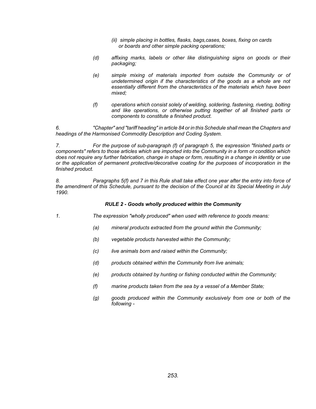- *(ii) simple placing in bottles, flasks, bags,cases, boxes, fixing on cards or boards and other simple packing operations;*
- *(d) affixing marks, labels or other like distinguishing signs on goods or their packaging;*
- *(e) simple mixing of materials imported from outside the Community or of undetermined origin if the characteristics of the goods as a whole are not essentially different from the characteristics of the materials which have been mixed;*
- *(f) operations which consist solely of welding, soldering, fastening, riveting, bolting and like operations, or otherwise putting together of all finished parts or components to constitute a finished product.*

*6. "Chapter" and "tariff heading" in article 84 or in this Schedule shall mean the Chapters and headings of the Harmonised Commodity Description and Coding System.*

*7. For the purpose of sub-paragraph (f) of paragraph 5, the expression "finished parts or components" refers to those articles which are imported into the Community in a form or condition which does not require any further fabrication, change in shape or form, resulting in a change in identity or use or the application of permanent protective/decorative coating for the purposes of incorporation in the finished product.* 

*8. Paragraphs 5(f) and 7 in this Rule shall take effect one year after the entry into force of the amendment of this Schedule, pursuant to the decision of the Council at its Special Meeting in July 1990.*

#### *RULE 2 - Goods wholly produced within the Community*

- *1. The expression "wholly produced" when used with reference to goods means:*
	- *(a) mineral products extracted from the ground within the Community;*
	- *(b) vegetable products harvested within the Community;*
	- *(c) live animals born and raised within the Community;*
	- *(d) products obtained within the Community from live animals;*
	- *(e) products obtained by hunting or fishing conducted within the Community;*
	- *(f) marine products taken from the sea by a vessel of a Member State;*
	- *(g) goods produced within the Community exclusively from one or both of the following -*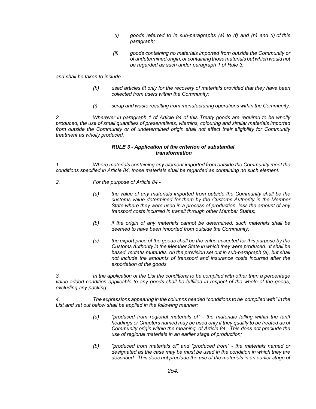- *(i) goods referred to in sub-paragraphs (a) to (f) and (h) and (i) of this paragraph;*
- *(ii) goods containing no materials imported from outside the Community or of undetermined origin, or containing those materials but which would not be regarded as such under paragraph 1 of Rule 3;*

*and shall be taken to include -*

- *(h) used articles fit only for the recovery of materials provided that they have been collected from users within the Community;*
- *(i) scrap and waste resulting from manufacturing operations within the Community.*

*2. Wherever in paragraph 1 of Article 84 of this Treaty goods are required to be wholly produced, the use of small quantities of preservatives, vitamins, colouring and similar materials imported from outside the Community or of undetermined origin shall not affect their eligibility for Community treatment as wholly produced.*

#### *RULE 3 - Application of the criterion of substantial transformation*

*1. Where materials containing any element imported from outside the Community meet the conditions specified in Article 84, those materials shall be regarded as containing no such element.*

- *2. For the purpose of Article 84 -*
	- *(a) the value of any materials imported from outside the Community shall be the customs value determined for them by the Customs Authority in the Member State where they were used in a process of production, less the amount of any transport costs incurred in transit through other Member States;*
	- *(b) if the origin of any materials cannot be determined, such materials shall be deemed to have been imported from outside the Community;*
	- *(c) the export price of the goods shall be the value accepted for this purpose by the Customs Authority in the Member State in which they were produced. It shall be based, mutatis mutandis, on the provision set out in sub-paragraph (a), but shall not include the amounts of transport and insurance costs incurred after the exportation of the goods.*

*3. In the application of the List the conditions to be complied with other than a percentage value-added condition applicable to any goods shall be fulfilled in respect of the whole of the goods, excluding any packing.*

*4. The expressions appearing in the columns headed "conditions to be complied with" in the List and set out below shall be applied in the following manner:*

- *(a) "produced from regional materials of" the materials falling within the tariff headings or Chapters named may be used only if they qualify to be treated as of Community origin within the meaning of Article 84. This does not preclude the use of regional materials in an earlier stage of production;*
- *(b) "produced from materials of" and "produced from" the materials named or designated as the case may be must be used in the condition in which they are described. This does not preclude the use of the materials in an earlier stage of*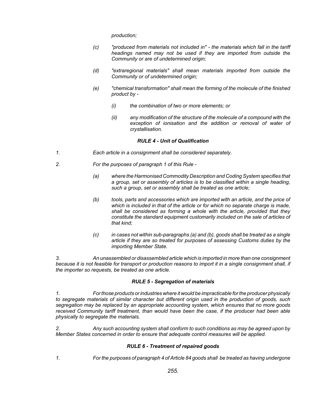*production;*

- *(c) "produced from materials not included in" the materials which fall in the tariff headings named may not be used if they are imported from outside the Community or are of undetermined origin;*
- *(d) "extraregional materials" shall mean materials imported from outside the Community or of undetermined origin;*
- *(e) "chemical transformation" shall mean the forming of the molecule of the finished product by -*
	- *(i) the combination of two or more elements; or*
	- *(ii) any modification of the structure of the molecule of a compound with the exception of ionisation and the addition or removal of water of crystallisation.*

#### *RULE 4 - Unit of Qualification*

- *1. Each article in a consignment shall be considered separately.*
- *2. For the purposes of paragraph 1 of this Rule -*
	- *(a) where the Harmonised Commodity Description and Coding System specifies that a group, set or assembly of articles is to be classified within a single heading, such a group, set or assembly shall be treated as one article;*
	- *(b) tools, parts and accessories which are imported with an article, and the price of which is included in that of the article or for which no separate charge is made, shall be considered as forming a whole with the article, provided that they constitute the standard equipment customarily included on the sale of articles of that kind;*
	- *(c) in cases not within sub-paragraphs (a) and (b), goods shall be treated as a single article if they are so treated for purposes of assessing Customs duties by the importing Member State.*

*3. An unassembled or disassembled article which is imported in more than one consignment because it is not feasible for transport or production reasons to import it in a single consignment shall, if the importer so requests, be treated as one article.*

#### *RULE 5 - Segregation of materials*

*1. For those products or industries where it would be impracticable for the producer physically to segregate materials of similar character but different origin used in the production of goods, such segregation may be replaced by an appropriate accounting system, which ensures that no more goods received Community tariff treatment, than would have been the case, if the producer had been able physically to segregate the materials.* 

*2. Any such accounting system shall conform to such conditions as may be agreed upon by Member States concerned in order to ensure that adequate control measures will be applied.*

### *RULE 6 - Treatment of repaired goods*

- 
- *1. For the purposes of paragraph 4 of Article 84 goods shall be treated as having undergone*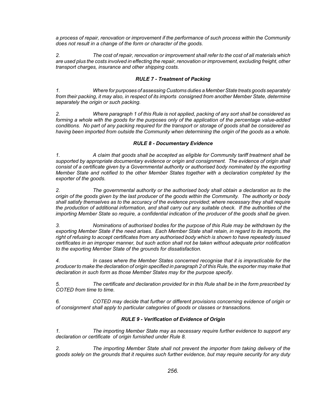*a process of repair, renovation or improvement if the performance of such process within the Community does not result in a change of the form or character of the goods.*

*2. The cost of repair, renovation or improvement shall refer to the cost of all materials which are used plus the costs involved in effecting the repair, renovation or improvement, excluding freight, other transport charges, insurance and other shipping costs.*

#### *RULE 7 - Treatment of Packing*

*1. Where for purposes of assessing Customs duties a Member State treats goods separately from their packing, it may also, in respect of its imports consigned from another Member State, determine separately the origin or such packing.*

*2. Where paragraph 1 of this Rule is not applied, packing of any sort shall be considered as forming a whole with the goods for the purposes only of the application of the percentage value-added conditions. No part of any packing required for the transport or storage of goods shall be considered as having been imported from outside the Community when determining the origin of the goods as a whole.*

#### *RULE 8 - Documentary Evidence*

*1. A claim that goods shall be accepted as eligible for Community tariff treatment shall be supported by appropriate documentary evidence or origin and consignment. The evidence of origin shall consist of a certificate given by a Governmental authority or authorised body nominated by the exporting Member State and notified to the other Member States together with a declaration completed by the exporter of the goods.*

*2. The governmental authority or the authorised body shall obtain a declaration as to the origin of the goods given by the last producer of the goods within the Community. The authority or body shall satisfy themselves as to the accuracy of the evidence provided; where necessary they shall require the production of additional information, and shall carry out any suitable check. If the authorities of the importing Member State so require, a confidential indication of the producer of the goods shall be given.*

*3. Nominations of authorised bodies for the purpose of this Rule may be withdrawn by the exporting Member State if the need arises. Each Member State shall retain, in regard to its imports, the right of refusing to accept certificates from any authorised body which is shown to have repeatedly issued certificates in an improper manner, but such action shall not be taken without adequate prior notification to the exporting Member State of the grounds for dissatisfaction.*

*4. In cases where the Member States concerned recognise that it is impracticable for the producer to make the declaration of origin specified in paragraph 2 of this Rule, the exporter may make that declaration in such form as those Member States may for the purpose specify.*

*5. The certificate and declaration provided for in this Rule shall be in the form prescribed by COTED from time to time.*

*6. COTED may decide that further or different provisions concerning evidence of origin or of consignment shall apply to particular categories of goods or classes or transactions.*

#### *RULE 9 - Verification of Evidence of Origin*

*1. The importing Member State may as necessary require further evidence to support any declaration or certificate of origin furnished under Rule 8.*

*2. The importing Member State shall not prevent the importer from taking delivery of the goods solely on the grounds that it requires such further evidence, but may require security for any duty*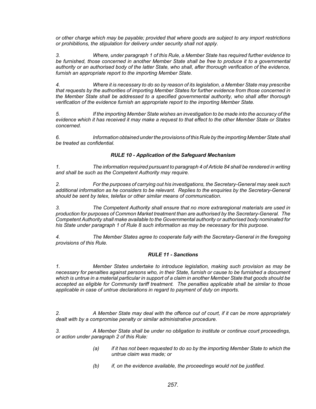*or other charge which may be payable; provided that where goods are subject to any import restrictions or prohibitions, the stipulation for delivery under security shall not apply.*

*3. Where, under paragraph 1 of this Rule, a Member State has required further evidence to be furnished, those concerned in another Member State shall be free to produce it to a governmental authority or an authorised body of the latter State, who shall, after thorough verification of the evidence, furnish an appropriate report to the importing Member State.*

*4. Where it is necessary to do so by reason of its legislation, a Member State may prescribe that requests by the authorities of importing Member States for further evidence from those concerned in the Member State shall be addressed to a specified governmental authority, who shall after thorough verification of the evidence furnish an appropriate report to the importing Member State.*

*5. If the importing Member State wishes an investigation to be made into the accuracy of the evidence which it has received it may make a request to that effect to the other Member State or States concerned.*

*6. Information obtained under the provisions of this Rule by the importing Member State shall be treated as confidential.*

### *RULE 10 - Application of the Safeguard Mechanism*

*1. The information required pursuant to paragraph 4 of Article 84 shall be rendered in writing and shall be such as the Competent Authority may require.*

*2. For the purposes of carrying out his investigations, the Secretary-General may seek such additional information as he considers to be relevant. Replies to the enquiries by the Secretary-General should be sent by telex, telefax or other similar means of communication.*

*3. The Competent Authority shall ensure that no more extraregional materials are used in production for purposes of Common Market treatment than are authorised by the Secretary-General. The Competent Authority shall make available to the Governmental authority or authorised body nominated for his State under paragraph 1 of Rule 8 such information as may be necessary for this purpose.*

*4. The Member States agree to cooperate fully with the Secretary-General in the foregoing provisions of this Rule.*

#### *RULE 11 - Sanctions*

*1. Member States undertake to introduce legislation, making such provision as may be necessary for penalties against persons who, in their State, furnish or cause to be furnished a document which is untrue in a material particular in support of a claim in another Member State that goods should be accepted as eligible for Community tariff treatment. The penalties applicable shall be similar to those applicable in case of untrue declarations in regard to payment of duty on imports.*

*2. A Member State may deal with the offence out of court, if it can be more appropriately dealt with by a compromise penalty or similar administrative procedure.*

*3. A Member State shall be under no obligation to institute or continue court proceedings, or action under paragraph 2 of this Rule:*

- *(a) if it has not been requested to do so by the importing Member State to which the untrue claim was made; or*
- *(b) if, on the evidence available, the proceedings would not be justified.*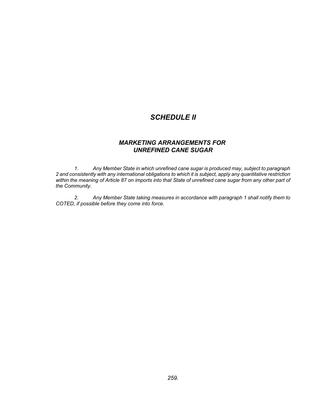# *SCHEDULE II*

## *MARKETING ARRANGEMENTS FOR UNREFINED CANE SUGAR*

*1. Any Member State in which unrefined cane sugar is produced may, subject to paragraph 2 and consistently with any international obligations to which it is subject, apply any quantitative restriction within the meaning of Article 87 on imports into that State of unrefined cane sugar from any other part of the Community.*

*2. Any Member State taking measures in accordance with paragraph 1 shall notify them to COTED, if possible before they come into force.*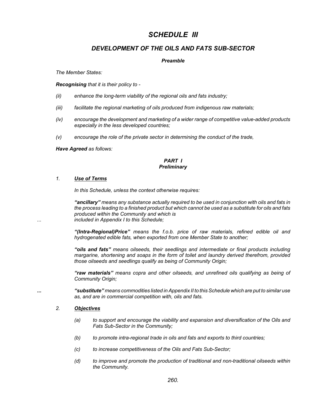# *SCHEDULE III*

## *DEVELOPMENT OF THE OILS AND FATS SUB-SECTOR*

#### *Preamble*

*The Member States:*

*Recognising that it is their policy to -*

- *(ii) enhance the long-term viability of the regional oils and fats industry;*
- *(iii) facilitate the regional marketing of oils produced from indigenous raw materials;*
- *(iv) encourage the development and marketing of a wider range of competitive value-added products especially in the less developed countries;*
- *(v) encourage the role of the private sector in determining the conduct of the trade,*

*Have Agreed as follows:*

#### *PART I Preliminary*

#### *1. Use of Terms*

*In this Schedule, unless the context otherwise requires:*

*"ancillary" means any substance actually required to be used in conjunction with oils and fats in the process leading to a finished product but which cannot be used as a substitute for oils and fats produced within the Community and which is ... included in Appendix I to this Schedule;*

*"(Intra-Regional)Price" means the f.o.b. price of raw materials, refined edible oil and hydrogenated edible fats, when exported from one Member State to another;*

*"oils and fats" means oilseeds, their seedlings and intermediate or final products including margarine, shortening and soaps in the form of toilet and laundry derived therefrom, provided those oilseeds and seedlings qualify as being of Community Origin;*

*"raw materials" means copra and other oilseeds, and unrefined oils qualifying as being of Community Origin;*

*... "substitute" means commodities listed in Appendix II to this Schedule which are put to similar use as, and are in commercial competition with, oils and fats.*

#### *2. Objectives*

- *(a) to support and encourage the viability and expansion and diversification of the Oils and Fats Sub-Sector in the Community;*
- *(b) to promote intra-regional trade in oils and fats and exports to third countries;*
- *(c) to increase competitiveness of the Oils and Fats Sub-Sector;*
- *(d) to improve and promote the production of traditional and non-traditional oilseeds within the Community.*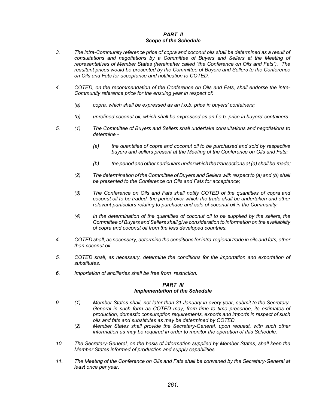#### *PART II Scope of the Schedule*

- *3. The intra-Community reference price of copra and coconut oils shall be determined as a result of consultations and negotiations by a Committee of Buyers and Sellers at the Meeting of representatives of Member States (hereinafter called "the Conference on Oils and Fats"). The resultant prices would be presented by the Committee of Buyers and Sellers to the Conference on Oils and Fats for acceptance and notification to COTED.*
- *4. COTED, on the recommendation of the Conference on Oils and Fats, shall endorse the intra-Community reference price for the ensuing year in respect of:*
	- *(a) copra, which shall be expressed as an f.o.b. price in buyers' containers;*
	- *(b) unrefined coconut oil, which shall be expressed as an f.o.b. price in buyers' containers.*
- *5. (1) The Committee of Buyers and Sellers shall undertake consultations and negotiations to determine -*
	- *(a) the quantities of copra and coconut oil to be purchased and sold by respective buyers and sellers present at the Meeting of the Conference on Oils and Fats;*
	- *(b) the period and other particulars under which the transactions at (a) shall be made;*
	- *(2) The determination of the Committee of Buyers and Sellers with respect to (a) and (b) shall be presented to the Conference on Oils and Fats for acceptance;*
	- *(3) The Conference on Oils and Fats shall notify COTED of the quantities of copra and coconut oil to be traded, the period over which the trade shall be undertaken and other relevant particulars relating to purchase and sale of coconut oil in the Community;*
	- *(4) In the determination of the quantities of coconut oil to be supplied by the sellers, the Committee of Buyers and Sellers shall give consideration to information on the availability of copra and coconut oil from the less developed countries.*
- *4. COTED shall, as necessary, determine the conditions for intra-regional trade in oils and fats, other than coconut oil.*
- *5. COTED shall, as necessary, determine the conditions for the importation and exportation of substitutes.*
- *6. Importation of ancillaries shall be free from restriction.*

#### *PART III*

#### *Implementation of the Schedule*

- *9. (1) Member States shall, not later than 31 January in every year, submit to the Secretary-General in such form as COTED may, from time to time prescribe, its estimates of production, domestic consumption requirements, exports and imports in respect of such oils and fats and substitutes as may be determined by COTED.*
	- *(2) Member States shall provide the Secretary-General, upon request, with such other information as may be required in order to monitor the operation of this Schedule.*
- *10. The Secretary-General, on the basis of information supplied by Member States, shall keep the Member States informed of production and supply capabilities.*
- *11. The Meeting of the Conference on Oils and Fats shall be convened by the Secretary-General at least once per year.*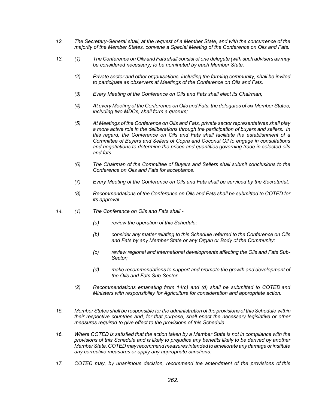- *12. The Secretary-General shall, at the request of a Member State, and with the concurrence of the majority of the Member States, convene a Special Meeting of the Conference on Oils and Fats.*
- *13. (1) The Conference on Oils and Fats shall consist of one delegate (with such advisers as may be considered necessary) to be nominated by each Member State.*
	- *(2) Private sector and other organisations, including the farming community, shall be invited to participate as observers at Meetings of the Conference on Oils and Fats.*
	- *(3) Every Meeting of the Conference on Oils and Fats shall elect its Chairman;*
	- *(4) At every Meeting of the Conference on Oils and Fats, the delegates of six Member States, including two MDCs, shall form a quorum;*
	- *(5) At Meetings of the Conference on Oils and Fats, private sector representatives shall play a more active role in the deliberations through the participation of buyers and sellers. In this regard, the Conference on Oils and Fats shall facilitate the establishment of a Committee of Buyers and Sellers of Copra and Coconut Oil to engage in consultations and negotiations to determine the prices and quantities governing trade in selected oils and fats.*
	- *(6) The Chairman of the Committee of Buyers and Sellers shall submit conclusions to the Conference on Oils and Fats for acceptance.*
	- *(7) Every Meeting of the Conference on Oils and Fats shall be serviced by the Secretariat.*
	- *(8) Recommendations of the Conference on Oils and Fats shall be submitted to COTED for its approval.*
- *14. (1) The Conference on Oils and Fats shall -*
	- *(a) review the operation of this Schedule;*
	- *(b) consider any matter relating to this Schedule referred to the Conference on Oils and Fats by any Member State or any Organ or Body of the Community;*
	- *(c) review regional and international developments affecting the Oils and Fats Sub-Sector;*
	- *(d) make recommendations to support and promote the growth and development of the Oils and Fats Sub-Sector.*
	- *(2) Recommendations emanating from 14(c) and (d) shall be submitted to COTED and Ministers with responsibility for Agriculture for consideration and appropriate action.*
- *15. Member States shall be responsible for the administration of the provisions of this Schedule within their respective countries and, for that purpose, shall enact the necessary legislative or other measures required to give effect to the provisions of this Schedule.*
- *16. Where COTED is satisfied that the action taken by a Member State is not in compliance with the provisions of this Schedule and is likely to prejudice any benefits likely to be derived by another Member State, COTED may recommend measures intended to ameliorate any damage or institute any corrective measures or apply any appropriate sanctions.*
- *17. COTED may, by unanimous decision, recommend the amendment of the provisions of this*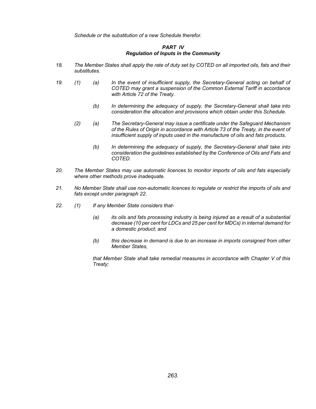*Schedule or the substitution of a new Schedule therefor.*

#### *PART IV Regulation of Inputs in the Community*

- *18. The Member States shall apply the rate of duty set by COTED on all imported oils, fats and their substitutes.*
- *19. (1) (a) In the event of insufficient supply, the Secretary-General acting on behalf of COTED may grant a suspension of the Common External Tariff in accordance with Article 72 of the Treaty.*
	- *(b) In determining the adequacy of supply, the Secretary-General shall take into consideration the allocation and provisions which obtain under this Schedule.*
	- *(2) (a) The Secretary-General may issue a certificate under the Safeguard Mechanism of the Rules of Origin in accordance with Article 73 of the Treaty, in the event of insufficient supply of inputs used in the manufacture of oils and fats products.*
		- *(b) In determining the adequacy of supply, the Secretary-General shall take into consideration the guidelines established by the Conference of Oils and Fats and COTED.*
- *20. The Member States may use automatic licences to monitor imports of oils and fats especially where other methods prove inadequate.*
- *21. No Member State shall use non-automatic licences to regulate or restrict the imports of oils and fats except under paragraph 22.*
- *22. (1) If any Member State considers that-* 
	- *(a) its oils and fats processing industry is being injured as a result of a substantial decrease (10 per cent for LDCs and 25 per cent for MDCs) in internal demand for a domestic product; and*
	- *(b) this decrease in demand is due to an increase in imports consigned from other Member States,*

*that Member State shall take remedial measures in accordance with Chapter V of this Treaty;*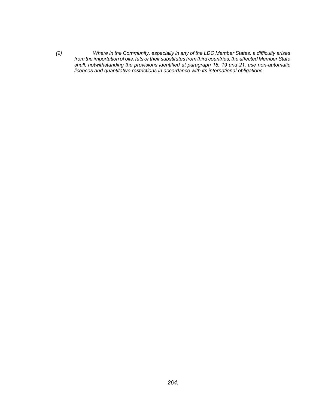*(2) Where in the Community, especially in any of the LDC Member States, a difficulty arises from the importation of oils, fats or their substitutes from third countries, the affected Member State shall, notwithstanding the provisions identified at paragraph 18, 19 and 21, use non-automatic licences and quantitative restrictions in accordance with its international obligations.*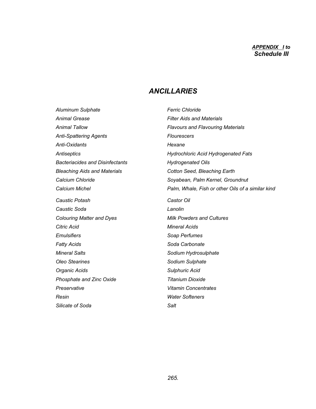## *ANCILLARIES*

Aluminum Sulphate **Ferric Chloride** Ferric Chloride *Animal Grease Filter Aids and Materials Animal Tallow Flavours and Flavouring Materials* Anti-Spattering Agents **Flourescers** Anti-Oxidants **Hexane** Antiseptics **Antiseptics Hydrochloric Acid Hydrogenated Fats** *Bacteriacides and Disinfectants Hydrogenated Oils Bleaching Aids and Materials Cotton Seed, Bleaching Earth Calcium Chloride Soyabean, Palm Kernel, Groundnut Calcium Michel Palm, Whale, Fish or other Oils of a similar kind Caustic Potash Castor Oil Caustic Soda Lanolin* **Colouring Matter and Dyes Milk Powders and Cultures** *Citric Acid Mineral Acids Emulsifiers Soap Perfumes* **Fatty Acids Carbonate** Soda Carbonate *Mineral Salts Sodium Hydrosulphate* **Oleo Stearines** Sodium Sulphate **Organic Acids** Sulphuric Acid **Phosphate and Zinc Oxide Titanium Dioxide** *Preservative Vitamin Concentrates Resin Water Softeners Silicate of Soda Salt*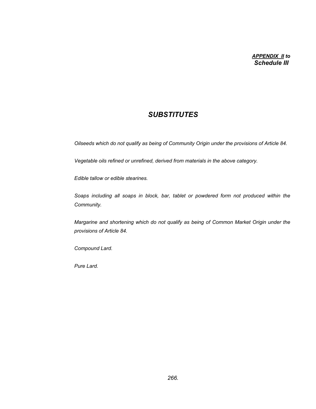# *SUBSTITUTES*

*Oilseeds which do not qualify as being of Community Origin under the provisions of Article 84.*

*Vegetable oils refined or unrefined, derived from materials in the above category.*

*Edible tallow or edible stearines.*

*Soaps including all soaps in block, bar, tablet or powdered form not produced within the Community.*

*Margarine and shortening which do not qualify as being of Common Market Origin under the provisions of Article 84.*

*Compound Lard.*

*Pure Lard.*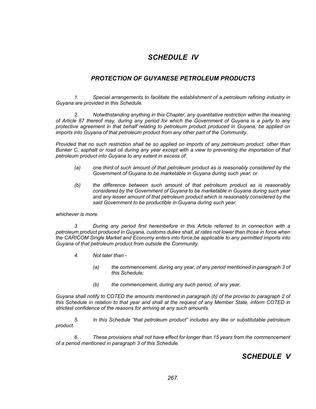# *SCHEDULE IV*

## *PROTECTION OF GUYANESE PETROLEUM PRODUCTS*

*1. Special arrangements to facilitate the establishment of a petroleum refining industry in Guyana are provided in this Schedule.*

*2. Notwithstanding anything in this Chapter, any quantitative restriction within the meaning of Article 87 thereof may, during any period for which the Government of Guyana is a party to any protective agreement in that behalf relating to petroleum product produced in Guyana, be applied on imports into Guyana of that petroleum product from any other part of the Community.*

*Provided that no such restriction shall be so applied on imports of any petroleum product, other than Bunker C, asphalt or road oil during any year except with a view to preventing the importation of that petroleum product into Guyana to any extent in excess of:*

- *(a) one third of such amount of that petroleum product as is reasonably considered by the Government of Guyana to be marketable in Guyana during such year; or*
- *(b) the difference between such amount of that petroleum product as is reasonably considered by the Government of Guyana to be marketable in Guyana during such year and any lesser amount of that petroleum product which is reasonably considered by the said Government to be productible in Guyana during such year,*

*whichever is more.*

*3. During any period first hereinbefore in this Article referred to in connection with a petroleum product produced in Guyana, customs duties shall, at rates not lower than those in force when the CARICOM Single Market and Economy enters into force,be applicable to any permitted imports into Guyana of that petroleum product from outside the Community.*

- *4. Not later than -*
	- *(a) the commencement, during any year, of any period mentioned in paragraph 3 of this Schedule;*
	- *(b) the commencement, during any such period, of any year,*

*Guyana shall notify to COTED the amounts mentioned in paragraph (b) of the proviso to paragraph 2 of this Schedule in relation to that year and shall at the request of any Member State, inform COTED in strictest confidence of the reasons for arriving at any such amounts.*

*5. In this Schedule "that petroleum product" includes any like or substitutable petroleum product.*

*6. These provisions shall not have effect for longer than 15 years from the commencement of a period mentioned in paragraph 3 of this Schedule.* 

# *SCHEDULE V*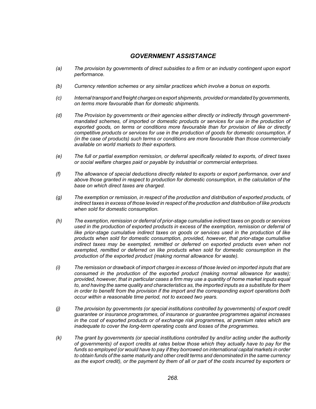## *GOVERNMENT ASSISTANCE*

- *(a) The provision by governments of direct subsidies to a firm or an industry contingent upon export performance.*
- *(b) Currency retention schemes or any similar practices which involve a bonus on exports.*
- *(c) Internal transport and freight charges on export shipments, provided or mandated by governments, on terms more favourable than for domestic shipments.*
- *(d) The Provision by governments or their agencies either directly or indirectly through governmentmandated schemes, of imported or domestic products or services for use in the production of exported goods, on terms or conditions more favourable than for provision of like or directly competitive products or services for use in the production of goods for domestic consumption, if (in the case of products) such terms or conditions are more favourable than those commercially available on world markets to their exporters.*
- *(e) The full or partial exemption remission, or deferral specifically related to exports, of direct taxes or social welfare charges paid or payable by industrial or commercial enterprises.*
- *(f) The allowance of special deductions directly related to exports or export performance, over and above those granted in respect to production for domestic consumption, in the calculation of the base on which direct taxes are charged.*
- *(g) The exemption or remission, in respect of the production and distribution of exported products, of indirect taxes in excess of those levied in respect of the production and distribution of like products when sold for domestic consumption.*
- *(h) The exemption, remission or deferral of prior-stage cumulative indirect taxes on goods or services used in the production of exported products in excess of the exemption, remission or deferral of like prior-stage cumulative indirect taxes on goods or services used in the production of like products when sold for domestic consumption, provided, however, that prior-stage cumulative indirect taxes may be exempted, remitted or deferred on exported products even when not exempted, remitted or deferred on like products when sold for domestic consumption in the production of the exported product (making normal allowance for waste).*
- *(i) The remission or drawback of import charges in excess of those levied on imported inputs that are consumed in the production of the exported product (making normal allowance for waste); provided, however, that in particular cases a firm may use a quantity of home market inputs equal to, and having the same quality and characteristics as, the imported inputs as a substitute for them in order to benefit from the provision if the import and the corresponding export operations both occur within a reasonable time period, not to exceed two years.*
- *(j) The provision by governments (or special institutions controlled by governments) of export credit guarantee or insurance programmes, of insurance or guarantee programmes against increases in the cost of exported products or of exchange risk programmes, at premium rates which are inadequate to cover the long-term operating costs and losses of the programmes.*
- *(k) The grant by governments (or special institutions controlled by and/or acting under the authority of governments) of export credits at rates below those which they actually have to pay for the funds so employed (or would have to pay if they borrowed on international capital markets in order to obtain funds of the same maturity and other credit terms and denominated in the same currency as the export credit), or the payment by them of all or part of the costs incurred by exporters or*